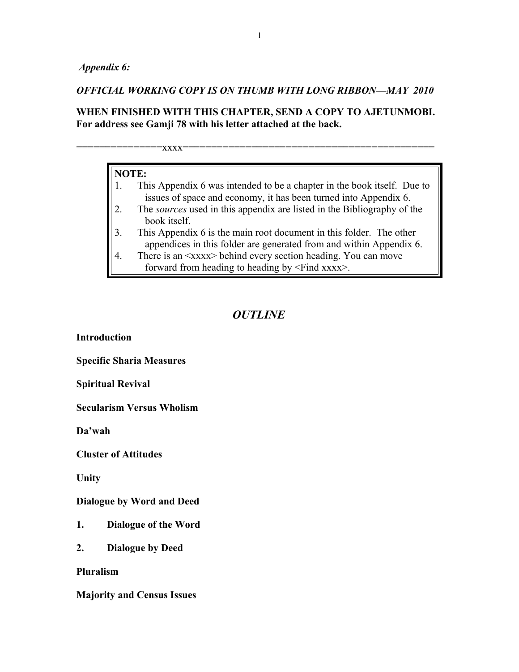*Appendix 6:*

## *OFFICIAL WORKING COPY IS ON THUMB WITH LONG RIBBON—MAY 2010*

# **WHEN FINISHED WITH THIS CHAPTER, SEND A COPY TO AJETUNMOBI. For address see Gamji 78 with his letter attached at the back.**

===============xxxx============================================

- 1. This Appendix 6 was intended to be a chapter in the book itself. Due to issues of space and economy, it has been turned into Appendix 6.
- 2. The *sources* used in this appendix are listed in the Bibliography of the book itself.
- 3. This Appendix 6 is the main root document in this folder. The other appendices in this folder are generated from and within Appendix 6.
- 4. There is an  $\langle xxxx \rangle$  behind every section heading. You can move forward from heading to heading by <Find xxxx>.

# *OUTLINE*

**Introduction**

**Specific Sharia Measures** 

**Spiritual Revival** 

**Secularism Versus Wholism** 

**Da'wah** 

**Cluster of Attitudes** 

**Unity** 

**Dialogue by Word and Deed** 

- **1. Dialogue of the Word**
- **2. Dialogue by Deed**

**Pluralism** 

**Majority and Census Issues**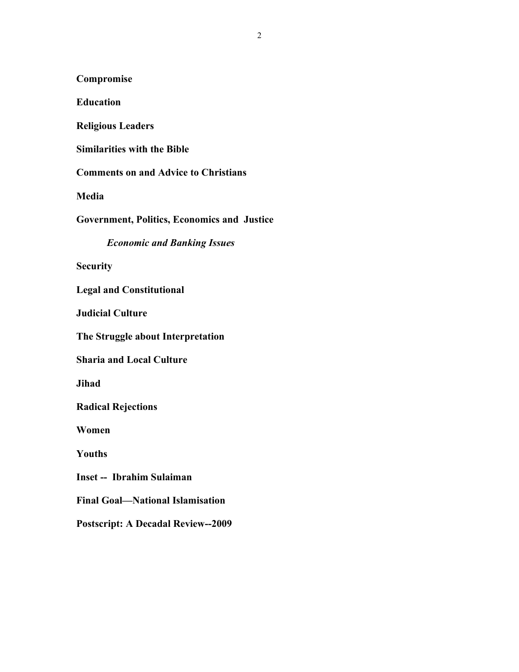**Compromise** 

**Education** 

**Religious Leaders** 

**Similarities with the Bible** 

**Comments on and Advice to Christians** 

**Media** 

**Government, Politics, Economics and Justice** 

*Economic and Banking Issues*

**Security** 

**Legal and Constitutional** 

**Judicial Culture** 

**The Struggle about Interpretation** 

**Sharia and Local Culture** 

**Jihad** 

**Radical Rejections** 

**Women** 

**Youths** 

**Inset -- Ibrahim Sulaiman** 

**Final Goal—National Islamisation** 

**Postscript: A Decadal Review--2009**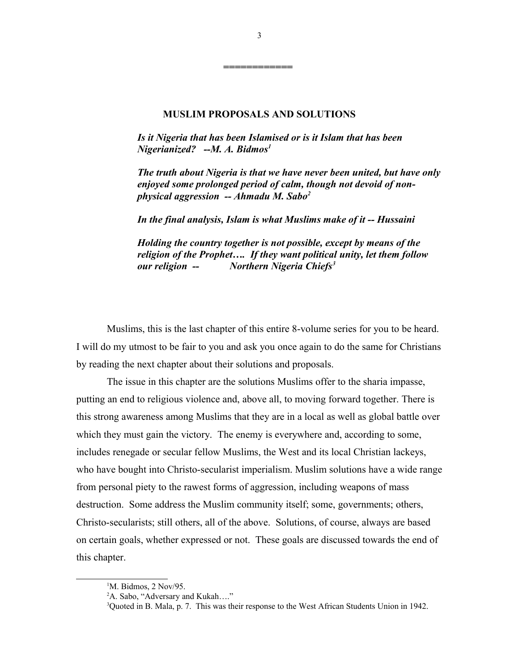# **MUSLIM PROPOSALS AND SOLUTIONS**

*Is it Nigeria that has been Islamised or is it Islam that has been Nigerianized? --M. A. Bidmos[1](#page-2-0)*

*The truth about Nigeria is that we have never been united, but have only enjoyed some prolonged period of calm, though not devoid of nonphysical aggression -- Ahmadu M. Sabo[2](#page-2-1)*

*In the final analysis, Islam is what Muslims make of it -- Hussaini* 

*Holding the country together is not possible, except by means of the religion of the Prophet…. If they want political unity, let them follow our religion -- Northern Nigeria Chiefs[3](#page-2-2)* 

Muslims, this is the last chapter of this entire 8-volume series for you to be heard. I will do my utmost to be fair to you and ask you once again to do the same for Christians by reading the next chapter about their solutions and proposals.

The issue in this chapter are the solutions Muslims offer to the sharia impasse, putting an end to religious violence and, above all, to moving forward together. There is this strong awareness among Muslims that they are in a local as well as global battle over which they must gain the victory. The enemy is everywhere and, according to some, includes renegade or secular fellow Muslims, the West and its local Christian lackeys, who have bought into Christo-secularist imperialism. Muslim solutions have a wide range from personal piety to the rawest forms of aggression, including weapons of mass destruction. Some address the Muslim community itself; some, governments; others, Christo-secularists; still others, all of the above. Solutions, of course, always are based on certain goals, whether expressed or not. These goals are discussed towards the end of this chapter.

**============** 

<span id="page-2-0"></span><sup>&</sup>lt;sup>1</sup>M. Bidmos, 2 Nov/95.

<span id="page-2-1"></span><sup>&</sup>lt;sup>2</sup>A. Sabo, "Adversary and Kukah...."

<span id="page-2-2"></span><sup>3</sup>Quoted in B. Mala, p. 7. This was their response to the West African Students Union in 1942.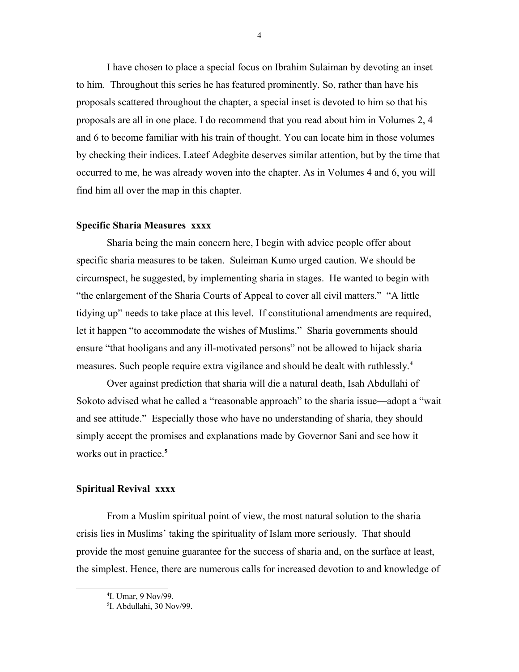I have chosen to place a special focus on Ibrahim Sulaiman by devoting an inset to him. Throughout this series he has featured prominently. So, rather than have his proposals scattered throughout the chapter, a special inset is devoted to him so that his proposals are all in one place. I do recommend that you read about him in Volumes 2, 4 and 6 to become familiar with his train of thought. You can locate him in those volumes by checking their indices. Lateef Adegbite deserves similar attention, but by the time that occurred to me, he was already woven into the chapter. As in Volumes 4 and 6, you will find him all over the map in this chapter.

## **Specific Sharia Measures xxxx**

Sharia being the main concern here, I begin with advice people offer about specific sharia measures to be taken. Suleiman Kumo urged caution. We should be circumspect, he suggested, by implementing sharia in stages. He wanted to begin with "the enlargement of the Sharia Courts of Appeal to cover all civil matters." "A little tidying up" needs to take place at this level. If constitutional amendments are required, let it happen "to accommodate the wishes of Muslims." Sharia governments should ensure "that hooligans and any ill-motivated persons" not be allowed to hijack sharia measures. Such people require extra vigilance and should be dealt with ruthlessly.**[4](#page-3-0)**

Over against prediction that sharia will die a natural death, Isah Abdullahi of Sokoto advised what he called a "reasonable approach" to the sharia issue—adopt a "wait and see attitude." Especially those who have no understanding of sharia, they should simply accept the promises and explanations made by Governor Sani and see how it works out in practice.**[5](#page-3-1)**

#### **Spiritual Revival xxxx**

From a Muslim spiritual point of view, the most natural solution to the sharia crisis lies in Muslims' taking the spirituality of Islam more seriously. That should provide the most genuine guarantee for the success of sharia and, on the surface at least, the simplest. Hence, there are numerous calls for increased devotion to and knowledge of

<span id="page-3-0"></span><sup>4</sup> I. Umar, 9 Nov/99.

<span id="page-3-1"></span><sup>5</sup> I. Abdullahi, 30 Nov/99.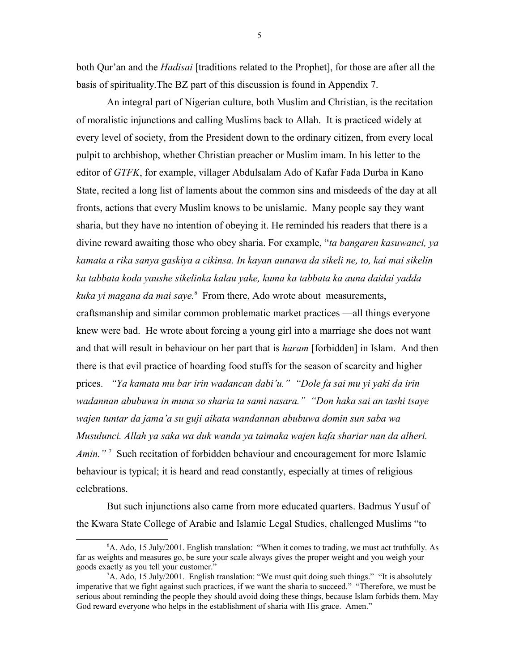both Qur'an and the *Hadisai* [traditions related to the Prophet], for those are after all the basis of spirituality.The BZ part of this discussion is found in Appendix 7.

An integral part of Nigerian culture, both Muslim and Christian, is the recitation of moralistic injunctions and calling Muslims back to Allah. It is practiced widely at every level of society, from the President down to the ordinary citizen, from every local pulpit to archbishop, whether Christian preacher or Muslim imam. In his letter to the editor of *GTFK*, for example, villager Abdulsalam Ado of Kafar Fada Durba in Kano State, recited a long list of laments about the common sins and misdeeds of the day at all fronts, actions that every Muslim knows to be unislamic. Many people say they want sharia, but they have no intention of obeying it. He reminded his readers that there is a divine reward awaiting those who obey sharia. For example, "*ta bangaren kasuwanci, ya kamata a rika sanya gaskiya a cikinsa. In kayan aunawa da sikeli ne, to, kai mai sikelin ka tabbata koda yaushe sikelinka kalau yake, kuma ka tabbata ka auna daidai yadda kuka yi magana da mai saye.[6](#page-4-0)* From there, Ado wrote about measurements, craftsmanship and similar common problematic market practices —all things everyone knew were bad. He wrote about forcing a young girl into a marriage she does not want and that will result in behaviour on her part that is *haram* [forbidden] in Islam. And then there is that evil practice of hoarding food stuffs for the season of scarcity and higher prices. *"Ya kamata mu bar irin wadancan dabi'u." "Dole fa sai mu yi yaki da irin wadannan abubuwa in muna so sharia ta sami nasara." "Don haka sai an tashi tsaye wajen tuntar da jama'a su guji aikata wandannan abubuwa domin sun saba wa Musulunci. Allah ya saka wa duk wanda ya taimaka wajen kafa shariar nan da alheri.*  Amin."<sup>[7](#page-4-1)</sup> Such recitation of forbidden behaviour and encouragement for more Islamic behaviour is typical; it is heard and read constantly, especially at times of religious celebrations.

But such injunctions also came from more educated quarters. Badmus Yusuf of the Kwara State College of Arabic and Islamic Legal Studies, challenged Muslims "to

<span id="page-4-0"></span><sup>6</sup>A. Ado, 15 July/2001. English translation: "When it comes to trading, we must act truthfully. As far as weights and measures go, be sure your scale always gives the proper weight and you weigh your goods exactly as you tell your customer."

<span id="page-4-1"></span> ${}^{7}A$ . Ado, 15 July/2001. English translation: "We must quit doing such things." "It is absolutely imperative that we fight against such practices, if we want the sharia to succeed." "Therefore, we must be serious about reminding the people they should avoid doing these things, because Islam forbids them. May God reward everyone who helps in the establishment of sharia with His grace. Amen."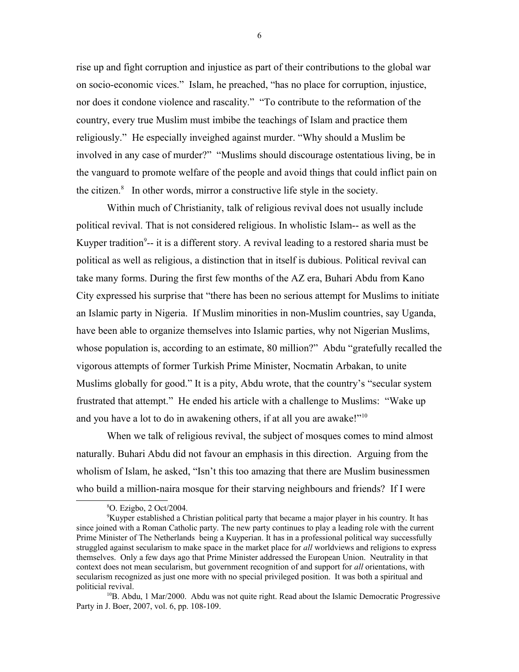rise up and fight corruption and injustice as part of their contributions to the global war on socio-economic vices." Islam, he preached, "has no place for corruption, injustice, nor does it condone violence and rascality." "To contribute to the reformation of the country, every true Muslim must imbibe the teachings of Islam and practice them religiously." He especially inveighed against murder. "Why should a Muslim be involved in any case of murder?" "Muslims should discourage ostentatious living, be in the vanguard to promote welfare of the people and avoid things that could inflict pain on the citizen.<sup>[8](#page-5-0)</sup> In other words, mirror a constructive life style in the society.

Within much of Christianity, talk of religious revival does not usually include political revival. That is not considered religious. In wholistic Islam-- as well as the Kuyper tradition<sup>[9](#page-5-1)</sup>-- it is a different story. A revival leading to a restored sharia must be political as well as religious, a distinction that in itself is dubious. Political revival can take many forms. During the first few months of the AZ era, Buhari Abdu from Kano City expressed his surprise that "there has been no serious attempt for Muslims to initiate an Islamic party in Nigeria. If Muslim minorities in non-Muslim countries, say Uganda, have been able to organize themselves into Islamic parties, why not Nigerian Muslims, whose population is, according to an estimate, 80 million?" Abdu "gratefully recalled the vigorous attempts of former Turkish Prime Minister, Nocmatin Arbakan, to unite Muslims globally for good." It is a pity, Abdu wrote, that the country's "secular system frustrated that attempt." He ended his article with a challenge to Muslims: "Wake up and you have a lot to do in awakening others, if at all you are awake!"[10](#page-5-2)

When we talk of religious revival, the subject of mosques comes to mind almost naturally. Buhari Abdu did not favour an emphasis in this direction. Arguing from the wholism of Islam, he asked, "Isn't this too amazing that there are Muslim businessmen who build a million-naira mosque for their starving neighbours and friends? If I were

6

<span id="page-5-1"></span><span id="page-5-0"></span><sup>8</sup>O. Ezigbo, 2 Oct/2004.

<sup>&</sup>lt;sup>9</sup>Kuyper established a Christian political party that became a major player in his country. It has since joined with a Roman Catholic party. The new party continues to play a leading role with the current Prime Minister of The Netherlands being a Kuyperian. It has in a professional political way successfully struggled against secularism to make space in the market place for *all* worldviews and religions to express themselves. Only a few days ago that Prime Minister addressed the European Union. Neutrality in that context does not mean secularism, but government recognition of and support for *all* orientations, with secularism recognized as just one more with no special privileged position. It was both a spiritual and politicial revival.

<span id="page-5-2"></span> $10B$ . Abdu, 1 Mar/2000. Abdu was not quite right. Read about the Islamic Democratic Progressive Party in J. Boer, 2007, vol. 6, pp. 108-109.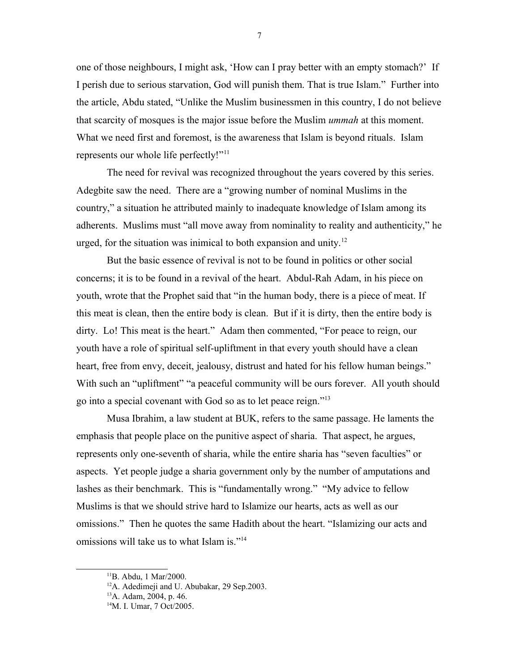one of those neighbours, I might ask, 'How can I pray better with an empty stomach?' If I perish due to serious starvation, God will punish them. That is true Islam." Further into the article, Abdu stated, "Unlike the Muslim businessmen in this country, I do not believe that scarcity of mosques is the major issue before the Muslim *ummah* at this moment. What we need first and foremost, is the awareness that Islam is beyond rituals. Islam represents our whole life perfectly!"<sup>[11](#page-6-0)</sup>

The need for revival was recognized throughout the years covered by this series. Adegbite saw the need. There are a "growing number of nominal Muslims in the country," a situation he attributed mainly to inadequate knowledge of Islam among its adherents. Muslims must "all move away from nominality to reality and authenticity," he urged, for the situation was inimical to both expansion and unity.<sup>[12](#page-6-1)</sup>

But the basic essence of revival is not to be found in politics or other social concerns; it is to be found in a revival of the heart. Abdul-Rah Adam, in his piece on youth, wrote that the Prophet said that "in the human body, there is a piece of meat. If this meat is clean, then the entire body is clean. But if it is dirty, then the entire body is dirty. Lo! This meat is the heart." Adam then commented, "For peace to reign, our youth have a role of spiritual self-upliftment in that every youth should have a clean heart, free from envy, deceit, jealousy, distrust and hated for his fellow human beings." With such an "upliftment" "a peaceful community will be ours forever. All youth should go into a special covenant with God so as to let peace reign."<sup>[13](#page-6-2)</sup>

Musa Ibrahim, a law student at BUK, refers to the same passage. He laments the emphasis that people place on the punitive aspect of sharia. That aspect, he argues, represents only one-seventh of sharia, while the entire sharia has "seven faculties" or aspects. Yet people judge a sharia government only by the number of amputations and lashes as their benchmark. This is "fundamentally wrong." "My advice to fellow Muslims is that we should strive hard to Islamize our hearts, acts as well as our omissions." Then he quotes the same Hadith about the heart. "Islamizing our acts and omissions will take us to what Islam is."[14](#page-6-3)

<span id="page-6-0"></span><sup>&</sup>lt;sup>11</sup>B. Abdu, 1 Mar/2000.

<span id="page-6-1"></span><sup>&</sup>lt;sup>12</sup>A. Adedimeji and U. Abubakar, 29 Sep.2003.

<span id="page-6-2"></span><sup>13</sup>A. Adam, 2004, p. 46.

<span id="page-6-3"></span><sup>&</sup>lt;sup>14</sup>M. I. Umar, 7 Oct/2005.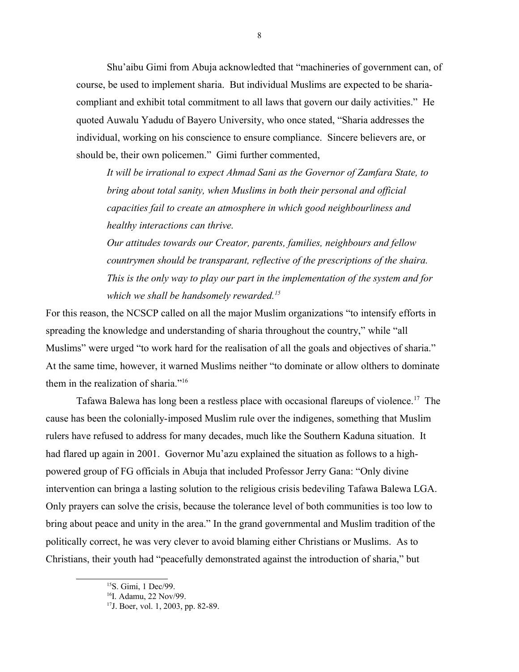Shu'aibu Gimi from Abuja acknowledted that "machineries of government can, of course, be used to implement sharia. But individual Muslims are expected to be shariacompliant and exhibit total commitment to all laws that govern our daily activities." He quoted Auwalu Yadudu of Bayero University, who once stated, "Sharia addresses the individual, working on his conscience to ensure compliance. Sincere believers are, or should be, their own policemen." Gimi further commented,

*It will be irrational to expect Ahmad Sani as the Governor of Zamfara State, to bring about total sanity, when Muslims in both their personal and official capacities fail to create an atmosphere in which good neighbourliness and healthy interactions can thrive.* 

*Our attitudes towards our Creator, parents, families, neighbours and fellow countrymen should be transparant, reflective of the prescriptions of the shaira. This is the only way to play our part in the implementation of the system and for which we shall be handsomely rewarded.[15](#page-7-0)*

For this reason, the NCSCP called on all the major Muslim organizations "to intensify efforts in spreading the knowledge and understanding of sharia throughout the country," while "all Muslims" were urged "to work hard for the realisation of all the goals and objectives of sharia." At the same time, however, it warned Muslims neither "to dominate or allow olthers to dominate them in the realization of sharia."[16](#page-7-1)

Tafawa Balewa has long been a restless place with occasional flareups of violence.<sup>[17](#page-7-2)</sup> The cause has been the colonially-imposed Muslim rule over the indigenes, something that Muslim rulers have refused to address for many decades, much like the Southern Kaduna situation. It had flared up again in 2001. Governor Mu'azu explained the situation as follows to a highpowered group of FG officials in Abuja that included Professor Jerry Gana: "Only divine intervention can bringa a lasting solution to the religious crisis bedeviling Tafawa Balewa LGA. Only prayers can solve the crisis, because the tolerance level of both communities is too low to bring about peace and unity in the area." In the grand governmental and Muslim tradition of the politically correct, he was very clever to avoid blaming either Christians or Muslims. As to Christians, their youth had "peacefully demonstrated against the introduction of sharia," but

<span id="page-7-0"></span><sup>15</sup>S. Gimi, 1 Dec/99.

<span id="page-7-1"></span><sup>&</sup>lt;sup>16</sup>I. Adamu, 22 Nov/99.

<span id="page-7-2"></span><sup>17</sup>J. Boer, vol. 1, 2003, pp. 82-89.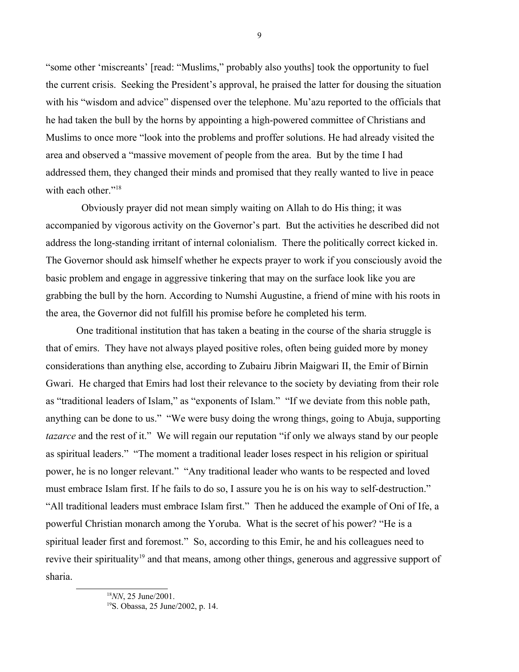"some other 'miscreants' [read: "Muslims," probably also youths] took the opportunity to fuel the current crisis. Seeking the President's approval, he praised the latter for dousing the situation with his "wisdom and advice" dispensed over the telephone. Mu'azu reported to the officials that he had taken the bull by the horns by appointing a high-powered committee of Christians and Muslims to once more "look into the problems and proffer solutions. He had already visited the area and observed a "massive movement of people from the area. But by the time I had addressed them, they changed their minds and promised that they really wanted to live in peace with each other."<sup>[18](#page-8-0)</sup>

 Obviously prayer did not mean simply waiting on Allah to do His thing; it was accompanied by vigorous activity on the Governor's part. But the activities he described did not address the long-standing irritant of internal colonialism. There the politically correct kicked in. The Governor should ask himself whether he expects prayer to work if you consciously avoid the basic problem and engage in aggressive tinkering that may on the surface look like you are grabbing the bull by the horn. According to Numshi Augustine, a friend of mine with his roots in the area, the Governor did not fulfill his promise before he completed his term.

One traditional institution that has taken a beating in the course of the sharia struggle is that of emirs. They have not always played positive roles, often being guided more by money considerations than anything else, according to Zubairu Jibrin Maigwari II, the Emir of Birnin Gwari. He charged that Emirs had lost their relevance to the society by deviating from their role as "traditional leaders of Islam," as "exponents of Islam." "If we deviate from this noble path, anything can be done to us." "We were busy doing the wrong things, going to Abuja, supporting *tazarce* and the rest of it." We will regain our reputation "if only we always stand by our people as spiritual leaders." "The moment a traditional leader loses respect in his religion or spiritual power, he is no longer relevant." "Any traditional leader who wants to be respected and loved must embrace Islam first. If he fails to do so, I assure you he is on his way to self-destruction." "All traditional leaders must embrace Islam first." Then he adduced the example of Oni of Ife, a powerful Christian monarch among the Yoruba. What is the secret of his power? "He is a spiritual leader first and foremost." So, according to this Emir, he and his colleagues need to revive their spirituality<sup>[19](#page-8-1)</sup> and that means, among other things, generous and aggressive support of sharia.

<span id="page-8-0"></span><sup>18</sup>*NN*, 25 June/2001.

<span id="page-8-1"></span><sup>19</sup>S. Obassa, 25 June/2002, p. 14.

9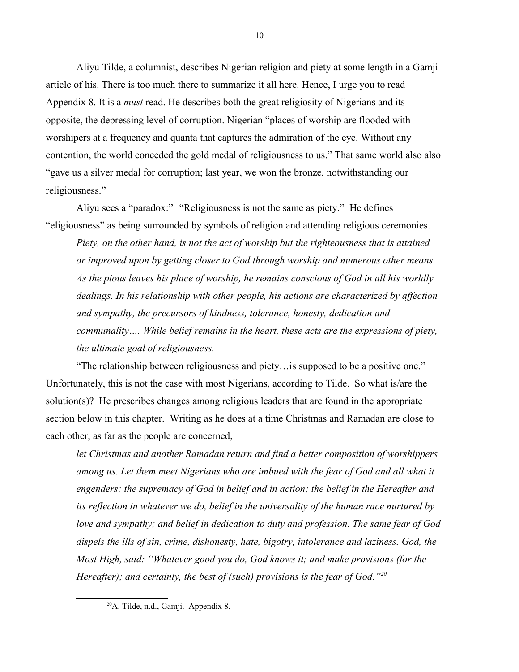Aliyu Tilde, a columnist, describes Nigerian religion and piety at some length in a Gamji article of his. There is too much there to summarize it all here. Hence, I urge you to read Appendix 8. It is a *must* read. He describes both the great religiosity of Nigerians and its opposite, the depressing level of corruption. Nigerian "places of worship are flooded with worshipers at a frequency and quanta that captures the admiration of the eye. Without any contention, the world conceded the gold medal of religiousness to us." That same world also also "gave us a silver medal for corruption; last year, we won the bronze, notwithstanding our religiousness."

Aliyu sees a "paradox:" "Religiousness is not the same as piety." He defines "eligiousness" as being surrounded by symbols of religion and attending religious ceremonies.

*Piety, on the other hand, is not the act of worship but the righteousness that is attained or improved upon by getting closer to God through worship and numerous other means. As the pious leaves his place of worship, he remains conscious of God in all his worldly dealings. In his relationship with other people, his actions are characterized by affection and sympathy, the precursors of kindness, tolerance, honesty, dedication and communality…. While belief remains in the heart, these acts are the expressions of piety, the ultimate goal of religiousness.*

"The relationship between religiousness and piety…is supposed to be a positive one." Unfortunately, this is not the case with most Nigerians, according to Tilde. So what is/are the solution(s)? He prescribes changes among religious leaders that are found in the appropriate section below in this chapter. Writing as he does at a time Christmas and Ramadan are close to each other, as far as the people are concerned,

*let Christmas and another Ramadan return and find a better composition of worshippers among us. Let them meet Nigerians who are imbued with the fear of God and all what it engenders: the supremacy of God in belief and in action; the belief in the Hereafter and its reflection in whatever we do, belief in the universality of the human race nurtured by love and sympathy; and belief in dedication to duty and profession. The same fear of God dispels the ills of sin, crime, dishonesty, hate, bigotry, intolerance and laziness. God, the Most High, said: "Whatever good you do, God knows it; and make provisions (for the Hereafter); and certainly, the best of (such) provisions is the fear of God."[20](#page-9-0)*

<span id="page-9-0"></span> $20$ A. Tilde, n.d., Gamji. Appendix 8.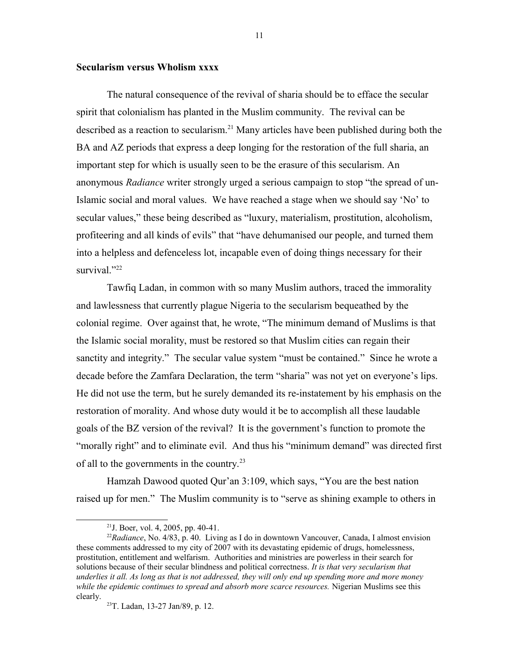## **Secularism versus Wholism xxxx**

The natural consequence of the revival of sharia should be to efface the secular spirit that colonialism has planted in the Muslim community. The revival can be described as a reaction to secularism.<sup>[21](#page-10-0)</sup> Many articles have been published during both the BA and AZ periods that express a deep longing for the restoration of the full sharia, an important step for which is usually seen to be the erasure of this secularism. An anonymous *Radiance* writer strongly urged a serious campaign to stop "the spread of un-Islamic social and moral values. We have reached a stage when we should say 'No' to secular values," these being described as "luxury, materialism, prostitution, alcoholism, profiteering and all kinds of evils" that "have dehumanised our people, and turned them into a helpless and defenceless lot, incapable even of doing things necessary for their survival."<sup>[22](#page-10-1)</sup>

Tawfiq Ladan, in common with so many Muslim authors, traced the immorality and lawlessness that currently plague Nigeria to the secularism bequeathed by the colonial regime. Over against that, he wrote, "The minimum demand of Muslims is that the Islamic social morality, must be restored so that Muslim cities can regain their sanctity and integrity." The secular value system "must be contained." Since he wrote a decade before the Zamfara Declaration, the term "sharia" was not yet on everyone's lips. He did not use the term, but he surely demanded its re-instatement by his emphasis on the restoration of morality. And whose duty would it be to accomplish all these laudable goals of the BZ version of the revival? It is the government's function to promote the "morally right" and to eliminate evil. And thus his "minimum demand" was directed first of all to the governments in the country.<sup>[23](#page-10-2)</sup>

Hamzah Dawood quoted Qur'an 3:109, which says, "You are the best nation raised up for men." The Muslim community is to "serve as shining example to others in

11

<span id="page-10-1"></span><span id="page-10-0"></span><sup>21</sup>J. Boer, vol. 4, 2005, pp. 40-41.

<sup>22</sup>*Radiance*, No. 4/83, p. 40. Living as I do in downtown Vancouver, Canada, I almost envision these comments addressed to my city of 2007 with its devastating epidemic of drugs, homelessness, prostitution, entitlement and welfarism. Authorities and ministries are powerless in their search for solutions because of their secular blindness and political correctness. *It is that very secularism that underlies it all. As long as that is not addressed, they will only end up spending more and more money while the epidemic continues to spread and absorb more scarce resources.* Nigerian Muslims see this clearly.

<span id="page-10-2"></span><sup>23</sup>T. Ladan, 13-27 Jan/89, p. 12.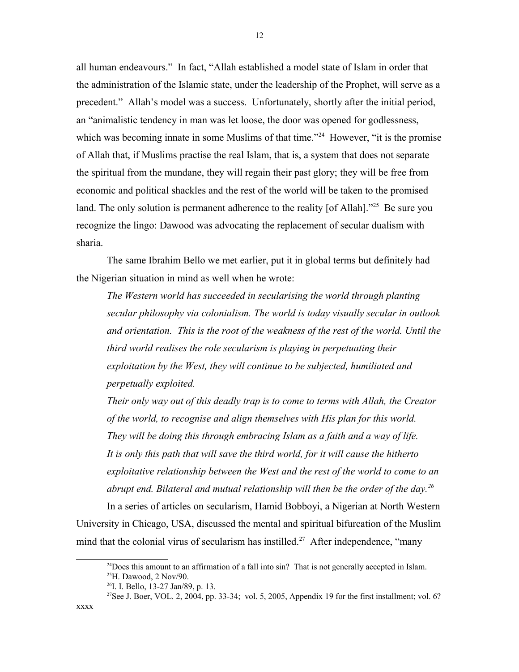all human endeavours." In fact, "Allah established a model state of Islam in order that the administration of the Islamic state, under the leadership of the Prophet, will serve as a precedent." Allah's model was a success. Unfortunately, shortly after the initial period, an "animalistic tendency in man was let loose, the door was opened for godlessness, which was becoming innate in some Muslims of that time."<sup>[24](#page-11-0)</sup> However, "it is the promise of Allah that, if Muslims practise the real Islam, that is, a system that does not separate the spiritual from the mundane, they will regain their past glory; they will be free from economic and political shackles and the rest of the world will be taken to the promised land. The only solution is permanent adherence to the reality [of Allah]."<sup>[25](#page-11-1)</sup> Be sure you recognize the lingo: Dawood was advocating the replacement of secular dualism with sharia.

The same Ibrahim Bello we met earlier, put it in global terms but definitely had the Nigerian situation in mind as well when he wrote:

*The Western world has succeeded in secularising the world through planting secular philosophy via colonialism. The world is today visually secular in outlook and orientation. This is the root of the weakness of the rest of the world. Until the third world realises the role secularism is playing in perpetuating their exploitation by the West, they will continue to be subjected, humiliated and perpetually exploited.*

*Their only way out of this deadly trap is to come to terms with Allah, the Creator of the world, to recognise and align themselves with His plan for this world. They will be doing this through embracing Islam as a faith and a way of life. It is only this path that will save the third world, for it will cause the hitherto exploitative relationship between the West and the rest of the world to come to an abrupt end. Bilateral and mutual relationship will then be the order of the day.[26](#page-11-2)*

In a series of articles on secularism, Hamid Bobboyi, a Nigerian at North Western University in Chicago, USA, discussed the mental and spiritual bifurcation of the Muslim mind that the colonial virus of secularism has instilled.<sup>[27](#page-11-3)</sup> After independence, "many

xxxx

<span id="page-11-1"></span><span id="page-11-0"></span> $^{24}$ Does this amount to an affirmation of a fall into sin? That is not generally accepted in Islam.  $^{25}$ H. Dawood, 2 Nov/90.

<span id="page-11-2"></span> $^{26}$ I. I. Bello, 13-27 Jan/89, p. 13.

<span id="page-11-3"></span><sup>&</sup>lt;sup>27</sup>See J. Boer, VOL. 2, 2004, pp. 33-34; vol. 5, 2005, Appendix 19 for the first installment; vol. 6?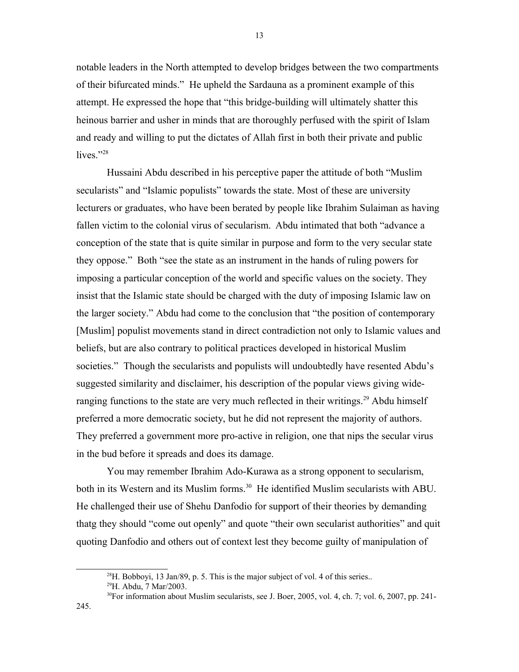notable leaders in the North attempted to develop bridges between the two compartments of their bifurcated minds." He upheld the Sardauna as a prominent example of this attempt. He expressed the hope that "this bridge-building will ultimately shatter this heinous barrier and usher in minds that are thoroughly perfused with the spirit of Islam and ready and willing to put the dictates of Allah first in both their private and public lives." $28$ 

Hussaini Abdu described in his perceptive paper the attitude of both "Muslim secularists" and "Islamic populists" towards the state. Most of these are university lecturers or graduates, who have been berated by people like Ibrahim Sulaiman as having fallen victim to the colonial virus of secularism.Abdu intimated that both "advance a conception of the state that is quite similar in purpose and form to the very secular state they oppose." Both "see the state as an instrument in the hands of ruling powers for imposing a particular conception of the world and specific values on the society. They insist that the Islamic state should be charged with the duty of imposing Islamic law on the larger society." Abdu had come to the conclusion that "the position of contemporary [Muslim] populist movements stand in direct contradiction not only to Islamic values and beliefs, but are also contrary to political practices developed in historical Muslim societies." Though the secularists and populists will undoubtedly have resented Abdu's suggested similarity and disclaimer, his description of the popular views giving wide-ranging functions to the state are very much reflected in their writings.<sup>[29](#page-12-1)</sup> Abdu himself preferred a more democratic society, but he did not represent the majority of authors. They preferred a government more pro-active in religion, one that nips the secular virus in the bud before it spreads and does its damage.

You may remember Ibrahim Ado-Kurawa as a strong opponent to secularism, both in its Western and its Muslim forms.<sup>[30](#page-12-2)</sup> He identified Muslim secularists with ABU. He challenged their use of Shehu Danfodio for support of their theories by demanding thatg they should "come out openly" and quote "their own secularist authorities" and quit quoting Danfodio and others out of context lest they become guilty of manipulation of

13

<span id="page-12-0"></span> $^{28}$ H. Bobboyi, 13 Jan/89, p. 5. This is the major subject of vol. 4 of this series..

<span id="page-12-1"></span><sup>29</sup>H. Abdu, 7 Mar/2003.

<span id="page-12-2"></span> $30$ For information about Muslim secularists, see J. Boer, 2005, vol. 4, ch. 7; vol. 6, 2007, pp. 241-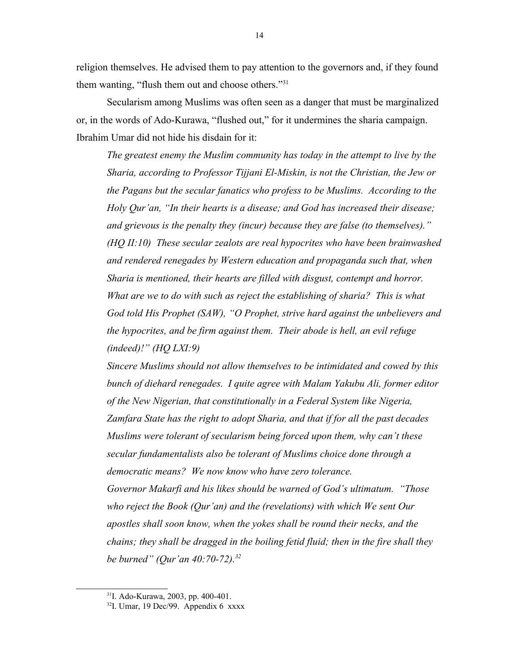religion themselves. He advised them to pay attention to the governors and, if they found them wanting, "flush them out and choose others."<sup>[31](#page-13-0)</sup>

Secularism among Muslims was often seen as a danger that must be marginalized or, in the words of Ado-Kurawa, "flushed out," for it undermines the sharia campaign. Ibrahim Umar did not hide his disdain for it:

*The greatest enemy the Muslim community has today in the attempt to live by the Sharia, according to Professor Tijjani El-Miskin, is not the Christian, the Jew or the Pagans but the secular fanatics who profess to be Muslims. According to the Holy Qur'an, "In their hearts is a disease; and God has increased their disease; and grievous is the penalty they (incur) because they are false (to themselves)." (HQ II:10) These secular zealots are real hypocrites who have been brainwashed and rendered renegades by Western education and propaganda such that, when Sharia is mentioned, their hearts are filled with disgust, contempt and horror. What are we to do with such as reject the establishing of sharia? This is what God told His Prophet (SAW), "O Prophet, strive hard against the unbelievers and the hypocrites, and be firm against them. Their abode is hell, an evil refuge (indeed)!" (HQ LXI:9)*

*Sincere Muslims should not allow themselves to be intimidated and cowed by this bunch of diehard renegades. I quite agree with Malam Yakubu Ali, former editor of the New Nigerian, that constitutionally in a Federal System like Nigeria, Zamfara State has the right to adopt Sharia, and that if for all the past decades Muslims were tolerant of secularism being forced upon them, why can't these secular fundamentalists also be tolerant of Muslims choice done through a democratic means? We now know who have zero tolerance. Governor Makarfi and his likes should be warned of God's ultimatum. "Those who reject the Book (Qur'an) and the (revelations) with which We sent Our apostles shall soon know, when the yokes shall be round their necks, and the chains; they shall be dragged in the boiling fetid fluid; then in the fire shall they be burned" (Qur'an 40:70-72).[32](#page-13-1)* 

<span id="page-13-0"></span><sup>31</sup>I. Ado-Kurawa, 2003, pp. 400-401.

<span id="page-13-1"></span> $32$ I. Umar, 19 Dec/99. Appendix 6 xxxx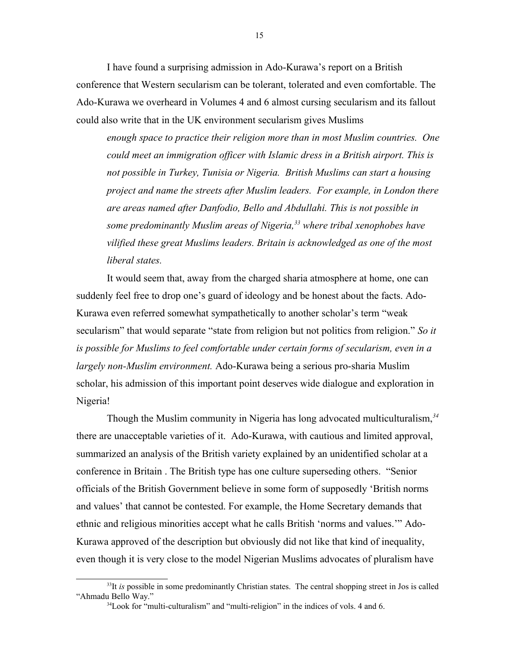I have found a surprising admission in Ado-Kurawa's report on a British conference that Western secularism can be tolerant, tolerated and even comfortable. The Ado-Kurawa we overheard in Volumes 4 and 6 almost cursing secularism and its fallout could also write that in the UK environment secularism gives Muslims

*enough space to practice their religion more than in most Muslim countries. One could meet an immigration officer with Islamic dress in a British airport. This is not possible in Turkey, Tunisia or Nigeria. British Muslims can start a housing project and name the streets after Muslim leaders. For example, in London there are areas named after Danfodio, Bello and Abdullahi. This is not possible in some predominantly Muslim areas of Nigeria,[33](#page-14-0) where tribal xenophobes have vilified these great Muslims leaders. Britain is acknowledged as one of the most liberal states.*

It would seem that, away from the charged sharia atmosphere at home, one can suddenly feel free to drop one's guard of ideology and be honest about the facts. Ado-Kurawa even referred somewhat sympathetically to another scholar's term "weak secularism" that would separate "state from religion but not politics from religion." *So it is possible for Muslims to feel comfortable under certain forms of secularism, even in a largely non-Muslim environment.* Ado-Kurawa being a serious pro-sharia Muslim scholar, his admission of this important point deserves wide dialogue and exploration in Nigeria!

Though the Muslim community in Nigeria has long advocated multiculturalism,*[34](#page-14-1)* there are unacceptable varieties of it. Ado-Kurawa, with cautious and limited approval, summarized an analysis of the British variety explained by an unidentified scholar at a conference in Britain . The British type has one culture superseding others. "Senior officials of the British Government believe in some form of supposedly 'British norms and values' that cannot be contested. For example, the Home Secretary demands that ethnic and religious minorities accept what he calls British 'norms and values.'" Ado-Kurawa approved of the description but obviously did not like that kind of inequality, even though it is very close to the model Nigerian Muslims advocates of pluralism have

<sup>&</sup>lt;sup>33</sup>It *is* possible in some predominantly Christian states. The central shopping street in Jos is called "Ahmadu Bello Way."

<span id="page-14-1"></span><span id="page-14-0"></span><sup>&</sup>lt;sup>34</sup> Look for "multi-culturalism" and "multi-religion" in the indices of vols. 4 and 6.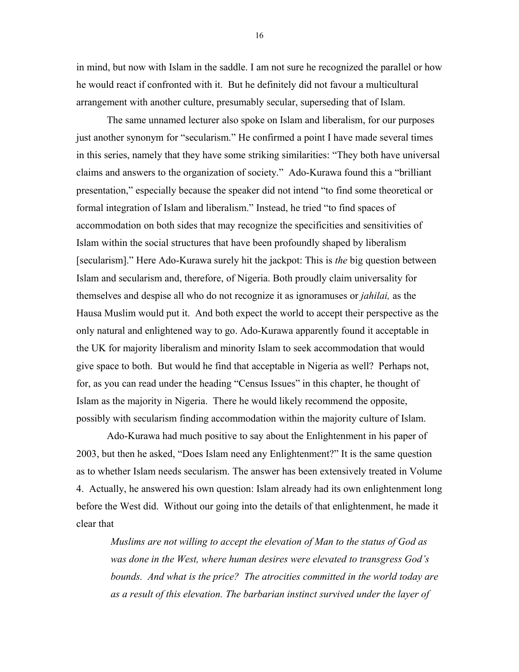in mind, but now with Islam in the saddle. I am not sure he recognized the parallel or how he would react if confronted with it. But he definitely did not favour a multicultural arrangement with another culture, presumably secular, superseding that of Islam.

The same unnamed lecturer also spoke on Islam and liberalism, for our purposes just another synonym for "secularism." He confirmed a point I have made several times in this series, namely that they have some striking similarities: "They both have universal claims and answers to the organization of society." Ado-Kurawa found this a "brilliant presentation," especially because the speaker did not intend "to find some theoretical or formal integration of Islam and liberalism." Instead, he tried "to find spaces of accommodation on both sides that may recognize the specificities and sensitivities of Islam within the social structures that have been profoundly shaped by liberalism [secularism]." Here Ado-Kurawa surely hit the jackpot: This is *the* big question between Islam and secularism and, therefore, of Nigeria. Both proudly claim universality for themselves and despise all who do not recognize it as ignoramuses or *jahilai,* as the Hausa Muslim would put it. And both expect the world to accept their perspective as the only natural and enlightened way to go. Ado-Kurawa apparently found it acceptable in the UK for majority liberalism and minority Islam to seek accommodation that would give space to both. But would he find that acceptable in Nigeria as well? Perhaps not, for, as you can read under the heading "Census Issues" in this chapter, he thought of Islam as the majority in Nigeria. There he would likely recommend the opposite, possibly with secularism finding accommodation within the majority culture of Islam.

Ado-Kurawa had much positive to say about the Enlightenment in his paper of 2003, but then he asked, "Does Islam need any Enlightenment?" It is the same question as to whether Islam needs secularism. The answer has been extensively treated in Volume 4. Actually, he answered his own question: Islam already had its own enlightenment long before the West did. Without our going into the details of that enlightenment, he made it clear that

*Muslims are not willing to accept the elevation of Man to the status of God as was done in the West, where human desires were elevated to transgress God's bounds. And what is the price? The atrocities committed in the world today are as a result of this elevation. The barbarian instinct survived under the layer of* 

16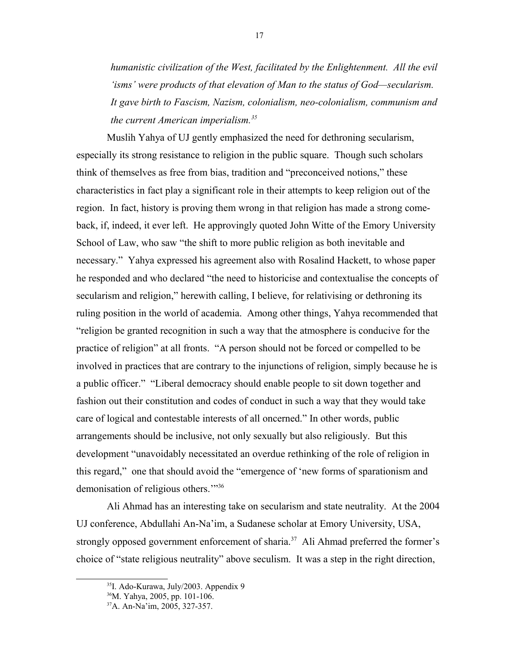*humanistic civilization of the West, facilitated by the Enlightenment. All the evil 'isms' were products of that elevation of Man to the status of God—secularism. It gave birth to Fascism, Nazism, colonialism, neo-colonialism, communism and the current American imperialism.[35](#page-16-0)*

Muslih Yahya of UJ gently emphasized the need for dethroning secularism, especially its strong resistance to religion in the public square. Though such scholars think of themselves as free from bias, tradition and "preconceived notions," these characteristics in fact play a significant role in their attempts to keep religion out of the region. In fact, history is proving them wrong in that religion has made a strong comeback, if, indeed, it ever left. He approvingly quoted John Witte of the Emory University School of Law, who saw "the shift to more public religion as both inevitable and necessary." Yahya expressed his agreement also with Rosalind Hackett, to whose paper he responded and who declared "the need to historicise and contextualise the concepts of secularism and religion," herewith calling, I believe, for relativising or dethroning its ruling position in the world of academia. Among other things, Yahya recommended that "religion be granted recognition in such a way that the atmosphere is conducive for the practice of religion" at all fronts. "A person should not be forced or compelled to be involved in practices that are contrary to the injunctions of religion, simply because he is a public officer." "Liberal democracy should enable people to sit down together and fashion out their constitution and codes of conduct in such a way that they would take care of logical and contestable interests of all oncerned." In other words, public arrangements should be inclusive, not only sexually but also religiously. But this development "unavoidably necessitated an overdue rethinking of the role of religion in this regard," one that should avoid the "emergence of 'new forms of sparationism and demonisation of religious others."<sup>[36](#page-16-1)</sup>

Ali Ahmad has an interesting take on secularism and state neutrality. At the 2004 UJ conference, Abdullahi An-Na'im, a Sudanese scholar at Emory University, USA, strongly opposed government enforcement of sharia.<sup>[37](#page-16-2)</sup> Ali Ahmad preferred the former's choice of "state religious neutrality" above seculism. It was a step in the right direction,

<span id="page-16-0"></span><sup>35</sup>I. Ado-Kurawa, July/2003. Appendix 9

<span id="page-16-1"></span><sup>36</sup>M. Yahya, 2005, pp. 101-106.

<span id="page-16-2"></span><sup>37</sup>A. An-Na'im, 2005, 327-357.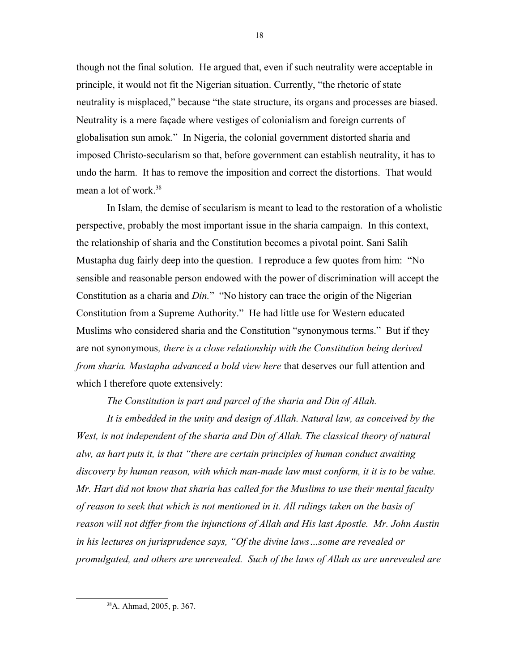though not the final solution. He argued that, even if such neutrality were acceptable in principle, it would not fit the Nigerian situation. Currently, "the rhetoric of state neutrality is misplaced," because "the state structure, its organs and processes are biased. Neutrality is a mere façade where vestiges of colonialism and foreign currents of globalisation sun amok." In Nigeria, the colonial government distorted sharia and imposed Christo-secularism so that, before government can establish neutrality, it has to undo the harm. It has to remove the imposition and correct the distortions. That would mean a lot of work.<sup>[38](#page-17-0)</sup>

In Islam, the demise of secularism is meant to lead to the restoration of a wholistic perspective, probably the most important issue in the sharia campaign. In this context, the relationship of sharia and the Constitution becomes a pivotal point. Sani Salih Mustapha dug fairly deep into the question. I reproduce a few quotes from him: "No sensible and reasonable person endowed with the power of discrimination will accept the Constitution as a charia and *Din.*" "No history can trace the origin of the Nigerian Constitution from a Supreme Authority." He had little use for Western educated Muslims who considered sharia and the Constitution "synonymous terms." But if they are not synonymous*, there is a close relationship with the Constitution being derived from sharia. Mustapha advanced a bold view here* that deserves our full attention and which I therefore quote extensively:

*The Constitution is part and parcel of the sharia and Din of Allah.*

*It is embedded in the unity and design of Allah. Natural law, as conceived by the West, is not independent of the sharia and Din of Allah. The classical theory of natural alw, as hart puts it, is that "there are certain principles of human conduct awaiting discovery by human reason, with which man-made law must conform, it it is to be value. Mr. Hart did not know that sharia has called for the Muslims to use their mental faculty of reason to seek that which is not mentioned in it. All rulings taken on the basis of reason will not differ from the injunctions of Allah and His last Apostle. Mr. John Austin in his lectures on jurisprudence says, "Of the divine laws…some are revealed or promulgated, and others are unrevealed. Such of the laws of Allah as are unrevealed are*

<sup>18</sup>

<span id="page-17-0"></span><sup>38</sup>A. Ahmad, 2005, p. 367.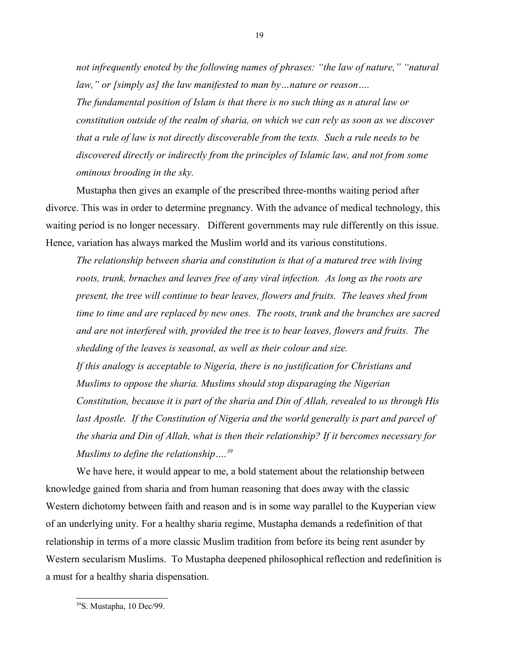*not infrequently enoted by the following names of phrases: "the law of nature," "natural law," or [simply as] the law manifested to man by…nature or reason….* 

*The fundamental position of Islam is that there is no such thing as n atural law or constitution outside of the realm of sharia, on which we can rely as soon as we discover that a rule of law is not directly discoverable from the texts. Such a rule needs to be discovered directly or indirectly from the principles of Islamic law, and not from some ominous brooding in the sky.* 

Mustapha then gives an example of the prescribed three-months waiting period after divorce. This was in order to determine pregnancy. With the advance of medical technology, this waiting period is no longer necessary. Different governments may rule differently on this issue. Hence, variation has always marked the Muslim world and its various constitutions.

*The relationship between sharia and constitution is that of a matured tree with living roots, trunk, brnaches and leaves free of any viral infection. As long as the roots are present, the tree will continue to bear leaves, flowers and fruits. The leaves shed from time to time and are replaced by new ones. The roots, trunk and the branches are sacred and are not interfered with, provided the tree is to bear leaves, flowers and fruits. The shedding of the leaves is seasonal, as well as their colour and size. If this analogy is acceptable to Nigeria, there is no justification for Christians and Muslims to oppose the sharia. Muslims should stop disparaging the Nigerian Constitution, because it is part of the sharia and Din of Allah, revealed to us through His* last Apostle. If the Constitution of Nigeria and the world generally is part and parcel of *the sharia and Din of Allah, what is then their relationship? If it bercomes necessary for Muslims to define the relationship….[39](#page-18-0)*

We have here, it would appear to me, a bold statement about the relationship between knowledge gained from sharia and from human reasoning that does away with the classic Western dichotomy between faith and reason and is in some way parallel to the Kuyperian view of an underlying unity. For a healthy sharia regime, Mustapha demands a redefinition of that relationship in terms of a more classic Muslim tradition from before its being rent asunder by Western secularism Muslims. To Mustapha deepened philosophical reflection and redefinition is a must for a healthy sharia dispensation.

<span id="page-18-0"></span><sup>39</sup>S. Mustapha, 10 Dec/99.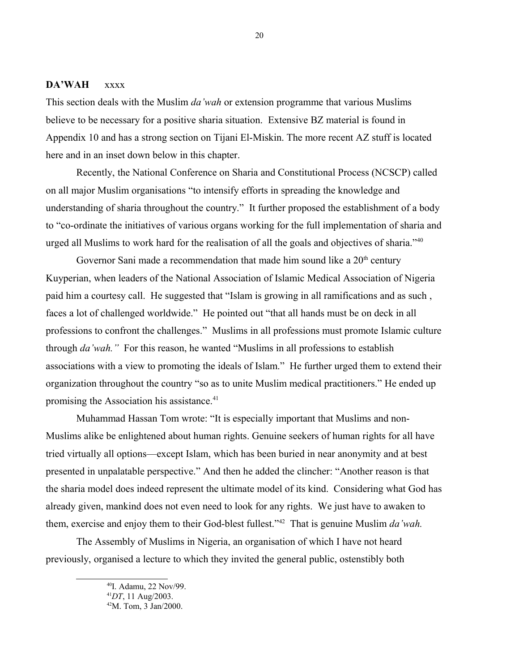#### **DA'WAH** xxxx

This section deals with the Muslim *da'wah* or extension programme that various Muslims believe to be necessary for a positive sharia situation. Extensive BZ material is found in Appendix 10 and has a strong section on Tijani El-Miskin. The more recent AZ stuff is located here and in an inset down below in this chapter.

Recently, the National Conference on Sharia and Constitutional Process (NCSCP) called on all major Muslim organisations "to intensify efforts in spreading the knowledge and understanding of sharia throughout the country." It further proposed the establishment of a body to "co-ordinate the initiatives of various organs working for the full implementation of sharia and urged all Muslims to work hard for the realisation of all the goals and objectives of sharia."[40](#page-19-0)

Governor Sani made a recommendation that made him sound like a  $20<sup>th</sup>$  century Kuyperian, when leaders of the National Association of Islamic Medical Association of Nigeria paid him a courtesy call. He suggested that "Islam is growing in all ramifications and as such , faces a lot of challenged worldwide." He pointed out "that all hands must be on deck in all professions to confront the challenges." Muslims in all professions must promote Islamic culture through *da'wah."* For this reason, he wanted "Muslims in all professions to establish associations with a view to promoting the ideals of Islam." He further urged them to extend their organization throughout the country "so as to unite Muslim medical practitioners." He ended up promising the Association his assistance.<sup>[41](#page-19-1)</sup>

Muhammad Hassan Tom wrote: "It is especially important that Muslims and non-Muslims alike be enlightened about human rights. Genuine seekers of human rights for all have tried virtually all options—except Islam, which has been buried in near anonymity and at best presented in unpalatable perspective." And then he added the clincher: "Another reason is that the sharia model does indeed represent the ultimate model of its kind. Considering what God has already given, mankind does not even need to look for any rights. We just have to awaken to them, exercise and enjoy them to their God-blest fullest."[42](#page-19-2) That is genuine Muslim *da'wah.*

The Assembly of Muslims in Nigeria, an organisation of which I have not heard previously, organised a lecture to which they invited the general public, ostenstibly both

<span id="page-19-0"></span><sup>40</sup>I. Adamu, 22 Nov/99.

<span id="page-19-1"></span><sup>41</sup>*DT*, 11 Aug/2003.

<span id="page-19-2"></span><sup>42</sup>M. Tom, 3 Jan/2000.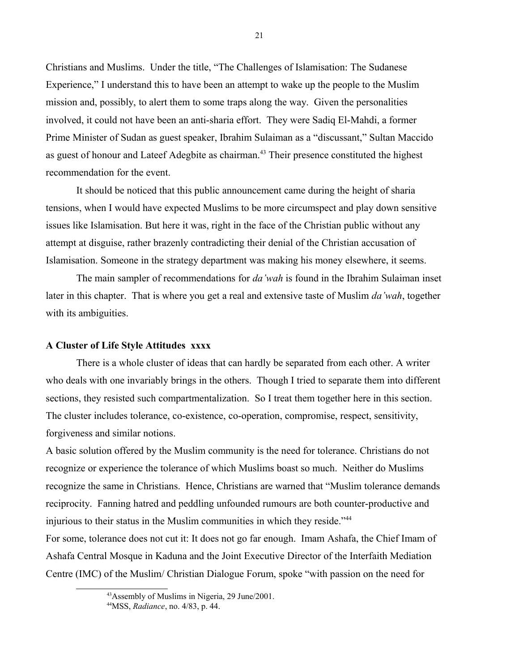Christians and Muslims. Under the title, "The Challenges of Islamisation: The Sudanese Experience," I understand this to have been an attempt to wake up the people to the Muslim mission and, possibly, to alert them to some traps along the way. Given the personalities involved, it could not have been an anti-sharia effort. They were Sadiq El-Mahdi, a former Prime Minister of Sudan as guest speaker, Ibrahim Sulaiman as a "discussant," Sultan Maccido as guest of honour and Lateef Adegbite as chairman.<sup>[43](#page-20-0)</sup> Their presence constituted the highest recommendation for the event.

It should be noticed that this public announcement came during the height of sharia tensions, when I would have expected Muslims to be more circumspect and play down sensitive issues like Islamisation. But here it was, right in the face of the Christian public without any attempt at disguise, rather brazenly contradicting their denial of the Christian accusation of Islamisation. Someone in the strategy department was making his money elsewhere, it seems.

The main sampler of recommendations for *da'wah* is found in the Ibrahim Sulaiman inset later in this chapter. That is where you get a real and extensive taste of Muslim *da'wah*, together with its ambiguities.

#### **A Cluster of Life Style Attitudes xxxx**

There is a whole cluster of ideas that can hardly be separated from each other. A writer who deals with one invariably brings in the others. Though I tried to separate them into different sections, they resisted such compartmentalization. So I treat them together here in this section. The cluster includes tolerance, co-existence, co-operation, compromise, respect, sensitivity, forgiveness and similar notions.

A basic solution offered by the Muslim community is the need for tolerance. Christians do not recognize or experience the tolerance of which Muslims boast so much. Neither do Muslims recognize the same in Christians. Hence, Christians are warned that "Muslim tolerance demands reciprocity. Fanning hatred and peddling unfounded rumours are both counter-productive and injurious to their status in the Muslim communities in which they reside."<sup>[44](#page-20-1)</sup>

For some, tolerance does not cut it: It does not go far enough. Imam Ashafa, the Chief Imam of Ashafa Central Mosque in Kaduna and the Joint Executive Director of the Interfaith Mediation Centre (IMC) of the Muslim/ Christian Dialogue Forum, spoke "with passion on the need for

<span id="page-20-0"></span><sup>43</sup>Assembly of Muslims in Nigeria, 29 June/2001.

<span id="page-20-1"></span><sup>44</sup>MSS, *Radiance*, no. 4/83, p. 44.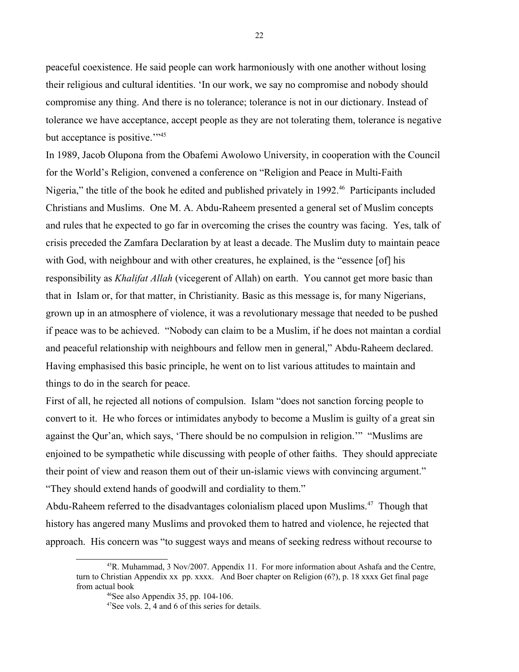peaceful coexistence. He said people can work harmoniously with one another without losing their religious and cultural identities. 'In our work, we say no compromise and nobody should compromise any thing. And there is no tolerance; tolerance is not in our dictionary. Instead of tolerance we have acceptance, accept people as they are not tolerating them, tolerance is negative but acceptance is positive."<sup>[45](#page-21-0)</sup>

In 1989, Jacob Olupona from the Obafemi Awolowo University, in cooperation with the Council for the World's Religion, convened a conference on "Religion and Peace in Multi-Faith Nigeria," the title of the book he edited and published privately in 1992.<sup>[46](#page-21-1)</sup> Participants included Christians and Muslims. One M. A. Abdu-Raheem presented a general set of Muslim concepts and rules that he expected to go far in overcoming the crises the country was facing. Yes, talk of crisis preceded the Zamfara Declaration by at least a decade. The Muslim duty to maintain peace with God, with neighbour and with other creatures, he explained, is the "essence [of] his responsibility as *Khalifat Allah* (vicegerent of Allah) on earth. You cannot get more basic than that in Islam or, for that matter, in Christianity. Basic as this message is, for many Nigerians, grown up in an atmosphere of violence, it was a revolutionary message that needed to be pushed if peace was to be achieved. "Nobody can claim to be a Muslim, if he does not maintan a cordial and peaceful relationship with neighbours and fellow men in general," Abdu-Raheem declared. Having emphasised this basic principle, he went on to list various attitudes to maintain and things to do in the search for peace.

First of all, he rejected all notions of compulsion. Islam "does not sanction forcing people to convert to it. He who forces or intimidates anybody to become a Muslim is guilty of a great sin against the Qur'an, which says, 'There should be no compulsion in religion.'" "Muslims are enjoined to be sympathetic while discussing with people of other faiths. They should appreciate their point of view and reason them out of their un-islamic views with convincing argument." "They should extend hands of goodwill and cordiality to them."

Abdu-Raheem referred to the disadvantages colonialism placed upon Muslims.<sup>[47](#page-21-2)</sup> Though that history has angered many Muslims and provoked them to hatred and violence, he rejected that approach. His concern was "to suggest ways and means of seeking redress without recourse to

 $45R$ . Muhammad, 3 Nov/2007. Appendix 11. For more information about Ashafa and the Centre, turn to Christian Appendix xx pp. xxxx. And Boer chapter on Religion (6?), p. 18 xxxx Get final page from actual book

<span id="page-21-1"></span><span id="page-21-0"></span> $46$ See also Appendix 35, pp. 104-106.

<span id="page-21-2"></span><sup>47</sup>See vols. 2, 4 and 6 of this series for details.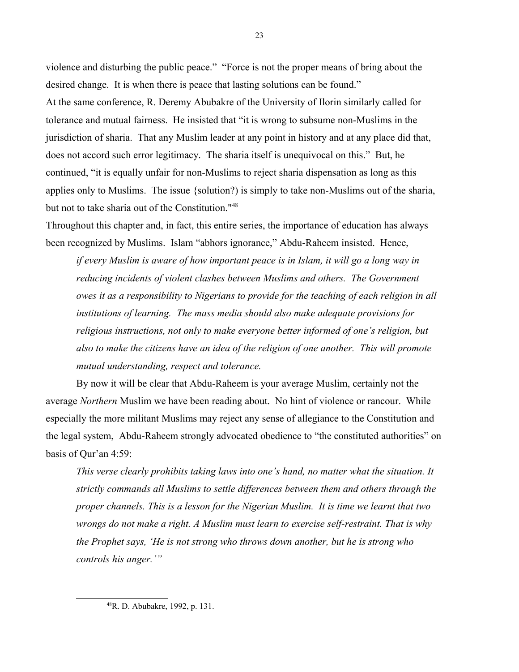violence and disturbing the public peace." "Force is not the proper means of bring about the desired change. It is when there is peace that lasting solutions can be found." At the same conference, R. Deremy Abubakre of the University of Ilorin similarly called for tolerance and mutual fairness. He insisted that "it is wrong to subsume non-Muslims in the jurisdiction of sharia. That any Muslim leader at any point in history and at any place did that, does not accord such error legitimacy. The sharia itself is unequivocal on this." But, he continued, "it is equally unfair for non-Muslims to reject sharia dispensation as long as this applies only to Muslims. The issue {solution?) is simply to take non-Muslims out of the sharia, but not to take sharia out of the Constitution."[48](#page-22-0)

Throughout this chapter and, in fact, this entire series, the importance of education has always been recognized by Muslims. Islam "abhors ignorance," Abdu-Raheem insisted. Hence,

*if every Muslim is aware of how important peace is in Islam, it will go a long way in reducing incidents of violent clashes between Muslims and others. The Government owes it as a responsibility to Nigerians to provide for the teaching of each religion in all institutions of learning. The mass media should also make adequate provisions for religious instructions, not only to make everyone better informed of one's religion, but also to make the citizens have an idea of the religion of one another. This will promote mutual understanding, respect and tolerance.*

By now it will be clear that Abdu-Raheem is your average Muslim, certainly not the average *Northern* Muslim we have been reading about. No hint of violence or rancour. While especially the more militant Muslims may reject any sense of allegiance to the Constitution and the legal system, Abdu-Raheem strongly advocated obedience to "the constituted authorities" on basis of Qur'an 4:59:

*This verse clearly prohibits taking laws into one's hand, no matter what the situation. It strictly commands all Muslims to settle differences between them and others through the proper channels. This is a lesson for the Nigerian Muslim. It is time we learnt that two wrongs do not make a right. A Muslim must learn to exercise self-restraint. That is why the Prophet says, 'He is not strong who throws down another, but he is strong who controls his anger.'"*

<span id="page-22-0"></span><sup>48</sup>R. D. Abubakre, 1992, p. 131.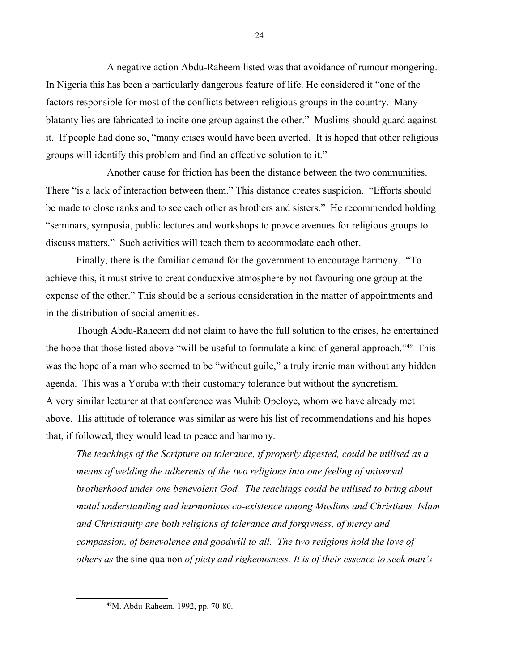A negative action Abdu-Raheem listed was that avoidance of rumour mongering. In Nigeria this has been a particularly dangerous feature of life. He considered it "one of the factors responsible for most of the conflicts between religious groups in the country. Many blatanty lies are fabricated to incite one group against the other." Muslims should guard against it. If people had done so, "many crises would have been averted. It is hoped that other religious groups will identify this problem and find an effective solution to it."

Another cause for friction has been the distance between the two communities. There "is a lack of interaction between them." This distance creates suspicion. "Efforts should be made to close ranks and to see each other as brothers and sisters." He recommended holding "seminars, symposia, public lectures and workshops to provde avenues for religious groups to discuss matters." Such activities will teach them to accommodate each other.

Finally, there is the familiar demand for the government to encourage harmony. "To achieve this, it must strive to creat conducxive atmosphere by not favouring one group at the expense of the other." This should be a serious consideration in the matter of appointments and in the distribution of social amenities.

Though Abdu-Raheem did not claim to have the full solution to the crises, he entertained the hope that those listed above "will be useful to formulate a kind of general approach."[49](#page-23-0) This was the hope of a man who seemed to be "without guile," a truly irenic man without any hidden agenda. This was a Yoruba with their customary tolerance but without the syncretism. A very similar lecturer at that conference was Muhib Opeloye, whom we have already met above. His attitude of tolerance was similar as were his list of recommendations and his hopes that, if followed, they would lead to peace and harmony.

*The teachings of the Scripture on tolerance, if properly digested, could be utilised as a means of welding the adherents of the two religions into one feeling of universal brotherhood under one benevolent God. The teachings could be utilised to bring about mutal understanding and harmonious co-existence among Muslims and Christians. Islam and Christianity are both religions of tolerance and forgivness, of mercy and compassion, of benevolence and goodwill to all. The two religions hold the love of others as* the sine qua non *of piety and righeousness. It is of their essence to seek man's* 

<span id="page-23-0"></span><sup>49</sup>M. Abdu-Raheem, 1992, pp. 70-80.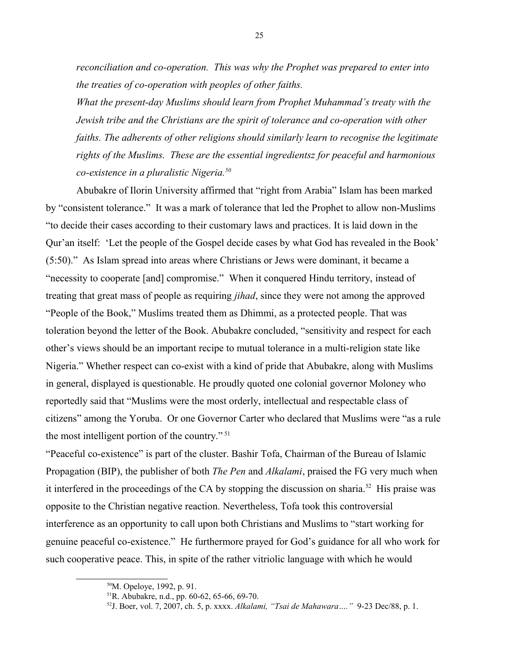*reconciliation and co-operation. This was why the Prophet was prepared to enter into the treaties of co-operation with peoples of other faiths.*

*What the present-day Muslims should learn from Prophet Muhammad's treaty with the Jewish tribe and the Christians are the spirit of tolerance and co-operation with other faiths. The adherents of other religions should similarly learn to recognise the legitimate rights of the Muslims. These are the essential ingredientsz for peaceful and harmonious co-existence in a pluralistic Nigeria.[50](#page-24-0)* 

Abubakre of Ilorin University affirmed that "right from Arabia" Islam has been marked by "consistent tolerance." It was a mark of tolerance that led the Prophet to allow non-Muslims "to decide their cases according to their customary laws and practices. It is laid down in the Qur'an itself: 'Let the people of the Gospel decide cases by what God has revealed in the Book' (5:50)." As Islam spread into areas where Christians or Jews were dominant, it became a "necessity to cooperate [and] compromise." When it conquered Hindu territory, instead of treating that great mass of people as requiring *jihad*, since they were not among the approved "People of the Book," Muslims treated them as Dhimmi, as a protected people. That was toleration beyond the letter of the Book. Abubakre concluded, "sensitivity and respect for each other's views should be an important recipe to mutual tolerance in a multi-religion state like Nigeria." Whether respect can co-exist with a kind of pride that Abubakre, along with Muslims in general, displayed is questionable. He proudly quoted one colonial governor Moloney who reportedly said that "Muslims were the most orderly, intellectual and respectable class of citizens" among the Yoruba. Or one Governor Carter who declared that Muslims were "as a rule the most intelligent portion of the country."<sup>[51](#page-24-1)</sup>

"Peaceful co-existence" is part of the cluster. Bashir Tofa, Chairman of the Bureau of Islamic Propagation (BIP), the publisher of both *The Pen* and *Alkalami*, praised the FG very much when it interfered in the proceedings of the CA by stopping the discussion on sharia.<sup>[52](#page-24-2)</sup> His praise was opposite to the Christian negative reaction. Nevertheless, Tofa took this controversial interference as an opportunity to call upon both Christians and Muslims to "start working for genuine peaceful co-existence." He furthermore prayed for God's guidance for all who work for such cooperative peace. This, in spite of the rather vitriolic language with which he would

<span id="page-24-0"></span><sup>50</sup>M. Opeloye, 1992, p. 91.

<span id="page-24-1"></span><sup>51</sup>R. Abubakre, n.d., pp. 60-62, 65-66, 69-70.

<span id="page-24-2"></span><sup>52</sup>J. Boer, vol. 7, 2007, ch. 5, p. xxxx. *Alkalami, "Tsai de Mahawara…."* 9-23 Dec/88, p. 1.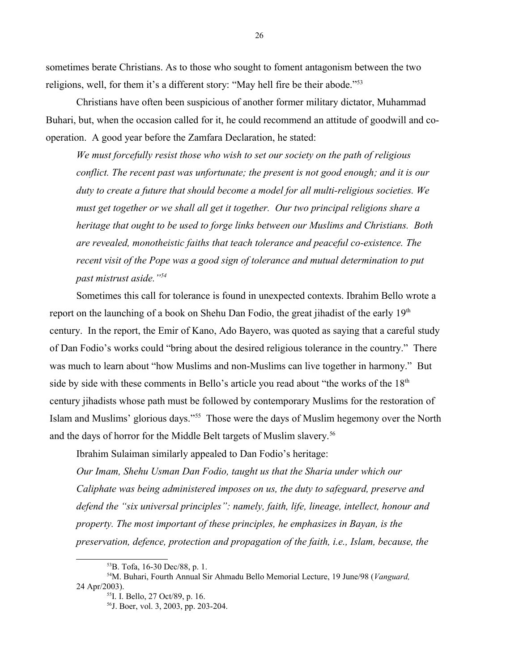sometimes berate Christians. As to those who sought to foment antagonism between the two religions, well, for them it's a different story: "May hell fire be their abode."[53](#page-25-0)

Christians have often been suspicious of another former military dictator, Muhammad Buhari, but, when the occasion called for it, he could recommend an attitude of goodwill and cooperation. A good year before the Zamfara Declaration, he stated:

*We must forcefully resist those who wish to set our society on the path of religious conflict. The recent past was unfortunate; the present is not good enough; and it is our duty to create a future that should become a model for all multi-religious societies. We must get together or we shall all get it together. Our two principal religions share a heritage that ought to be used to forge links between our Muslims and Christians. Both are revealed, monotheistic faiths that teach tolerance and peaceful co-existence. The recent visit of the Pope was a good sign of tolerance and mutual determination to put past mistrust aside."[54](#page-25-1)*

Sometimes this call for tolerance is found in unexpected contexts. Ibrahim Bello wrote a report on the launching of a book on Shehu Dan Fodio, the great jihadist of the early  $19<sup>th</sup>$ century. In the report, the Emir of Kano, Ado Bayero, was quoted as saying that a careful study of Dan Fodio's works could "bring about the desired religious tolerance in the country." There was much to learn about "how Muslims and non-Muslims can live together in harmony." But side by side with these comments in Bello's article you read about "the works of the  $18<sup>th</sup>$ century jihadists whose path must be followed by contemporary Muslims for the restoration of Islam and Muslims' glorious days."[55](#page-25-2) Those were the days of Muslim hegemony over the North and the days of horror for the Middle Belt targets of Muslim slavery.<sup>[56](#page-25-3)</sup>

Ibrahim Sulaiman similarly appealed to Dan Fodio's heritage:

*Our Imam, Shehu Usman Dan Fodio, taught us that the Sharia under which our Caliphate was being administered imposes on us, the duty to safeguard, preserve and defend the "six universal principles": namely, faith, life, lineage, intellect, honour and property. The most important of these principles, he emphasizes in Bayan, is the preservation, defence, protection and propagation of the faith, i.e., Islam, because, the* 

<span id="page-25-1"></span><span id="page-25-0"></span><sup>53</sup>B. Tofa, 16-30 Dec/88, p. 1.

<sup>54</sup>M. Buhari, Fourth Annual Sir Ahmadu Bello Memorial Lecture, 19 June/98 (*Vanguard,*  24 Apr/2003).

<span id="page-25-2"></span><sup>55</sup>I. I. Bello, 27 Oct/89, p. 16.

<span id="page-25-3"></span><sup>56</sup>J. Boer, vol. 3, 2003, pp. 203-204.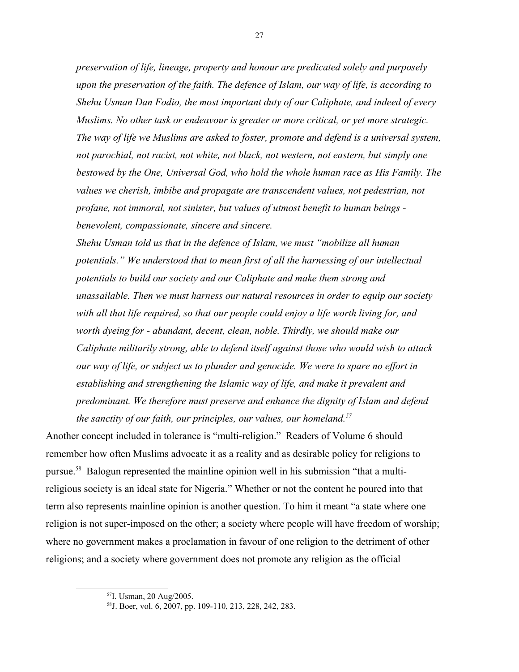*preservation of life, lineage, property and honour are predicated solely and purposely upon the preservation of the faith. The defence of Islam, our way of life, is according to Shehu Usman Dan Fodio, the most important duty of our Caliphate, and indeed of every Muslims. No other task or endeavour is greater or more critical, or yet more strategic. The way of life we Muslims are asked to foster, promote and defend is a universal system, not parochial, not racist, not white, not black, not western, not eastern, but simply one bestowed by the One, Universal God, who hold the whole human race as His Family. The values we cherish, imbibe and propagate are transcendent values, not pedestrian, not profane, not immoral, not sinister, but values of utmost benefit to human beings benevolent, compassionate, sincere and sincere.*

*Shehu Usman told us that in the defence of Islam, we must "mobilize all human potentials." We understood that to mean first of all the harnessing of our intellectual potentials to build our society and our Caliphate and make them strong and unassailable. Then we must harness our natural resources in order to equip our society with all that life required, so that our people could enjoy a life worth living for, and worth dyeing for - abundant, decent, clean, noble. Thirdly, we should make our Caliphate militarily strong, able to defend itself against those who would wish to attack our way of life, or subject us to plunder and genocide. We were to spare no effort in establishing and strengthening the Islamic way of life, and make it prevalent and predominant. We therefore must preserve and enhance the dignity of Islam and defend the sanctity of our faith, our principles, our values, our homeland.[57](#page-26-0)*

Another concept included in tolerance is "multi-religion." Readers of Volume 6 should remember how often Muslims advocate it as a reality and as desirable policy for religions to pursue.[58](#page-26-1) Balogun represented the mainline opinion well in his submission "that a multireligious society is an ideal state for Nigeria." Whether or not the content he poured into that term also represents mainline opinion is another question. To him it meant "a state where one religion is not super-imposed on the other; a society where people will have freedom of worship; where no government makes a proclamation in favour of one religion to the detriment of other religions; and a society where government does not promote any religion as the official

<span id="page-26-0"></span><sup>57</sup>I. Usman, 20 Aug/2005.

<span id="page-26-1"></span><sup>58</sup>J. Boer, vol. 6, 2007, pp. 109-110, 213, 228, 242, 283.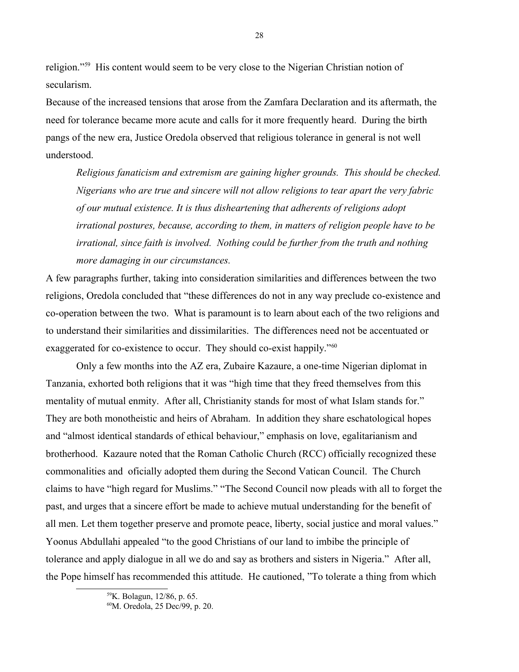religion."[59](#page-27-0) His content would seem to be very close to the Nigerian Christian notion of secularism.

Because of the increased tensions that arose from the Zamfara Declaration and its aftermath, the need for tolerance became more acute and calls for it more frequently heard. During the birth pangs of the new era, Justice Oredola observed that religious tolerance in general is not well understood.

*Religious fanaticism and extremism are gaining higher grounds. This should be checked. Nigerians who are true and sincere will not allow religions to tear apart the very fabric of our mutual existence. It is thus disheartening that adherents of religions adopt irrational postures, because, according to them, in matters of religion people have to be irrational, since faith is involved. Nothing could be further from the truth and nothing more damaging in our circumstances.*

A few paragraphs further, taking into consideration similarities and differences between the two religions, Oredola concluded that "these differences do not in any way preclude co-existence and co-operation between the two. What is paramount is to learn about each of the two religions and to understand their similarities and dissimilarities. The differences need not be accentuated or exaggerated for co-existence to occur. They should co-exist happily."<sup>[60](#page-27-1)</sup>

Only a few months into the AZ era, Zubaire Kazaure, a one-time Nigerian diplomat in Tanzania, exhorted both religions that it was "high time that they freed themselves from this mentality of mutual enmity. After all, Christianity stands for most of what Islam stands for." They are both monotheistic and heirs of Abraham. In addition they share eschatological hopes and "almost identical standards of ethical behaviour," emphasis on love, egalitarianism and brotherhood. Kazaure noted that the Roman Catholic Church (RCC) officially recognized these commonalities and oficially adopted them during the Second Vatican Council. The Church claims to have "high regard for Muslims." "The Second Council now pleads with all to forget the past, and urges that a sincere effort be made to achieve mutual understanding for the benefit of all men. Let them together preserve and promote peace, liberty, social justice and moral values." Yoonus Abdullahi appealed "to the good Christians of our land to imbibe the principle of tolerance and apply dialogue in all we do and say as brothers and sisters in Nigeria." After all, the Pope himself has recommended this attitude. He cautioned, "To tolerate a thing from which

<span id="page-27-0"></span><sup>59</sup>K. Bolagun, 12/86, p. 65.

<span id="page-27-1"></span><sup>60</sup>M. Oredola, 25 Dec/99, p. 20.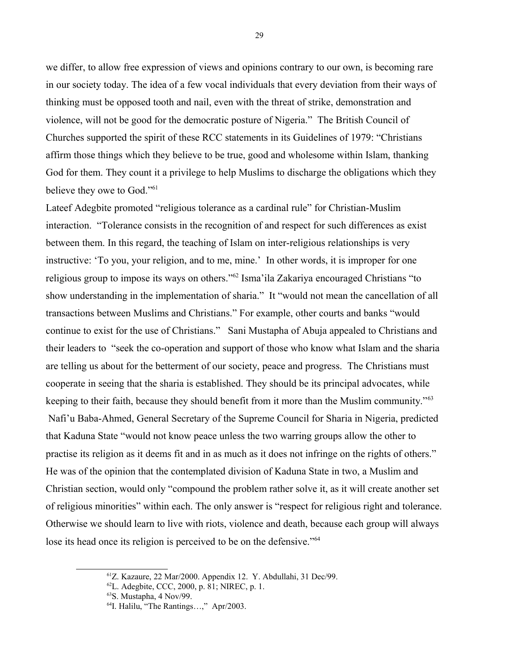we differ, to allow free expression of views and opinions contrary to our own, is becoming rare in our society today. The idea of a few vocal individuals that every deviation from their ways of thinking must be opposed tooth and nail, even with the threat of strike, demonstration and violence, will not be good for the democratic posture of Nigeria." The British Council of Churches supported the spirit of these RCC statements in its Guidelines of 1979: "Christians affirm those things which they believe to be true, good and wholesome within Islam, thanking God for them. They count it a privilege to help Muslims to discharge the obligations which they believe they owe to God."<sup>[61](#page-28-0)</sup>

Lateef Adegbite promoted "religious tolerance as a cardinal rule" for Christian-Muslim interaction. "Tolerance consists in the recognition of and respect for such differences as exist between them. In this regard, the teaching of Islam on inter-religious relationships is very instructive: 'To you, your religion, and to me, mine.' In other words, it is improper for one religious group to impose its ways on others."[62](#page-28-1) Isma'ila Zakariya encouraged Christians "to show understanding in the implementation of sharia." It "would not mean the cancellation of all transactions between Muslims and Christians." For example, other courts and banks "would continue to exist for the use of Christians." Sani Mustapha of Abuja appealed to Christians and their leaders to "seek the co-operation and support of those who know what Islam and the sharia are telling us about for the betterment of our society, peace and progress. The Christians must cooperate in seeing that the sharia is established. They should be its principal advocates, while keeping to their faith, because they should benefit from it more than the Muslim community."<sup>[63](#page-28-2)</sup> Nafi'u Baba-Ahmed, General Secretary of the Supreme Council for Sharia in Nigeria, predicted that Kaduna State "would not know peace unless the two warring groups allow the other to practise its religion as it deems fit and in as much as it does not infringe on the rights of others." He was of the opinion that the contemplated division of Kaduna State in two, a Muslim and Christian section, would only "compound the problem rather solve it, as it will create another set of religious minorities" within each. The only answer is "respect for religious right and tolerance. Otherwise we should learn to live with riots, violence and death, because each group will always lose its head once its religion is perceived to be on the defensive."<sup>[64](#page-28-3)</sup>

<span id="page-28-0"></span><sup>61</sup>Z. Kazaure, 22 Mar/2000. Appendix 12. Y. Abdullahi, 31 Dec/99.

<span id="page-28-1"></span> $^{62}$ L. Adegbite, CCC, 2000, p.  $81$ ; NIREC, p. 1.

<span id="page-28-2"></span><sup>63</sup>S. Mustapha, 4 Nov/99.

<span id="page-28-3"></span><sup>64</sup>I. Halilu, "The Rantings…," Apr/2003.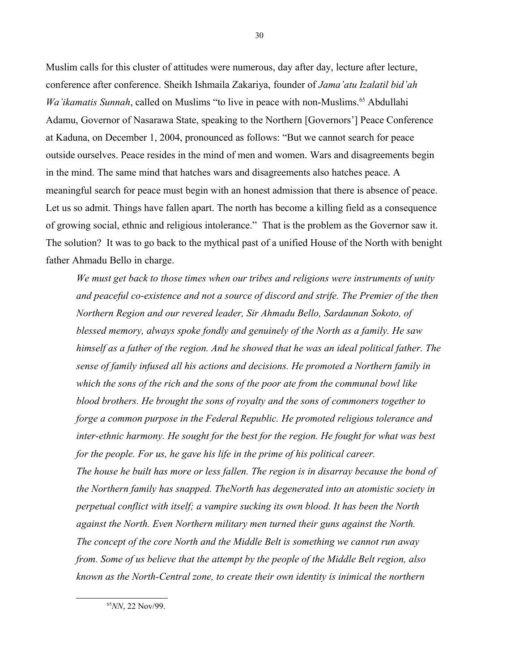Muslim calls for this cluster of attitudes were numerous, day after day, lecture after lecture, conference after conference. Sheikh Ishmaila Zakariya, founder of *Jama'atu Izalatil bid'ah Wa'ikamatis Sunnah*, called on Muslims "to live in peace with non-Muslims.<sup>[65](#page-29-0)</sup> Abdullahi Adamu, Governor of Nasarawa State, speaking to the Northern [Governors'] Peace Conference at Kaduna, on December 1, 2004, pronounced as follows: "But we cannot search for peace outside ourselves. Peace resides in the mind of men and women. Wars and disagreements begin in the mind. The same mind that hatches wars and disagreements also hatches peace. A meaningful search for peace must begin with an honest admission that there is absence of peace. Let us so admit. Things have fallen apart. The north has become a killing field as a consequence of growing social, ethnic and religious intolerance." That is the problem as the Governor saw it. The solution? It was to go back to the mythical past of a unified House of the North with benight father Ahmadu Bello in charge.

*We must get back to those times when our tribes and religions were instruments of unity and peaceful co-existence and not a source of discord and strife. The Premier of the then Northern Region and our revered leader, Sir Ahmadu Bello, Sardaunan Sokoto, of blessed memory, always spoke fondly and genuinely of the North as a family. He saw himself as a father of the region. And he showed that he was an ideal political father. The sense of family infused all his actions and decisions. He promoted a Northern family in which the sons of the rich and the sons of the poor ate from the communal bowl like blood brothers. He brought the sons of royalty and the sons of commoners together to forge a common purpose in the Federal Republic. He promoted religious tolerance and inter-ethnic harmony. He sought for the best for the region. He fought for what was best for the people. For us, he gave his life in the prime of his political career. The house he built has more or less fallen. The region is in disarray because the bond of* 

*the Northern family has snapped. TheNorth has degenerated into an atomistic society in perpetual conflict with itself; a vampire sucking its own blood. It has been the North against the North. Even Northern military men turned their guns against the North. The concept of the core North and the Middle Belt is something we cannot run away from. Some of us believe that the attempt by the people of the Middle Belt region, also known as the North-Central zone, to create their own identity is inimical the northern* 

<span id="page-29-0"></span><sup>65</sup>*NN*, 22 Nov/99.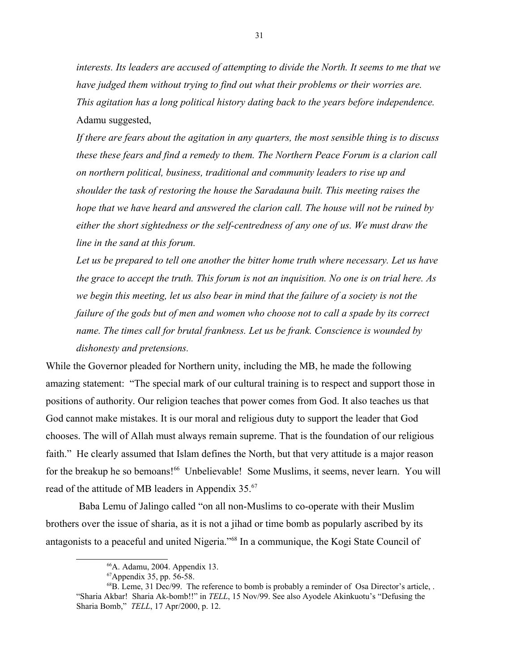*interests. Its leaders are accused of attempting to divide the North. It seems to me that we have judged them without trying to find out what their problems or their worries are. This agitation has a long political history dating back to the years before independence.* Adamu suggested,

*If there are fears about the agitation in any quarters, the most sensible thing is to discuss these these fears and find a remedy to them. The Northern Peace Forum is a clarion call on northern political, business, traditional and community leaders to rise up and shoulder the task of restoring the house the Saradauna built. This meeting raises the hope that we have heard and answered the clarion call. The house will not be ruined by either the short sightedness or the self-centredness of any one of us. We must draw the line in the sand at this forum.*

Let us be prepared to tell one another the bitter home truth where necessary. Let us have *the grace to accept the truth. This forum is not an inquisition. No one is on trial here. As we begin this meeting, let us also bear in mind that the failure of a society is not the failure of the gods but of men and women who choose not to call a spade by its correct name. The times call for brutal frankness. Let us be frank. Conscience is wounded by dishonesty and pretensions.*

While the Governor pleaded for Northern unity, including the MB, he made the following amazing statement: "The special mark of our cultural training is to respect and support those in positions of authority. Our religion teaches that power comes from God. It also teaches us that God cannot make mistakes. It is our moral and religious duty to support the leader that God chooses. The will of Allah must always remain supreme. That is the foundation of our religious faith." He clearly assumed that Islam defines the North, but that very attitude is a major reason for the breakup he so bemoans!<sup>[66](#page-30-0)</sup> Unbelievable! Some Muslims, it seems, never learn. You will read of the attitude of MB leaders in Appendix 35.<sup>[67](#page-30-1)</sup>

 Baba Lemu of Jalingo called "on all non-Muslims to co-operate with their Muslim brothers over the issue of sharia, as it is not a jihad or time bomb as popularly ascribed by its antagonists to a peaceful and united Nigeria."[68](#page-30-2) In a communique, the Kogi State Council of

<span id="page-30-0"></span><sup>66</sup>A. Adamu, 2004. Appendix 13.

<span id="page-30-2"></span><span id="page-30-1"></span> ${}^{67}$ Appendix 35, pp. 56-58.

 $^{68}$ B. Leme, 31 Dec/99. The reference to bomb is probably a reminder of Osa Director's article, . "Sharia Akbar! Sharia Ak-bomb!!" in *TELL*, 15 Nov/99. See also Ayodele Akinkuotu's "Defusing the Sharia Bomb," *TELL*, 17 Apr/2000, p. 12.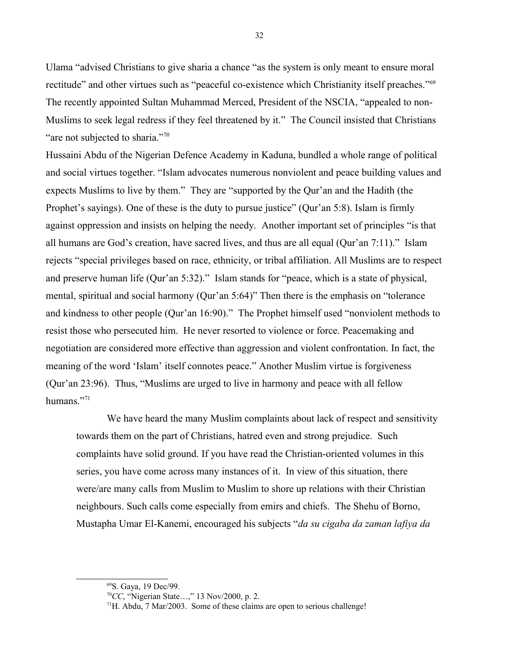Ulama "advised Christians to give sharia a chance "as the system is only meant to ensure moral rectitude" and other virtues such as "peaceful co-existence which Christianity itself preaches."<sup>[69](#page-31-0)</sup> The recently appointed Sultan Muhammad Merced, President of the NSCIA, "appealed to non-Muslims to seek legal redress if they feel threatened by it." The Council insisted that Christians "are not subjected to sharia."<sup>[70](#page-31-1)</sup>

Hussaini Abdu of the Nigerian Defence Academy in Kaduna, bundled a whole range of political and social virtues together. "Islam advocates numerous nonviolent and peace building values and expects Muslims to live by them." They are "supported by the Qur'an and the Hadith (the Prophet's sayings). One of these is the duty to pursue justice" (Qur'an 5:8). Islam is firmly against oppression and insists on helping the needy. Another important set of principles "is that all humans are God's creation, have sacred lives, and thus are all equal (Qur'an 7:11)." Islam rejects "special privileges based on race, ethnicity, or tribal affiliation. All Muslims are to respect and preserve human life (Qur'an 5:32)." Islam stands for "peace, which is a state of physical, mental, spiritual and social harmony (Qur'an 5:64)" Then there is the emphasis on "tolerance and kindness to other people (Qur'an 16:90)." The Prophet himself used "nonviolent methods to resist those who persecuted him. He never resorted to violence or force. Peacemaking and negotiation are considered more effective than aggression and violent confrontation. In fact, the meaning of the word 'Islam' itself connotes peace." Another Muslim virtue is forgiveness (Qur'an 23:96). Thus, "Muslims are urged to live in harmony and peace with all fellow humans."<sup>[71](#page-31-2)</sup>

We have heard the many Muslim complaints about lack of respect and sensitivity towards them on the part of Christians, hatred even and strong prejudice. Such complaints have solid ground. If you have read the Christian-oriented volumes in this series, you have come across many instances of it. In view of this situation, there were/are many calls from Muslim to Muslim to shore up relations with their Christian neighbours. Such calls come especially from emirs and chiefs. The Shehu of Borno, Mustapha Umar El-Kanemi, encouraged his subjects "*da su cigaba da zaman lafiya da* 

<span id="page-31-0"></span><sup>69</sup>S. Gaya, 19 Dec/99.

<span id="page-31-1"></span><sup>70</sup>*CC*, "Nigerian State…," 13 Nov/2000, p. 2.

<span id="page-31-2"></span> $71$ H. Abdu,  $7$  Mar/2003. Some of these claims are open to serious challenge!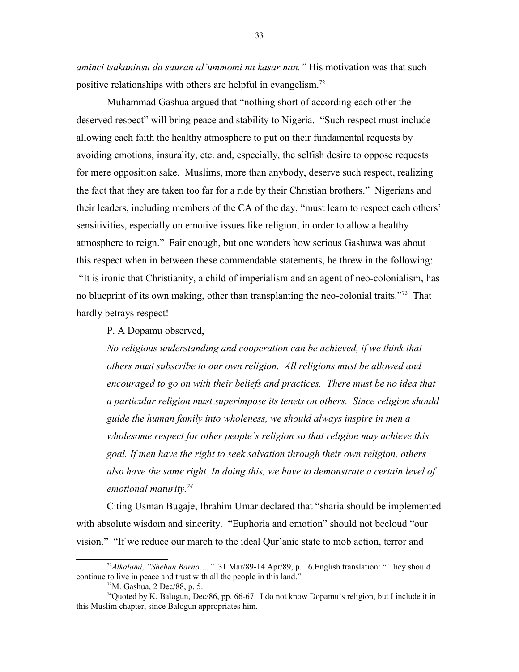*aminci tsakaninsu da sauran al'ummomi na kasar nan."* His motivation was that such positive relationships with others are helpful in evangelism.<sup>[72](#page-32-0)</sup>

Muhammad Gashua argued that "nothing short of according each other the deserved respect" will bring peace and stability to Nigeria. "Such respect must include allowing each faith the healthy atmosphere to put on their fundamental requests by avoiding emotions, insurality, etc. and, especially, the selfish desire to oppose requests for mere opposition sake. Muslims, more than anybody, deserve such respect, realizing the fact that they are taken too far for a ride by their Christian brothers." Nigerians and their leaders, including members of the CA of the day, "must learn to respect each others' sensitivities, especially on emotive issues like religion, in order to allow a healthy atmosphere to reign." Fair enough, but one wonders how serious Gashuwa was about this respect when in between these commendable statements, he threw in the following: "It is ironic that Christianity, a child of imperialism and an agent of neo-colonialism, has no blueprint of its own making, other than transplanting the neo-colonial traits."<sup>[73](#page-32-1)</sup> That hardly betrays respect!

P. A Dopamu observed,

*No religious understanding and cooperation can be achieved, if we think that others must subscribe to our own religion. All religions must be allowed and encouraged to go on with their beliefs and practices. There must be no idea that a particular religion must superimpose its tenets on others. Since religion should guide the human family into wholeness, we should always inspire in men a wholesome respect for other people's religion so that religion may achieve this goal. If men have the right to seek salvation through their own religion, others also have the same right. In doing this, we have to demonstrate a certain level of emotional maturity.[74](#page-32-2)*

Citing Usman Bugaje, Ibrahim Umar declared that "sharia should be implemented with absolute wisdom and sincerity. "Euphoria and emotion" should not becloud "our vision." "If we reduce our march to the ideal Qur'anic state to mob action, terror and

<sup>72</sup>*Alkalami, "Shehun Barno…,"* 31 Mar/89-14 Apr/89, p. 16.English translation: " They should continue to live in peace and trust with all the people in this land."

<span id="page-32-2"></span><span id="page-32-1"></span><span id="page-32-0"></span><sup>73</sup>M. Gashua, 2 Dec/88, p. 5.

<sup>74</sup>Quoted by K. Balogun, Dec/86, pp. 66-67. I do not know Dopamu's religion, but I include it in this Muslim chapter, since Balogun appropriates him.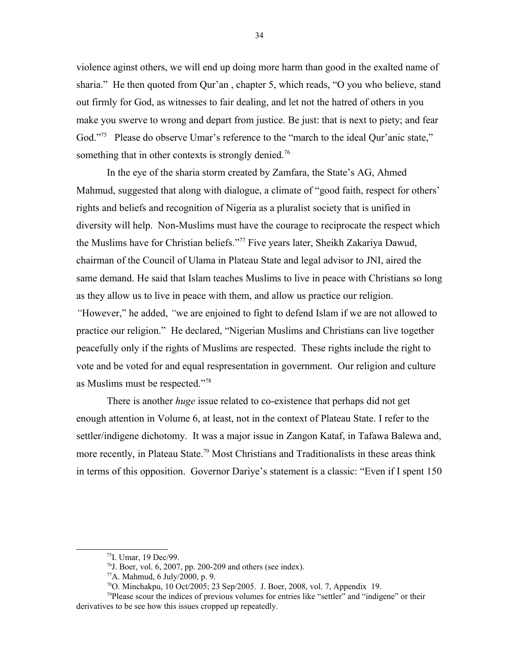violence aginst others, we will end up doing more harm than good in the exalted name of sharia." He then quoted from Qur'an , chapter 5, which reads, "O you who believe, stand out firmly for God, as witnesses to fair dealing, and let not the hatred of others in you make you swerve to wrong and depart from justice. Be just: that is next to piety; and fear God."<sup>[75](#page-33-0)</sup> Please do observe Umar's reference to the "march to the ideal Our'anic state," something that in other contexts is strongly denied.<sup>[76](#page-33-1)</sup>

In the eye of the sharia storm created by Zamfara, the State's AG, Ahmed Mahmud, suggested that along with dialogue, a climate of "good faith, respect for others' rights and beliefs and recognition of Nigeria as a pluralist society that is unified in diversity will help. Non-Muslims must have the courage to reciprocate the respect which the Muslims have for Christian beliefs."[77](#page-33-2) Five years later, Sheikh Zakariya Dawud, chairman of the Council of Ulama in Plateau State and legal advisor to JNI, aired the same demand. He said that Islam teaches Muslims to live in peace with Christians so long as they allow us to live in peace with them, and allow us practice our religion. *"*However," he added, *"*we are enjoined to fight to defend Islam if we are not allowed to practice our religion." He declared, "Nigerian Muslims and Christians can live together peacefully only if the rights of Muslims are respected. These rights include the right to vote and be voted for and equal respresentation in government. Our religion and culture as Muslims must be respected."[78](#page-33-3)

There is another *huge* issue related to co-existence that perhaps did not get enough attention in Volume 6, at least, not in the context of Plateau State. I refer to the settler/indigene dichotomy. It was a major issue in Zangon Kataf, in Tafawa Balewa and, more recently, in Plateau State.<sup>[79](#page-33-4)</sup> Most Christians and Traditionalists in these areas think in terms of this opposition. Governor Dariye's statement is a classic: "Even if I spent 150

<span id="page-33-4"></span><span id="page-33-0"></span><sup>75</sup>I. Umar, 19 Dec/99.

<span id="page-33-1"></span> $^{76}$ J. Boer, vol. 6, 2007, pp. 200-209 and others (see index).

<span id="page-33-2"></span> $77A$ . Mahmud, 6 July/2000, p. 9.

<span id="page-33-3"></span> $^{78}$ O. Minchakpu, 10 Oct/2005; 23 Sep/2005. J. Boer, 2008, vol. 7, Appendix 19.

 $79$ Please scour the indices of previous volumes for entries like "settler" and "indigene" or their derivatives to be see how this issues cropped up repeatedly.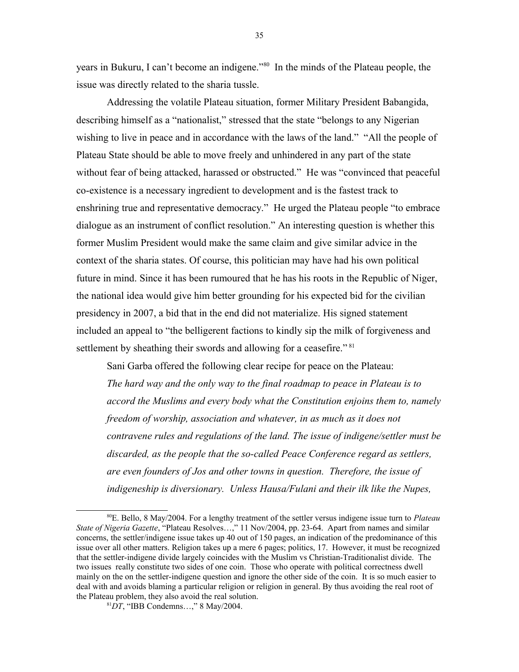years in Bukuru, I can't become an indigene."[80](#page-34-0) In the minds of the Plateau people, the issue was directly related to the sharia tussle.

Addressing the volatile Plateau situation, former Military President Babangida, describing himself as a "nationalist," stressed that the state "belongs to any Nigerian wishing to live in peace and in accordance with the laws of the land." "All the people of Plateau State should be able to move freely and unhindered in any part of the state without fear of being attacked, harassed or obstructed." He was "convinced that peaceful co-existence is a necessary ingredient to development and is the fastest track to enshrining true and representative democracy." He urged the Plateau people "to embrace dialogue as an instrument of conflict resolution." An interesting question is whether this former Muslim President would make the same claim and give similar advice in the context of the sharia states. Of course, this politician may have had his own political future in mind. Since it has been rumoured that he has his roots in the Republic of Niger, the national idea would give him better grounding for his expected bid for the civilian presidency in 2007, a bid that in the end did not materialize. His signed statement included an appeal to "the belligerent factions to kindly sip the milk of forgiveness and settlement by sheathing their swords and allowing for a ceasefire." [81](#page-34-1)

Sani Garba offered the following clear recipe for peace on the Plateau: *The hard way and the only way to the final roadmap to peace in Plateau is to accord the Muslims and every body what the Constitution enjoins them to, namely freedom of worship, association and whatever, in as much as it does not contravene rules and regulations of the land. The issue of indigene/settler must be discarded, as the people that the so-called Peace Conference regard as settlers, are even founders of Jos and other towns in question. Therefore, the issue of indigeneship is diversionary. Unless Hausa/Fulani and their ilk like the Nupes,* 

35

<span id="page-34-0"></span><sup>80</sup>E. Bello, 8 May/2004. For a lengthy treatment of the settler versus indigene issue turn to *Plateau State of Nigeria Gazette*, "Plateau Resolves…," 11 Nov/2004, pp. 23-64. Apart from names and similar concerns, the settler/indigene issue takes up 40 out of 150 pages, an indication of the predominance of this issue over all other matters. Religion takes up a mere 6 pages; politics, 17. However, it must be recognized that the settler-indigene divide largely coincides with the Muslim vs Christian-Traditionalist divide. The two issues really constitute two sides of one coin. Those who operate with political correctness dwell mainly on the on the settler-indigene question and ignore the other side of the coin. It is so much easier to deal with and avoids blaming a particular religion or religion in general. By thus avoiding the real root of the Plateau problem, they also avoid the real solution.

<span id="page-34-1"></span><sup>81</sup>*DT*, "IBB Condemns…," 8 May/2004.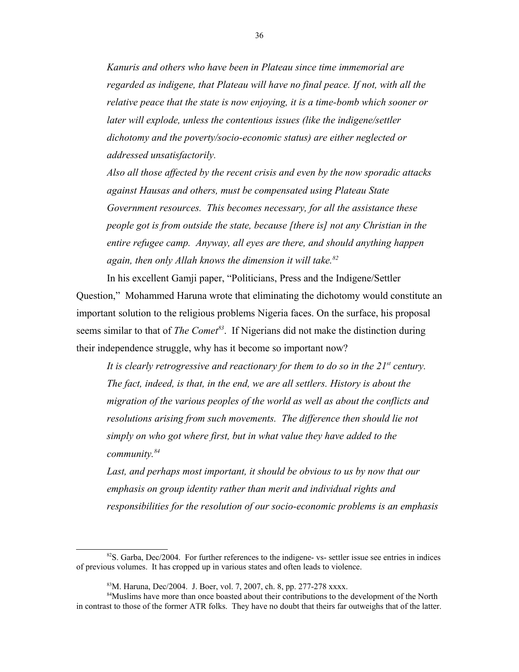*Kanuris and others who have been in Plateau since time immemorial are regarded as indigene, that Plateau will have no final peace. If not, with all the relative peace that the state is now enjoying, it is a time-bomb which sooner or later will explode, unless the contentious issues (like the indigene/settler dichotomy and the poverty/socio-economic status) are either neglected or addressed unsatisfactorily.*

*Also all those affected by the recent crisis and even by the now sporadic attacks against Hausas and others, must be compensated using Plateau State Government resources. This becomes necessary, for all the assistance these people got is from outside the state, because [there is] not any Christian in the entire refugee camp. Anyway, all eyes are there, and should anything happen again, then only Allah knows the dimension it will take.[82](#page-35-0)*

In his excellent Gamji paper, "Politicians, Press and the Indigene/Settler Question," Mohammed Haruna wrote that eliminating the dichotomy would constitute an important solution to the religious problems Nigeria faces. On the surface, his proposal seems similar to that of *The Comet[83](#page-35-1)*. If Nigerians did not make the distinction during their independence struggle, why has it become so important now?

*It is clearly retrogressive and reactionary for them to do so in the 21st century. The fact, indeed, is that, in the end, we are all settlers. History is about the migration of the various peoples of the world as well as about the conflicts and resolutions arising from such movements. The difference then should lie not simply on who got where first, but in what value they have added to the community.[84](#page-35-2)*

Last, and perhaps most important, it should be obvious to us by now that our *emphasis on group identity rather than merit and individual rights and responsibilities for the resolution of our socio-economic problems is an emphasis* 

 $82$ S. Garba, Dec/2004. For further references to the indigene- vs- settler issue see entries in indices of previous volumes. It has cropped up in various states and often leads to violence.

<span id="page-35-2"></span><span id="page-35-1"></span><span id="page-35-0"></span><sup>83</sup>M. Haruna, Dec/2004. J. Boer, vol. 7, 2007, ch. 8, pp. 277-278 xxxx.

<sup>&</sup>lt;sup>84</sup>Muslims have more than once boasted about their contributions to the development of the North in contrast to those of the former ATR folks. They have no doubt that theirs far outweighs that of the latter.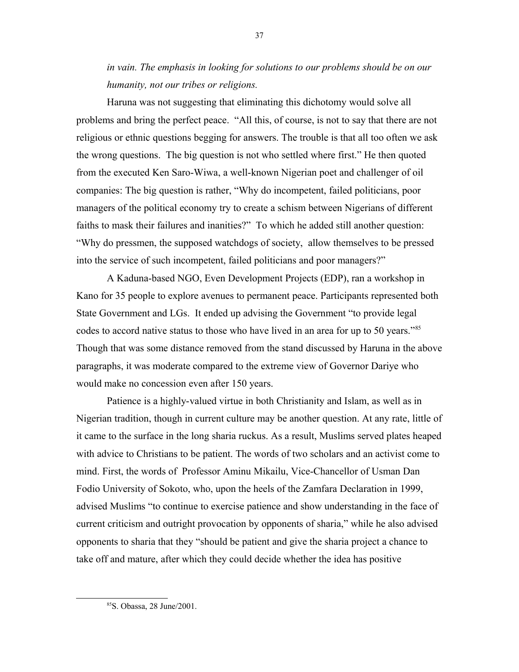*in vain. The emphasis in looking for solutions to our problems should be on our humanity, not our tribes or religions.*

Haruna was not suggesting that eliminating this dichotomy would solve all problems and bring the perfect peace. "All this, of course, is not to say that there are not religious or ethnic questions begging for answers. The trouble is that all too often we ask the wrong questions. The big question is not who settled where first." He then quoted from the executed Ken Saro-Wiwa, a well-known Nigerian poet and challenger of oil companies: The big question is rather, "Why do incompetent, failed politicians, poor managers of the political economy try to create a schism between Nigerians of different faiths to mask their failures and inanities?" To which he added still another question: "Why do pressmen, the supposed watchdogs of society, allow themselves to be pressed into the service of such incompetent, failed politicians and poor managers?"

A Kaduna-based NGO, Even Development Projects (EDP), ran a workshop in Kano for 35 people to explore avenues to permanent peace. Participants represented both State Government and LGs. It ended up advising the Government "to provide legal codes to accord native status to those who have lived in an area for up to 50 years."[85](#page-36-0) Though that was some distance removed from the stand discussed by Haruna in the above paragraphs, it was moderate compared to the extreme view of Governor Dariye who would make no concession even after 150 years.

Patience is a highly-valued virtue in both Christianity and Islam, as well as in Nigerian tradition, though in current culture may be another question. At any rate, little of it came to the surface in the long sharia ruckus. As a result, Muslims served plates heaped with advice to Christians to be patient. The words of two scholars and an activist come to mind. First, the words of Professor Aminu Mikailu, Vice-Chancellor of Usman Dan Fodio University of Sokoto, who, upon the heels of the Zamfara Declaration in 1999, advised Muslims "to continue to exercise patience and show understanding in the face of current criticism and outright provocation by opponents of sharia," while he also advised opponents to sharia that they "should be patient and give the sharia project a chance to take off and mature, after which they could decide whether the idea has positive

<span id="page-36-0"></span><sup>85</sup>S. Obassa, 28 June/2001.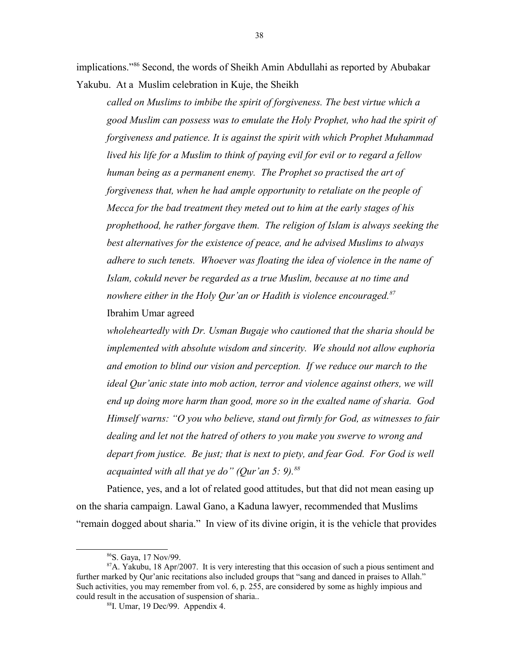implications."[86](#page-37-0) Second, the words of Sheikh Amin Abdullahi as reported by Abubakar Yakubu. At a Muslim celebration in Kuje, the Sheikh

*called on Muslims to imbibe the spirit of forgiveness. The best virtue which a good Muslim can possess was to emulate the Holy Prophet, who had the spirit of forgiveness and patience. It is against the spirit with which Prophet Muhammad lived his life for a Muslim to think of paying evil for evil or to regard a fellow human being as a permanent enemy. The Prophet so practised the art of forgiveness that, when he had ample opportunity to retaliate on the people of Mecca for the bad treatment they meted out to him at the early stages of his prophethood, he rather forgave them. The religion of Islam is always seeking the best alternatives for the existence of peace, and he advised Muslims to always adhere to such tenets. Whoever was floating the idea of violence in the name of Islam, cokuld never be regarded as a true Muslim, because at no time and nowhere either in the Holy Qur'an or Hadith is violence encouraged.[87](#page-37-1)* Ibrahim Umar agreed

*wholeheartedly with Dr. Usman Bugaje who cautioned that the sharia should be implemented with absolute wisdom and sincerity. We should not allow euphoria and emotion to blind our vision and perception. If we reduce our march to the ideal Qur'anic state into mob action, terror and violence against others, we will end up doing more harm than good, more so in the exalted name of sharia. God Himself warns: "O you who believe, stand out firmly for God, as witnesses to fair dealing and let not the hatred of others to you make you swerve to wrong and depart from justice. Be just; that is next to piety, and fear God. For God is well acquainted with all that ye do" (Qur'an 5: 9).[88](#page-37-2)*

Patience, yes, and a lot of related good attitudes, but that did not mean easing up on the sharia campaign. Lawal Gano, a Kaduna lawyer, recommended that Muslims "remain dogged about sharia." In view of its divine origin, it is the vehicle that provides

<span id="page-37-1"></span><span id="page-37-0"></span><sup>86</sup>S. Gaya, 17 Nov/99.

 $87A$ . Yakubu, 18 Apr/2007. It is very interesting that this occasion of such a pious sentiment and further marked by Qur'anic recitations also included groups that "sang and danced in praises to Allah." Such activities, you may remember from vol. 6, p. 255, are considered by some as highly impious and could result in the accusation of suspension of sharia..

<span id="page-37-2"></span><sup>88</sup>I. Umar, 19 Dec/99. Appendix 4.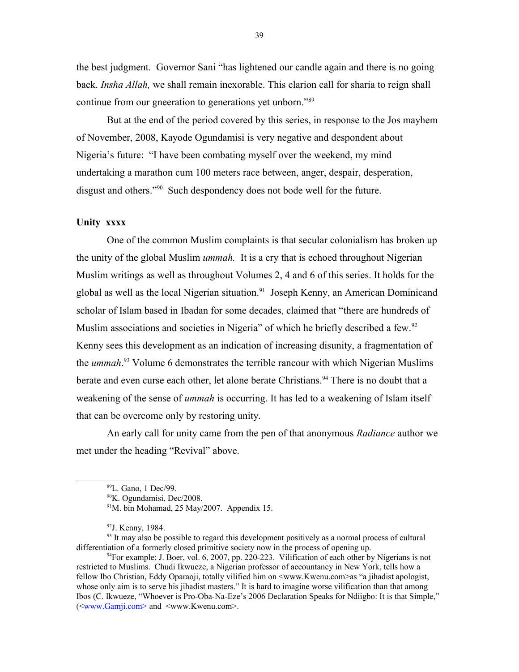the best judgment. Governor Sani "has lightened our candle again and there is no going back. *Insha Allah,* we shall remain inexorable. This clarion call for sharia to reign shall continue from our gneeration to generations yet unborn."[89](#page-38-0)

But at the end of the period covered by this series, in response to the Jos mayhem of November, 2008, Kayode Ogundamisi is very negative and despondent about Nigeria's future: "I have been combating myself over the weekend, my mind undertaking a marathon cum 100 meters race between, anger, despair, desperation, disgust and others."<sup>[90](#page-38-1)</sup> Such despondency does not bode well for the future.

# **Unity xxxx**

One of the common Muslim complaints is that secular colonialism has broken up the unity of the global Muslim *ummah.* It is a cry that is echoed throughout Nigerian Muslim writings as well as throughout Volumes 2, 4 and 6 of this series. It holds for the global as well as the local Nigerian situation.<sup>[91](#page-38-2)</sup> Joseph Kenny, an American Dominicand scholar of Islam based in Ibadan for some decades, claimed that "there are hundreds of Muslim associations and societies in Nigeria" of which he briefly described a few.<sup>[92](#page-38-3)</sup> Kenny sees this development as an indication of increasing disunity, a fragmentation of the *ummah*. [93](#page-38-4) Volume 6 demonstrates the terrible rancour with which Nigerian Muslims berate and even curse each other, let alone berate Christians.<sup>[94](#page-38-5)</sup> There is no doubt that a weakening of the sense of *ummah* is occurring. It has led to a weakening of Islam itself that can be overcome only by restoring unity.

An early call for unity came from the pen of that anonymous *Radiance* author we met under the heading "Revival" above.

<span id="page-38-0"></span><sup>89</sup>L. Gano, 1 Dec/99.

<span id="page-38-1"></span><sup>90</sup>K. Ogundamisi, Dec/2008.

<span id="page-38-2"></span><sup>&</sup>lt;sup>91</sup>M. bin Mohamad, 25 May/2007. Appendix 15.

<span id="page-38-5"></span><span id="page-38-4"></span><span id="page-38-3"></span><sup>92</sup>J. Kenny, 1984.

 $93$  It may also be possible to regard this development positively as a normal process of cultural differentiation of a formerly closed primitive society now in the process of opening up.

 $94$ For example: J. Boer, vol. 6, 2007, pp. 220-223. Vilification of each other by Nigerians is not restricted to Muslims. Chudi Ikwueze, a Nigerian professor of accountancy in New York, tells how a fellow Ibo Christian, Eddy Oparaoji, totally vilified him on <www.Kwenu.com>as "a jihadist apologist, whose only aim is to serve his jihadist masters." It is hard to imagine worse vilification than that among Ibos (C. Ikwueze, "Whoever is Pro-Oba-Na-Eze's 2006 Declaration Speaks for Ndiigbo: It is that Simple," (<www.Gamji.com> and <www.Kwenu.com>.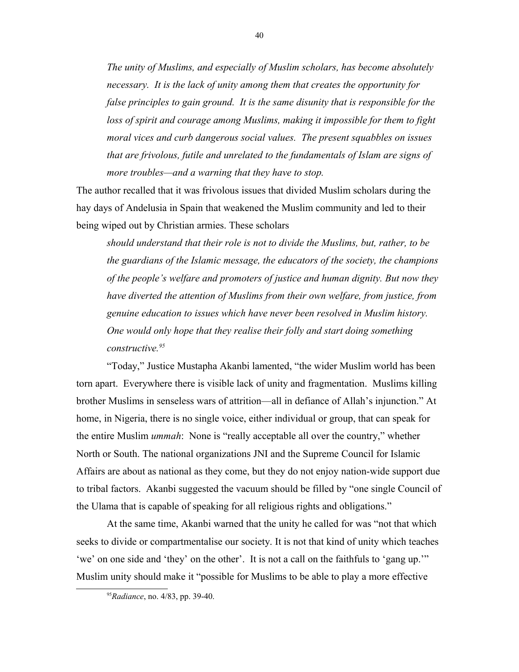*The unity of Muslims, and especially of Muslim scholars, has become absolutely necessary. It is the lack of unity among them that creates the opportunity for false principles to gain ground. It is the same disunity that is responsible for the loss of spirit and courage among Muslims, making it impossible for them to fight moral vices and curb dangerous social values. The present squabbles on issues that are frivolous, futile and unrelated to the fundamentals of Islam are signs of more troubles—and a warning that they have to stop.* 

The author recalled that it was frivolous issues that divided Muslim scholars during the hay days of Andelusia in Spain that weakened the Muslim community and led to their being wiped out by Christian armies. These scholars

*should understand that their role is not to divide the Muslims, but, rather, to be the guardians of the Islamic message, the educators of the society, the champions of the people's welfare and promoters of justice and human dignity. But now they have diverted the attention of Muslims from their own welfare, from justice, from genuine education to issues which have never been resolved in Muslim history. One would only hope that they realise their folly and start doing something constructive.[95](#page-39-0)*

"Today," Justice Mustapha Akanbi lamented, "the wider Muslim world has been torn apart. Everywhere there is visible lack of unity and fragmentation. Muslims killing brother Muslims in senseless wars of attrition—all in defiance of Allah's injunction." At home, in Nigeria, there is no single voice, either individual or group, that can speak for the entire Muslim *ummah*: None is "really acceptable all over the country," whether North or South. The national organizations JNI and the Supreme Council for Islamic Affairs are about as national as they come, but they do not enjoy nation-wide support due to tribal factors. Akanbi suggested the vacuum should be filled by "one single Council of the Ulama that is capable of speaking for all religious rights and obligations."

At the same time, Akanbi warned that the unity he called for was "not that which seeks to divide or compartmentalise our society. It is not that kind of unity which teaches 'we' on one side and 'they' on the other'. It is not a call on the faithfuls to 'gang up.'" Muslim unity should make it "possible for Muslims to be able to play a more effective

<span id="page-39-0"></span><sup>95</sup>*Radiance*, no. 4/83, pp. 39-40.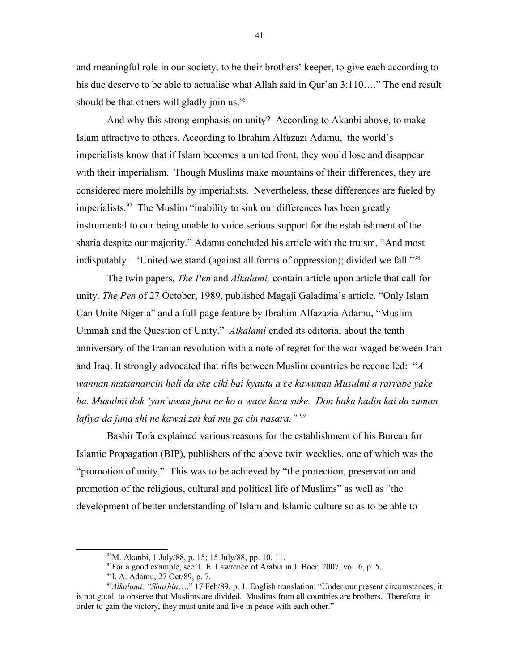and meaningful role in our society, to be their brothers' keeper, to give each according to his due deserve to be able to actualise what Allah said in Qur'an 3:110…." The end result should be that others will gladly join us.<sup>[96](#page-40-0)</sup>

And why this strong emphasis on unity? According to Akanbi above, to make Islam attractive to others. According to Ibrahim Alfazazi Adamu, the world's imperialists know that if Islam becomes a united front, they would lose and disappear with their imperialism. Though Muslims make mountains of their differences, they are considered mere molehills by imperialists. Nevertheless, these differences are fueled by imperialists.<sup>[97](#page-40-1)</sup> The Muslim "inability to sink our differences has been greatly instrumental to our being unable to voice serious support for the establishment of the sharia despite our majority." Adamu concluded his article with the truism, "And most indisputably—'United we stand (against all forms of oppression); divided we fall."[98](#page-40-2)

The twin papers, *The Pen* and *Alkalami,* contain article upon article that call for unity. *The Pen* of 27 October, 1989, published Magaji Galadima's article, "Only Islam Can Unite Nigeria" and a full-page feature by Ibrahim Alfazazia Adamu, "Muslim Ummah and the Question of Unity." *Alkalami* ended its editorial about the tenth anniversary of the Iranian revolution with a note of regret for the war waged between Iran and Iraq. It strongly advocated that rifts between Muslim countries be reconciled: "*A wannan matsanancin hali da ake ciki bai kyautu a ce kawunan Musulmi a rarrabe yake ba. Musulmi duk 'yan'uwan juna ne ko a wace kasa suke. Don haka hadin kai da zaman lafiya da juna shi ne kawai zai kai mu ga cin nasara."* [99](#page-40-3)

Bashir Tofa explained various reasons for the establishment of his Bureau for Islamic Propagation (BIP), publishers of the above twin weeklies, one of which was the "promotion of unity." This was to be achieved by "the protection, preservation and promotion of the religious, cultural and political life of Muslims" as well as "the development of better understanding of Islam and Islamic culture so as to be able to

<span id="page-40-0"></span><sup>96</sup>M. Akanbi, 1 July/88, p. 15; 15 July/88, pp. 10, 11.

<span id="page-40-1"></span> $97$ For a good example, see T. E. Lawrence of Arabia in J. Boer, 2007, vol. 6, p. 5.

<span id="page-40-3"></span><span id="page-40-2"></span><sup>98</sup>I. A. Adamu, 27 Oct/89, p. 7.

<sup>99</sup>*Alkalami, "Sharhin*…," 17 Feb/89, p. 1. English translation: "Under our present circumstances, it is not good to observe that Muslims are divided. Muslims from all countries are brothers. Therefore, in order to gain the victory, they must unite and live in peace with each other."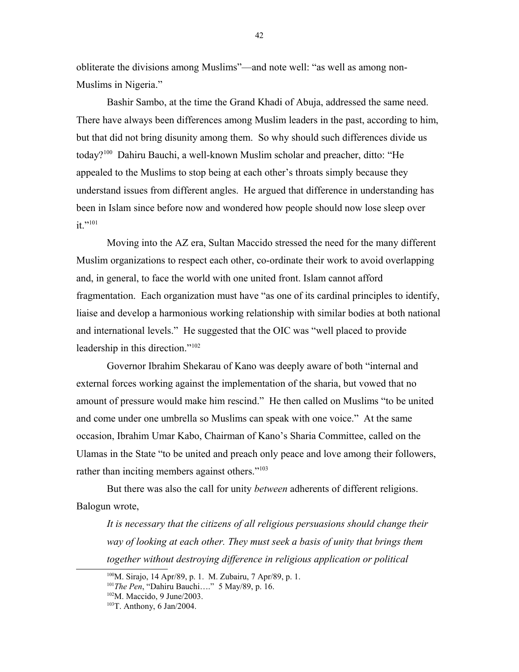obliterate the divisions among Muslims"—and note well: "as well as among non-Muslims in Nigeria."

Bashir Sambo, at the time the Grand Khadi of Abuja, addressed the same need. There have always been differences among Muslim leaders in the past, according to him, but that did not bring disunity among them. So why should such differences divide us today?[100](#page-41-0) Dahiru Bauchi, a well-known Muslim scholar and preacher, ditto: "He appealed to the Muslims to stop being at each other's throats simply because they understand issues from different angles. He argued that difference in understanding has been in Islam since before now and wondered how people should now lose sleep over  $it.$ <sup>"[101](#page-41-1)</sup>

Moving into the AZ era, Sultan Maccido stressed the need for the many different Muslim organizations to respect each other, co-ordinate their work to avoid overlapping and, in general, to face the world with one united front. Islam cannot afford fragmentation. Each organization must have "as one of its cardinal principles to identify, liaise and develop a harmonious working relationship with similar bodies at both national and international levels." He suggested that the OIC was "well placed to provide leadership in this direction."<sup>[102](#page-41-2)</sup>

Governor Ibrahim Shekarau of Kano was deeply aware of both "internal and external forces working against the implementation of the sharia, but vowed that no amount of pressure would make him rescind." He then called on Muslims "to be united and come under one umbrella so Muslims can speak with one voice." At the same occasion, Ibrahim Umar Kabo, Chairman of Kano's Sharia Committee, called on the Ulamas in the State "to be united and preach only peace and love among their followers, rather than inciting members against others."<sup>[103](#page-41-3)</sup>

But there was also the call for unity *between* adherents of different religions. Balogun wrote,

*It is necessary that the citizens of all religious persuasions should change their way of looking at each other. They must seek a basis of unity that brings them together without destroying difference in religious application or political* 

<span id="page-41-0"></span><sup>&</sup>lt;sup>100</sup>M. Sirajo, 14 Apr/89, p. 1. M. Zubairu, 7 Apr/89, p. 1.

<span id="page-41-1"></span><sup>101</sup>*The Pen*, "Dahiru Bauchi…." 5 May/89, p. 16.

<span id="page-41-2"></span><sup>102</sup>M. Maccido, 9 June/2003.

<span id="page-41-3"></span> $103$ T. Anthony, 6 Jan/2004.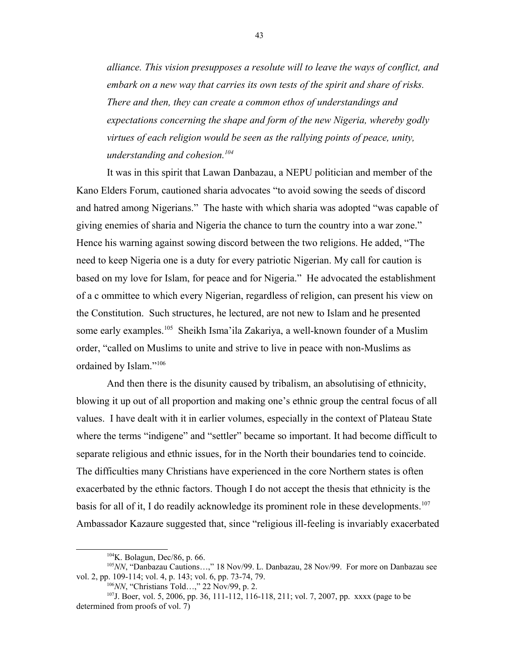*alliance. This vision presupposes a resolute will to leave the ways of conflict, and embark on a new way that carries its own tests of the spirit and share of risks. There and then, they can create a common ethos of understandings and expectations concerning the shape and form of the new Nigeria, whereby godly virtues of each religion would be seen as the rallying points of peace, unity, understanding and cohesion.[104](#page-42-0)*

It was in this spirit that Lawan Danbazau, a NEPU politician and member of the Kano Elders Forum, cautioned sharia advocates "to avoid sowing the seeds of discord and hatred among Nigerians." The haste with which sharia was adopted "was capable of giving enemies of sharia and Nigeria the chance to turn the country into a war zone." Hence his warning against sowing discord between the two religions. He added, "The need to keep Nigeria one is a duty for every patriotic Nigerian. My call for caution is based on my love for Islam, for peace and for Nigeria." He advocated the establishment of a c ommittee to which every Nigerian, regardless of religion, can present his view on the Constitution. Such structures, he lectured, are not new to Islam and he presented some early examples.<sup>[105](#page-42-1)</sup> Sheikh Isma'ila Zakariya, a well-known founder of a Muslim order, "called on Muslims to unite and strive to live in peace with non-Muslims as ordained by Islam."<sup>[106](#page-42-2)</sup>

And then there is the disunity caused by tribalism, an absolutising of ethnicity, blowing it up out of all proportion and making one's ethnic group the central focus of all values. I have dealt with it in earlier volumes, especially in the context of Plateau State where the terms "indigene" and "settler" became so important. It had become difficult to separate religious and ethnic issues, for in the North their boundaries tend to coincide. The difficulties many Christians have experienced in the core Northern states is often exacerbated by the ethnic factors. Though I do not accept the thesis that ethnicity is the basis for all of it, I do readily acknowledge its prominent role in these developments.<sup>[107](#page-42-3)</sup> Ambassador Kazaure suggested that, since "religious ill-feeling is invariably exacerbated

<span id="page-42-1"></span><span id="page-42-0"></span><sup>104</sup>K. Bolagun, Dec/86, p. 66.

<sup>105</sup>*NN*, "Danbazau Cautions…," 18 Nov/99. L. Danbazau, 28 Nov/99. For more on Danbazau see vol. 2, pp. 109-114; vol. 4, p. 143; vol. 6, pp. 73-74, 79.

<span id="page-42-3"></span><span id="page-42-2"></span><sup>106</sup>*NN*, "Christians Told…," 22 Nov/99, p. 2.

<sup>107</sup>J. Boer, vol. 5, 2006, pp. 36, 111-112, 116-118, 211; vol. 7, 2007, pp. xxxx (page to be determined from proofs of vol. 7)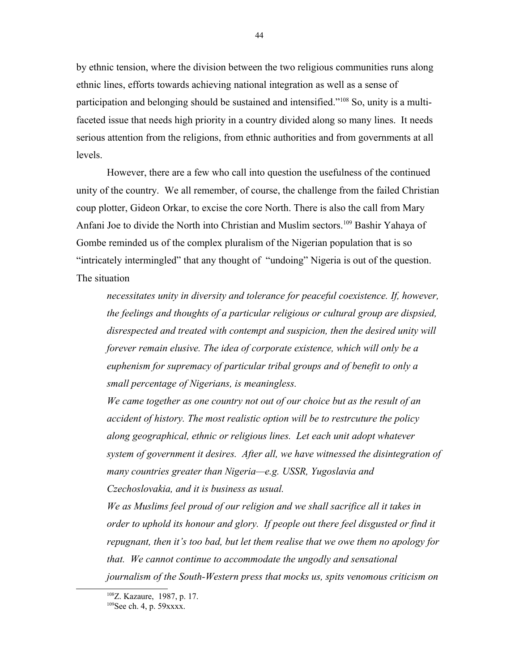by ethnic tension, where the division between the two religious communities runs along ethnic lines, efforts towards achieving national integration as well as a sense of participation and belonging should be sustained and intensified."[108](#page-43-0) So, unity is a multifaceted issue that needs high priority in a country divided along so many lines. It needs serious attention from the religions, from ethnic authorities and from governments at all levels.

However, there are a few who call into question the usefulness of the continued unity of the country. We all remember, of course, the challenge from the failed Christian coup plotter, Gideon Orkar, to excise the core North. There is also the call from Mary Anfani Joe to divide the North into Christian and Muslim sectors.<sup>[109](#page-43-1)</sup> Bashir Yahaya of Gombe reminded us of the complex pluralism of the Nigerian population that is so "intricately intermingled" that any thought of "undoing" Nigeria is out of the question. The situation

*necessitates unity in diversity and tolerance for peaceful coexistence. If, however, the feelings and thoughts of a particular religious or cultural group are dispsied, disrespected and treated with contempt and suspicion, then the desired unity will forever remain elusive. The idea of corporate existence, which will only be a euphenism for supremacy of particular tribal groups and of benefit to only a small percentage of Nigerians, is meaningless.*

*We came together as one country not out of our choice but as the result of an accident of history. The most realistic option will be to restrcuture the policy along geographical, ethnic or religious lines. Let each unit adopt whatever system of government it desires. After all, we have witnessed the disintegration of many countries greater than Nigeria—e.g. USSR, Yugoslavia and Czechoslovakia, and it is business as usual.* 

*We as Muslims feel proud of our religion and we shall sacrifice all it takes in order to uphold its honour and glory. If people out there feel disgusted or find it repugnant, then it's too bad, but let them realise that we owe them no apology for that. We cannot continue to accommodate the ungodly and sensational journalism of the South-Western press that mocks us, spits venomous criticism on* 

<span id="page-43-0"></span><sup>108</sup>Z. Kazaure, 1987, p. 17.

<span id="page-43-1"></span><sup>&</sup>lt;sup>109</sup>See ch. 4, p. 59xxxx.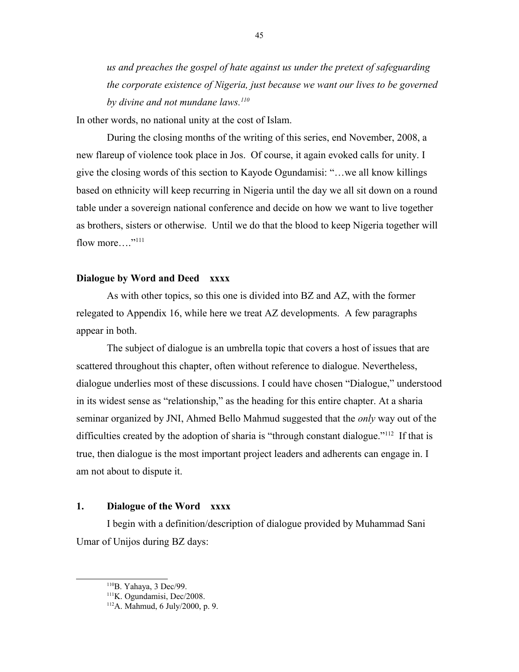*us and preaches the gospel of hate against us under the pretext of safeguarding the corporate existence of Nigeria, just because we want our lives to be governed by divine and not mundane laws.[110](#page-44-0)*

In other words, no national unity at the cost of Islam.

During the closing months of the writing of this series, end November, 2008, a new flareup of violence took place in Jos. Of course, it again evoked calls for unity. I give the closing words of this section to Kayode Ogundamisi: "…we all know killings based on ethnicity will keep recurring in Nigeria until the day we all sit down on a round table under a sovereign national conference and decide on how we want to live together as brothers, sisters or otherwise. Until we do that the blood to keep Nigeria together will flow more...."<sup>[111](#page-44-1)</sup>

# **Dialogue by Word and Deed xxxx**

As with other topics, so this one is divided into BZ and AZ, with the former relegated to Appendix 16, while here we treat AZ developments. A few paragraphs appear in both.

The subject of dialogue is an umbrella topic that covers a host of issues that are scattered throughout this chapter, often without reference to dialogue. Nevertheless, dialogue underlies most of these discussions. I could have chosen "Dialogue," understood in its widest sense as "relationship," as the heading for this entire chapter. At a sharia seminar organized by JNI, Ahmed Bello Mahmud suggested that the *only* way out of the difficulties created by the adoption of sharia is "through constant dialogue."<sup>[112](#page-44-2)</sup> If that is true, then dialogue is the most important project leaders and adherents can engage in. I am not about to dispute it.

# **1. Dialogue of the Word xxxx**

I begin with a definition/description of dialogue provided by Muhammad Sani Umar of Unijos during BZ days:

<span id="page-44-0"></span><sup>110</sup>B. Yahaya, 3 Dec/99.

<span id="page-44-1"></span><sup>&</sup>lt;sup>111</sup>K. Ogundamisi, Dec/2008.

<span id="page-44-2"></span><sup>112</sup>A. Mahmud, 6 July/2000, p. 9.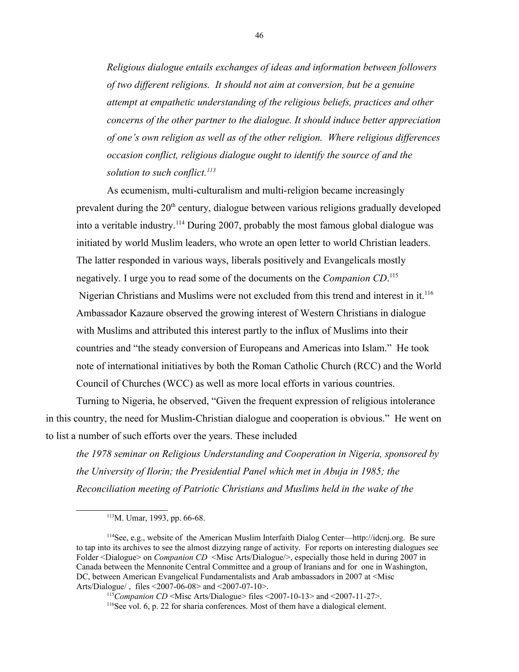*Religious dialogue entails exchanges of ideas and information between followers of two different religions. It should not aim at conversion, but be a genuine attempt at empathetic understanding of the religious beliefs, practices and other concerns of the other partner to the dialogue. It should induce better appreciation of one's own religion as well as of the other religion. Where religious differences occasion conflict, religious dialogue ought to identify the source of and the solution to such conflict.[113](#page-45-0)*

As ecumenism, multi-culturalism and multi-religion became increasingly prevalent during the 20<sup>th</sup> century, dialogue between various religions gradually developed into a veritable industry.<sup>[114](#page-45-1)</sup> During 2007, probably the most famous global dialogue was initiated by world Muslim leaders, who wrote an open letter to world Christian leaders. The latter responded in various ways, liberals positively and Evangelicals mostly negatively. I urge you to read some of the documents on the *Companion CD*. [115](#page-45-2)

Nigerian Christians and Muslims were not excluded from this trend and interest in it.<sup>[116](#page-45-3)</sup> Ambassador Kazaure observed the growing interest of Western Christians in dialogue with Muslims and attributed this interest partly to the influx of Muslims into their countries and "the steady conversion of Europeans and Americas into Islam." He took note of international initiatives by both the Roman Catholic Church (RCC) and the World Council of Churches (WCC) as well as more local efforts in various countries.

Turning to Nigeria, he observed, "Given the frequent expression of religious intolerance in this country, the need for Muslim-Christian dialogue and cooperation is obvious." He went on to list a number of such efforts over the years. These included

*the 1978 seminar on Religious Understanding and Cooperation in Nigeria, sponsored by the University of Ilorin; the Presidential Panel which met in Abuja in 1985; the Reconciliation meeting of Patriotic Christians and Muslims held in the wake of the* 

<span id="page-45-3"></span><span id="page-45-2"></span><sup>115</sup>*Companion CD* <Misc Arts/Dialogue> files <2007-10-13> and <2007-11-27>.

<span id="page-45-1"></span><span id="page-45-0"></span><sup>113</sup>M. Umar, 1993, pp. 66-68.

<sup>114</sup>See, e.g., website of the American Muslim Interfaith Dialog Center—http://idcnj.org. Be sure to tap into its archives to see the almost dizzying range of activity. For reports on interesting dialogues see Folder <Dialogue> on *Companion CD* <Misc Arts/Dialogue/>, especially those held in during 2007 in Canada between the Mennonite Central Committee and a group of Iranians and for one in Washington, DC, between American Evangelical Fundamentalists and Arab ambassadors in 2007 at <Misc Arts/Dialogue/ , files <2007-06-08> and <2007-07-10>.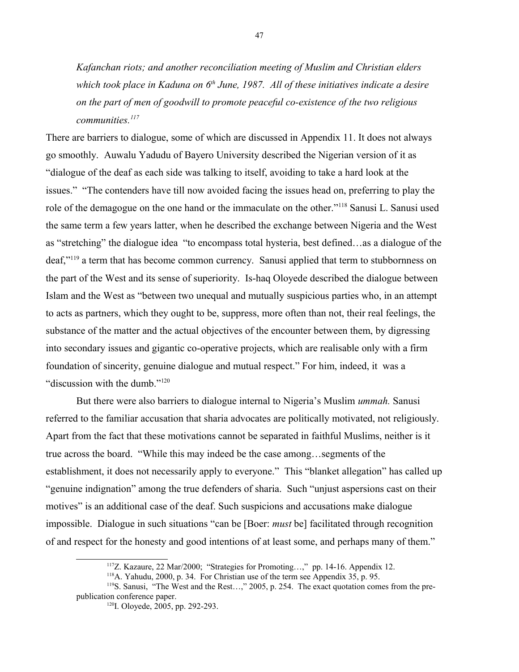*Kafanchan riots; and another reconciliation meeting of Muslim and Christian elders which took place in Kaduna on 6th June, 1987. All of these initiatives indicate a desire on the part of men of goodwill to promote peaceful co-existence of the two religious communities.[117](#page-46-0)*

There are barriers to dialogue, some of which are discussed in Appendix 11. It does not always go smoothly. Auwalu Yadudu of Bayero University described the Nigerian version of it as "dialogue of the deaf as each side was talking to itself, avoiding to take a hard look at the issues." "The contenders have till now avoided facing the issues head on, preferring to play the role of the demagogue on the one hand or the immaculate on the other."[118](#page-46-1) Sanusi L. Sanusi used the same term a few years latter, when he described the exchange between Nigeria and the West as "stretching" the dialogue idea "to encompass total hysteria, best defined…as a dialogue of the deaf,"<sup>[119](#page-46-2)</sup> a term that has become common currency. Sanusi applied that term to stubbornness on the part of the West and its sense of superiority. Is-haq Oloyede described the dialogue between Islam and the West as "between two unequal and mutually suspicious parties who, in an attempt to acts as partners, which they ought to be, suppress, more often than not, their real feelings, the substance of the matter and the actual objectives of the encounter between them, by digressing into secondary issues and gigantic co-operative projects, which are realisable only with a firm foundation of sincerity, genuine dialogue and mutual respect." For him, indeed, it was a "discussion with the dumb."<sup>[120](#page-46-3)</sup>

But there were also barriers to dialogue internal to Nigeria's Muslim *ummah.* Sanusi referred to the familiar accusation that sharia advocates are politically motivated, not religiously. Apart from the fact that these motivations cannot be separated in faithful Muslims, neither is it true across the board. "While this may indeed be the case among…segments of the establishment, it does not necessarily apply to everyone." This "blanket allegation" has called up "genuine indignation" among the true defenders of sharia. Such "unjust aspersions cast on their motives" is an additional case of the deaf. Such suspicions and accusations make dialogue impossible. Dialogue in such situations "can be [Boer: *must* be] facilitated through recognition of and respect for the honesty and good intentions of at least some, and perhaps many of them."

<span id="page-46-0"></span><sup>117</sup>Z. Kazaure, 22 Mar/2000; "Strategies for Promoting…," pp. 14-16. Appendix 12.

<span id="page-46-2"></span><span id="page-46-1"></span> $118$ A. Yahudu, 2000, p. 34. For Christian use of the term see Appendix 35, p. 95.

<sup>&</sup>lt;sup>119</sup>S. Sanusi, "The West and the Rest...," 2005, p. 254. The exact quotation comes from the prepublication conference paper.

<span id="page-46-3"></span><sup>120</sup>I. Oloyede, 2005, pp. 292-293.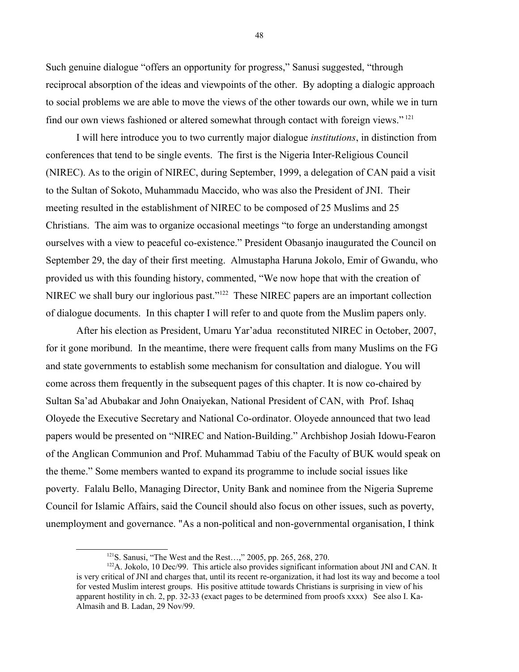Such genuine dialogue "offers an opportunity for progress," Sanusi suggested, "through reciprocal absorption of the ideas and viewpoints of the other. By adopting a dialogic approach to social problems we are able to move the views of the other towards our own, while we in turn find our own views fashioned or altered somewhat through contact with foreign views." [121](#page-47-0)

I will here introduce you to two currently major dialogue *institutions*, in distinction from conferences that tend to be single events. The first is the Nigeria Inter-Religious Council (NIREC). As to the origin of NIREC, during September, 1999, a delegation of CAN paid a visit to the Sultan of Sokoto, Muhammadu Maccido, who was also the President of JNI. Their meeting resulted in the establishment of NIREC to be composed of 25 Muslims and 25 Christians. The aim was to organize occasional meetings "to forge an understanding amongst ourselves with a view to peaceful co-existence." President Obasanjo inaugurated the Council on September 29, the day of their first meeting. Almustapha Haruna Jokolo, Emir of Gwandu, who provided us with this founding history, commented, "We now hope that with the creation of NIREC we shall bury our inglorious past."[122](#page-47-1) These NIREC papers are an important collection of dialogue documents. In this chapter I will refer to and quote from the Muslim papers only.

After his election as President, Umaru Yar'adua reconstituted NIREC in October, 2007, for it gone moribund. In the meantime, there were frequent calls from many Muslims on the FG and state governments to establish some mechanism for consultation and dialogue. You will come across them frequently in the subsequent pages of this chapter. It is now co-chaired by Sultan Sa'ad Abubakar and John Onaiyekan, National President of CAN, with Prof. Ishaq Oloyede the Executive Secretary and National Co-ordinator. Oloyede announced that two lead papers would be presented on "NIREC and Nation-Building." Archbishop Josiah Idowu-Fearon of the Anglican Communion and Prof. Muhammad Tabiu of the Faculty of BUK would speak on the theme." Some members wanted to expand its programme to include social issues like poverty. Falalu Bello, Managing Director, Unity Bank and nominee from the Nigeria Supreme Council for Islamic Affairs, said the Council should also focus on other issues, such as poverty, unemployment and governance. "As a non-political and non-governmental organisation, I think

<span id="page-47-1"></span><span id="page-47-0"></span><sup>121</sup>S. Sanusi, "The West and the Rest…," 2005, pp. 265, 268, 270.

 $122A$ . Jokolo, 10 Dec/99. This article also provides significant information about JNI and CAN. It is very critical of JNI and charges that, until its recent re-organization, it had lost its way and become a tool for vested Muslim interest groups. His positive attitude towards Christians is surprising in view of his apparent hostility in ch. 2, pp. 32-33 (exact pages to be determined from proofs xxxx) See also I. Ka-Almasih and B. Ladan, 29 Nov/99.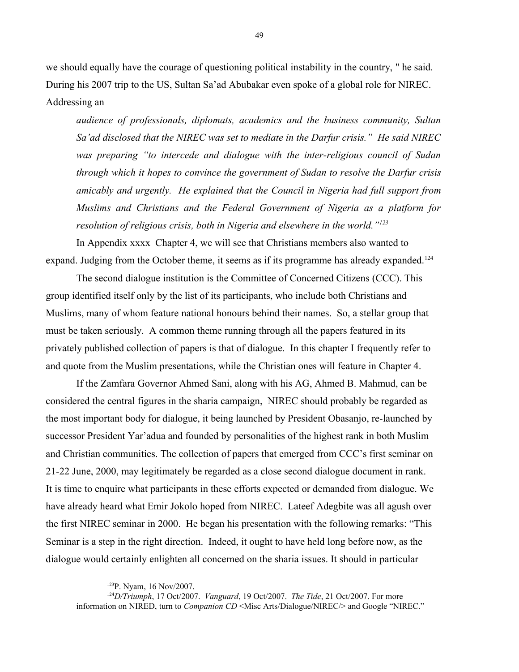we should equally have the courage of questioning political instability in the country, " he said. During his 2007 trip to the US, Sultan Sa'ad Abubakar even spoke of a global role for NIREC. Addressing an

*audience of professionals, diplomats, academics and the business community, Sultan Sa'ad disclosed that the NIREC was set to mediate in the Darfur crisis." He said NIREC was preparing "to intercede and dialogue with the inter-religious council of Sudan through which it hopes to convince the government of Sudan to resolve the Darfur crisis amicably and urgently. He explained that the Council in Nigeria had full support from Muslims and Christians and the Federal Government of Nigeria as a platform for resolution of religious crisis, both in Nigeria and elsewhere in the world."[123](#page-48-0)*

In Appendix xxxx Chapter 4, we will see that Christians members also wanted to expand. Judging from the October theme, it seems as if its programme has already expanded.<sup>[124](#page-48-1)</sup>

The second dialogue institution is the Committee of Concerned Citizens (CCC). This group identified itself only by the list of its participants, who include both Christians and Muslims, many of whom feature national honours behind their names. So, a stellar group that must be taken seriously. A common theme running through all the papers featured in its privately published collection of papers is that of dialogue. In this chapter I frequently refer to and quote from the Muslim presentations, while the Christian ones will feature in Chapter 4.

If the Zamfara Governor Ahmed Sani, along with his AG, Ahmed B. Mahmud, can be considered the central figures in the sharia campaign, NIREC should probably be regarded as the most important body for dialogue, it being launched by President Obasanjo, re-launched by successor President Yar'adua and founded by personalities of the highest rank in both Muslim and Christian communities. The collection of papers that emerged from CCC's first seminar on 21-22 June, 2000, may legitimately be regarded as a close second dialogue document in rank. It is time to enquire what participants in these efforts expected or demanded from dialogue. We have already heard what Emir Jokolo hoped from NIREC. Lateef Adegbite was all agush over the first NIREC seminar in 2000. He began his presentation with the following remarks: "This Seminar is a step in the right direction. Indeed, it ought to have held long before now, as the dialogue would certainly enlighten all concerned on the sharia issues. It should in particular

<span id="page-48-1"></span><span id="page-48-0"></span><sup>123</sup>P. Nyam, 16 Nov/2007.

<sup>124</sup>*D/Triumph*, 17 Oct/2007. *Vanguard*, 19 Oct/2007. *The Tide*, 21 Oct/2007. For more information on NIRED, turn to *Companion CD* <Misc Arts/Dialogue/NIREC/> and Google "NIREC."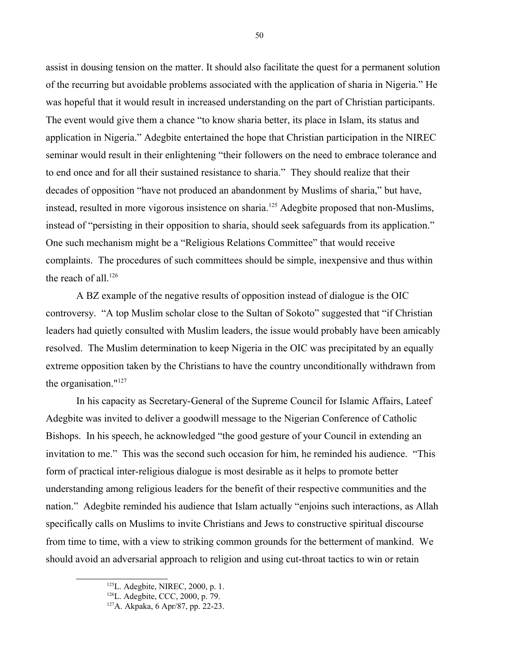assist in dousing tension on the matter. It should also facilitate the quest for a permanent solution of the recurring but avoidable problems associated with the application of sharia in Nigeria." He was hopeful that it would result in increased understanding on the part of Christian participants. The event would give them a chance "to know sharia better, its place in Islam, its status and application in Nigeria." Adegbite entertained the hope that Christian participation in the NIREC seminar would result in their enlightening "their followers on the need to embrace tolerance and to end once and for all their sustained resistance to sharia." They should realize that their decades of opposition "have not produced an abandonment by Muslims of sharia," but have, instead, resulted in more vigorous insistence on sharia.<sup>[125](#page-49-0)</sup> Adegbite proposed that non-Muslims, instead of "persisting in their opposition to sharia, should seek safeguards from its application." One such mechanism might be a "Religious Relations Committee" that would receive complaints. The procedures of such committees should be simple, inexpensive and thus within the reach of all.<sup>[126](#page-49-1)</sup>

A BZ example of the negative results of opposition instead of dialogue is the OIC controversy. "A top Muslim scholar close to the Sultan of Sokoto" suggested that "if Christian leaders had quietly consulted with Muslim leaders, the issue would probably have been amicably resolved. The Muslim determination to keep Nigeria in the OIC was precipitated by an equally extreme opposition taken by the Christians to have the country unconditionally withdrawn from the organisation."<sup>[127](#page-49-2)</sup>

In his capacity as Secretary-General of the Supreme Council for Islamic Affairs, Lateef Adegbite was invited to deliver a goodwill message to the Nigerian Conference of Catholic Bishops. In his speech, he acknowledged "the good gesture of your Council in extending an invitation to me." This was the second such occasion for him, he reminded his audience. "This form of practical inter-religious dialogue is most desirable as it helps to promote better understanding among religious leaders for the benefit of their respective communities and the nation." Adegbite reminded his audience that Islam actually "enjoins such interactions, as Allah specifically calls on Muslims to invite Christians and Jews to constructive spiritual discourse from time to time, with a view to striking common grounds for the betterment of mankind. We should avoid an adversarial approach to religion and using cut-throat tactics to win or retain

<span id="page-49-0"></span><sup>125</sup>L. Adegbite, NIREC, 2000, p. 1.

<span id="page-49-1"></span><sup>126</sup>L. Adegbite, CCC, 2000, p. 79.

<span id="page-49-2"></span><sup>127</sup>A. Akpaka, 6 Apr/87, pp. 22-23.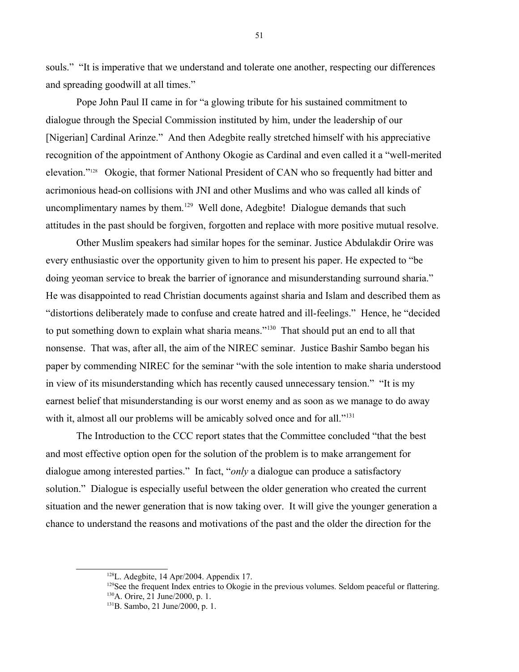souls." "It is imperative that we understand and tolerate one another, respecting our differences and spreading goodwill at all times."

Pope John Paul II came in for "a glowing tribute for his sustained commitment to dialogue through the Special Commission instituted by him, under the leadership of our [Nigerian] Cardinal Arinze." And then Adegbite really stretched himself with his appreciative recognition of the appointment of Anthony Okogie as Cardinal and even called it a "well-merited elevation."[128](#page-50-0) Okogie, that former National President of CAN who so frequently had bitter and acrimonious head-on collisions with JNI and other Muslims and who was called all kinds of uncomplimentary names by them.<sup>[129](#page-50-1)</sup> Well done, Adegbite! Dialogue demands that such attitudes in the past should be forgiven, forgotten and replace with more positive mutual resolve.

Other Muslim speakers had similar hopes for the seminar. Justice Abdulakdir Orire was every enthusiastic over the opportunity given to him to present his paper. He expected to "be doing yeoman service to break the barrier of ignorance and misunderstanding surround sharia." He was disappointed to read Christian documents against sharia and Islam and described them as "distortions deliberately made to confuse and create hatred and ill-feelings." Hence, he "decided to put something down to explain what sharia means."<sup>[130](#page-50-2)</sup> That should put an end to all that nonsense. That was, after all, the aim of the NIREC seminar. Justice Bashir Sambo began his paper by commending NIREC for the seminar "with the sole intention to make sharia understood in view of its misunderstanding which has recently caused unnecessary tension." "It is my earnest belief that misunderstanding is our worst enemy and as soon as we manage to do away with it, almost all our problems will be amicably solved once and for all."<sup>[131](#page-50-3)</sup>

The Introduction to the CCC report states that the Committee concluded "that the best and most effective option open for the solution of the problem is to make arrangement for dialogue among interested parties." In fact, "*only* a dialogue can produce a satisfactory solution." Dialogue is especially useful between the older generation who created the current situation and the newer generation that is now taking over. It will give the younger generation a chance to understand the reasons and motivations of the past and the older the direction for the

<span id="page-50-0"></span> $128$ L. Adegbite, 14 Apr/2004. Appendix 17.

<span id="page-50-2"></span><span id="page-50-1"></span> $129$ See the frequent Index entries to Okogie in the previous volumes. Seldom peaceful or flattering. <sup>130</sup>A. Orire, 21 June/2000, p. 1.

<span id="page-50-3"></span><sup>131</sup>B. Sambo, 21 June/2000, p. 1.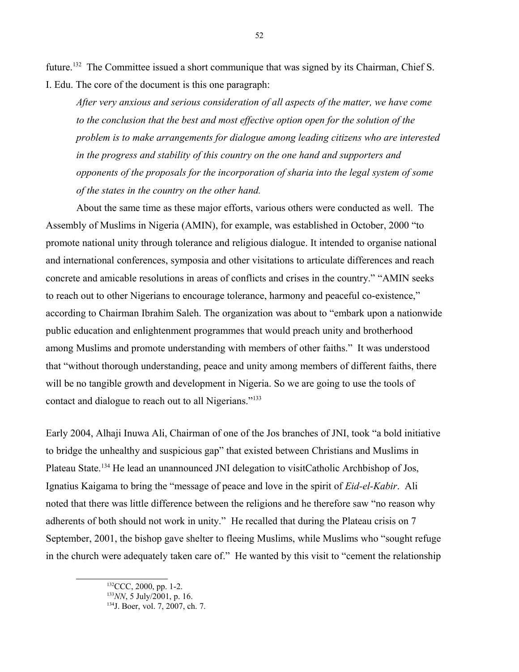future.<sup>[132](#page-51-0)</sup> The Committee issued a short communique that was signed by its Chairman, Chief S. I. Edu. The core of the document is this one paragraph:

*After very anxious and serious consideration of all aspects of the matter, we have come to the conclusion that the best and most effective option open for the solution of the problem is to make arrangements for dialogue among leading citizens who are interested in the progress and stability of this country on the one hand and supporters and opponents of the proposals for the incorporation of sharia into the legal system of some of the states in the country on the other hand.*

About the same time as these major efforts, various others were conducted as well. The Assembly of Muslims in Nigeria (AMIN), for example, was established in October, 2000 "to promote national unity through tolerance and religious dialogue. It intended to organise national and international conferences, symposia and other visitations to articulate differences and reach concrete and amicable resolutions in areas of conflicts and crises in the country." "AMIN seeks to reach out to other Nigerians to encourage tolerance, harmony and peaceful co-existence," according to Chairman Ibrahim Saleh. The organization was about to "embark upon a nationwide public education and enlightenment programmes that would preach unity and brotherhood among Muslims and promote understanding with members of other faiths." It was understood that "without thorough understanding, peace and unity among members of different faiths, there will be no tangible growth and development in Nigeria. So we are going to use the tools of contact and dialogue to reach out to all Nigerians."[133](#page-51-1)

Early 2004, Alhaji Inuwa Ali, Chairman of one of the Jos branches of JNI, took "a bold initiative to bridge the unhealthy and suspicious gap" that existed between Christians and Muslims in Plateau State.[134](#page-51-2) He lead an unannounced JNI delegation to visitCatholic Archbishop of Jos, Ignatius Kaigama to bring the "message of peace and love in the spirit of *Eid-el-Kabir*. Ali noted that there was little difference between the religions and he therefore saw "no reason why adherents of both should not work in unity." He recalled that during the Plateau crisis on 7 September, 2001, the bishop gave shelter to fleeing Muslims, while Muslims who "sought refuge in the church were adequately taken care of." He wanted by this visit to "cement the relationship

<span id="page-51-0"></span><sup>&</sup>lt;sup>132</sup>CCC, 2000, pp. 1-2.

<span id="page-51-1"></span><sup>133</sup>*NN*, 5 July/2001, p. 16.

<span id="page-51-2"></span><sup>134</sup>J. Boer, vol. 7, 2007, ch. 7.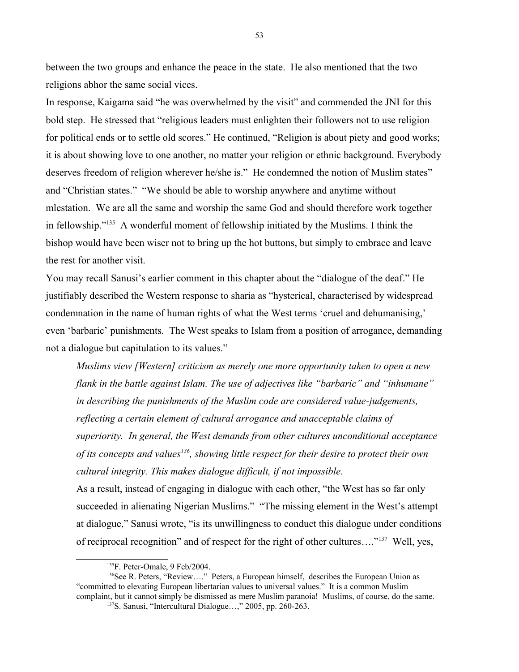between the two groups and enhance the peace in the state. He also mentioned that the two religions abhor the same social vices.

In response, Kaigama said "he was overwhelmed by the visit" and commended the JNI for this bold step. He stressed that "religious leaders must enlighten their followers not to use religion for political ends or to settle old scores." He continued, "Religion is about piety and good works; it is about showing love to one another, no matter your religion or ethnic background. Everybody deserves freedom of religion wherever he/she is." He condemned the notion of Muslim states" and "Christian states." "We should be able to worship anywhere and anytime without mlestation. We are all the same and worship the same God and should therefore work together in fellowship."[135](#page-52-0) A wonderful moment of fellowship initiated by the Muslims. I think the bishop would have been wiser not to bring up the hot buttons, but simply to embrace and leave the rest for another visit.

You may recall Sanusi's earlier comment in this chapter about the "dialogue of the deaf." He justifiably described the Western response to sharia as "hysterical, characterised by widespread condemnation in the name of human rights of what the West terms 'cruel and dehumanising,' even 'barbaric' punishments. The West speaks to Islam from a position of arrogance, demanding not a dialogue but capitulation to its values."

*Muslims view [Western] criticism as merely one more opportunity taken to open a new flank in the battle against Islam. The use of adjectives like "barbaric" and "inhumane" in describing the punishments of the Muslim code are considered value-judgements, reflecting a certain element of cultural arrogance and unacceptable claims of superiority. In general, the West demands from other cultures unconditional acceptance of its concepts and values[136](#page-52-1), showing little respect for their desire to protect their own cultural integrity. This makes dialogue difficult, if not impossible.*

As a result, instead of engaging in dialogue with each other, "the West has so far only succeeded in alienating Nigerian Muslims." "The missing element in the West's attempt at dialogue," Sanusi wrote, "is its unwillingness to conduct this dialogue under conditions of reciprocal recognition" and of respect for the right of other cultures…."[137](#page-52-2) Well, yes,

<span id="page-52-1"></span><span id="page-52-0"></span><sup>135</sup>F. Peter-Omale, 9 Feb/2004.

<sup>&</sup>lt;sup>136</sup>See R. Peters, "Review...." Peters, a European himself, describes the European Union as "committed to elevating European libertarian values to universal values." It is a common Muslim complaint, but it cannot simply be dismissed as mere Muslim paranoia! Muslims, of course, do the same.

<span id="page-52-2"></span><sup>137</sup>S. Sanusi, "Intercultural Dialogue…," 2005, pp. 260-263.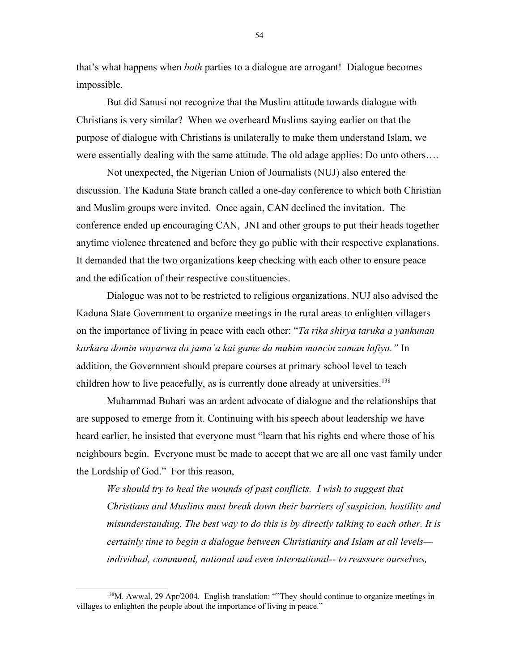that's what happens when *both* parties to a dialogue are arrogant! Dialogue becomes impossible.

But did Sanusi not recognize that the Muslim attitude towards dialogue with Christians is very similar? When we overheard Muslims saying earlier on that the purpose of dialogue with Christians is unilaterally to make them understand Islam, we were essentially dealing with the same attitude. The old adage applies: Do unto others….

Not unexpected, the Nigerian Union of Journalists (NUJ) also entered the discussion. The Kaduna State branch called a one-day conference to which both Christian and Muslim groups were invited. Once again, CAN declined the invitation. The conference ended up encouraging CAN, JNI and other groups to put their heads together anytime violence threatened and before they go public with their respective explanations. It demanded that the two organizations keep checking with each other to ensure peace and the edification of their respective constituencies.

Dialogue was not to be restricted to religious organizations. NUJ also advised the Kaduna State Government to organize meetings in the rural areas to enlighten villagers on the importance of living in peace with each other: "*Ta rika shirya taruka a yankunan karkara domin wayarwa da jama'a kai game da muhim mancin zaman lafiya."* In addition, the Government should prepare courses at primary school level to teach children how to live peacefully, as is currently done already at universities.<sup>[138](#page-53-0)</sup>

Muhammad Buhari was an ardent advocate of dialogue and the relationships that are supposed to emerge from it. Continuing with his speech about leadership we have heard earlier, he insisted that everyone must "learn that his rights end where those of his neighbours begin. Everyone must be made to accept that we are all one vast family under the Lordship of God." For this reason,

*We should try to heal the wounds of past conflicts. I wish to suggest that Christians and Muslims must break down their barriers of suspicion, hostility and misunderstanding. The best way to do this is by directly talking to each other. It is certainly time to begin a dialogue between Christianity and Islam at all levels individual, communal, national and even international-- to reassure ourselves,* 

<span id="page-53-0"></span><sup>138</sup>M. Awwal, 29 Apr/2004. English translation: ""They should continue to organize meetings in villages to enlighten the people about the importance of living in peace."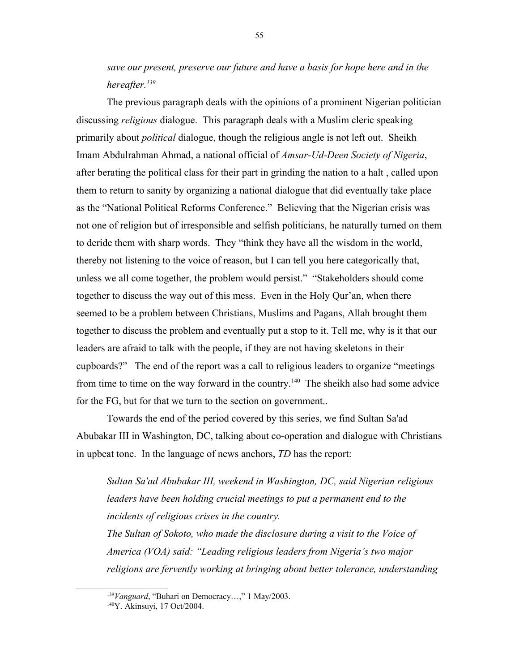*save our present, preserve our future and have a basis for hope here and in the hereafter.[139](#page-54-0)*

The previous paragraph deals with the opinions of a prominent Nigerian politician discussing *religious* dialogue. This paragraph deals with a Muslim cleric speaking primarily about *political* dialogue, though the religious angle is not left out. Sheikh Imam Abdulrahman Ahmad, a national official of *Amsar-Ud-Deen Society of Nigeria*, after berating the political class for their part in grinding the nation to a halt , called upon them to return to sanity by organizing a national dialogue that did eventually take place as the "National Political Reforms Conference." Believing that the Nigerian crisis was not one of religion but of irresponsible and selfish politicians, he naturally turned on them to deride them with sharp words. They "think they have all the wisdom in the world, thereby not listening to the voice of reason, but I can tell you here categorically that, unless we all come together, the problem would persist." "Stakeholders should come together to discuss the way out of this mess. Even in the Holy Qur'an, when there seemed to be a problem between Christians, Muslims and Pagans, Allah brought them together to discuss the problem and eventually put a stop to it. Tell me, why is it that our leaders are afraid to talk with the people, if they are not having skeletons in their cupboards?" The end of the report was a call to religious leaders to organize "meetings from time to time on the way forward in the country.<sup>[140](#page-54-1)</sup> The sheikh also had some advice for the FG, but for that we turn to the section on government..

Towards the end of the period covered by this series, we find Sultan Sa'ad Abubakar III in Washington, DC, talking about co-operation and dialogue with Christians in upbeat tone. In the language of news anchors, *TD* has the report:

*Sultan Sa'ad Abubakar III, weekend in Washington, DC, said Nigerian religious*  leaders have been holding crucial meetings to put a permanent end to the *incidents of religious crises in the country.*

*The Sultan of Sokoto, who made the disclosure during a visit to the Voice of America (VOA) said: "Leading religious leaders from Nigeria's two major religions are fervently working at bringing about better tolerance, understanding* 

<span id="page-54-0"></span><sup>139</sup>*Vanguard*, "Buhari on Democracy…," 1 May/2003.

<span id="page-54-1"></span><sup>140</sup>Y. Akinsuyi, 17 Oct/2004.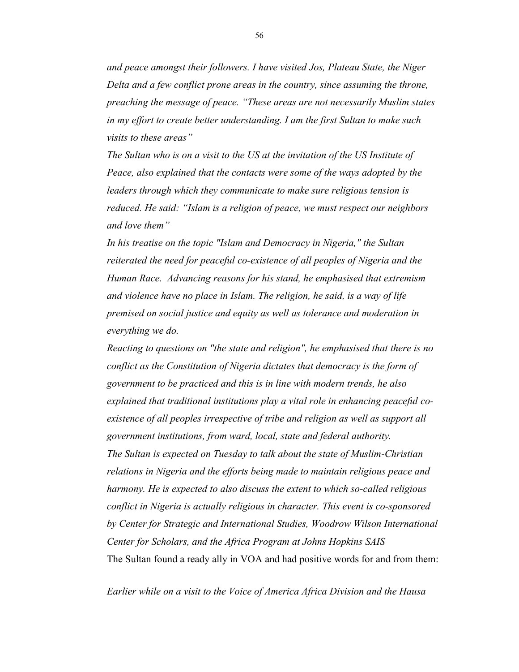*and peace amongst their followers. I have visited Jos, Plateau State, the Niger Delta and a few conflict prone areas in the country, since assuming the throne, preaching the message of peace. "These areas are not necessarily Muslim states in my effort to create better understanding. I am the first Sultan to make such visits to these areas"*

*The Sultan who is on a visit to the US at the invitation of the US Institute of Peace, also explained that the contacts were some of the ways adopted by the leaders through which they communicate to make sure religious tension is reduced. He said: "Islam is a religion of peace, we must respect our neighbors and love them"* 

*In his treatise on the topic "Islam and Democracy in Nigeria," the Sultan reiterated the need for peaceful co-existence of all peoples of Nigeria and the Human Race. Advancing reasons for his stand, he emphasised that extremism and violence have no place in Islam. The religion, he said, is a way of life premised on social justice and equity as well as tolerance and moderation in everything we do.*

*Reacting to questions on "the state and religion", he emphasised that there is no conflict as the Constitution of Nigeria dictates that democracy is the form of government to be practiced and this is in line with modern trends, he also explained that traditional institutions play a vital role in enhancing peaceful coexistence of all peoples irrespective of tribe and religion as well as support all government institutions, from ward, local, state and federal authority. The Sultan is expected on Tuesday to talk about the state of Muslim-Christian relations in Nigeria and the efforts being made to maintain religious peace and harmony. He is expected to also discuss the extent to which so-called religious conflict in Nigeria is actually religious in character. This event is co-sponsored by Center for Strategic and International Studies, Woodrow Wilson International Center for Scholars, and the Africa Program at Johns Hopkins SAIS* The Sultan found a ready ally in VOA and had positive words for and from them:

*Earlier while on a visit to the Voice of America Africa Division and the Hausa*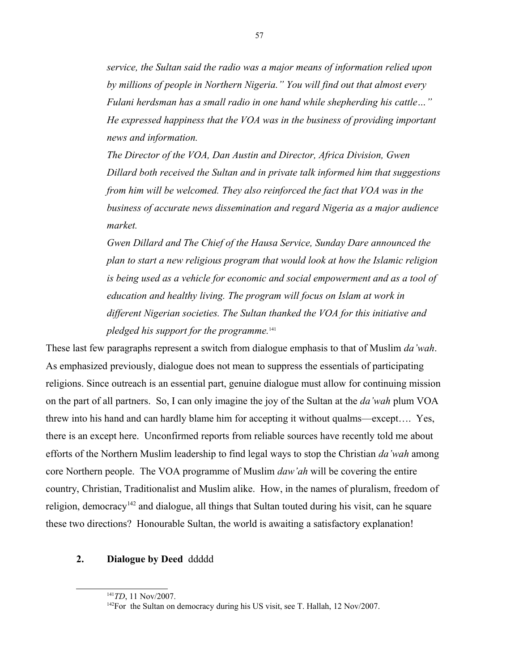*service, the Sultan said the radio was a major means of information relied upon by millions of people in Northern Nigeria." You will find out that almost every Fulani herdsman has a small radio in one hand while shepherding his cattle…" He expressed happiness that the VOA was in the business of providing important news and information.*

*The Director of the VOA, Dan Austin and Director, Africa Division, Gwen Dillard both received the Sultan and in private talk informed him that suggestions from him will be welcomed. They also reinforced the fact that VOA was in the business of accurate news dissemination and regard Nigeria as a major audience market.*

*Gwen Dillard and The Chief of the Hausa Service, Sunday Dare announced the plan to start a new religious program that would look at how the Islamic religion is being used as a vehicle for economic and social empowerment and as a tool of education and healthy living. The program will focus on Islam at work in different Nigerian societies. The Sultan thanked the VOA for this initiative and pledged his support for the programme.*[141](#page-56-0)

These last few paragraphs represent a switch from dialogue emphasis to that of Muslim *da'wah*. As emphasized previously, dialogue does not mean to suppress the essentials of participating religions. Since outreach is an essential part, genuine dialogue must allow for continuing mission on the part of all partners. So, I can only imagine the joy of the Sultan at the *da'wah* plum VOA threw into his hand and can hardly blame him for accepting it without qualms—except…. Yes, there is an except here. Unconfirmed reports from reliable sources have recently told me about efforts of the Northern Muslim leadership to find legal ways to stop the Christian *da'wah* among core Northern people. The VOA programme of Muslim *daw'ah* will be covering the entire country, Christian, Traditionalist and Muslim alike. How, in the names of pluralism, freedom of religion, democracy<sup>[142](#page-56-1)</sup> and dialogue, all things that Sultan touted during his visit, can he square these two directions? Honourable Sultan, the world is awaiting a satisfactory explanation!

# **2. Dialogue by Deed** ddddd

<span id="page-56-0"></span><sup>141</sup>*TD*, 11 Nov/2007.

<span id="page-56-1"></span><sup>&</sup>lt;sup>142</sup>For the Sultan on democracy during his US visit, see T. Hallah, 12 Nov/2007.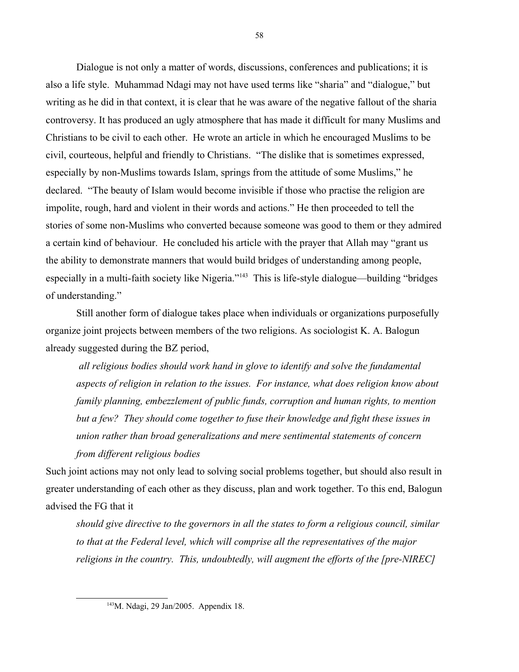Dialogue is not only a matter of words, discussions, conferences and publications; it is also a life style. Muhammad Ndagi may not have used terms like "sharia" and "dialogue," but writing as he did in that context, it is clear that he was aware of the negative fallout of the sharia controversy. It has produced an ugly atmosphere that has made it difficult for many Muslims and Christians to be civil to each other. He wrote an article in which he encouraged Muslims to be civil, courteous, helpful and friendly to Christians. "The dislike that is sometimes expressed, especially by non-Muslims towards Islam, springs from the attitude of some Muslims," he declared. "The beauty of Islam would become invisible if those who practise the religion are impolite, rough, hard and violent in their words and actions." He then proceeded to tell the stories of some non-Muslims who converted because someone was good to them or they admired a certain kind of behaviour. He concluded his article with the prayer that Allah may "grant us the ability to demonstrate manners that would build bridges of understanding among people, especially in a multi-faith society like Nigeria."<sup>[143](#page-57-0)</sup> This is life-style dialogue—building "bridges" of understanding."

Still another form of dialogue takes place when individuals or organizations purposefully organize joint projects between members of the two religions. As sociologist K. A. Balogun already suggested during the BZ period,

 *all religious bodies should work hand in glove to identify and solve the fundamental aspects of religion in relation to the issues. For instance, what does religion know about family planning, embezzlement of public funds, corruption and human rights, to mention but a few? They should come together to fuse their knowledge and fight these issues in union rather than broad generalizations and mere sentimental statements of concern from different religious bodies*

Such joint actions may not only lead to solving social problems together, but should also result in greater understanding of each other as they discuss, plan and work together. To this end, Balogun advised the FG that it

*should give directive to the governors in all the states to form a religious council, similar to that at the Federal level, which will comprise all the representatives of the major religions in the country. This, undoubtedly, will augment the efforts of the [pre-NIREC]*

<span id="page-57-0"></span><sup>143</sup>M. Ndagi, 29 Jan/2005. Appendix 18.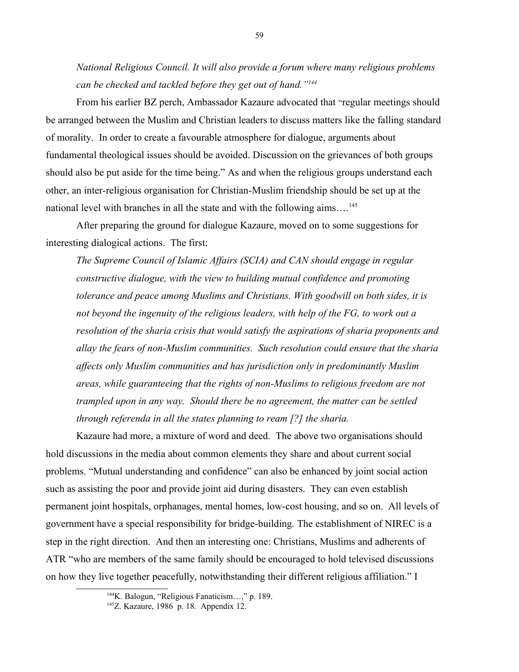*National Religious Council. It will also provide a forum where many religious problems can be checked and tackled before they get out of hand."[144](#page-58-0)*

From his earlier BZ perch, Ambassador Kazaure advocated that "regular meetings should be arranged between the Muslim and Christian leaders to discuss matters like the falling standard of morality. In order to create a favourable atmosphere for dialogue, arguments about fundamental theological issues should be avoided. Discussion on the grievances of both groups should also be put aside for the time being." As and when the religious groups understand each other, an inter-religious organisation for Christian-Muslim friendship should be set up at the national level with branches in all the state and with the following aims...<sup>[145](#page-58-1)</sup>

After preparing the ground for dialogue Kazaure, moved on to some suggestions for interesting dialogical actions. The first:

*The Supreme Council of Islamic Affairs (SCIA) and CAN should engage in regular constructive dialogue, with the view to building mutual confidence and promoting tolerance and peace among Muslims and Christians. With goodwill on both sides, it is not beyond the ingenuity of the religious leaders, with help of the FG, to work out a resolution of the sharia crisis that would satisfy the aspirations of sharia proponents and allay the fears of non-Muslim communities. Such resolution could ensure that the sharia affects only Muslim communities and has jurisdiction only in predominantly Muslim areas, while guaranteeing that the rights of non-Muslims to religious freedom are not trampled upon in any way. Should there be no agreement, the matter can be settled through referenda in all the states planning to ream [?] the sharia.*

Kazaure had more, a mixture of word and deed. The above two organisations should hold discussions in the media about common elements they share and about current social problems. "Mutual understanding and confidence" can also be enhanced by joint social action such as assisting the poor and provide joint aid during disasters. They can even establish permanent joint hospitals, orphanages, mental homes, low-cost housing, and so on. All levels of government have a special responsibility for bridge-building. The establishment of NIREC is a step in the right direction. And then an interesting one: Christians, Muslims and adherents of ATR "who are members of the same family should be encouraged to hold televised discussions on how they live together peacefully, notwithstanding their different religious affiliation." I

<span id="page-58-0"></span><sup>144</sup>K. Balogun, "Religious Fanaticism…," p. 189.

<span id="page-58-1"></span><sup>145</sup>Z. Kazaure, 1986 p. 18. Appendix 12.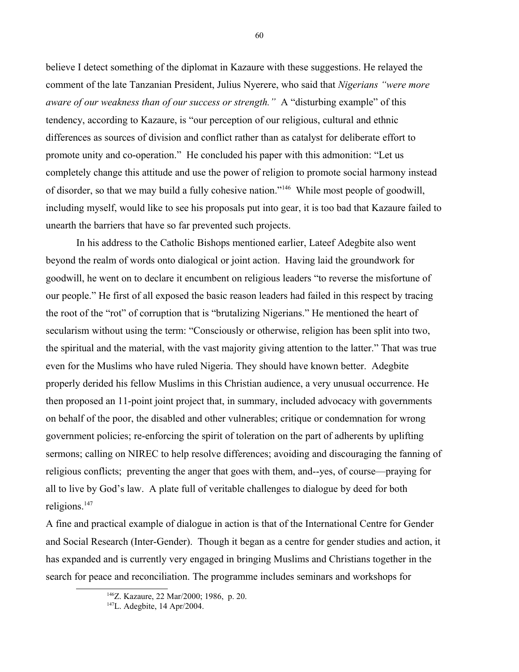believe I detect something of the diplomat in Kazaure with these suggestions. He relayed the comment of the late Tanzanian President, Julius Nyerere, who said that *Nigerians "were more aware of our weakness than of our success or strength."* A "disturbing example" of this tendency, according to Kazaure, is "our perception of our religious, cultural and ethnic differences as sources of division and conflict rather than as catalyst for deliberate effort to promote unity and co-operation." He concluded his paper with this admonition: "Let us completely change this attitude and use the power of religion to promote social harmony instead of disorder, so that we may build a fully cohesive nation."[146](#page-59-0) While most people of goodwill, including myself, would like to see his proposals put into gear, it is too bad that Kazaure failed to unearth the barriers that have so far prevented such projects.

In his address to the Catholic Bishops mentioned earlier, Lateef Adegbite also went beyond the realm of words onto dialogical or joint action. Having laid the groundwork for goodwill, he went on to declare it encumbent on religious leaders "to reverse the misfortune of our people." He first of all exposed the basic reason leaders had failed in this respect by tracing the root of the "rot" of corruption that is "brutalizing Nigerians." He mentioned the heart of secularism without using the term: "Consciously or otherwise, religion has been split into two, the spiritual and the material, with the vast majority giving attention to the latter." That was true even for the Muslims who have ruled Nigeria. They should have known better. Adegbite properly derided his fellow Muslims in this Christian audience, a very unusual occurrence. He then proposed an 11-point joint project that, in summary, included advocacy with governments on behalf of the poor, the disabled and other vulnerables; critique or condemnation for wrong government policies; re-enforcing the spirit of toleration on the part of adherents by uplifting sermons; calling on NIREC to help resolve differences; avoiding and discouraging the fanning of religious conflicts; preventing the anger that goes with them, and--yes, of course—praying for all to live by God's law. A plate full of veritable challenges to dialogue by deed for both religions.<sup>[147](#page-59-1)</sup>

A fine and practical example of dialogue in action is that of the International Centre for Gender and Social Research (Inter-Gender). Though it began as a centre for gender studies and action, it has expanded and is currently very engaged in bringing Muslims and Christians together in the search for peace and reconciliation. The programme includes seminars and workshops for

<span id="page-59-0"></span><sup>146</sup>Z. Kazaure, 22 Mar/2000; 1986, p. 20.

<span id="page-59-1"></span><sup>147</sup>L. Adegbite, 14 Apr/2004.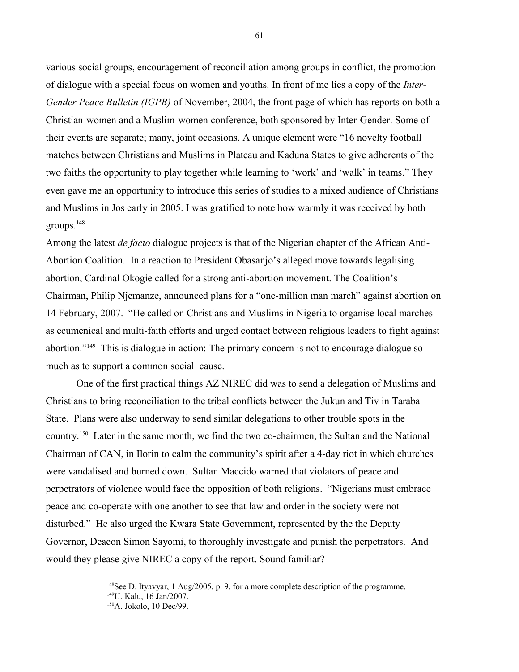various social groups, encouragement of reconciliation among groups in conflict, the promotion of dialogue with a special focus on women and youths. In front of me lies a copy of the *Inter-Gender Peace Bulletin (IGPB)* of November, 2004, the front page of which has reports on both a Christian-women and a Muslim-women conference, both sponsored by Inter-Gender. Some of their events are separate; many, joint occasions. A unique element were "16 novelty football matches between Christians and Muslims in Plateau and Kaduna States to give adherents of the two faiths the opportunity to play together while learning to 'work' and 'walk' in teams." They even gave me an opportunity to introduce this series of studies to a mixed audience of Christians and Muslims in Jos early in 2005. I was gratified to note how warmly it was received by both groups.<sup>[148](#page-60-0)</sup>

Among the latest *de facto* dialogue projects is that of the Nigerian chapter of the African Anti-Abortion Coalition. In a reaction to President Obasanjo's alleged move towards legalising abortion, Cardinal Okogie called for a strong anti-abortion movement. The Coalition's Chairman, Philip Njemanze, announced plans for a "one-million man march" against abortion on 14 February, 2007. "He called on Christians and Muslims in Nigeria to organise local marches as ecumenical and multi-faith efforts and urged contact between religious leaders to fight against abortion."[149](#page-60-1) This is dialogue in action: The primary concern is not to encourage dialogue so much as to support a common social cause.

One of the first practical things AZ NIREC did was to send a delegation of Muslims and Christians to bring reconciliation to the tribal conflicts between the Jukun and Tiv in Taraba State. Plans were also underway to send similar delegations to other trouble spots in the country.[150](#page-60-2) Later in the same month, we find the two co-chairmen, the Sultan and the National Chairman of CAN, in Ilorin to calm the community's spirit after a 4-day riot in which churches were vandalised and burned down. Sultan Maccido warned that violators of peace and perpetrators of violence would face the opposition of both religions. "Nigerians must embrace peace and co-operate with one another to see that law and order in the society were not disturbed." He also urged the Kwara State Government, represented by the the Deputy Governor, Deacon Simon Sayomi, to thoroughly investigate and punish the perpetrators. And would they please give NIREC a copy of the report. Sound familiar?

<span id="page-60-1"></span><span id="page-60-0"></span><sup>&</sup>lt;sup>148</sup>See D. Ityavyar, 1 Aug/2005, p. 9, for a more complete description of the programme. <sup>149</sup>U. Kalu, 16 Jan/2007.

<span id="page-60-2"></span><sup>150</sup>A. Jokolo, 10 Dec/99.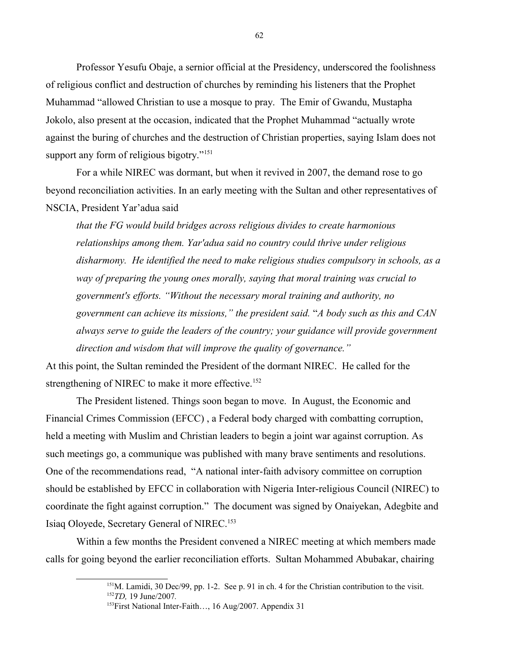Professor Yesufu Obaje, a sernior official at the Presidency, underscored the foolishness of religious conflict and destruction of churches by reminding his listeners that the Prophet Muhammad "allowed Christian to use a mosque to pray. The Emir of Gwandu, Mustapha Jokolo, also present at the occasion, indicated that the Prophet Muhammad "actually wrote against the buring of churches and the destruction of Christian properties, saying Islam does not support any form of religious bigotry."<sup>[151](#page-61-0)</sup>

For a while NIREC was dormant, but when it revived in 2007, the demand rose to go beyond reconciliation activities. In an early meeting with the Sultan and other representatives of NSCIA, President Yar'adua said

*that the FG would build bridges across religious divides to create harmonious relationships among them. Yar'adua said no country could thrive under religious disharmony. He identified the need to make religious studies compulsory in schools, as a way of preparing the young ones morally, saying that moral training was crucial to government's efforts. "Without the necessary moral training and authority, no government can achieve its missions," the president said.* "*A body such as this and CAN always serve to guide the leaders of the country; your guidance will provide government direction and wisdom that will improve the quality of governance."* 

At this point, the Sultan reminded the President of the dormant NIREC. He called for the strengthening of NIREC to make it more effective.<sup>[152](#page-61-1)</sup>

The President listened. Things soon began to move. In August, the Economic and Financial Crimes Commission (EFCC) , a Federal body charged with combatting corruption, held a meeting with Muslim and Christian leaders to begin a joint war against corruption. As such meetings go, a communique was published with many brave sentiments and resolutions. One of the recommendations read, "A national inter-faith advisory committee on corruption should be established by EFCC in collaboration with Nigeria Inter-religious Council (NIREC) to coordinate the fight against corruption." The document was signed by Onaiyekan, Adegbite and Isiaq Oloyede, Secretary General of NIREC.[153](#page-61-2)

Within a few months the President convened a NIREC meeting at which members made calls for going beyond the earlier reconciliation efforts. Sultan Mohammed Abubakar, chairing

<span id="page-61-0"></span><sup>&</sup>lt;sup>151</sup>M. Lamidi, 30 Dec/99, pp. 1-2. See p. 91 in ch. 4 for the Christian contribution to the visit. <sup>152</sup>*TD,* 19 June/2007*.*

<span id="page-61-2"></span><span id="page-61-1"></span><sup>&</sup>lt;sup>153</sup>First National Inter-Faith..., 16 Aug/2007. Appendix 31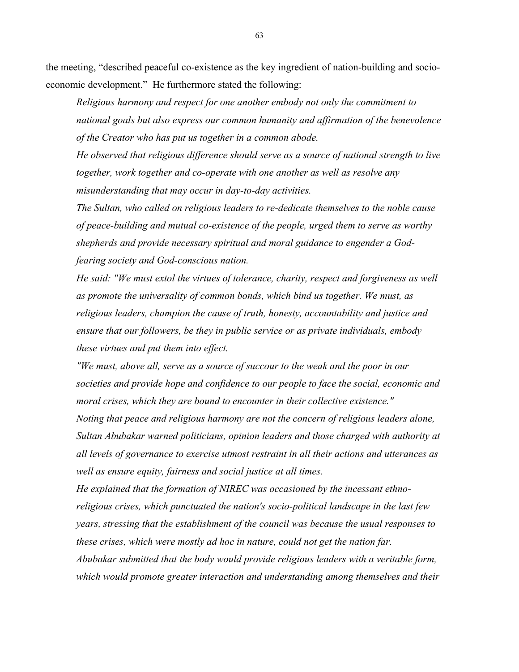the meeting, "described peaceful co-existence as the key ingredient of nation-building and socioeconomic development." He furthermore stated the following:

*Religious harmony and respect for one another embody not only the commitment to national goals but also express our common humanity and affirmation of the benevolence of the Creator who has put us together in a common abode.*

*He observed that religious difference should serve as a source of national strength to live together, work together and co-operate with one another as well as resolve any misunderstanding that may occur in day-to-day activities.*

*The Sultan, who called on religious leaders to re-dedicate themselves to the noble cause of peace-building and mutual co-existence of the people, urged them to serve as worthy shepherds and provide necessary spiritual and moral guidance to engender a Godfearing society and God-conscious nation.* 

*He said: "We must extol the virtues of tolerance, charity, respect and forgiveness as well as promote the universality of common bonds, which bind us together. We must, as religious leaders, champion the cause of truth, honesty, accountability and justice and ensure that our followers, be they in public service or as private individuals, embody these virtues and put them into effect.*

*"We must, above all, serve as a source of succour to the weak and the poor in our societies and provide hope and confidence to our people to face the social, economic and moral crises, which they are bound to encounter in their collective existence."*

*Noting that peace and religious harmony are not the concern of religious leaders alone, Sultan Abubakar warned politicians, opinion leaders and those charged with authority at all levels of governance to exercise utmost restraint in all their actions and utterances as well as ensure equity, fairness and social justice at all times.*

*He explained that the formation of NIREC was occasioned by the incessant ethnoreligious crises, which punctuated the nation's socio-political landscape in the last few years, stressing that the establishment of the council was because the usual responses to these crises, which were mostly ad hoc in nature, could not get the nation far.*

*Abubakar submitted that the body would provide religious leaders with a veritable form, which would promote greater interaction and understanding among themselves and their*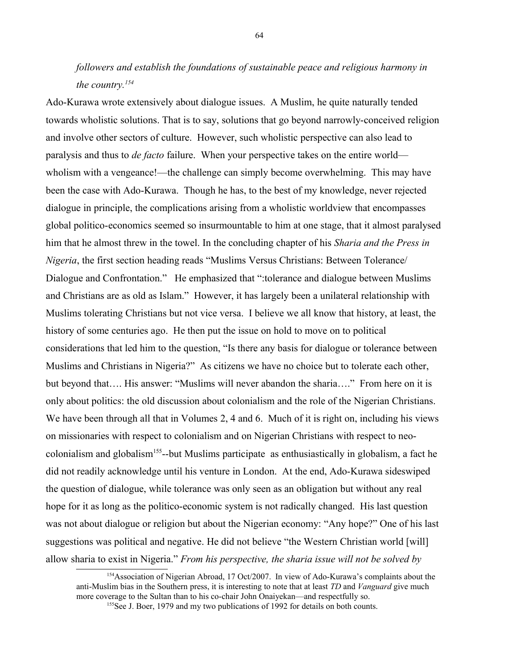# *followers and establish the foundations of sustainable peace and religious harmony in the country.[154](#page-63-0)*

Ado-Kurawa wrote extensively about dialogue issues. A Muslim, he quite naturally tended towards wholistic solutions. That is to say, solutions that go beyond narrowly-conceived religion and involve other sectors of culture. However, such wholistic perspective can also lead to paralysis and thus to *de facto* failure. When your perspective takes on the entire world wholism with a vengeance!—the challenge can simply become overwhelming. This may have been the case with Ado-Kurawa. Though he has, to the best of my knowledge, never rejected dialogue in principle, the complications arising from a wholistic worldview that encompasses global politico-economics seemed so insurmountable to him at one stage, that it almost paralysed him that he almost threw in the towel. In the concluding chapter of his *Sharia and the Press in Nigeria*, the first section heading reads "Muslims Versus Christians: Between Tolerance/ Dialogue and Confrontation." He emphasized that ":tolerance and dialogue between Muslims and Christians are as old as Islam." However, it has largely been a unilateral relationship with Muslims tolerating Christians but not vice versa. I believe we all know that history, at least, the history of some centuries ago. He then put the issue on hold to move on to political considerations that led him to the question, "Is there any basis for dialogue or tolerance between Muslims and Christians in Nigeria?" As citizens we have no choice but to tolerate each other, but beyond that…. His answer: "Muslims will never abandon the sharia…." From here on it is only about politics: the old discussion about colonialism and the role of the Nigerian Christians. We have been through all that in Volumes 2, 4 and 6. Much of it is right on, including his views on missionaries with respect to colonialism and on Nigerian Christians with respect to neocolonialism and globalism[155](#page-63-1)--but Muslims participate as enthusiastically in globalism, a fact he did not readily acknowledge until his venture in London. At the end, Ado-Kurawa sideswiped the question of dialogue, while tolerance was only seen as an obligation but without any real hope for it as long as the politico-economic system is not radically changed. His last question was not about dialogue or religion but about the Nigerian economy: "Any hope?" One of his last suggestions was political and negative. He did not believe "the Western Christian world [will] allow sharia to exist in Nigeria." *From his perspective, the sharia issue will not be solved by* 

<sup>&</sup>lt;sup>154</sup>Association of Nigerian Abroad, 17 Oct/2007. In view of Ado-Kurawa's complaints about the anti-Muslim bias in the Southern press, it is interesting to note that at least *TD* and *Vanguard* give much more coverage to the Sultan than to his co-chair John Onaiyekan—and respectfully so.

<span id="page-63-1"></span><span id="page-63-0"></span><sup>&</sup>lt;sup>155</sup>See J. Boer, 1979 and my two publications of 1992 for details on both counts.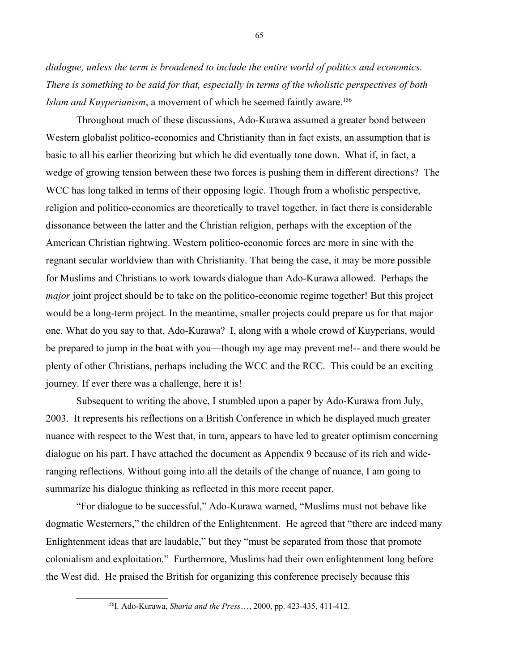*dialogue, unless the term is broadened to include the entire world of politics and economics. There is something to be said for that, especially in terms of the wholistic perspectives of both Islam and Kuyperianism*, a movement of which he seemed faintly aware.<sup>[156](#page-64-0)</sup>

Throughout much of these discussions, Ado-Kurawa assumed a greater bond between Western globalist politico-economics and Christianity than in fact exists, an assumption that is basic to all his earlier theorizing but which he did eventually tone down. What if, in fact, a wedge of growing tension between these two forces is pushing them in different directions? The WCC has long talked in terms of their opposing logic. Though from a wholistic perspective, religion and politico-economics are theoretically to travel together, in fact there is considerable dissonance between the latter and the Christian religion, perhaps with the exception of the American Christian rightwing. Western politico-economic forces are more in sinc with the regnant secular worldview than with Christianity. That being the case, it may be more possible for Muslims and Christians to work towards dialogue than Ado-Kurawa allowed. Perhaps the *major* joint project should be to take on the politico-economic regime together! But this project would be a long-term project. In the meantime, smaller projects could prepare us for that major one. What do you say to that, Ado-Kurawa? I, along with a whole crowd of Kuyperians, would be prepared to jump in the boat with you—though my age may prevent me!-- and there would be plenty of other Christians, perhaps including the WCC and the RCC. This could be an exciting journey. If ever there was a challenge, here it is!

Subsequent to writing the above, I stumbled upon a paper by Ado-Kurawa from July, 2003. It represents his reflections on a British Conference in which he displayed much greater nuance with respect to the West that, in turn, appears to have led to greater optimism concerning dialogue on his part. I have attached the document as Appendix 9 because of its rich and wideranging reflections. Without going into all the details of the change of nuance, I am going to summarize his dialogue thinking as reflected in this more recent paper.

"For dialogue to be successful," Ado-Kurawa warned, "Muslims must not behave like dogmatic Westerners," the children of the Enlightenment. He agreed that "there are indeed many Enlightenment ideas that are laudable," but they "must be separated from those that promote colonialism and exploitation." Furthermore, Muslims had their own enlightenment long before the West did. He praised the British for organizing this conference precisely because this

<span id="page-64-0"></span><sup>156</sup>I. Ado-Kurawa, *Sharia and the Press*…, 2000, pp. 423-435, 411-412.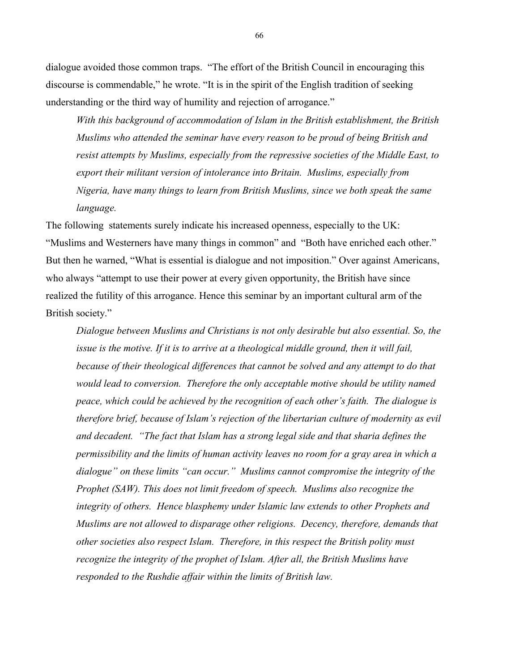dialogue avoided those common traps. "The effort of the British Council in encouraging this discourse is commendable," he wrote. "It is in the spirit of the English tradition of seeking understanding or the third way of humility and rejection of arrogance."

*With this background of accommodation of Islam in the British establishment, the British Muslims who attended the seminar have every reason to be proud of being British and resist attempts by Muslims, especially from the repressive societies of the Middle East, to export their militant version of intolerance into Britain. Muslims, especially from Nigeria, have many things to learn from British Muslims, since we both speak the same language.*

The following statements surely indicate his increased openness, especially to the UK: "Muslims and Westerners have many things in common" and "Both have enriched each other." But then he warned, "What is essential is dialogue and not imposition." Over against Americans, who always "attempt to use their power at every given opportunity, the British have since realized the futility of this arrogance. Hence this seminar by an important cultural arm of the British society."

*Dialogue between Muslims and Christians is not only desirable but also essential. So, the issue is the motive. If it is to arrive at a theological middle ground, then it will fail, because of their theological differences that cannot be solved and any attempt to do that would lead to conversion. Therefore the only acceptable motive should be utility named peace, which could be achieved by the recognition of each other's faith. The dialogue is therefore brief, because of Islam's rejection of the libertarian culture of modernity as evil and decadent. "The fact that Islam has a strong legal side and that sharia defines the permissibility and the limits of human activity leaves no room for a gray area in which a dialogue" on these limits "can occur." Muslims cannot compromise the integrity of the Prophet (SAW). This does not limit freedom of speech. Muslims also recognize the integrity of others. Hence blasphemy under Islamic law extends to other Prophets and Muslims are not allowed to disparage other religions. Decency, therefore, demands that other societies also respect Islam. Therefore, in this respect the British polity must recognize the integrity of the prophet of Islam. After all, the British Muslims have responded to the Rushdie affair within the limits of British law.*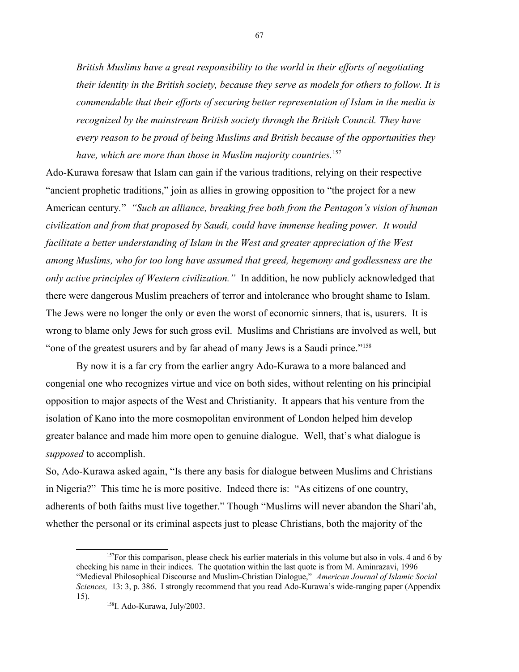*British Muslims have a great responsibility to the world in their efforts of negotiating their identity in the British society, because they serve as models for others to follow. It is commendable that their efforts of securing better representation of Islam in the media is recognized by the mainstream British society through the British Council. They have every reason to be proud of being Muslims and British because of the opportunities they have, which are more than those in Muslim majority countries.*[157](#page-66-0)

Ado-Kurawa foresaw that Islam can gain if the various traditions, relying on their respective "ancient prophetic traditions," join as allies in growing opposition to "the project for a new American century*.*" *"Such an alliance, breaking free both from the Pentagon's vision of human civilization and from that proposed by Saudi, could have immense healing power. It would facilitate a better understanding of Islam in the West and greater appreciation of the West among Muslims, who for too long have assumed that greed, hegemony and godlessness are the only active principles of Western civilization."* In addition, he now publicly acknowledged that there were dangerous Muslim preachers of terror and intolerance who brought shame to Islam. The Jews were no longer the only or even the worst of economic sinners, that is, usurers. It is wrong to blame only Jews for such gross evil. Muslims and Christians are involved as well, but "one of the greatest usurers and by far ahead of many Jews is a Saudi prince."<sup>[158](#page-66-1)</sup>

By now it is a far cry from the earlier angry Ado-Kurawa to a more balanced and congenial one who recognizes virtue and vice on both sides, without relenting on his principial opposition to major aspects of the West and Christianity. It appears that his venture from the isolation of Kano into the more cosmopolitan environment of London helped him develop greater balance and made him more open to genuine dialogue. Well, that's what dialogue is *supposed* to accomplish.

So, Ado-Kurawa asked again, "Is there any basis for dialogue between Muslims and Christians in Nigeria?" This time he is more positive. Indeed there is: "As citizens of one country, adherents of both faiths must live together." Though "Muslims will never abandon the Shari'ah, whether the personal or its criminal aspects just to please Christians, both the majority of the

<span id="page-66-0"></span> $157$  For this comparison, please check his earlier materials in this volume but also in vols. 4 and 6 by checking his name in their indices. The quotation within the last quote is from M. Aminrazavi, 1996 "Medieval Philosophical Discourse and Muslim-Christian Dialogue," *American Journal of Islamic Social Sciences,* 13: 3, p. 386. I strongly recommend that you read Ado-Kurawa's wide-ranging paper (Appendix 15).

<span id="page-66-1"></span><sup>158</sup>I. Ado-Kurawa, July/2003.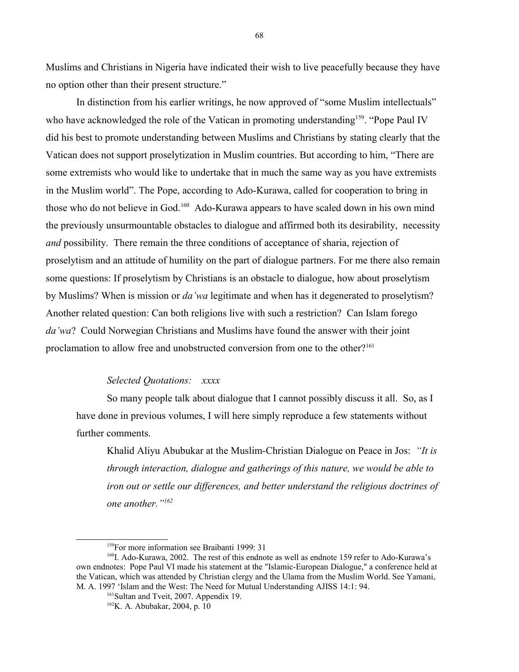Muslims and Christians in Nigeria have indicated their wish to live peacefully because they have no option other than their present structure."

In distinction from his earlier writings, he now approved of "some Muslim intellectuals" who have acknowledged the role of the Vatican in promoting understanding<sup>[159](#page-67-0)</sup>. "Pope Paul IV did his best to promote understanding between Muslims and Christians by stating clearly that the Vatican does not support proselytization in Muslim countries. But according to him, "There are some extremists who would like to undertake that in much the same way as you have extremists in the Muslim world". The Pope, according to Ado-Kurawa, called for cooperation to bring in those who do not believe in God.<sup>[160](#page-67-1)</sup> Ado-Kurawa appears to have scaled down in his own mind the previously unsurmountable obstacles to dialogue and affirmed both its desirability, necessity *and* possibility. There remain the three conditions of acceptance of sharia, rejection of proselytism and an attitude of humility on the part of dialogue partners. For me there also remain some questions: If proselytism by Christians is an obstacle to dialogue, how about proselytism by Muslims? When is mission or *da'wa* legitimate and when has it degenerated to proselytism? Another related question: Can both religions live with such a restriction? Can Islam forego *da'wa*? Could Norwegian Christians and Muslims have found the answer with their joint proclamation to allow free and unobstructed conversion from one to the other?<sup>[161](#page-67-2)</sup>

### *Selected Quotations: xxxx*

So many people talk about dialogue that I cannot possibly discuss it all. So, as I have done in previous volumes, I will here simply reproduce a few statements without further comments.

Khalid Aliyu Abubukar at the Muslim-Christian Dialogue on Peace in Jos: *"It is through interaction, dialogue and gatherings of this nature, we would be able to iron out or settle our differences, and better understand the religious doctrines of one another."[162](#page-67-3)*

<span id="page-67-1"></span><span id="page-67-0"></span><sup>&</sup>lt;sup>159</sup>For more information see Braibanti 1999: 31

<sup>&</sup>lt;sup>160</sup>I. Ado-Kurawa, 2002. The rest of this endnote as well as endnote 159 refer to Ado-Kurawa's own endnotes: Pope Paul VI made his statement at the "Islamic-European Dialogue," a conference held at the Vatican, which was attended by Christian clergy and the Ulama from the Muslim World. See Yamani, M. A. 1997 'Islam and the West: The Need for Mutual Understanding AJISS 14:1: 94.

<span id="page-67-2"></span><sup>&</sup>lt;sup>161</sup>Sultan and Tveit, 2007. Appendix 19.

<span id="page-67-3"></span><sup>162</sup>K. A. Abubakar, 2004, p. 10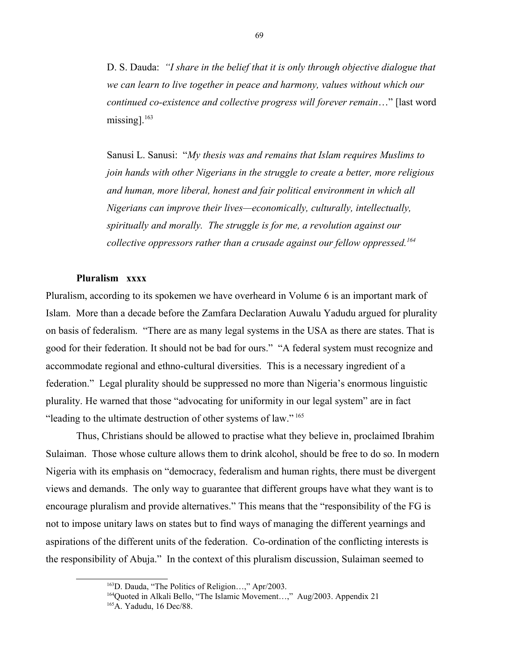D. S. Dauda: *"I share in the belief that it is only through objective dialogue that we can learn to live together in peace and harmony, values without which our continued co-existence and collective progress will forever remain*…" [last word missing]. $163$ 

Sanusi L. Sanusi: "*My thesis was and remains that Islam requires Muslims to join hands with other Nigerians in the struggle to create a better, more religious and human, more liberal, honest and fair political environment in which all Nigerians can improve their lives—economically, culturally, intellectually, spiritually and morally. The struggle is for me, a revolution against our collective oppressors rather than a crusade against our fellow oppressed.[164](#page-68-1)*

### **Pluralism xxxx**

Pluralism, according to its spokemen we have overheard in Volume 6 is an important mark of Islam. More than a decade before the Zamfara Declaration Auwalu Yadudu argued for plurality on basis of federalism. "There are as many legal systems in the USA as there are states. That is good for their federation. It should not be bad for ours." "A federal system must recognize and accommodate regional and ethno-cultural diversities. This is a necessary ingredient of a federation." Legal plurality should be suppressed no more than Nigeria's enormous linguistic plurality. He warned that those "advocating for uniformity in our legal system" are in fact "leading to the ultimate destruction of other systems of law." [165](#page-68-2)

Thus, Christians should be allowed to practise what they believe in, proclaimed Ibrahim Sulaiman. Those whose culture allows them to drink alcohol, should be free to do so. In modern Nigeria with its emphasis on "democracy, federalism and human rights, there must be divergent views and demands. The only way to guarantee that different groups have what they want is to encourage pluralism and provide alternatives." This means that the "responsibility of the FG is not to impose unitary laws on states but to find ways of managing the different yearnings and aspirations of the different units of the federation. Co-ordination of the conflicting interests is the responsibility of Abuja." In the context of this pluralism discussion, Sulaiman seemed to

<span id="page-68-0"></span><sup>163</sup>D. Dauda, "The Politics of Religion…," Apr/2003.

<span id="page-68-1"></span><sup>&</sup>lt;sup>164</sup>Quoted in Alkali Bello, "The Islamic Movement...," Aug/2003. Appendix 21

<span id="page-68-2"></span><sup>165</sup>A. Yadudu, 16 Dec/88.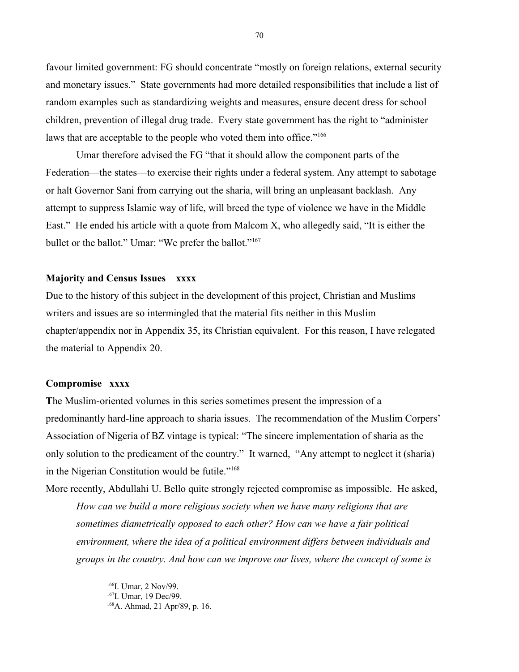favour limited government: FG should concentrate "mostly on foreign relations, external security and monetary issues." State governments had more detailed responsibilities that include a list of random examples such as standardizing weights and measures, ensure decent dress for school children, prevention of illegal drug trade. Every state government has the right to "administer laws that are acceptable to the people who voted them into office."<sup>[166](#page-69-0)</sup>

Umar therefore advised the FG "that it should allow the component parts of the Federation—the states—to exercise their rights under a federal system. Any attempt to sabotage or halt Governor Sani from carrying out the sharia, will bring an unpleasant backlash. Any attempt to suppress Islamic way of life, will breed the type of violence we have in the Middle East." He ended his article with a quote from Malcom X, who allegedly said, "It is either the bullet or the ballot." Umar: "We prefer the ballot."<sup>[167](#page-69-1)</sup>

### **Majority and Census Issues xxxx**

Due to the history of this subject in the development of this project, Christian and Muslims writers and issues are so intermingled that the material fits neither in this Muslim chapter/appendix nor in Appendix 35, its Christian equivalent. For this reason, I have relegated the material to Appendix 20.

# **Compromise xxxx**

**T**he Muslim-oriented volumes in this series sometimes present the impression of a predominantly hard-line approach to sharia issues. The recommendation of the Muslim Corpers' Association of Nigeria of BZ vintage is typical: "The sincere implementation of sharia as the only solution to the predicament of the country." It warned, "Any attempt to neglect it (sharia) in the Nigerian Constitution would be futile."<sup>[168](#page-69-2)</sup>

More recently, Abdullahi U. Bello quite strongly rejected compromise as impossible. He asked, *How can we build a more religious society when we have many religions that are sometimes diametrically opposed to each other? How can we have a fair political environment, where the idea of a political environment differs between individuals and groups in the country. And how can we improve our lives, where the concept of some is* 

<span id="page-69-0"></span><sup>&</sup>lt;sup>166</sup>I. Umar, 2 Nov/99.

<span id="page-69-1"></span><sup>&</sup>lt;sup>167</sup>I. Umar, 19 Dec/99.

<span id="page-69-2"></span><sup>168</sup>A. Ahmad, 21 Apr/89, p. 16.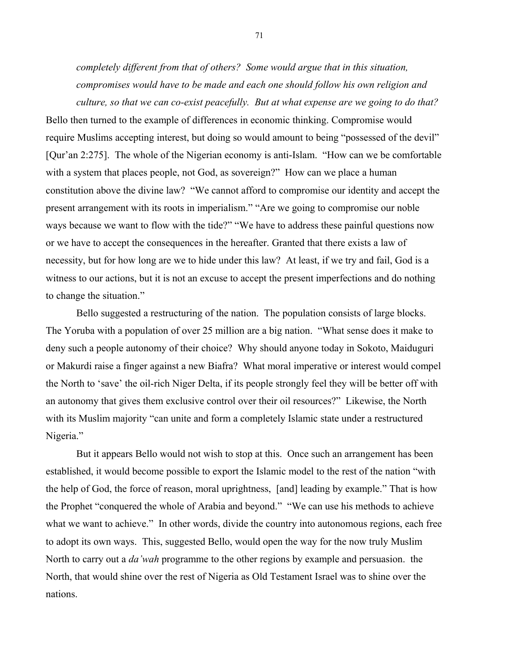*completely different from that of others? Some would argue that in this situation, compromises would have to be made and each one should follow his own religion and culture, so that we can co-exist peacefully. But at what expense are we going to do that?*

Bello then turned to the example of differences in economic thinking. Compromise would require Muslims accepting interest, but doing so would amount to being "possessed of the devil" [Qur'an 2:275]. The whole of the Nigerian economy is anti-Islam. "How can we be comfortable with a system that places people, not God, as sovereign?" How can we place a human constitution above the divine law? "We cannot afford to compromise our identity and accept the present arrangement with its roots in imperialism." "Are we going to compromise our noble ways because we want to flow with the tide?" "We have to address these painful questions now or we have to accept the consequences in the hereafter. Granted that there exists a law of necessity, but for how long are we to hide under this law? At least, if we try and fail, God is a witness to our actions, but it is not an excuse to accept the present imperfections and do nothing to change the situation."

Bello suggested a restructuring of the nation. The population consists of large blocks. The Yoruba with a population of over 25 million are a big nation. "What sense does it make to deny such a people autonomy of their choice? Why should anyone today in Sokoto, Maiduguri or Makurdi raise a finger against a new Biafra? What moral imperative or interest would compel the North to 'save' the oil-rich Niger Delta, if its people strongly feel they will be better off with an autonomy that gives them exclusive control over their oil resources?" Likewise, the North with its Muslim majority "can unite and form a completely Islamic state under a restructured Nigeria."

But it appears Bello would not wish to stop at this. Once such an arrangement has been established, it would become possible to export the Islamic model to the rest of the nation "with the help of God, the force of reason, moral uprightness, [and] leading by example." That is how the Prophet "conquered the whole of Arabia and beyond." "We can use his methods to achieve what we want to achieve." In other words, divide the country into autonomous regions, each free to adopt its own ways. This, suggested Bello, would open the way for the now truly Muslim North to carry out a *da'wah* programme to the other regions by example and persuasion. the North, that would shine over the rest of Nigeria as Old Testament Israel was to shine over the nations.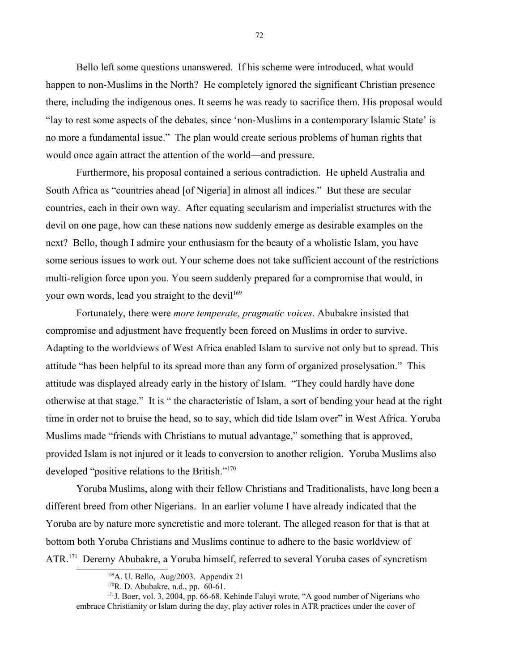Bello left some questions unanswered. If his scheme were introduced, what would happen to non-Muslims in the North? He completely ignored the significant Christian presence there, including the indigenous ones. It seems he was ready to sacrifice them. His proposal would "lay to rest some aspects of the debates, since 'non-Muslims in a contemporary Islamic State' is no more a fundamental issue." The plan would create serious problems of human rights that would once again attract the attention of the world—and pressure.

Furthermore, his proposal contained a serious contradiction. He upheld Australia and South Africa as "countries ahead [of Nigeria] in almost all indices." But these are secular countries, each in their own way. After equating secularism and imperialist structures with the devil on one page, how can these nations now suddenly emerge as desirable examples on the next? Bello, though I admire your enthusiasm for the beauty of a wholistic Islam, you have some serious issues to work out. Your scheme does not take sufficient account of the restrictions multi-religion force upon you. You seem suddenly prepared for a compromise that would, in your own words, lead you straight to the devil<sup>[169](#page-71-0)</sup>

Fortunately, there were *more temperate, pragmatic voices*. Abubakre insisted that compromise and adjustment have frequently been forced on Muslims in order to survive. Adapting to the worldviews of West Africa enabled Islam to survive not only but to spread. This attitude "has been helpful to its spread more than any form of organized proselysation." This attitude was displayed already early in the history of Islam. "They could hardly have done otherwise at that stage." It is " the characteristic of Islam, a sort of bending your head at the right time in order not to bruise the head, so to say, which did tide Islam over" in West Africa. Yoruba Muslims made "friends with Christians to mutual advantage," something that is approved, provided Islam is not injured or it leads to conversion to another religion. Yoruba Muslims also developed "positive relations to the British."<sup>[170](#page-71-1)</sup>

Yoruba Muslims, along with their fellow Christians and Traditionalists, have long been a different breed from other Nigerians. In an earlier volume I have already indicated that the Yoruba are by nature more syncretistic and more tolerant. The alleged reason for that is that at bottom both Yoruba Christians and Muslims continue to adhere to the basic worldview of ATR.<sup>[171](#page-71-2)</sup> Deremy Abubakre, a Yoruba himself, referred to several Yoruba cases of syncretism

<span id="page-71-2"></span><span id="page-71-1"></span> $170R$ . D. Abubakre, n.d., pp. 60-61.

<span id="page-71-0"></span> $169A$ . U. Bello, Aug/2003. Appendix 21

<sup>&</sup>lt;sup>171</sup>J. Boer, vol. 3, 2004, pp. 66-68. Kehinde Faluyi wrote, "A good number of Nigerians who embrace Christianity or Islam during the day, play activer roles in ATR practices under the cover of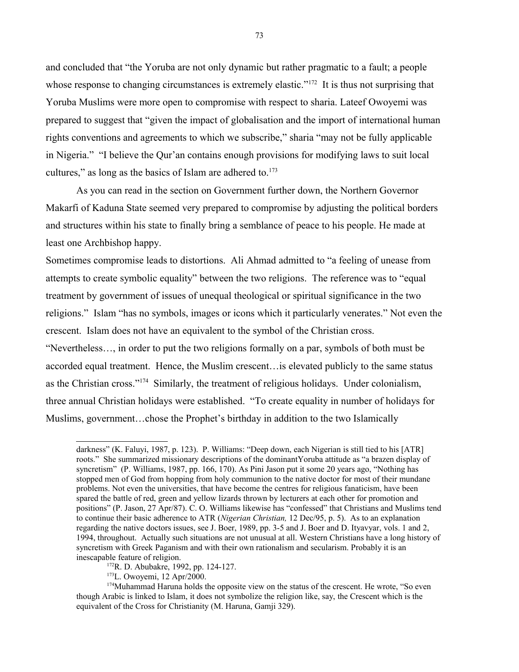and concluded that "the Yoruba are not only dynamic but rather pragmatic to a fault; a people whose response to changing circumstances is extremely elastic."<sup>[172](#page-72-0)</sup> It is thus not surprising that Yoruba Muslims were more open to compromise with respect to sharia. Lateef Owoyemi was prepared to suggest that "given the impact of globalisation and the import of international human rights conventions and agreements to which we subscribe," sharia "may not be fully applicable in Nigeria." "I believe the Qur'an contains enough provisions for modifying laws to suit local cultures," as long as the basics of Islam are adhered to. $173$ 

As you can read in the section on Government further down, the Northern Governor Makarfi of Kaduna State seemed very prepared to compromise by adjusting the political borders and structures within his state to finally bring a semblance of peace to his people. He made at least one Archbishop happy.

Sometimes compromise leads to distortions. Ali Ahmad admitted to "a feeling of unease from attempts to create symbolic equality" between the two religions. The reference was to "equal treatment by government of issues of unequal theological or spiritual significance in the two religions." Islam "has no symbols, images or icons which it particularly venerates." Not even the crescent. Islam does not have an equivalent to the symbol of the Christian cross.

"Nevertheless…, in order to put the two religions formally on a par, symbols of both must be accorded equal treatment. Hence, the Muslim crescent…is elevated publicly to the same status as the Christian cross."[174](#page-72-2) Similarly, the treatment of religious holidays. Under colonialism, three annual Christian holidays were established. "To create equality in number of holidays for Muslims, government…chose the Prophet's birthday in addition to the two Islamically

darkness" (K. Faluyi, 1987, p. 123). P. Williams: "Deep down, each Nigerian is still tied to his [ATR] roots." She summarized missionary descriptions of the dominantYoruba attitude as "a brazen display of syncretism" (P. Williams, 1987, pp. 166, 170). As Pini Jason put it some 20 years ago, "Nothing has stopped men of God from hopping from holy communion to the native doctor for most of their mundane problems. Not even the universities, that have become the centres for religious fanaticism, have been spared the battle of red, green and yellow lizards thrown by lecturers at each other for promotion and positions" (P. Jason, 27 Apr/87). C. O. Williams likewise has "confessed" that Christians and Muslims tend to continue their basic adherence to ATR (*Nigerian Christian,* 12 Dec/95, p. 5). As to an explanation regarding the native doctors issues, see J. Boer, 1989, pp. 3-5 and J. Boer and D. Ityavyar, vols. 1 and 2, 1994, throughout. Actually such situations are not unusual at all. Western Christians have a long history of syncretism with Greek Paganism and with their own rationalism and secularism. Probably it is an inescapable feature of religion.

<span id="page-72-0"></span><sup>172</sup>R. D. Abubakre, 1992, pp. 124-127.

<span id="page-72-2"></span><span id="page-72-1"></span><sup>173</sup>L. Owoyemi, 12 Apr/2000.

<sup>&</sup>lt;sup>174</sup>Muhammad Haruna holds the opposite view on the status of the crescent. He wrote, "So even though Arabic is linked to Islam, it does not symbolize the religion like, say, the Crescent which is the equivalent of the Cross for Christianity (M. Haruna, Gamji 329).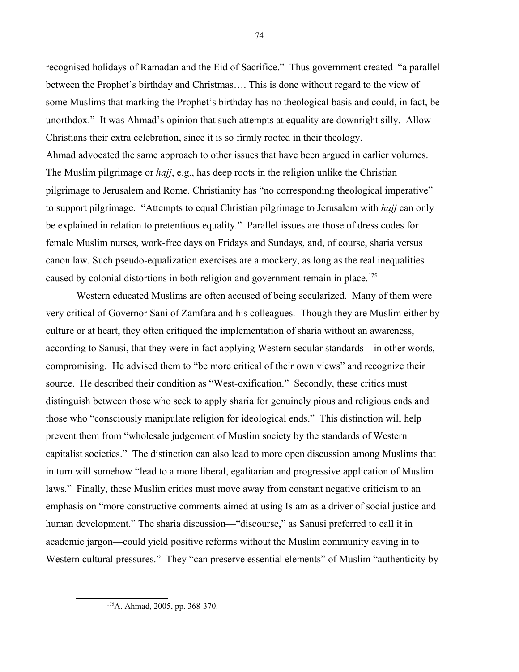recognised holidays of Ramadan and the Eid of Sacrifice." Thus government created "a parallel between the Prophet's birthday and Christmas…. This is done without regard to the view of some Muslims that marking the Prophet's birthday has no theological basis and could, in fact, be unorthdox." It was Ahmad's opinion that such attempts at equality are downright silly. Allow Christians their extra celebration, since it is so firmly rooted in their theology. Ahmad advocated the same approach to other issues that have been argued in earlier volumes. The Muslim pilgrimage or *hajj*, e.g., has deep roots in the religion unlike the Christian pilgrimage to Jerusalem and Rome. Christianity has "no corresponding theological imperative" to support pilgrimage. "Attempts to equal Christian pilgrimage to Jerusalem with *hajj* can only be explained in relation to pretentious equality." Parallel issues are those of dress codes for female Muslim nurses, work-free days on Fridays and Sundays, and, of course, sharia versus canon law. Such pseudo-equalization exercises are a mockery, as long as the real inequalities caused by colonial distortions in both religion and government remain in place.<sup>[175](#page-73-0)</sup>

Western educated Muslims are often accused of being secularized. Many of them were very critical of Governor Sani of Zamfara and his colleagues. Though they are Muslim either by culture or at heart, they often critiqued the implementation of sharia without an awareness, according to Sanusi, that they were in fact applying Western secular standards—in other words, compromising. He advised them to "be more critical of their own views" and recognize their source. He described their condition as "West-oxification." Secondly, these critics must distinguish between those who seek to apply sharia for genuinely pious and religious ends and those who "consciously manipulate religion for ideological ends." This distinction will help prevent them from "wholesale judgement of Muslim society by the standards of Western capitalist societies." The distinction can also lead to more open discussion among Muslims that in turn will somehow "lead to a more liberal, egalitarian and progressive application of Muslim laws." Finally, these Muslim critics must move away from constant negative criticism to an emphasis on "more constructive comments aimed at using Islam as a driver of social justice and human development." The sharia discussion—"discourse," as Sanusi preferred to call it in academic jargon—could yield positive reforms without the Muslim community caving in to Western cultural pressures." They "can preserve essential elements" of Muslim "authenticity by

<span id="page-73-0"></span><sup>175</sup>A. Ahmad, 2005, pp. 368-370.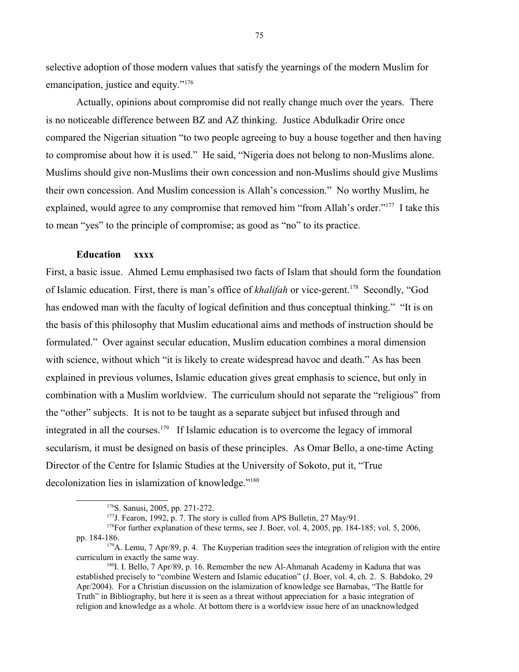selective adoption of those modern values that satisfy the yearnings of the modern Muslim for emancipation, justice and equity."<sup>[176](#page-74-0)</sup>

Actually, opinions about compromise did not really change much over the years. There is no noticeable difference between BZ and AZ thinking. Justice Abdulkadir Orire once compared the Nigerian situation "to two people agreeing to buy a house together and then having to compromise about how it is used." He said, "Nigeria does not belong to non-Muslims alone. Muslims should give non-Muslims their own concession and non-Muslims should give Muslims their own concession. And Muslim concession is Allah's concession." No worthy Muslim, he explained, would agree to any compromise that removed him "from Allah's order."<sup>[177](#page-74-1)</sup> I take this to mean "yes" to the principle of compromise; as good as "no" to its practice.

# **Education xxxx**

First, a basic issue. Ahmed Lemu emphasised two facts of Islam that should form the foundation of Islamic education. First, there is man's office of *khalifah* or vice-gerent.[178](#page-74-2) Secondly, "God has endowed man with the faculty of logical definition and thus conceptual thinking." "It is on the basis of this philosophy that Muslim educational aims and methods of instruction should be formulated." Over against secular education, Muslim education combines a moral dimension with science, without which "it is likely to create widespread havoc and death." As has been explained in previous volumes, Islamic education gives great emphasis to science, but only in combination with a Muslim worldview. The curriculum should not separate the "religious" from the "other" subjects. It is not to be taught as a separate subject but infused through and integrated in all the courses.<sup>[179](#page-74-3)</sup> If Islamic education is to overcome the legacy of immoral secularism, it must be designed on basis of these principles. As Omar Bello, a one-time Acting Director of the Centre for Islamic Studies at the University of Sokoto, put it, "True decolonization lies in islamization of knowledge."<sup>[180](#page-74-4)</sup>

<span id="page-74-0"></span><sup>176</sup>S. Sanusi, 2005, pp. 271-272.

<span id="page-74-3"></span><span id="page-74-2"></span><span id="page-74-1"></span><sup>&</sup>lt;sup>177</sup>J. Fearon, 1992, p. 7. The story is culled from APS Bulletin, 27 May/91.

<sup>&</sup>lt;sup>178</sup>For further explanation of these terms, see J. Boer, vol. 4, 2005, pp. 184-185; vol. 5, 2006, pp. 184-186.

 $179A$ . Lemu, 7 Apr/89, p. 4. The Kuyperian tradition sees the integration of religion with the entire curriculum in exactly the same way.

<span id="page-74-4"></span><sup>180</sup>I. I. Bello, 7 Apr/89, p. 16. Remember the new Al-Ahmanah Academy in Kaduna that was established precisely to "combine Western and Islamic education" (J. Boer, vol. 4, ch. 2. S. Babdoko, 29 Apr/2004). For a Christian discussion on the islamization of knowledge see Barnabas, "The Battle for Truth" in Bibliography, but here it is seen as a threat without appreciation for a basic integration of religion and knowledge as a whole. At bottom there is a worldview issue here of an unacknowledged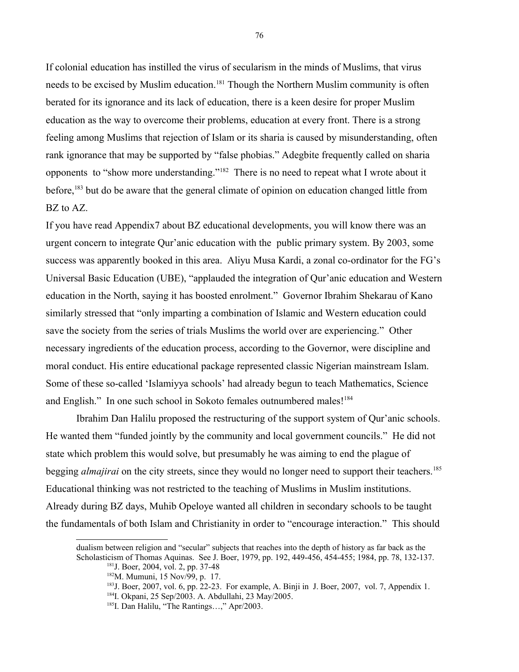If colonial education has instilled the virus of secularism in the minds of Muslims, that virus needs to be excised by Muslim education.<sup>[181](#page-75-0)</sup> Though the Northern Muslim community is often berated for its ignorance and its lack of education, there is a keen desire for proper Muslim education as the way to overcome their problems, education at every front. There is a strong feeling among Muslims that rejection of Islam or its sharia is caused by misunderstanding, often rank ignorance that may be supported by "false phobias." Adegbite frequently called on sharia opponents to "show more understanding."[182](#page-75-1) There is no need to repeat what I wrote about it before,<sup>[183](#page-75-2)</sup> but do be aware that the general climate of opinion on education changed little from BZ to AZ.

If you have read Appendix7 about BZ educational developments, you will know there was an urgent concern to integrate Qur'anic education with the public primary system. By 2003, some success was apparently booked in this area. Aliyu Musa Kardi, a zonal co-ordinator for the FG's Universal Basic Education (UBE), "applauded the integration of Qur'anic education and Western education in the North, saying it has boosted enrolment." Governor Ibrahim Shekarau of Kano similarly stressed that "only imparting a combination of Islamic and Western education could save the society from the series of trials Muslims the world over are experiencing." Other necessary ingredients of the education process, according to the Governor, were discipline and moral conduct. His entire educational package represented classic Nigerian mainstream Islam. Some of these so-called 'Islamiyya schools' had already begun to teach Mathematics, Science and English." In one such school in Sokoto females outnumbered males!<sup>[184](#page-75-3)</sup>

Ibrahim Dan Halilu proposed the restructuring of the support system of Qur'anic schools. He wanted them "funded jointly by the community and local government councils." He did not state which problem this would solve, but presumably he was aiming to end the plague of begging *almajirai* on the city streets, since they would no longer need to support their teachers.<sup>[185](#page-75-4)</sup> Educational thinking was not restricted to the teaching of Muslims in Muslim institutions. Already during BZ days, Muhib Opeloye wanted all children in secondary schools to be taught the fundamentals of both Islam and Christianity in order to "encourage interaction." This should

dualism between religion and "secular" subjects that reaches into the depth of history as far back as the Scholasticism of Thomas Aquinas. See J. Boer, 1979, pp. 192, 449-456, 454-455; 1984, pp. 78, 132-137.

<span id="page-75-0"></span><sup>181</sup>J. Boer, 2004, vol. 2, pp. 37-48

<span id="page-75-1"></span><sup>182</sup>M. Mumuni, 15 Nov/99, p. 17.

<span id="page-75-2"></span> $183$  J. Boer, 2007, vol. 6, pp. 22-23. For example, A. Binji in J. Boer, 2007, vol. 7, Appendix 1.

<span id="page-75-3"></span><sup>184</sup>I. Okpani, 25 Sep/2003. A. Abdullahi, 23 May/2005.

<span id="page-75-4"></span><sup>185</sup>I. Dan Halilu, "The Rantings…," Apr/2003.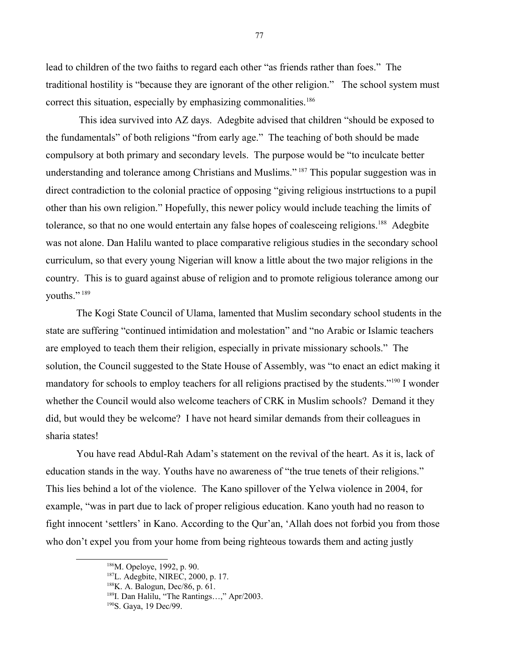lead to children of the two faiths to regard each other "as friends rather than foes." The traditional hostility is "because they are ignorant of the other religion." The school system must correct this situation, especially by emphasizing commonalities.<sup>[186](#page-76-0)</sup>

 This idea survived into AZ days. Adegbite advised that children "should be exposed to the fundamentals" of both religions "from early age." The teaching of both should be made compulsory at both primary and secondary levels. The purpose would be "to inculcate better understanding and tolerance among Christians and Muslims."<sup>[187](#page-76-1)</sup> This popular suggestion was in direct contradiction to the colonial practice of opposing "giving religious instrtuctions to a pupil other than his own religion." Hopefully, this newer policy would include teaching the limits of tolerance, so that no one would entertain any false hopes of coalesceing religions.<sup>[188](#page-76-2)</sup> Adegbite was not alone. Dan Halilu wanted to place comparative religious studies in the secondary school curriculum, so that every young Nigerian will know a little about the two major religions in the country. This is to guard against abuse of religion and to promote religious tolerance among our youths."<sup>[189](#page-76-3)</sup>

The Kogi State Council of Ulama, lamented that Muslim secondary school students in the state are suffering "continued intimidation and molestation" and "no Arabic or Islamic teachers are employed to teach them their religion, especially in private missionary schools." The solution, the Council suggested to the State House of Assembly, was "to enact an edict making it mandatory for schools to employ teachers for all religions practised by the students."<sup>[190](#page-76-4)</sup> I wonder whether the Council would also welcome teachers of CRK in Muslim schools? Demand it they did, but would they be welcome? I have not heard similar demands from their colleagues in sharia states!

You have read Abdul-Rah Adam's statement on the revival of the heart. As it is, lack of education stands in the way. Youths have no awareness of "the true tenets of their religions." This lies behind a lot of the violence. The Kano spillover of the Yelwa violence in 2004, for example, "was in part due to lack of proper religious education. Kano youth had no reason to fight innocent 'settlers' in Kano. According to the Qur'an, 'Allah does not forbid you from those who don't expel you from your home from being righteous towards them and acting justly

<span id="page-76-0"></span><sup>186</sup>M. Opeloye, 1992, p. 90.

<span id="page-76-1"></span><sup>187</sup>L. Adegbite, NIREC, 2000, p. 17.

<span id="page-76-2"></span><sup>188</sup>K. A. Balogun, Dec/86, p. 61.

<span id="page-76-3"></span><sup>189</sup>I. Dan Halilu, "The Rantings…," Apr/2003.

<span id="page-76-4"></span><sup>190</sup>S. Gaya, 19 Dec/99.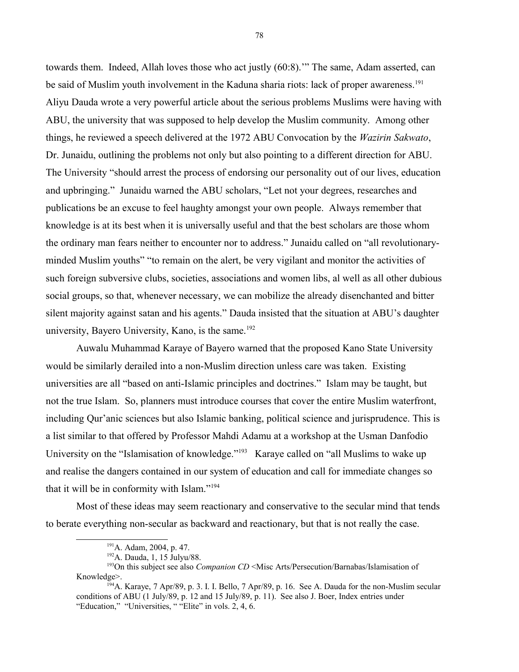towards them. Indeed, Allah loves those who act justly (60:8).'" The same, Adam asserted, can be said of Muslim youth involvement in the Kaduna sharia riots: lack of proper awareness.<sup>[191](#page-77-0)</sup> Aliyu Dauda wrote a very powerful article about the serious problems Muslims were having with ABU, the university that was supposed to help develop the Muslim community. Among other things, he reviewed a speech delivered at the 1972 ABU Convocation by the *Wazirin Sakwato*, Dr. Junaidu, outlining the problems not only but also pointing to a different direction for ABU. The University "should arrest the process of endorsing our personality out of our lives, education and upbringing." Junaidu warned the ABU scholars, "Let not your degrees, researches and publications be an excuse to feel haughty amongst your own people. Always remember that knowledge is at its best when it is universally useful and that the best scholars are those whom the ordinary man fears neither to encounter nor to address." Junaidu called on "all revolutionaryminded Muslim youths" "to remain on the alert, be very vigilant and monitor the activities of such foreign subversive clubs, societies, associations and women libs, al well as all other dubious social groups, so that, whenever necessary, we can mobilize the already disenchanted and bitter silent majority against satan and his agents." Dauda insisted that the situation at ABU's daughter university, Bayero University, Kano, is the same.<sup>[192](#page-77-1)</sup>

Auwalu Muhammad Karaye of Bayero warned that the proposed Kano State University would be similarly derailed into a non-Muslim direction unless care was taken. Existing universities are all "based on anti-Islamic principles and doctrines." Islam may be taught, but not the true Islam. So, planners must introduce courses that cover the entire Muslim waterfront, including Qur'anic sciences but also Islamic banking, political science and jurisprudence. This is a list similar to that offered by Professor Mahdi Adamu at a workshop at the Usman Danfodio University on the "Islamisation of knowledge."<sup>[193](#page-77-2)</sup> Karaye called on "all Muslims to wake up and realise the dangers contained in our system of education and call for immediate changes so that it will be in conformity with Islam."<sup>[194](#page-77-3)</sup>

Most of these ideas may seem reactionary and conservative to the secular mind that tends to berate everything non-secular as backward and reactionary, but that is not really the case.

<span id="page-77-0"></span><sup>191</sup>A. Adam, 2004, p. 47.

<span id="page-77-3"></span><span id="page-77-2"></span><span id="page-77-1"></span><sup>192</sup>A. Dauda, 1, 15 Julyu/88.

<sup>193</sup>On this subject see also *Companion CD* <Misc Arts/Persecution/Barnabas/Islamisation of Knowledge>.

<sup>&</sup>lt;sup>194</sup>A. Karaye, 7 Apr/89, p. 3. I. I. Bello, 7 Apr/89, p. 16. See A. Dauda for the non-Muslim secular conditions of ABU (1 July/89, p. 12 and 15 July/89, p. 11). See also J. Boer, Index entries under "Education," "Universities, " "Elite" in vols. 2, 4, 6.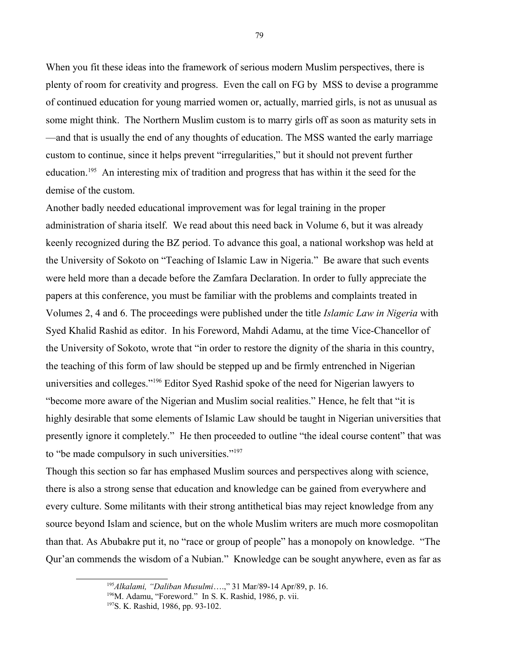When you fit these ideas into the framework of serious modern Muslim perspectives, there is plenty of room for creativity and progress. Even the call on FG by MSS to devise a programme of continued education for young married women or, actually, married girls, is not as unusual as some might think. The Northern Muslim custom is to marry girls off as soon as maturity sets in —and that is usually the end of any thoughts of education. The MSS wanted the early marriage custom to continue, since it helps prevent "irregularities," but it should not prevent further education.[195](#page-78-0) An interesting mix of tradition and progress that has within it the seed for the demise of the custom.

Another badly needed educational improvement was for legal training in the proper administration of sharia itself. We read about this need back in Volume 6, but it was already keenly recognized during the BZ period. To advance this goal, a national workshop was held at the University of Sokoto on "Teaching of Islamic Law in Nigeria." Be aware that such events were held more than a decade before the Zamfara Declaration. In order to fully appreciate the papers at this conference, you must be familiar with the problems and complaints treated in Volumes 2, 4 and 6. The proceedings were published under the title *Islamic Law in Nigeria* with Syed Khalid Rashid as editor. In his Foreword, Mahdi Adamu, at the time Vice-Chancellor of the University of Sokoto, wrote that "in order to restore the dignity of the sharia in this country, the teaching of this form of law should be stepped up and be firmly entrenched in Nigerian universities and colleges."[196](#page-78-1) Editor Syed Rashid spoke of the need for Nigerian lawyers to "become more aware of the Nigerian and Muslim social realities." Hence, he felt that "it is highly desirable that some elements of Islamic Law should be taught in Nigerian universities that presently ignore it completely." He then proceeded to outline "the ideal course content" that was to "be made compulsory in such universities."[197](#page-78-2)

Though this section so far has emphased Muslim sources and perspectives along with science, there is also a strong sense that education and knowledge can be gained from everywhere and every culture. Some militants with their strong antithetical bias may reject knowledge from any source beyond Islam and science, but on the whole Muslim writers are much more cosmopolitan than that. As Abubakre put it, no "race or group of people" has a monopoly on knowledge. "The Qur'an commends the wisdom of a Nubian." Knowledge can be sought anywhere, even as far as

<span id="page-78-0"></span><sup>195</sup>*Alkalami, "Daliban Musulmi*….," 31 Mar/89-14 Apr/89, p. 16.

<span id="page-78-1"></span><sup>196</sup>M. Adamu, "Foreword." In S. K. Rashid, 1986, p. vii.

<span id="page-78-2"></span><sup>197</sup>S. K. Rashid, 1986, pp. 93-102.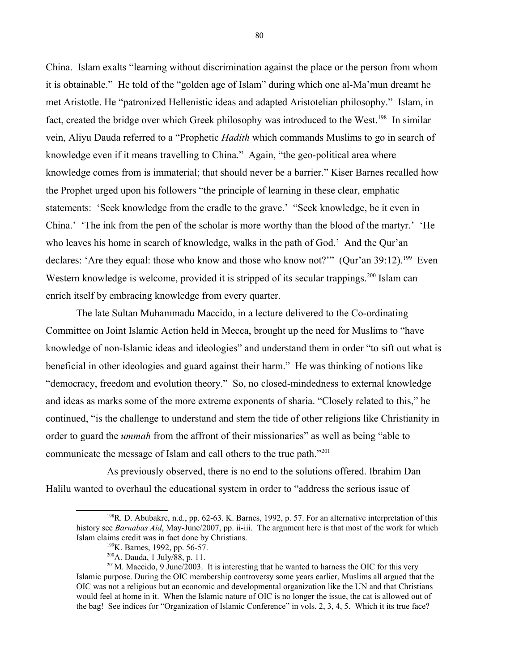China. Islam exalts "learning without discrimination against the place or the person from whom it is obtainable." He told of the "golden age of Islam" during which one al-Ma'mun dreamt he met Aristotle. He "patronized Hellenistic ideas and adapted Aristotelian philosophy." Islam, in fact, created the bridge over which Greek philosophy was introduced to the West.<sup>[198](#page-79-0)</sup> In similar vein, Aliyu Dauda referred to a "Prophetic *Hadith* which commands Muslims to go in search of knowledge even if it means travelling to China." Again, "the geo-political area where knowledge comes from is immaterial; that should never be a barrier." Kiser Barnes recalled how the Prophet urged upon his followers "the principle of learning in these clear, emphatic statements: 'Seek knowledge from the cradle to the grave.' "Seek knowledge, be it even in China.' 'The ink from the pen of the scholar is more worthy than the blood of the martyr.' 'He who leaves his home in search of knowledge, walks in the path of God.' And the Qur'an declares: 'Are they equal: those who know and those who know not?'" (Qur'an 39:12).<sup>[199](#page-79-1)</sup> Even Western knowledge is welcome, provided it is stripped of its secular trappings.<sup>[200](#page-79-2)</sup> Islam can enrich itself by embracing knowledge from every quarter.

The late Sultan Muhammadu Maccido, in a lecture delivered to the Co-ordinating Committee on Joint Islamic Action held in Mecca, brought up the need for Muslims to "have knowledge of non-Islamic ideas and ideologies" and understand them in order "to sift out what is beneficial in other ideologies and guard against their harm." He was thinking of notions like "democracy, freedom and evolution theory." So, no closed-mindedness to external knowledge and ideas as marks some of the more extreme exponents of sharia. "Closely related to this," he continued, "is the challenge to understand and stem the tide of other religions like Christianity in order to guard the *ummah* from the affront of their missionaries" as well as being "able to communicate the message of Islam and call others to the true path."[201](#page-79-3)

As previously observed, there is no end to the solutions offered. Ibrahim Dan Halilu wanted to overhaul the educational system in order to "address the serious issue of

80

<sup>&</sup>lt;sup>198</sup>R. D. Abubakre, n.d., pp. 62-63. K. Barnes, 1992, p. 57. For an alternative interpretation of this history see *Barnabas Aid*, May-June/2007, pp. ii-iii. The argument here is that most of the work for which Islam claims credit was in fact done by Christians.

<span id="page-79-1"></span><span id="page-79-0"></span><sup>199</sup>K. Barnes, 1992, pp. 56-57.

<span id="page-79-3"></span><span id="page-79-2"></span><sup>200</sup>A. Dauda, 1 July/88, p. 11.

 $201$ M. Maccido, 9 June/2003. It is interesting that he wanted to harness the OIC for this very Islamic purpose. During the OIC membership controversy some years earlier, Muslims all argued that the OIC was not a religious but an economic and developmental organization like the UN and that Christians would feel at home in it. When the Islamic nature of OIC is no longer the issue, the cat is allowed out of the bag! See indices for "Organization of Islamic Conference" in vols. 2, 3, 4, 5. Which it its true face?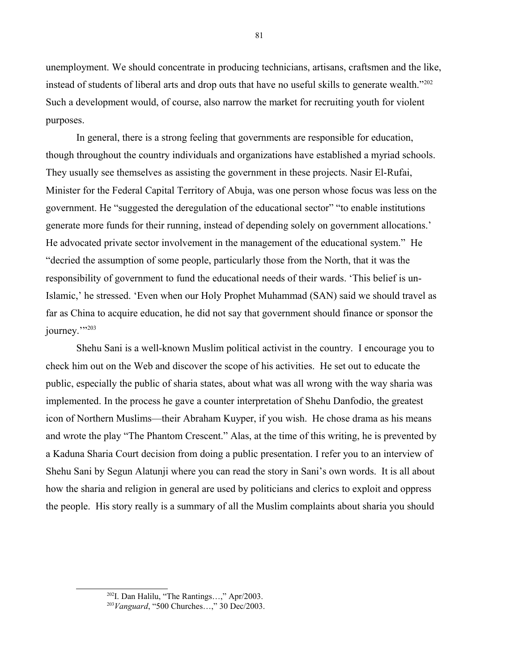unemployment. We should concentrate in producing technicians, artisans, craftsmen and the like, instead of students of liberal arts and drop outs that have no useful skills to generate wealth."[202](#page-80-0) Such a development would, of course, also narrow the market for recruiting youth for violent purposes.

In general, there is a strong feeling that governments are responsible for education, though throughout the country individuals and organizations have established a myriad schools. They usually see themselves as assisting the government in these projects. Nasir El-Rufai, Minister for the Federal Capital Territory of Abuja, was one person whose focus was less on the government. He "suggested the deregulation of the educational sector" "to enable institutions generate more funds for their running, instead of depending solely on government allocations.' He advocated private sector involvement in the management of the educational system." He "decried the assumption of some people, particularly those from the North, that it was the responsibility of government to fund the educational needs of their wards. 'This belief is un-Islamic,' he stressed. 'Even when our Holy Prophet Muhammad (SAN) said we should travel as far as China to acquire education, he did not say that government should finance or sponsor the journey.""<sup>[203](#page-80-1)</sup>

Shehu Sani is a well-known Muslim political activist in the country. I encourage you to check him out on the Web and discover the scope of his activities. He set out to educate the public, especially the public of sharia states, about what was all wrong with the way sharia was implemented. In the process he gave a counter interpretation of Shehu Danfodio, the greatest icon of Northern Muslims—their Abraham Kuyper, if you wish. He chose drama as his means and wrote the play "The Phantom Crescent." Alas, at the time of this writing, he is prevented by a Kaduna Sharia Court decision from doing a public presentation. I refer you to an interview of Shehu Sani by Segun Alatunji where you can read the story in Sani's own words. It is all about how the sharia and religion in general are used by politicians and clerics to exploit and oppress the people. His story really is a summary of all the Muslim complaints about sharia you should

81

<span id="page-80-0"></span><sup>202</sup>I. Dan Halilu, "The Rantings…," Apr/2003.

<span id="page-80-1"></span><sup>203</sup>*Vanguard*, "500 Churches…," 30 Dec/2003.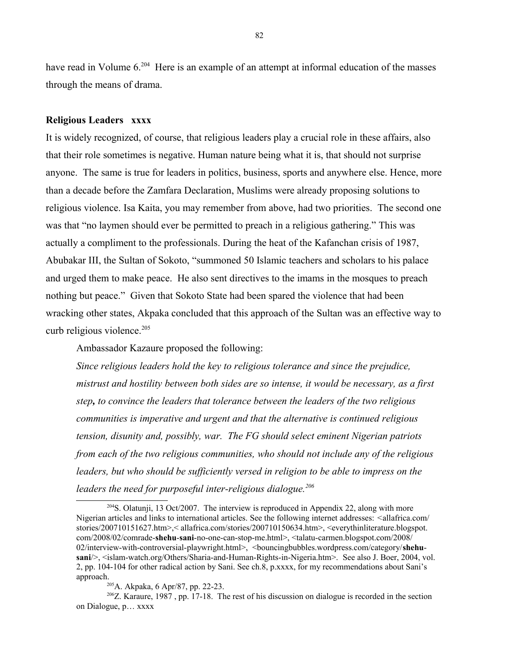have read in Volume 6.<sup>[204](#page-81-0)</sup> Here is an example of an attempt at informal education of the masses through the means of drama.

#### **Religious Leaders xxxx**

It is widely recognized, of course, that religious leaders play a crucial role in these affairs, also that their role sometimes is negative. Human nature being what it is, that should not surprise anyone. The same is true for leaders in politics, business, sports and anywhere else. Hence, more than a decade before the Zamfara Declaration, Muslims were already proposing solutions to religious violence. Isa Kaita, you may remember from above, had two priorities. The second one was that "no laymen should ever be permitted to preach in a religious gathering." This was actually a compliment to the professionals. During the heat of the Kafanchan crisis of 1987, Abubakar III, the Sultan of Sokoto, "summoned 50 Islamic teachers and scholars to his palace and urged them to make peace. He also sent directives to the imams in the mosques to preach nothing but peace." Given that Sokoto State had been spared the violence that had been wracking other states, Akpaka concluded that this approach of the Sultan was an effective way to curb religious violence.<sup>[205](#page-81-1)</sup>

Ambassador Kazaure proposed the following:

*Since religious leaders hold the key to religious tolerance and since the prejudice, mistrust and hostility between both sides are so intense, it would be necessary, as a first step, to convince the leaders that tolerance between the leaders of the two religious communities is imperative and urgent and that the alternative is continued religious tension, disunity and, possibly, war. The FG should select eminent Nigerian patriots from each of the two religious communities, who should not include any of the religious*  leaders, but who should be sufficiently versed in religion to be able to impress on the *leaders the need for purposeful inter-religious dialogue.[206](#page-81-2)*

<span id="page-81-0"></span> $^{204}$ S. Olatunji, 13 Oct/2007. The interview is reproduced in Appendix 22, along with more Nigerian articles and links to international articles. See the following internet addresses: *<*allafrica.com/ stories/200710151627.htm>,< allafrica.com/stories/200710150634.htm>, <everythinliterature.blogspot. com/2008/02/comrade-**shehu**-**sani**-no-one-can-stop-me.html>, <talatu-carmen.blogspot.com/2008/ 02/interview-with-controversial-playwright.html>, <bouncingbubbles.wordpress.com/category/**shehusani**/>, <islam-watch.org/Others/Sharia-and-Human-Rights-in-Nigeria.htm>. See also J. Boer, 2004, vol. 2, pp. 104-104 for other radical action by Sani. See ch.8, p.xxxx, for my recommendations about Sani's approach.

<span id="page-81-2"></span><span id="page-81-1"></span><sup>205</sup>A. Akpaka, 6 Apr/87, pp. 22-23.

<sup>&</sup>lt;sup>206</sup>Z. Karaure, 1987, pp. 17-18. The rest of his discussion on dialogue is recorded in the section on Dialogue, p… xxxx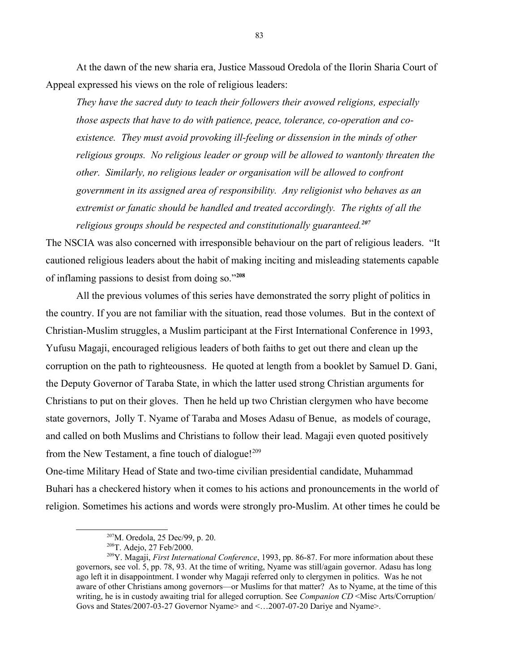At the dawn of the new sharia era, Justice Massoud Oredola of the Ilorin Sharia Court of Appeal expressed his views on the role of religious leaders:

*They have the sacred duty to teach their followers their avowed religions, especially those aspects that have to do with patience, peace, tolerance, co-operation and coexistence. They must avoid provoking ill-feeling or dissension in the minds of other religious groups. No religious leader or group will be allowed to wantonly threaten the other. Similarly, no religious leader or organisation will be allowed to confront government in its assigned area of responsibility. Any religionist who behaves as an extremist or fanatic should be handled and treated accordingly. The rights of all the religious groups should be respected and constitutionally guaranteed.[207](#page-82-0)* 

The NSCIA was also concerned with irresponsible behaviour on the part of religious leaders. "It cautioned religious leaders about the habit of making inciting and misleading statements capable of inflaming passions to desist from doing so."**[208](#page-82-1)**

All the previous volumes of this series have demonstrated the sorry plight of politics in the country. If you are not familiar with the situation, read those volumes. But in the context of Christian-Muslim struggles, a Muslim participant at the First International Conference in 1993, Yufusu Magaji, encouraged religious leaders of both faiths to get out there and clean up the corruption on the path to righteousness. He quoted at length from a booklet by Samuel D. Gani, the Deputy Governor of Taraba State, in which the latter used strong Christian arguments for Christians to put on their gloves. Then he held up two Christian clergymen who have become state governors, Jolly T. Nyame of Taraba and Moses Adasu of Benue, as models of courage, and called on both Muslims and Christians to follow their lead. Magaji even quoted positively from the New Testament, a fine touch of dialogue! $209$ 

One-time Military Head of State and two-time civilian presidential candidate, Muhammad Buhari has a checkered history when it comes to his actions and pronouncements in the world of religion. Sometimes his actions and words were strongly pro-Muslim. At other times he could be

<span id="page-82-0"></span><sup>207</sup>M. Oredola, 25 Dec/99, p. 20.

<span id="page-82-2"></span><span id="page-82-1"></span><sup>208</sup>T. Adejo, 27 Feb/2000.

<sup>209</sup>Y. Magaji, *First International Conference*, 1993, pp. 86-87. For more information about these governors, see vol. 5, pp. 78, 93. At the time of writing, Nyame was still/again governor. Adasu has long ago left it in disappointment. I wonder why Magaji referred only to clergymen in politics. Was he not aware of other Christians among governors—or Muslims for that matter? As to Nyame, at the time of this writing, he is in custody awaiting trial for alleged corruption. See *Companion CD* <Misc Arts/Corruption/ Govs and States/2007-03-27 Governor Nyame> and <…2007-07-20 Dariye and Nyame>.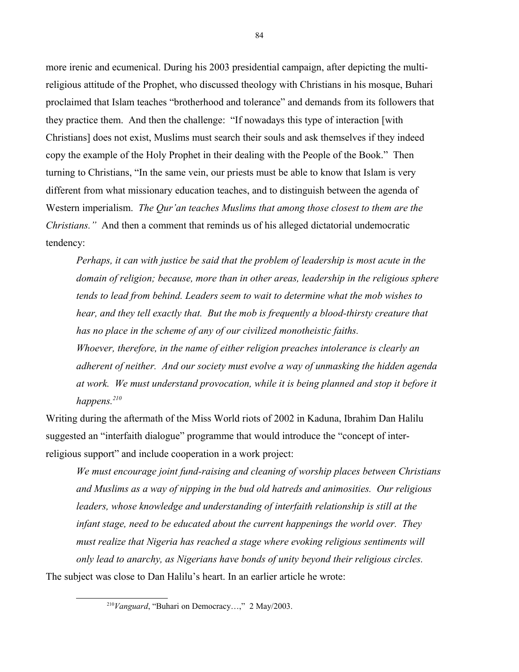more irenic and ecumenical. During his 2003 presidential campaign, after depicting the multireligious attitude of the Prophet, who discussed theology with Christians in his mosque, Buhari proclaimed that Islam teaches "brotherhood and tolerance" and demands from its followers that they practice them. And then the challenge: "If nowadays this type of interaction [with Christians] does not exist, Muslims must search their souls and ask themselves if they indeed copy the example of the Holy Prophet in their dealing with the People of the Book." Then turning to Christians, "In the same vein, our priests must be able to know that Islam is very different from what missionary education teaches, and to distinguish between the agenda of Western imperialism. *The Qur'an teaches Muslims that among those closest to them are the Christians."* And then a comment that reminds us of his alleged dictatorial undemocratic tendency:

*Perhaps, it can with justice be said that the problem of leadership is most acute in the domain of religion; because, more than in other areas, leadership in the religious sphere tends to lead from behind. Leaders seem to wait to determine what the mob wishes to hear, and they tell exactly that. But the mob is frequently a blood-thirsty creature that has no place in the scheme of any of our civilized monotheistic faiths. Whoever, therefore, in the name of either religion preaches intolerance is clearly an* 

*adherent of neither. And our society must evolve a way of unmasking the hidden agenda at work. We must understand provocation, while it is being planned and stop it before it happens.[210](#page-83-0)* 

Writing during the aftermath of the Miss World riots of 2002 in Kaduna, Ibrahim Dan Halilu suggested an "interfaith dialogue" programme that would introduce the "concept of interreligious support" and include cooperation in a work project:

*We must encourage joint fund-raising and cleaning of worship places between Christians and Muslims as a way of nipping in the bud old hatreds and animosities. Our religious leaders, whose knowledge and understanding of interfaith relationship is still at the infant stage, need to be educated about the current happenings the world over. They must realize that Nigeria has reached a stage where evoking religious sentiments will only lead to anarchy, as Nigerians have bonds of unity beyond their religious circles.* The subject was close to Dan Halilu's heart. In an earlier article he wrote:

<span id="page-83-0"></span><sup>210</sup>*Vanguard*, "Buhari on Democracy…," 2 May/2003.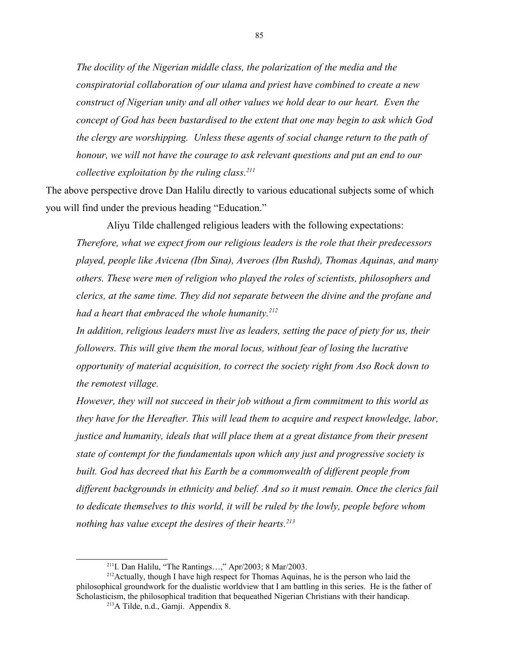*The docility of the Nigerian middle class, the polarization of the media and the conspiratorial collaboration of our ulama and priest have combined to create a new construct of Nigerian unity and all other values we hold dear to our heart. Even the concept of God has been bastardised to the extent that one may begin to ask which God the clergy are worshipping. Unless these agents of social change return to the path of honour, we will not have the courage to ask relevant questions and put an end to our collective exploitation by the ruling class.[211](#page-84-0)*

The above perspective drove Dan Halilu directly to various educational subjects some of which you will find under the previous heading "Education."

Aliyu Tilde challenged religious leaders with the following expectations: *Therefore, what we expect from our religious leaders is the role that their predecessors played, people like Avicena (Ibn Sina), Averoes (Ibn Rushd), Thomas Aquinas, and many others. These were men of religion who played the roles of scientists, philosophers and clerics, at the same time. They did not separate between the divine and the profane and had a heart that embraced the whole humanity.[212](#page-84-1)*

*In addition, religious leaders must live as leaders, setting the pace of piety for us, their followers. This will give them the moral locus, without fear of losing the lucrative opportunity of material acquisition, to correct the society right from Aso Rock down to the remotest village.*

*However, they will not succeed in their job without a firm commitment to this world as they have for the Hereafter. This will lead them to acquire and respect knowledge, labor, justice and humanity, ideals that will place them at a great distance from their present state of contempt for the fundamentals upon which any just and progressive society is*  built. God has decreed that his Earth be a commonwealth of different people from *different backgrounds in ethnicity and belief. And so it must remain. Once the clerics fail to dedicate themselves to this world, it will be ruled by the lowly, people before whom nothing has value except the desires of their hearts.[213](#page-84-2)*

<span id="page-84-1"></span><span id="page-84-0"></span><sup>&</sup>lt;sup>211</sup>I. Dan Halilu, "The Rantings...," Apr/2003; 8 Mar/2003.

 $2^{12}$ Actually, though I have high respect for Thomas Aquinas, he is the person who laid the philosophical groundwork for the dualistic worldview that I am battling in this series. He is the father of Scholasticism, the philosophical tradition that bequeathed Nigerian Christians with their handicap.

<span id="page-84-2"></span><sup>213</sup>A Tilde, n.d., Gamji. Appendix 8.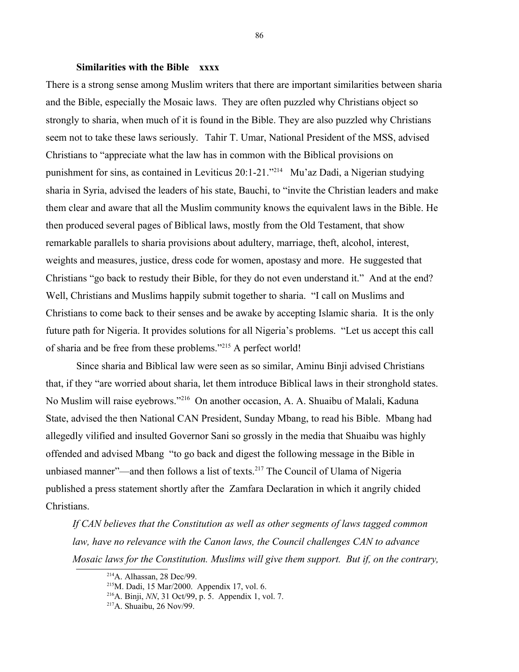### **Similarities with the Bible xxxx**

There is a strong sense among Muslim writers that there are important similarities between sharia and the Bible, especially the Mosaic laws. They are often puzzled why Christians object so strongly to sharia, when much of it is found in the Bible. They are also puzzled why Christians seem not to take these laws seriously. Tahir T. Umar, National President of the MSS, advised Christians to "appreciate what the law has in common with the Biblical provisions on punishment for sins, as contained in Leviticus 20:1-21."[214](#page-85-0) Mu'az Dadi, a Nigerian studying sharia in Syria, advised the leaders of his state, Bauchi, to "invite the Christian leaders and make them clear and aware that all the Muslim community knows the equivalent laws in the Bible. He then produced several pages of Biblical laws, mostly from the Old Testament, that show remarkable parallels to sharia provisions about adultery, marriage, theft, alcohol, interest, weights and measures, justice, dress code for women, apostasy and more. He suggested that Christians "go back to restudy their Bible, for they do not even understand it." And at the end? Well, Christians and Muslims happily submit together to sharia. "I call on Muslims and Christians to come back to their senses and be awake by accepting Islamic sharia. It is the only future path for Nigeria. It provides solutions for all Nigeria's problems. "Let us accept this call of sharia and be free from these problems."[215](#page-85-1) A perfect world!

Since sharia and Biblical law were seen as so similar, Aminu Binji advised Christians that, if they "are worried about sharia, let them introduce Biblical laws in their stronghold states. No Muslim will raise eyebrows."[216](#page-85-2) On another occasion, A. A. Shuaibu of Malali, Kaduna State, advised the then National CAN President, Sunday Mbang, to read his Bible. Mbang had allegedly vilified and insulted Governor Sani so grossly in the media that Shuaibu was highly offended and advised Mbang "to go back and digest the following message in the Bible in unbiased manner"—and then follows a list of texts.<sup>[217](#page-85-3)</sup> The Council of Ulama of Nigeria published a press statement shortly after the Zamfara Declaration in which it angrily chided Christians.

*If CAN believes that the Constitution as well as other segments of laws tagged common*  law, have no relevance with the Canon laws, the Council challenges CAN to advance *Mosaic laws for the Constitution. Muslims will give them support. But if, on the contrary,* 

<span id="page-85-0"></span> $214$ A. Alhassan, 28 Dec/99.

<span id="page-85-1"></span> $^{215}$ M. Dadi, 15 Mar/2000. Appendix 17, vol. 6.

<span id="page-85-2"></span><sup>216</sup>A. Binji, *NN*, 31 Oct/99, p. 5. Appendix 1, vol. 7.

<span id="page-85-3"></span><sup>217</sup>A. Shuaibu, 26 Nov/99.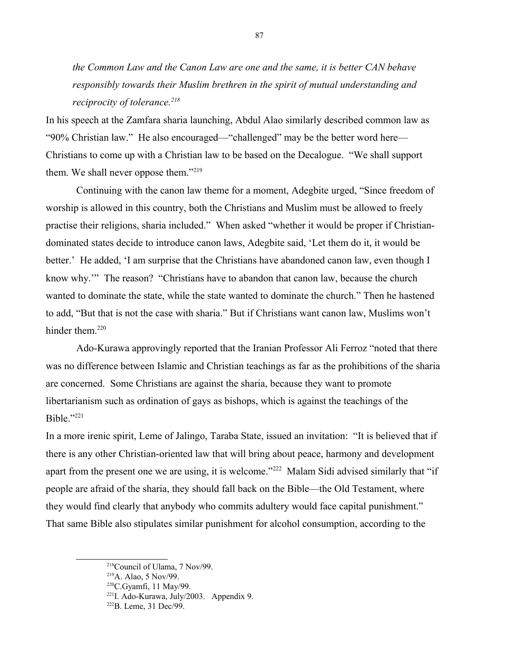*the Common Law and the Canon Law are one and the same, it is better CAN behave responsibly towards their Muslim brethren in the spirit of mutual understanding and reciprocity of tolerance.[218](#page-86-0)*

In his speech at the Zamfara sharia launching, Abdul Alao similarly described common law as "90% Christian law." He also encouraged—"challenged" may be the better word here— Christians to come up with a Christian law to be based on the Decalogue. "We shall support them. We shall never oppose them."<sup>[219](#page-86-1)</sup>

Continuing with the canon law theme for a moment, Adegbite urged, "Since freedom of worship is allowed in this country, both the Christians and Muslim must be allowed to freely practise their religions, sharia included." When asked "whether it would be proper if Christiandominated states decide to introduce canon laws, Adegbite said, 'Let them do it, it would be better.' He added, 'I am surprise that the Christians have abandoned canon law, even though I know why.'" The reason? "Christians have to abandon that canon law, because the church wanted to dominate the state, while the state wanted to dominate the church." Then he hastened to add, "But that is not the case with sharia." But if Christians want canon law, Muslims won't hinder them.<sup>[220](#page-86-2)</sup>

Ado-Kurawa approvingly reported that the Iranian Professor Ali Ferroz "noted that there was no difference between Islamic and Christian teachings as far as the prohibitions of the sharia are concerned. Some Christians are against the sharia, because they want to promote libertarianism such as ordination of gays as bishops, which is against the teachings of the Bible."[221](#page-86-3)

In a more irenic spirit, Leme of Jalingo, Taraba State, issued an invitation: "It is believed that if there is any other Christian-oriented law that will bring about peace, harmony and development apart from the present one we are using, it is welcome."<sup>[222](#page-86-4)</sup> Malam Sidi advised similarly that "if people are afraid of the sharia, they should fall back on the Bible—the Old Testament, where they would find clearly that anybody who commits adultery would face capital punishment." That same Bible also stipulates similar punishment for alcohol consumption, according to the

<span id="page-86-0"></span><sup>218</sup>Council of Ulama, 7 Nov/99.

<span id="page-86-1"></span><sup>219</sup>A. Alao, 5 Nov/99.

<span id="page-86-2"></span> $220$ C.Gyamfi, 11 May/99.

<span id="page-86-3"></span><sup>&</sup>lt;sup>221</sup>I. Ado-Kurawa, July/2003. Appendix 9.

<span id="page-86-4"></span><sup>222</sup>B. Leme, 31 Dec/99.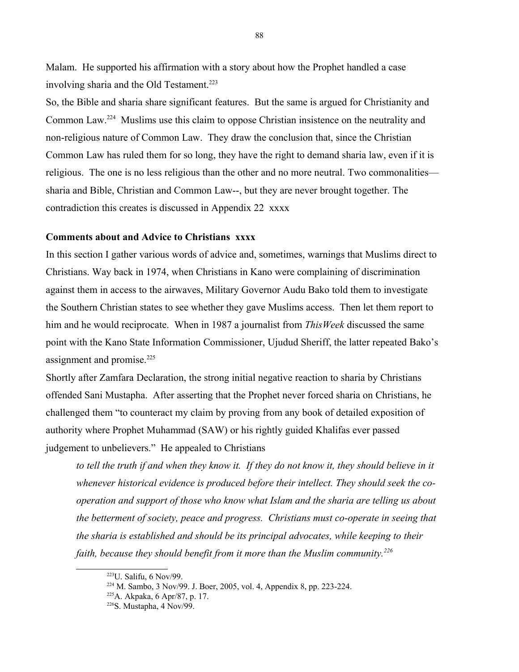Malam. He supported his affirmation with a story about how the Prophet handled a case involving sharia and the Old Testament.<sup>[223](#page-87-0)</sup>

So, the Bible and sharia share significant features. But the same is argued for Christianity and Common Law.[224](#page-87-1) Muslims use this claim to oppose Christian insistence on the neutrality and non-religious nature of Common Law. They draw the conclusion that, since the Christian Common Law has ruled them for so long, they have the right to demand sharia law, even if it is religious. The one is no less religious than the other and no more neutral. Two commonalities sharia and Bible, Christian and Common Law--, but they are never brought together. The contradiction this creates is discussed in Appendix 22 xxxx

### **Comments about and Advice to Christians xxxx**

In this section I gather various words of advice and, sometimes, warnings that Muslims direct to Christians. Way back in 1974, when Christians in Kano were complaining of discrimination against them in access to the airwaves, Military Governor Audu Bako told them to investigate the Southern Christian states to see whether they gave Muslims access. Then let them report to him and he would reciprocate. When in 1987 a journalist from *ThisWeek* discussed the same point with the Kano State Information Commissioner, Ujudud Sheriff, the latter repeated Bako's assignment and promise.<sup>[225](#page-87-2)</sup>

Shortly after Zamfara Declaration, the strong initial negative reaction to sharia by Christians offended Sani Mustapha. After asserting that the Prophet never forced sharia on Christians, he challenged them "to counteract my claim by proving from any book of detailed exposition of authority where Prophet Muhammad (SAW) or his rightly guided Khalifas ever passed judgement to unbelievers." He appealed to Christians

*to tell the truth if and when they know it. If they do not know it, they should believe in it whenever historical evidence is produced before their intellect. They should seek the cooperation and support of those who know what Islam and the sharia are telling us about the betterment of society, peace and progress. Christians must co-operate in seeing that the sharia is established and should be its principal advocates, while keeping to their faith, because they should benefit from it more than the Muslim community.[226](#page-87-3)*

<span id="page-87-0"></span> $223$ U. Salifu, 6 Nov/99.

<span id="page-87-1"></span><sup>224</sup> M. Sambo, 3 Nov/99. J. Boer, 2005, vol. 4, Appendix 8, pp. 223-224.

<span id="page-87-2"></span><sup>225</sup>A. Akpaka, 6 Apr/87, p. 17.

<span id="page-87-3"></span> $226$ S. Mustapha, 4 Nov/99.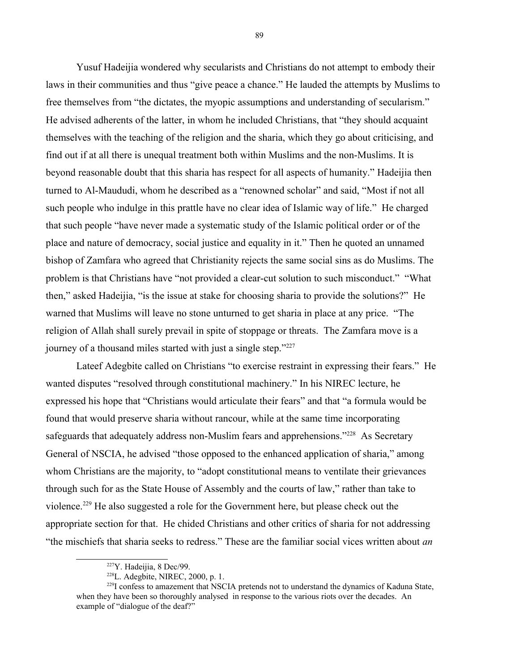Yusuf Hadeijia wondered why secularists and Christians do not attempt to embody their laws in their communities and thus "give peace a chance." He lauded the attempts by Muslims to free themselves from "the dictates, the myopic assumptions and understanding of secularism." He advised adherents of the latter, in whom he included Christians, that "they should acquaint themselves with the teaching of the religion and the sharia, which they go about criticising, and find out if at all there is unequal treatment both within Muslims and the non-Muslims. It is beyond reasonable doubt that this sharia has respect for all aspects of humanity." Hadeijia then turned to Al-Maududi, whom he described as a "renowned scholar" and said, "Most if not all such people who indulge in this prattle have no clear idea of Islamic way of life." He charged that such people "have never made a systematic study of the Islamic political order or of the place and nature of democracy, social justice and equality in it." Then he quoted an unnamed bishop of Zamfara who agreed that Christianity rejects the same social sins as do Muslims. The problem is that Christians have "not provided a clear-cut solution to such misconduct." "What then," asked Hadeijia, "is the issue at stake for choosing sharia to provide the solutions?" He warned that Muslims will leave no stone unturned to get sharia in place at any price. "The religion of Allah shall surely prevail in spite of stoppage or threats. The Zamfara move is a journey of a thousand miles started with just a single step."<sup>[227](#page-88-0)</sup>

Lateef Adegbite called on Christians "to exercise restraint in expressing their fears." He wanted disputes "resolved through constitutional machinery." In his NIREC lecture, he expressed his hope that "Christians would articulate their fears" and that "a formula would be found that would preserve sharia without rancour, while at the same time incorporating safeguards that adequately address non-Muslim fears and apprehensions."<sup>[228](#page-88-1)</sup> As Secretary General of NSCIA, he advised "those opposed to the enhanced application of sharia," among whom Christians are the majority, to "adopt constitutional means to ventilate their grievances through such for as the State House of Assembly and the courts of law," rather than take to violence.[229](#page-88-2) He also suggested a role for the Government here, but please check out the appropriate section for that. He chided Christians and other critics of sharia for not addressing "the mischiefs that sharia seeks to redress." These are the familiar social vices written about *an* 

89

<span id="page-88-0"></span><sup>227</sup>Y. Hadeijia, 8 Dec/99.

<span id="page-88-2"></span><span id="page-88-1"></span> $228$ L. Adegbite, NIREC, 2000, p. 1.

 $^{229}I$  confess to amazement that NSCIA pretends not to understand the dynamics of Kaduna State, when they have been so thoroughly analysed in response to the various riots over the decades. An example of "dialogue of the deaf?"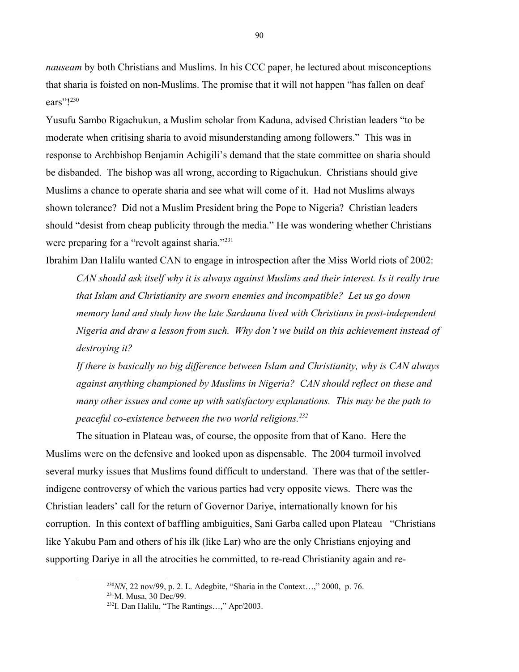*nauseam* by both Christians and Muslims. In his CCC paper, he lectured about misconceptions that sharia is foisted on non-Muslims. The promise that it will not happen "has fallen on deaf ears"![230](#page-89-0) 

Yusufu Sambo Rigachukun, a Muslim scholar from Kaduna, advised Christian leaders "to be moderate when critising sharia to avoid misunderstanding among followers." This was in response to Archbishop Benjamin Achigili's demand that the state committee on sharia should be disbanded. The bishop was all wrong, according to Rigachukun. Christians should give Muslims a chance to operate sharia and see what will come of it. Had not Muslims always shown tolerance? Did not a Muslim President bring the Pope to Nigeria? Christian leaders should "desist from cheap publicity through the media." He was wondering whether Christians were preparing for a "revolt against sharia."<sup>[231](#page-89-1)</sup>

Ibrahim Dan Halilu wanted CAN to engage in introspection after the Miss World riots of 2002: *CAN should ask itself why it is always against Muslims and their interest. Is it really true that Islam and Christianity are sworn enemies and incompatible? Let us go down memory land and study how the late Sardauna lived with Christians in post-independent Nigeria and draw a lesson from such. Why don't we build on this achievement instead of destroying it?*

*If there is basically no big difference between Islam and Christianity, why is CAN always against anything championed by Muslims in Nigeria? CAN should reflect on these and many other issues and come up with satisfactory explanations. This may be the path to peaceful co-existence between the two world religions.[232](#page-89-2)*

The situation in Plateau was, of course, the opposite from that of Kano. Here the Muslims were on the defensive and looked upon as dispensable. The 2004 turmoil involved several murky issues that Muslims found difficult to understand. There was that of the settlerindigene controversy of which the various parties had very opposite views. There was the Christian leaders' call for the return of Governor Dariye, internationally known for his corruption. In this context of baffling ambiguities, Sani Garba called upon Plateau "Christians like Yakubu Pam and others of his ilk (like Lar) who are the only Christians enjoying and supporting Dariye in all the atrocities he committed, to re-read Christianity again and re-

<span id="page-89-0"></span> $^{230}$ *NN*, 22 nov/99, p. 2. L. Adegbite, "Sharia in the Context...," 2000, p. 76.

<span id="page-89-1"></span> $^{231}$ M. Musa, 30 Dec/99.

<span id="page-89-2"></span><sup>232</sup>I. Dan Halilu, "The Rantings…," Apr/2003.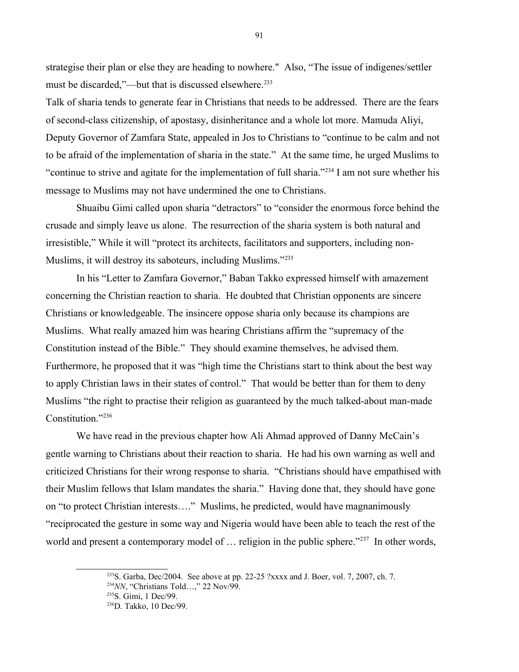strategise their plan or else they are heading to nowhere." Also, "The issue of indigenes/settler must be discarded,"—but that is discussed elsewhere.<sup>[233](#page-90-0)</sup>

Talk of sharia tends to generate fear in Christians that needs to be addressed. There are the fears of second-class citizenship, of apostasy, disinheritance and a whole lot more. Mamuda Aliyi, Deputy Governor of Zamfara State, appealed in Jos to Christians to "continue to be calm and not to be afraid of the implementation of sharia in the state." At the same time, he urged Muslims to "continue to strive and agitate for the implementation of full sharia."[234](#page-90-1) I am not sure whether his message to Muslims may not have undermined the one to Christians.

Shuaibu Gimi called upon sharia "detractors" to "consider the enormous force behind the crusade and simply leave us alone. The resurrection of the sharia system is both natural and irresistible," While it will "protect its architects, facilitators and supporters, including non-Muslims, it will destroy its saboteurs, including Muslims."<sup>[235](#page-90-2)</sup>

In his "Letter to Zamfara Governor," Baban Takko expressed himself with amazement concerning the Christian reaction to sharia. He doubted that Christian opponents are sincere Christians or knowledgeable. The insincere oppose sharia only because its champions are Muslims. What really amazed him was hearing Christians affirm the "supremacy of the Constitution instead of the Bible." They should examine themselves, he advised them. Furthermore, he proposed that it was "high time the Christians start to think about the best way to apply Christian laws in their states of control." That would be better than for them to deny Muslims "the right to practise their religion as guaranteed by the much talked-about man-made Constitution."[236](#page-90-3)

We have read in the previous chapter how Ali Ahmad approved of Danny McCain's gentle warning to Christians about their reaction to sharia. He had his own warning as well and criticized Christians for their wrong response to sharia. "Christians should have empathised with their Muslim fellows that Islam mandates the sharia." Having done that, they should have gone on "to protect Christian interests…." Muslims, he predicted, would have magnanimously "reciprocated the gesture in some way and Nigeria would have been able to teach the rest of the world and present a contemporary model of ... religion in the public sphere."<sup>[237](#page-91-0)</sup> In other words,

<span id="page-90-0"></span> $233$ S. Garba, Dec/2004. See above at pp. 22-25 ?xxxx and J. Boer, vol. 7, 2007, ch. 7.

<span id="page-90-1"></span><sup>234</sup>*NN*, "Christians Told…," 22 Nov/99.

<span id="page-90-2"></span><sup>235</sup>S. Gimi, 1 Dec/99.

<span id="page-90-3"></span><sup>236</sup>D. Takko, 10 Dec/99.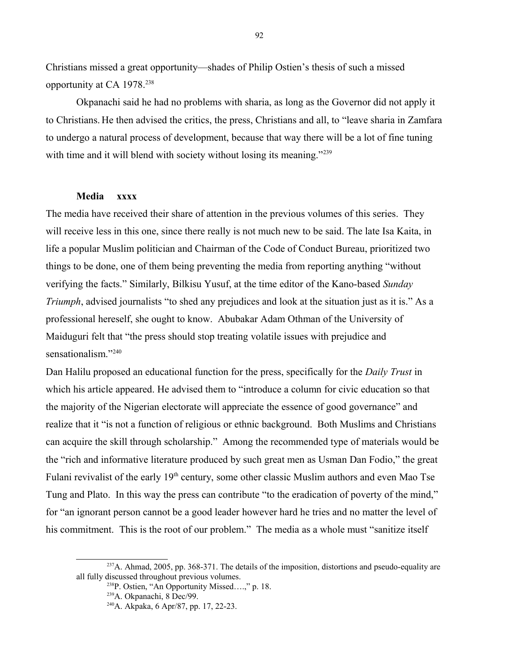Christians missed a great opportunity—shades of Philip Ostien's thesis of such a missed opportunity at CA 1978.[238](#page-91-1)

Okpanachi said he had no problems with sharia, as long as the Governor did not apply it to Christians. He then advised the critics, the press, Christians and all, to "leave sharia in Zamfara to undergo a natural process of development, because that way there will be a lot of fine tuning with time and it will blend with society without losing its meaning."<sup>[239](#page-91-2)</sup>

# **Media xxxx**

The media have received their share of attention in the previous volumes of this series. They will receive less in this one, since there really is not much new to be said. The late Isa Kaita, in life a popular Muslim politician and Chairman of the Code of Conduct Bureau, prioritized two things to be done, one of them being preventing the media from reporting anything "without verifying the facts." Similarly, Bilkisu Yusuf, at the time editor of the Kano-based *Sunday Triumph*, advised journalists "to shed any prejudices and look at the situation just as it is." As a professional hereself, she ought to know. Abubakar Adam Othman of the University of Maiduguri felt that "the press should stop treating volatile issues with prejudice and sensationalism."<sup>[240](#page-91-3)</sup>

Dan Halilu proposed an educational function for the press, specifically for the *Daily Trust* in which his article appeared. He advised them to "introduce a column for civic education so that the majority of the Nigerian electorate will appreciate the essence of good governance" and realize that it "is not a function of religious or ethnic background. Both Muslims and Christians can acquire the skill through scholarship." Among the recommended type of materials would be the "rich and informative literature produced by such great men as Usman Dan Fodio," the great Fulani revivalist of the early 19<sup>th</sup> century, some other classic Muslim authors and even Mao Tse Tung and Plato. In this way the press can contribute "to the eradication of poverty of the mind," for "an ignorant person cannot be a good leader however hard he tries and no matter the level of his commitment. This is the root of our problem." The media as a whole must "sanitize itself

<sup>&</sup>lt;sup>237</sup>A. Ahmad, 2005, pp. 368-371. The details of the imposition, distortions and pseudo-equality are all fully discussed throughout previous volumes.

<span id="page-91-1"></span><span id="page-91-0"></span><sup>238</sup>P. Ostien, "An Opportunity Missed….," p. 18.

<span id="page-91-2"></span><sup>239</sup>A. Okpanachi, 8 Dec/99.

<span id="page-91-3"></span><sup>240</sup>A. Akpaka, 6 Apr/87, pp. 17, 22-23.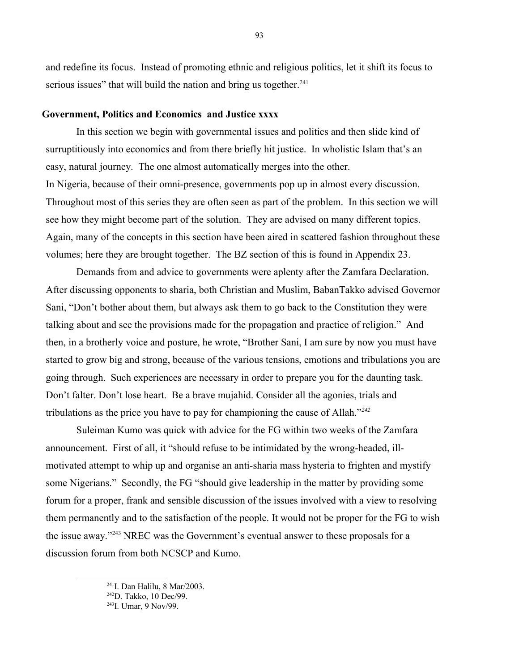and redefine its focus. Instead of promoting ethnic and religious politics, let it shift its focus to serious issues" that will build the nation and bring us together.<sup>[241](#page-92-0)</sup>

#### **Government, Politics and Economics and Justice xxxx**

In this section we begin with governmental issues and politics and then slide kind of surruptitiously into economics and from there briefly hit justice. In wholistic Islam that's an easy, natural journey. The one almost automatically merges into the other. In Nigeria, because of their omni-presence, governments pop up in almost every discussion. Throughout most of this series they are often seen as part of the problem. In this section we will see how they might become part of the solution. They are advised on many different topics. Again, many of the concepts in this section have been aired in scattered fashion throughout these volumes; here they are brought together. The BZ section of this is found in Appendix 23.

Demands from and advice to governments were aplenty after the Zamfara Declaration. After discussing opponents to sharia, both Christian and Muslim, BabanTakko advised Governor Sani, "Don't bother about them, but always ask them to go back to the Constitution they were talking about and see the provisions made for the propagation and practice of religion." And then, in a brotherly voice and posture, he wrote, "Brother Sani, I am sure by now you must have started to grow big and strong, because of the various tensions, emotions and tribulations you are going through. Such experiences are necessary in order to prepare you for the daunting task. Don't falter. Don't lose heart. Be a brave mujahid. Consider all the agonies, trials and tribulations as the price you have to pay for championing the cause of Allah."*[242](#page-92-1)*

Suleiman Kumo was quick with advice for the FG within two weeks of the Zamfara announcement. First of all, it "should refuse to be intimidated by the wrong-headed, illmotivated attempt to whip up and organise an anti-sharia mass hysteria to frighten and mystify some Nigerians." Secondly, the FG "should give leadership in the matter by providing some forum for a proper, frank and sensible discussion of the issues involved with a view to resolving them permanently and to the satisfaction of the people. It would not be proper for the FG to wish the issue away."[243](#page-92-2) NREC was the Government's eventual answer to these proposals for a discussion forum from both NCSCP and Kumo.

<span id="page-92-0"></span><sup>241</sup>I. Dan Halilu, 8 Mar/2003.

<span id="page-92-1"></span> $242$ D. Takko, 10 Dec/99.

<span id="page-92-2"></span><sup>243</sup>I. Umar, 9 Nov/99.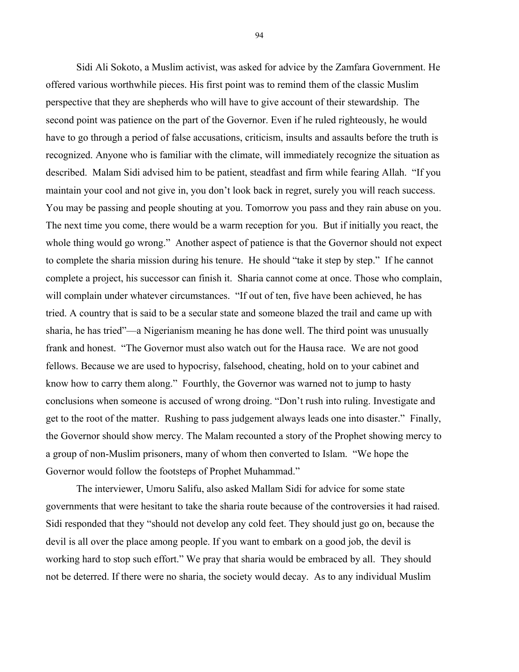Sidi Ali Sokoto, a Muslim activist, was asked for advice by the Zamfara Government. He offered various worthwhile pieces. His first point was to remind them of the classic Muslim perspective that they are shepherds who will have to give account of their stewardship. The second point was patience on the part of the Governor. Even if he ruled righteously, he would have to go through a period of false accusations, criticism, insults and assaults before the truth is recognized. Anyone who is familiar with the climate, will immediately recognize the situation as described. Malam Sidi advised him to be patient, steadfast and firm while fearing Allah. "If you maintain your cool and not give in, you don't look back in regret, surely you will reach success. You may be passing and people shouting at you. Tomorrow you pass and they rain abuse on you. The next time you come, there would be a warm reception for you. But if initially you react, the whole thing would go wrong." Another aspect of patience is that the Governor should not expect to complete the sharia mission during his tenure. He should "take it step by step." If he cannot complete a project, his successor can finish it. Sharia cannot come at once. Those who complain, will complain under whatever circumstances. "If out of ten, five have been achieved, he has tried. A country that is said to be a secular state and someone blazed the trail and came up with sharia, he has tried"—a Nigerianism meaning he has done well. The third point was unusually frank and honest. "The Governor must also watch out for the Hausa race. We are not good fellows. Because we are used to hypocrisy, falsehood, cheating, hold on to your cabinet and know how to carry them along." Fourthly, the Governor was warned not to jump to hasty conclusions when someone is accused of wrong droing. "Don't rush into ruling. Investigate and get to the root of the matter. Rushing to pass judgement always leads one into disaster." Finally, the Governor should show mercy. The Malam recounted a story of the Prophet showing mercy to a group of non-Muslim prisoners, many of whom then converted to Islam. "We hope the Governor would follow the footsteps of Prophet Muhammad."

The interviewer, Umoru Salifu, also asked Mallam Sidi for advice for some state governments that were hesitant to take the sharia route because of the controversies it had raised. Sidi responded that they "should not develop any cold feet. They should just go on, because the devil is all over the place among people. If you want to embark on a good job, the devil is working hard to stop such effort." We pray that sharia would be embraced by all. They should not be deterred. If there were no sharia, the society would decay. As to any individual Muslim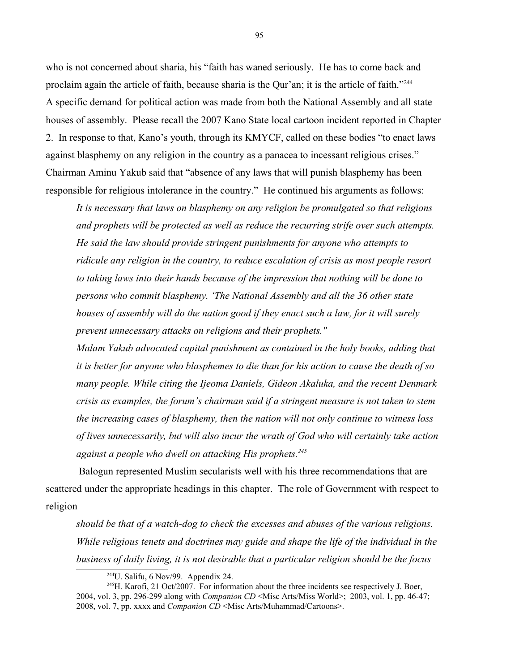who is not concerned about sharia, his "faith has waned seriously. He has to come back and proclaim again the article of faith, because sharia is the Qur'an; it is the article of faith."<sup>[244](#page-94-0)</sup> A specific demand for political action was made from both the National Assembly and all state houses of assembly. Please recall the 2007 Kano State local cartoon incident reported in Chapter 2. In response to that, Kano's youth, through its KMYCF, called on these bodies "to enact laws against blasphemy on any religion in the country as a panacea to incessant religious crises." Chairman Aminu Yakub said that "absence of any laws that will punish blasphemy has been responsible for religious intolerance in the country." He continued his arguments as follows:

*It is necessary that laws on blasphemy on any religion be promulgated so that religions and prophets will be protected as well as reduce the recurring strife over such attempts. He said the law should provide stringent punishments for anyone who attempts to ridicule any religion in the country, to reduce escalation of crisis as most people resort to taking laws into their hands because of the impression that nothing will be done to persons who commit blasphemy. 'The National Assembly and all the 36 other state houses of assembly will do the nation good if they enact such a law, for it will surely prevent unnecessary attacks on religions and their prophets."* 

*Malam Yakub advocated capital punishment as contained in the holy books, adding that it is better for anyone who blasphemes to die than for his action to cause the death of so many people. While citing the Ijeoma Daniels, Gideon Akaluka, and the recent Denmark crisis as examples, the forum's chairman said if a stringent measure is not taken to stem the increasing cases of blasphemy, then the nation will not only continue to witness loss of lives unnecessarily, but will also incur the wrath of God who will certainly take action against a people who dwell on attacking His prophets.[245](#page-94-1)*

 Balogun represented Muslim secularists well with his three recommendations that are scattered under the appropriate headings in this chapter. The role of Government with respect to religion

*should be that of a watch-dog to check the excesses and abuses of the various religions. While religious tenets and doctrines may guide and shape the life of the individual in the business of daily living, it is not desirable that a particular religion should be the focus* 

<span id="page-94-1"></span><span id="page-94-0"></span> $244$ U. Salifu, 6 Nov/99. Appendix 24.

 $245$ H. Karofi, 21 Oct/2007. For information about the three incidents see respectively J. Boer, 2004, vol. 3, pp. 296-299 along with *Companion CD* <Misc Arts/Miss World>; 2003, vol. 1, pp. 46-47; 2008, vol. 7, pp. xxxx and *Companion CD* <Misc Arts/Muhammad/Cartoons>.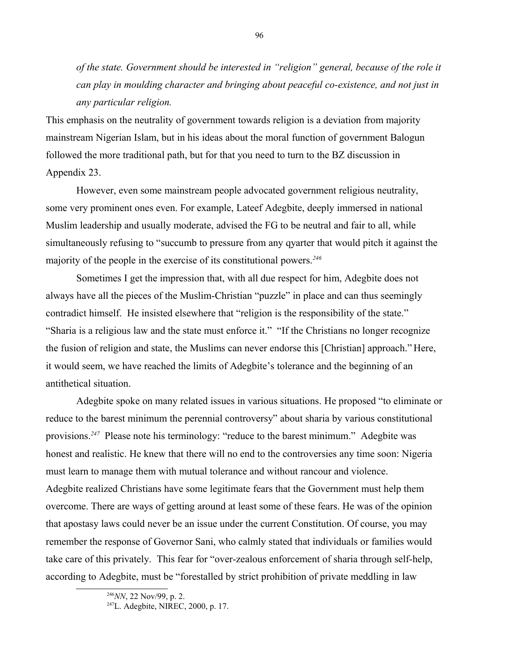*of the state. Government should be interested in "religion" general, because of the role it can play in moulding character and bringing about peaceful co-existence, and not just in any particular religion.*

This emphasis on the neutrality of government towards religion is a deviation from majority mainstream Nigerian Islam, but in his ideas about the moral function of government Balogun followed the more traditional path, but for that you need to turn to the BZ discussion in Appendix 23.

However, even some mainstream people advocated government religious neutrality, some very prominent ones even. For example, Lateef Adegbite, deeply immersed in national Muslim leadership and usually moderate, advised the FG to be neutral and fair to all, while simultaneously refusing to "succumb to pressure from any qyarter that would pitch it against the majority of the people in the exercise of its constitutional powers.*[246](#page-95-0)*

Sometimes I get the impression that, with all due respect for him, Adegbite does not always have all the pieces of the Muslim-Christian "puzzle" in place and can thus seemingly contradict himself. He insisted elsewhere that "religion is the responsibility of the state." "Sharia is a religious law and the state must enforce it." "If the Christians no longer recognize the fusion of religion and state, the Muslims can never endorse this [Christian] approach." Here, it would seem, we have reached the limits of Adegbite's tolerance and the beginning of an antithetical situation.

Adegbite spoke on many related issues in various situations. He proposed "to eliminate or reduce to the barest minimum the perennial controversy" about sharia by various constitutional provisions.*[247](#page-95-1)* Please note his terminology: "reduce to the barest minimum." Adegbite was honest and realistic. He knew that there will no end to the controversies any time soon: Nigeria must learn to manage them with mutual tolerance and without rancour and violence. Adegbite realized Christians have some legitimate fears that the Government must help them overcome. There are ways of getting around at least some of these fears. He was of the opinion that apostasy laws could never be an issue under the current Constitution. Of course, you may remember the response of Governor Sani, who calmly stated that individuals or families would take care of this privately. This fear for "over-zealous enforcement of sharia through self-help, according to Adegbite, must be "forestalled by strict prohibition of private meddling in law

<span id="page-95-0"></span><sup>246</sup>*NN*, 22 Nov/99, p. 2.

<span id="page-95-1"></span><sup>247</sup>L. Adegbite, NIREC, 2000, p. 17.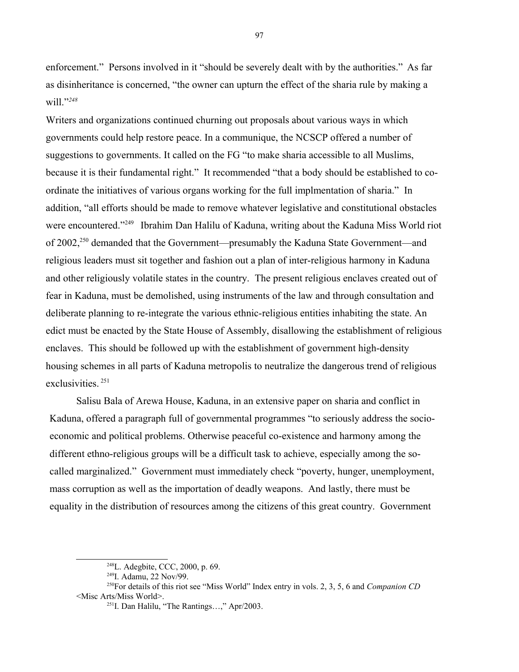enforcement." Persons involved in it "should be severely dealt with by the authorities." As far as disinheritance is concerned, "the owner can upturn the effect of the sharia rule by making a will."*[248](#page-96-0)*

Writers and organizations continued churning out proposals about various ways in which governments could help restore peace. In a communique, the NCSCP offered a number of suggestions to governments. It called on the FG "to make sharia accessible to all Muslims, because it is their fundamental right." It recommended "that a body should be established to coordinate the initiatives of various organs working for the full implmentation of sharia." In addition, "all efforts should be made to remove whatever legislative and constitutional obstacles were encountered."<sup>[249](#page-96-1)</sup> Ibrahim Dan Halilu of Kaduna, writing about the Kaduna Miss World riot of 2002,[250](#page-96-2) demanded that the Government—presumably the Kaduna State Government—and religious leaders must sit together and fashion out a plan of inter-religious harmony in Kaduna and other religiously volatile states in the country. The present religious enclaves created out of fear in Kaduna, must be demolished, using instruments of the law and through consultation and deliberate planning to re-integrate the various ethnic-religious entities inhabiting the state. An edict must be enacted by the State House of Assembly, disallowing the establishment of religious enclaves. This should be followed up with the establishment of government high-density housing schemes in all parts of Kaduna metropolis to neutralize the dangerous trend of religious exclusivities. [251](#page-96-3)

Salisu Bala of Arewa House, Kaduna, in an extensive paper on sharia and conflict in Kaduna, offered a paragraph full of governmental programmes "to seriously address the socioeconomic and political problems. Otherwise peaceful co-existence and harmony among the different ethno-religious groups will be a difficult task to achieve, especially among the socalled marginalized." Government must immediately check "poverty, hunger, unemployment, mass corruption as well as the importation of deadly weapons. And lastly, there must be equality in the distribution of resources among the citizens of this great country. Government

<span id="page-96-0"></span><sup>248</sup>L. Adegbite, CCC, 2000, p. 69.

<span id="page-96-2"></span><span id="page-96-1"></span><sup>249</sup>I. Adamu, 22 Nov/99.

<sup>250</sup>For details of this riot see "Miss World" Index entry in vols. 2, 3, 5, 6 and *Companion CD* <Misc Arts/Miss World>.

<span id="page-96-3"></span><sup>251</sup>I. Dan Halilu, "The Rantings…," Apr/2003.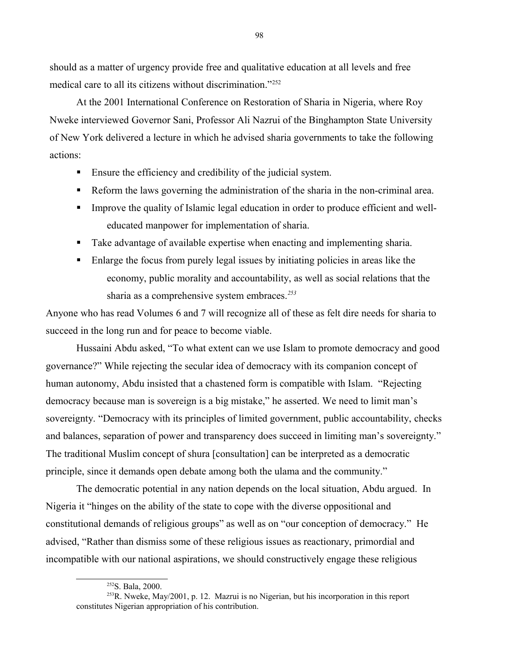should as a matter of urgency provide free and qualitative education at all levels and free medical care to all its citizens without discrimination."[252](#page-97-0)

At the 2001 International Conference on Restoration of Sharia in Nigeria, where Roy Nweke interviewed Governor Sani, Professor Ali Nazrui of the Binghampton State University of New York delivered a lecture in which he advised sharia governments to take the following actions:

- Ensure the efficiency and credibility of the judicial system.
- Reform the laws governing the administration of the sharia in the non-criminal area.
- **Improve the quality of Islamic legal education in order to produce efficient and well**educated manpower for implementation of sharia.
- Take advantage of available expertise when enacting and implementing sharia.
- Enlarge the focus from purely legal issues by initiating policies in areas like the economy, public morality and accountability, as well as social relations that the sharia as a comprehensive system embraces.*[253](#page-97-1)*

Anyone who has read Volumes 6 and 7 will recognize all of these as felt dire needs for sharia to succeed in the long run and for peace to become viable.

Hussaini Abdu asked, "To what extent can we use Islam to promote democracy and good governance?" While rejecting the secular idea of democracy with its companion concept of human autonomy, Abdu insisted that a chastened form is compatible with Islam. "Rejecting democracy because man is sovereign is a big mistake," he asserted. We need to limit man's sovereignty. "Democracy with its principles of limited government, public accountability, checks and balances, separation of power and transparency does succeed in limiting man's sovereignty." The traditional Muslim concept of shura [consultation] can be interpreted as a democratic principle, since it demands open debate among both the ulama and the community."

The democratic potential in any nation depends on the local situation, Abdu argued. In Nigeria it "hinges on the ability of the state to cope with the diverse oppositional and constitutional demands of religious groups" as well as on "our conception of democracy." He advised, "Rather than dismiss some of these religious issues as reactionary, primordial and incompatible with our national aspirations, we should constructively engage these religious

<span id="page-97-1"></span><span id="page-97-0"></span><sup>252</sup>S. Bala, 2000.

<sup>&</sup>lt;sup>253</sup>R. Nweke, May/2001, p. 12. Mazrui is no Nigerian, but his incorporation in this report constitutes Nigerian appropriation of his contribution.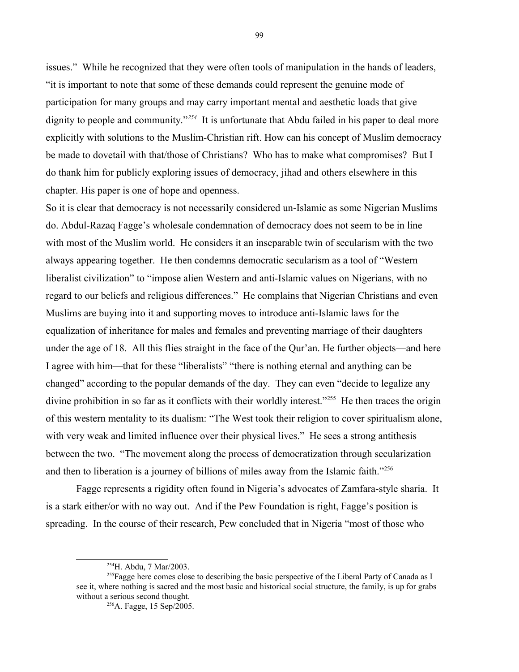issues." While he recognized that they were often tools of manipulation in the hands of leaders, "it is important to note that some of these demands could represent the genuine mode of participation for many groups and may carry important mental and aesthetic loads that give dignity to people and community.<sup>"[254](#page-98-0)</sup> It is unfortunate that Abdu failed in his paper to deal more explicitly with solutions to the Muslim-Christian rift. How can his concept of Muslim democracy be made to dovetail with that/those of Christians? Who has to make what compromises? But I do thank him for publicly exploring issues of democracy, jihad and others elsewhere in this chapter. His paper is one of hope and openness.

So it is clear that democracy is not necessarily considered un-Islamic as some Nigerian Muslims do. Abdul-Razaq Fagge's wholesale condemnation of democracy does not seem to be in line with most of the Muslim world. He considers it an inseparable twin of secularism with the two always appearing together. He then condemns democratic secularism as a tool of "Western liberalist civilization" to "impose alien Western and anti-Islamic values on Nigerians, with no regard to our beliefs and religious differences." He complains that Nigerian Christians and even Muslims are buying into it and supporting moves to introduce anti-Islamic laws for the equalization of inheritance for males and females and preventing marriage of their daughters under the age of 18. All this flies straight in the face of the Qur'an. He further objects—and here I agree with him—that for these "liberalists" "there is nothing eternal and anything can be changed" according to the popular demands of the day. They can even "decide to legalize any divine prohibition in so far as it conflicts with their worldly interest."<sup>[255](#page-98-1)</sup> He then traces the origin of this western mentality to its dualism: "The West took their religion to cover spiritualism alone, with very weak and limited influence over their physical lives." He sees a strong antithesis between the two. "The movement along the process of democratization through secularization and then to liberation is a journey of billions of miles away from the Islamic faith."<sup>[256](#page-98-2)</sup>

Fagge represents a rigidity often found in Nigeria's advocates of Zamfara-style sharia. It is a stark either/or with no way out. And if the Pew Foundation is right, Fagge's position is spreading. In the course of their research, Pew concluded that in Nigeria "most of those who

<span id="page-98-1"></span><span id="page-98-0"></span><sup>254</sup>H. Abdu, 7 Mar/2003.

<sup>&</sup>lt;sup>255</sup>Fagge here comes close to describing the basic perspective of the Liberal Party of Canada as I see it, where nothing is sacred and the most basic and historical social structure, the family, is up for grabs without a serious second thought.

<span id="page-98-2"></span><sup>256</sup>A. Fagge, 15 Sep/2005.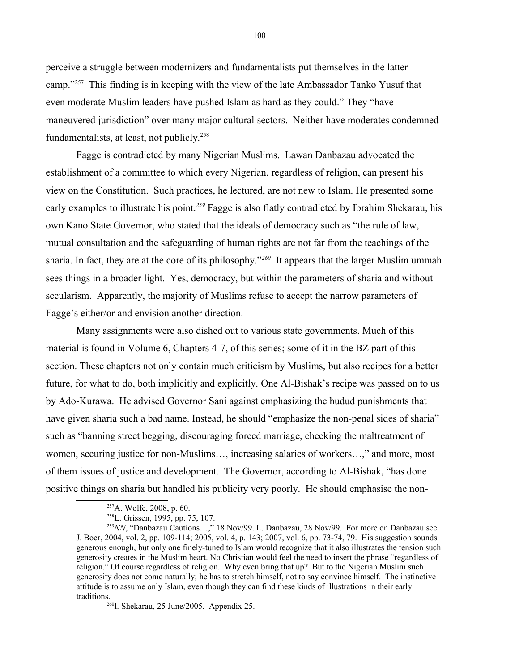perceive a struggle between modernizers and fundamentalists put themselves in the latter camp."[257](#page-99-0) This finding is in keeping with the view of the late Ambassador Tanko Yusuf that even moderate Muslim leaders have pushed Islam as hard as they could." They "have maneuvered jurisdiction" over many major cultural sectors. Neither have moderates condemned fundamentalists, at least, not publicly.[258](#page-99-1)

Fagge is contradicted by many Nigerian Muslims. Lawan Danbazau advocated the establishment of a committee to which every Nigerian, regardless of religion, can present his view on the Constitution. Such practices, he lectured, are not new to Islam. He presented some early examples to illustrate his point.*[259](#page-99-2)* Fagge is also flatly contradicted by Ibrahim Shekarau, his own Kano State Governor, who stated that the ideals of democracy such as "the rule of law, mutual consultation and the safeguarding of human rights are not far from the teachings of the sharia. In fact, they are at the core of its philosophy."*[260](#page-99-3)* It appears that the larger Muslim ummah sees things in a broader light. Yes, democracy, but within the parameters of sharia and without secularism. Apparently, the majority of Muslims refuse to accept the narrow parameters of Fagge's either/or and envision another direction.

Many assignments were also dished out to various state governments. Much of this material is found in Volume 6, Chapters 4-7, of this series; some of it in the BZ part of this section. These chapters not only contain much criticism by Muslims, but also recipes for a better future, for what to do, both implicitly and explicitly. One Al-Bishak's recipe was passed on to us by Ado-Kurawa. He advised Governor Sani against emphasizing the hudud punishments that have given sharia such a bad name. Instead, he should "emphasize the non-penal sides of sharia" such as "banning street begging, discouraging forced marriage, checking the maltreatment of women, securing justice for non-Muslims…, increasing salaries of workers…," and more, most of them issues of justice and development. The Governor, according to Al-Bishak, "has done positive things on sharia but handled his publicity very poorly. He should emphasise the non-

<span id="page-99-0"></span><sup>257</sup>A. Wolfe, 2008, p. 60.

<span id="page-99-2"></span><span id="page-99-1"></span><sup>258</sup>L. Grissen, 1995, pp. 75, 107.

<sup>&</sup>lt;sup>259</sup>NN, "Danbazau Cautions...," 18 Nov/99. L. Danbazau, 28 Nov/99. For more on Danbazau see J. Boer, 2004, vol. 2, pp. 109-114; 2005, vol. 4, p. 143; 2007, vol. 6, pp. 73-74, 79. His suggestion sounds generous enough, but only one finely-tuned to Islam would recognize that it also illustrates the tension such generosity creates in the Muslim heart. No Christian would feel the need to insert the phrase "regardless of religion." Of course regardless of religion. Why even bring that up? But to the Nigerian Muslim such generosity does not come naturally; he has to stretch himself, not to say convince himself. The instinctive attitude is to assume only Islam, even though they can find these kinds of illustrations in their early traditions.

<span id="page-99-3"></span><sup>&</sup>lt;sup>260</sup>I. Shekarau, 25 June/2005. Appendix 25.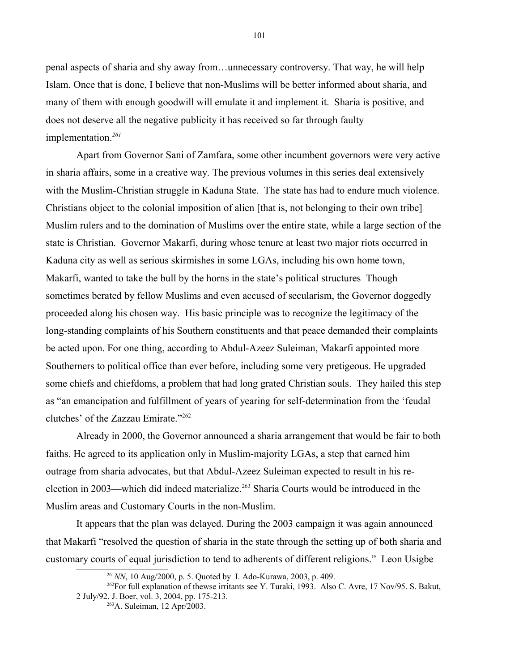penal aspects of sharia and shy away from…unnecessary controversy. That way, he will help Islam. Once that is done, I believe that non-Muslims will be better informed about sharia, and many of them with enough goodwill will emulate it and implement it. Sharia is positive, and does not deserve all the negative publicity it has received so far through faulty implementation.*[261](#page-100-0)*

Apart from Governor Sani of Zamfara, some other incumbent governors were very active in sharia affairs, some in a creative way. The previous volumes in this series deal extensively with the Muslim-Christian struggle in Kaduna State. The state has had to endure much violence. Christians object to the colonial imposition of alien [that is, not belonging to their own tribe] Muslim rulers and to the domination of Muslims over the entire state, while a large section of the state is Christian. Governor Makarfi, during whose tenure at least two major riots occurred in Kaduna city as well as serious skirmishes in some LGAs, including his own home town, Makarfi, wanted to take the bull by the horns in the state's political structures Though sometimes berated by fellow Muslims and even accused of secularism, the Governor doggedly proceeded along his chosen way. His basic principle was to recognize the legitimacy of the long-standing complaints of his Southern constituents and that peace demanded their complaints be acted upon. For one thing, according to Abdul-Azeez Suleiman, Makarfi appointed more Southerners to political office than ever before, including some very pretigeous. He upgraded some chiefs and chiefdoms, a problem that had long grated Christian souls. They hailed this step as "an emancipation and fulfillment of years of yearing for self-determination from the 'feudal clutches' of the Zazzau Emirate."[262](#page-100-1)

Already in 2000, the Governor announced a sharia arrangement that would be fair to both faiths. He agreed to its application only in Muslim-majority LGAs, a step that earned him outrage from sharia advocates, but that Abdul-Azeez Suleiman expected to result in his re-election in 2003—which did indeed materialize.<sup>[263](#page-100-2)</sup> Sharia Courts would be introduced in the Muslim areas and Customary Courts in the non-Muslim.

It appears that the plan was delayed. During the 2003 campaign it was again announced that Makarfi "resolved the question of sharia in the state through the setting up of both sharia and customary courts of equal jurisdiction to tend to adherents of different religions." Leon Usigbe

<span id="page-100-1"></span><span id="page-100-0"></span><sup>261</sup>*NN*, 10 Aug/2000, p. 5. Quoted by I. Ado-Kurawa, 2003, p. 409.

<sup>&</sup>lt;sup>262</sup>For full explanation of thewse irritants see Y. Turaki, 1993. Also C. Avre, 17 Nov/95. S. Bakut, 2 July/92. J. Boer, vol. 3, 2004, pp. 175-213.

<span id="page-100-2"></span><sup>263</sup>A. Suleiman, 12 Apr/2003.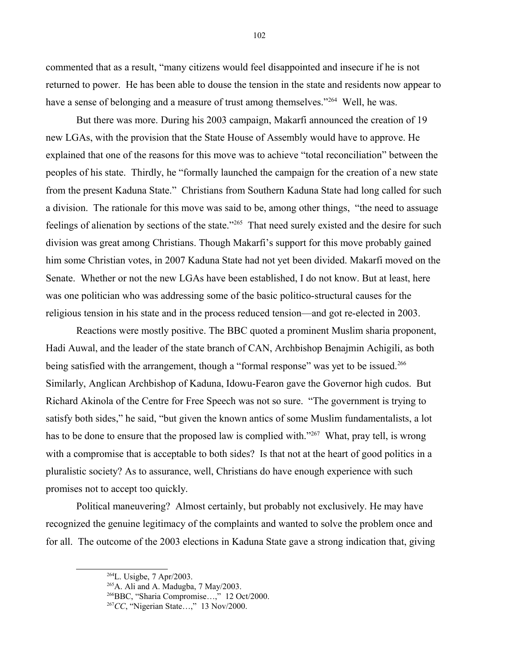commented that as a result, "many citizens would feel disappointed and insecure if he is not returned to power. He has been able to douse the tension in the state and residents now appear to have a sense of belonging and a measure of trust among themselves."<sup>[264](#page-101-0)</sup> Well, he was.

But there was more. During his 2003 campaign, Makarfi announced the creation of 19 new LGAs, with the provision that the State House of Assembly would have to approve. He explained that one of the reasons for this move was to achieve "total reconciliation" between the peoples of his state. Thirdly, he "formally launched the campaign for the creation of a new state from the present Kaduna State." Christians from Southern Kaduna State had long called for such a division. The rationale for this move was said to be, among other things, "the need to assuage feelings of alienation by sections of the state."<sup>[265](#page-101-1)</sup> That need surely existed and the desire for such division was great among Christians. Though Makarfi's support for this move probably gained him some Christian votes, in 2007 Kaduna State had not yet been divided. Makarfi moved on the Senate. Whether or not the new LGAs have been established, I do not know. But at least, here was one politician who was addressing some of the basic politico-structural causes for the religious tension in his state and in the process reduced tension—and got re-elected in 2003.

Reactions were mostly positive. The BBC quoted a prominent Muslim sharia proponent, Hadi Auwal, and the leader of the state branch of CAN, Archbishop Benajmin Achigili, as both being satisfied with the arrangement, though a "formal response" was yet to be issued.<sup>[266](#page-101-2)</sup> Similarly, Anglican Archbishop of Kaduna, Idowu-Fearon gave the Governor high cudos. But Richard Akinola of the Centre for Free Speech was not so sure. "The government is trying to satisfy both sides," he said, "but given the known antics of some Muslim fundamentalists, a lot has to be done to ensure that the proposed law is complied with."<sup>[267](#page-101-3)</sup> What, pray tell, is wrong with a compromise that is acceptable to both sides? Is that not at the heart of good politics in a pluralistic society? As to assurance, well, Christians do have enough experience with such promises not to accept too quickly.

Political maneuvering? Almost certainly, but probably not exclusively. He may have recognized the genuine legitimacy of the complaints and wanted to solve the problem once and for all. The outcome of the 2003 elections in Kaduna State gave a strong indication that, giving

<span id="page-101-0"></span> $^{264}$ L. Usigbe, 7 Apr/2003.

<span id="page-101-1"></span> $^{265}$ A. Ali and A. Madugba, 7 May/2003.

<span id="page-101-2"></span><sup>266</sup>BBC, "Sharia Compromise…," 12 Oct/2000.

<span id="page-101-3"></span><sup>267</sup>*CC*, "Nigerian State…," 13 Nov/2000.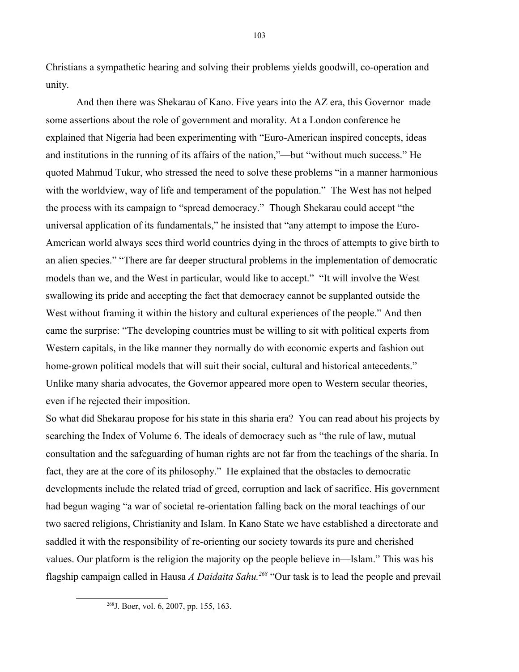Christians a sympathetic hearing and solving their problems yields goodwill, co-operation and unity.

And then there was Shekarau of Kano. Five years into the AZ era, this Governor made some assertions about the role of government and morality. At a London conference he explained that Nigeria had been experimenting with "Euro-American inspired concepts, ideas and institutions in the running of its affairs of the nation,"—but "without much success." He quoted Mahmud Tukur, who stressed the need to solve these problems "in a manner harmonious with the worldview, way of life and temperament of the population." The West has not helped the process with its campaign to "spread democracy." Though Shekarau could accept "the universal application of its fundamentals," he insisted that "any attempt to impose the Euro-American world always sees third world countries dying in the throes of attempts to give birth to an alien species." "There are far deeper structural problems in the implementation of democratic models than we, and the West in particular, would like to accept." "It will involve the West swallowing its pride and accepting the fact that democracy cannot be supplanted outside the West without framing it within the history and cultural experiences of the people." And then came the surprise: "The developing countries must be willing to sit with political experts from Western capitals, in the like manner they normally do with economic experts and fashion out home-grown political models that will suit their social, cultural and historical antecedents." Unlike many sharia advocates, the Governor appeared more open to Western secular theories, even if he rejected their imposition.

So what did Shekarau propose for his state in this sharia era? You can read about his projects by searching the Index of Volume 6. The ideals of democracy such as "the rule of law, mutual consultation and the safeguarding of human rights are not far from the teachings of the sharia. In fact, they are at the core of its philosophy." He explained that the obstacles to democratic developments include the related triad of greed, corruption and lack of sacrifice. His government had begun waging "a war of societal re-orientation falling back on the moral teachings of our two sacred religions, Christianity and Islam. In Kano State we have established a directorate and saddled it with the responsibility of re-orienting our society towards its pure and cherished values. Our platform is the religion the majority op the people believe in—Islam." This was his flagship campaign called in Hausa *A Daidaita Sahu.[268](#page-102-0)* "Our task is to lead the people and prevail

<span id="page-102-0"></span><sup>268</sup>J. Boer, vol. 6, 2007, pp. 155, 163.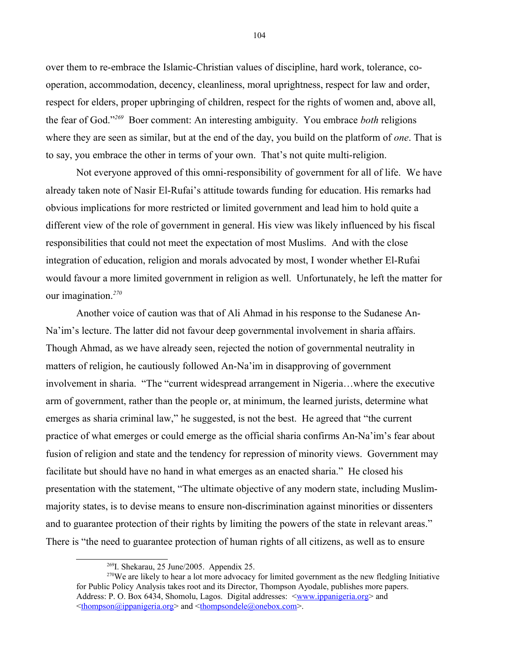over them to re-embrace the Islamic-Christian values of discipline, hard work, tolerance, cooperation, accommodation, decency, cleanliness, moral uprightness, respect for law and order, respect for elders, proper upbringing of children, respect for the rights of women and, above all, the fear of God."*[269](#page-103-0)* Boer comment: An interesting ambiguity. You embrace *both* religions where they are seen as similar, but at the end of the day, you build on the platform of *one*. That is to say, you embrace the other in terms of your own. That's not quite multi-religion.

Not everyone approved of this omni-responsibility of government for all of life. We have already taken note of Nasir El-Rufai's attitude towards funding for education. His remarks had obvious implications for more restricted or limited government and lead him to hold quite a different view of the role of government in general. His view was likely influenced by his fiscal responsibilities that could not meet the expectation of most Muslims. And with the close integration of education, religion and morals advocated by most, I wonder whether El-Rufai would favour a more limited government in religion as well. Unfortunately, he left the matter for our imagination.*[270](#page-103-1)*

Another voice of caution was that of Ali Ahmad in his response to the Sudanese An-Na'im's lecture. The latter did not favour deep governmental involvement in sharia affairs. Though Ahmad, as we have already seen, rejected the notion of governmental neutrality in matters of religion, he cautiously followed An-Na'im in disapproving of government involvement in sharia. "The "current widespread arrangement in Nigeria…where the executive arm of government, rather than the people or, at minimum, the learned jurists, determine what emerges as sharia criminal law," he suggested, is not the best. He agreed that "the current practice of what emerges or could emerge as the official sharia confirms An-Na'im's fear about fusion of religion and state and the tendency for repression of minority views. Government may facilitate but should have no hand in what emerges as an enacted sharia." He closed his presentation with the statement, "The ultimate objective of any modern state, including Muslimmajority states, is to devise means to ensure non-discrimination against minorities or dissenters and to guarantee protection of their rights by limiting the powers of the state in relevant areas." There is "the need to guarantee protection of human rights of all citizens, as well as to ensure

104

<span id="page-103-1"></span><span id="page-103-0"></span><sup>269</sup>I. Shekarau, 25 June/2005. Appendix 25.

 $270$ We are likely to hear a lot more advocacy for limited government as the new fledgling Initiative for Public Policy Analysis takes root and its Director, Thompson Ayodale, publishes more papers. Address: P. O. Box 6434, Shomolu, Lagos. Digital addresses: [<www.ippanigeria.org>](http://www.ippanigeria.org/) and  $\leq$ thompson $\omega$ ippanigeria.org> and  $\leq$ thompsondele $\omega$ onebox.com>.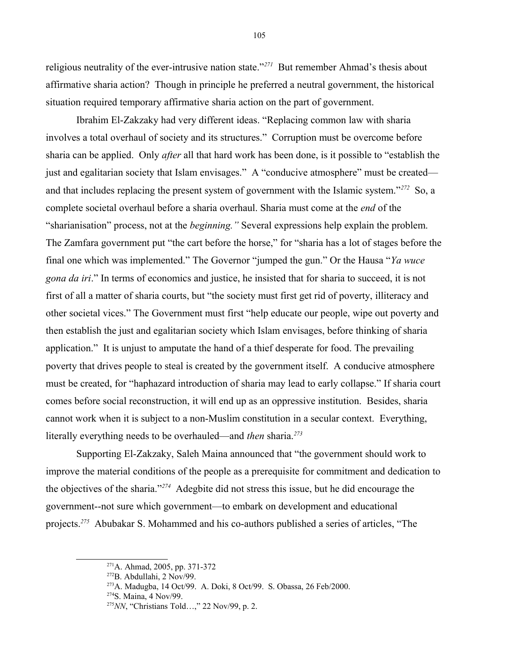religious neutrality of the ever-intrusive nation state."*[271](#page-104-0)* But remember Ahmad's thesis about affirmative sharia action? Though in principle he preferred a neutral government, the historical situation required temporary affirmative sharia action on the part of government.

Ibrahim El-Zakzaky had very different ideas. "Replacing common law with sharia involves a total overhaul of society and its structures." Corruption must be overcome before sharia can be applied. Only *after* all that hard work has been done, is it possible to "establish the just and egalitarian society that Islam envisages." A "conducive atmosphere" must be created and that includes replacing the present system of government with the Islamic system."*[272](#page-104-1)* So, a complete societal overhaul before a sharia overhaul. Sharia must come at the *end* of the "sharianisation" process, not at the *beginning."* Several expressions help explain the problem. The Zamfara government put "the cart before the horse," for "sharia has a lot of stages before the final one which was implemented." The Governor "jumped the gun." Or the Hausa "*Ya wuce gona da iri*." In terms of economics and justice, he insisted that for sharia to succeed, it is not first of all a matter of sharia courts, but "the society must first get rid of poverty, illiteracy and other societal vices." The Government must first "help educate our people, wipe out poverty and then establish the just and egalitarian society which Islam envisages, before thinking of sharia application." It is unjust to amputate the hand of a thief desperate for food. The prevailing poverty that drives people to steal is created by the government itself. A conducive atmosphere must be created, for "haphazard introduction of sharia may lead to early collapse." If sharia court comes before social reconstruction, it will end up as an oppressive institution. Besides, sharia cannot work when it is subject to a non-Muslim constitution in a secular context. Everything, literally everything needs to be overhauled—and *then* sharia.*[273](#page-104-2)*

Supporting El-Zakzaky, Saleh Maina announced that "the government should work to improve the material conditions of the people as a prerequisite for commitment and dedication to the objectives of the sharia."*[274](#page-104-3)* Adegbite did not stress this issue, but he did encourage the government--not sure which government—to embark on development and educational projects.*[275](#page-104-4)* Abubakar S. Mohammed and his co-authors published a series of articles, "The

105

<span id="page-104-0"></span><sup>271</sup>A. Ahmad, 2005, pp. 371-372

<span id="page-104-1"></span> $272B$ . Abdullahi, 2 Nov/99.

<span id="page-104-2"></span> $2^{73}$ A. Madugba, 14 Oct/99. A. Doki, 8 Oct/99. S. Obassa, 26 Feb/2000.

<span id="page-104-3"></span><sup>274</sup>S. Maina, 4 Nov/99.

<span id="page-104-4"></span><sup>275</sup>*NN*, "Christians Told…," 22 Nov/99, p. 2.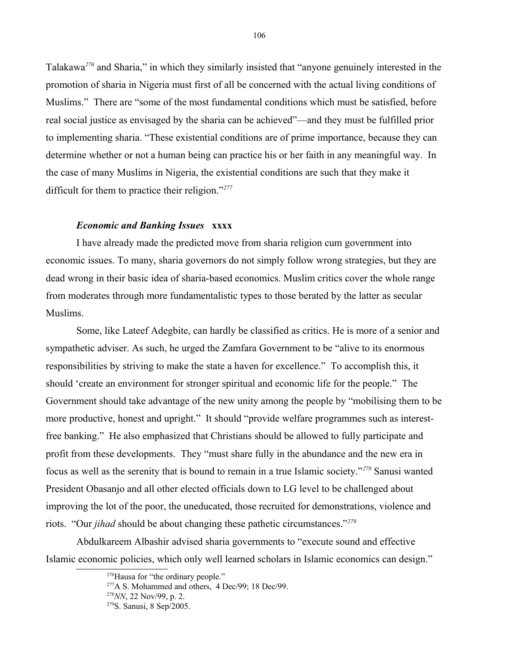Talakawa*[276](#page-105-0)* and Sharia," in which they similarly insisted that "anyone genuinely interested in the promotion of sharia in Nigeria must first of all be concerned with the actual living conditions of Muslims." There are "some of the most fundamental conditions which must be satisfied, before real social justice as envisaged by the sharia can be achieved"—and they must be fulfilled prior to implementing sharia. "These existential conditions are of prime importance, because they can determine whether or not a human being can practice his or her faith in any meaningful way. In the case of many Muslims in Nigeria, the existential conditions are such that they make it difficult for them to practice their religion."*[277](#page-105-1)*

## *Economic and Banking Issues* **xxxx**

I have already made the predicted move from sharia religion cum government into economic issues. To many, sharia governors do not simply follow wrong strategies, but they are dead wrong in their basic idea of sharia-based economics. Muslim critics cover the whole range from moderates through more fundamentalistic types to those berated by the latter as secular Muslims.

Some, like Lateef Adegbite, can hardly be classified as critics. He is more of a senior and sympathetic adviser. As such, he urged the Zamfara Government to be "alive to its enormous responsibilities by striving to make the state a haven for excellence." To accomplish this, it should 'create an environment for stronger spiritual and economic life for the people." The Government should take advantage of the new unity among the people by "mobilising them to be more productive, honest and upright." It should "provide welfare programmes such as interestfree banking." He also emphasized that Christians should be allowed to fully participate and profit from these developments. They "must share fully in the abundance and the new era in focus as well as the serenity that is bound to remain in a true Islamic society."*[278](#page-105-2)* Sanusi wanted President Obasanjo and all other elected officials down to LG level to be challenged about improving the lot of the poor, the uneducated, those recruited for demonstrations, violence and riots. "Our *jihad* should be about changing these pathetic circumstances."*[279](#page-105-3)*

Abdulkareem Albashir advised sharia governments to "execute sound and effective Islamic economic policies, which only well learned scholars in Islamic economics can design."

<span id="page-105-0"></span><sup>&</sup>lt;sup>276</sup>Hausa for "the ordinary people."

<span id="page-105-1"></span> $277A$  S. Mohammed and others, 4 Dec/99; 18 Dec/99.

<span id="page-105-2"></span><sup>278</sup>*NN*, 22 Nov/99, p. 2.

<span id="page-105-3"></span><sup>279</sup>S. Sanusi, 8 Sep/2005.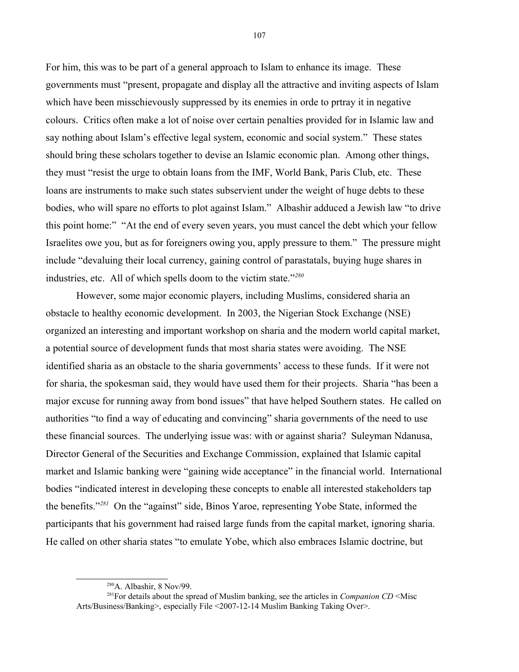For him, this was to be part of a general approach to Islam to enhance its image. These governments must "present, propagate and display all the attractive and inviting aspects of Islam which have been misschievously suppressed by its enemies in orde to prtray it in negative colours. Critics often make a lot of noise over certain penalties provided for in Islamic law and say nothing about Islam's effective legal system, economic and social system." These states should bring these scholars together to devise an Islamic economic plan. Among other things, they must "resist the urge to obtain loans from the IMF, World Bank, Paris Club, etc. These loans are instruments to make such states subservient under the weight of huge debts to these bodies, who will spare no efforts to plot against Islam." Albashir adduced a Jewish law "to drive this point home:" "At the end of every seven years, you must cancel the debt which your fellow Israelites owe you, but as for foreigners owing you, apply pressure to them." The pressure might include "devaluing their local currency, gaining control of parastatals, buying huge shares in industries, etc. All of which spells doom to the victim state."*[280](#page-106-0)*

However, some major economic players, including Muslims, considered sharia an obstacle to healthy economic development. In 2003, the Nigerian Stock Exchange (NSE) organized an interesting and important workshop on sharia and the modern world capital market, a potential source of development funds that most sharia states were avoiding. The NSE identified sharia as an obstacle to the sharia governments' access to these funds. If it were not for sharia, the spokesman said, they would have used them for their projects. Sharia "has been a major excuse for running away from bond issues" that have helped Southern states. He called on authorities "to find a way of educating and convincing" sharia governments of the need to use these financial sources. The underlying issue was: with or against sharia? Suleyman Ndanusa, Director General of the Securities and Exchange Commission, explained that Islamic capital market and Islamic banking were "gaining wide acceptance" in the financial world. International bodies "indicated interest in developing these concepts to enable all interested stakeholders tap the benefits."*[281](#page-106-1)* On the "against" side, Binos Yaroe, representing Yobe State, informed the participants that his government had raised large funds from the capital market, ignoring sharia. He called on other sharia states "to emulate Yobe, which also embraces Islamic doctrine, but

<span id="page-106-1"></span><span id="page-106-0"></span><sup>280</sup>A. Albashir, 8 Nov/99.

<sup>281</sup>For details about the spread of Muslim banking, see the articles in *Companion CD* <Misc Arts/Business/Banking>, especially File <2007-12-14 Muslim Banking Taking Over>.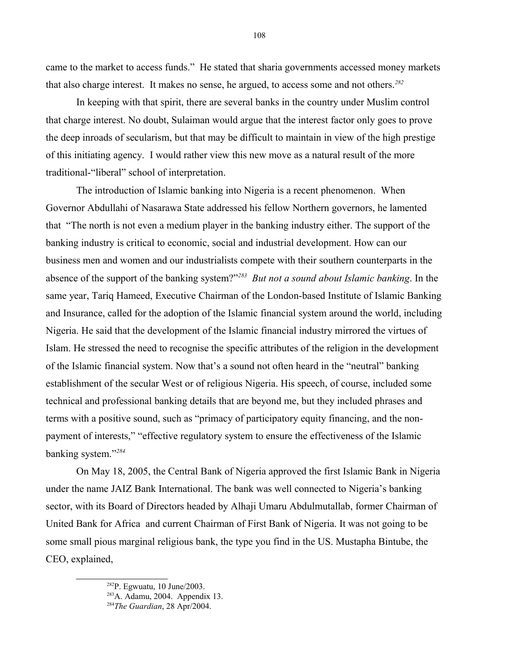came to the market to access funds." He stated that sharia governments accessed money markets that also charge interest. It makes no sense, he argued, to access some and not others.*[282](#page-107-0)*

In keeping with that spirit, there are several banks in the country under Muslim control that charge interest. No doubt, Sulaiman would argue that the interest factor only goes to prove the deep inroads of secularism, but that may be difficult to maintain in view of the high prestige of this initiating agency. I would rather view this new move as a natural result of the more traditional-"liberal" school of interpretation.

The introduction of Islamic banking into Nigeria is a recent phenomenon. When Governor Abdullahi of Nasarawa State addressed his fellow Northern governors, he lamented that "The north is not even a medium player in the banking industry either. The support of the banking industry is critical to economic, social and industrial development. How can our business men and women and our industrialists compete with their southern counterparts in the absence of the support of the banking system?"*[283](#page-107-1) But not a sound about Islamic banking*. In the same year, Tariq Hameed, Executive Chairman of the London-based Institute of Islamic Banking and Insurance, called for the adoption of the Islamic financial system around the world, including Nigeria. He said that the development of the Islamic financial industry mirrored the virtues of Islam. He stressed the need to recognise the specific attributes of the religion in the development of the Islamic financial system. Now that's a sound not often heard in the "neutral" banking establishment of the secular West or of religious Nigeria. His speech, of course, included some technical and professional banking details that are beyond me, but they included phrases and terms with a positive sound, such as "primacy of participatory equity financing, and the nonpayment of interests," "effective regulatory system to ensure the effectiveness of the Islamic banking system."*[284](#page-107-2)* 

On May 18, 2005, the Central Bank of Nigeria approved the first Islamic Bank in Nigeria under the name JAIZ Bank International. The bank was well connected to Nigeria's banking sector, with its Board of Directors headed by Alhaji Umaru Abdulmutallab, former Chairman of United Bank for Africa and current Chairman of First Bank of Nigeria. It was not going to be some small pious marginal religious bank, the type you find in the US. Mustapha Bintube, the CEO, explained,

108

<span id="page-107-0"></span><sup>282</sup>P. Egwuatu, 10 June/2003.

<span id="page-107-1"></span><sup>283</sup>A. Adamu, 2004. Appendix 13.

<span id="page-107-2"></span><sup>284</sup>*The Guardian*, 28 Apr/2004.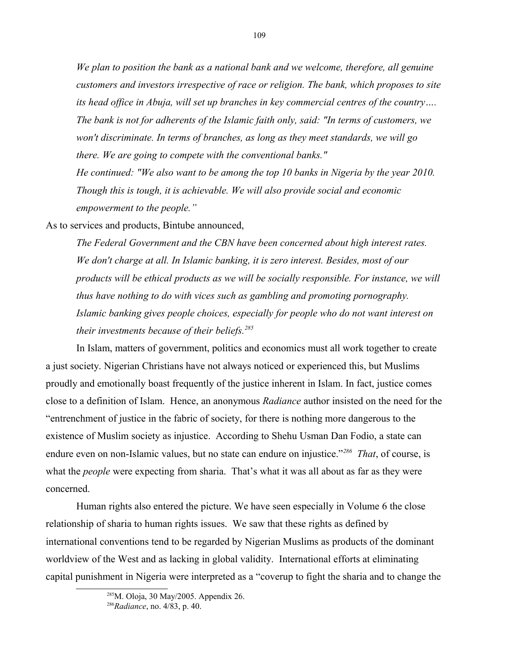*We plan to position the bank as a national bank and we welcome, therefore, all genuine customers and investors irrespective of race or religion. The bank, which proposes to site its head office in Abuja, will set up branches in key commercial centres of the country…. The bank is not for adherents of the Islamic faith only, said: "In terms of customers, we won't discriminate. In terms of branches, as long as they meet standards, we will go there. We are going to compete with the conventional banks." He continued: "We also want to be among the top 10 banks in Nigeria by the year 2010. Though this is tough, it is achievable. We will also provide social and economic empowerment to the people."*

109

As to services and products, Bintube announced,

*The Federal Government and the CBN have been concerned about high interest rates. We don't charge at all. In Islamic banking, it is zero interest. Besides, most of our products will be ethical products as we will be socially responsible. For instance, we will thus have nothing to do with vices such as gambling and promoting pornography. Islamic banking gives people choices, especially for people who do not want interest on their investments because of their beliefs.[285](#page-108-0)*

In Islam, matters of government, politics and economics must all work together to create a just society. Nigerian Christians have not always noticed or experienced this, but Muslims proudly and emotionally boast frequently of the justice inherent in Islam. In fact, justice comes close to a definition of Islam. Hence, an anonymous *Radiance* author insisted on the need for the "entrenchment of justice in the fabric of society, for there is nothing more dangerous to the existence of Muslim society as injustice. According to Shehu Usman Dan Fodio, a state can endure even on non-Islamic values, but no state can endure on injustice."*[286](#page-108-1) That*, of course, is what the *people* were expecting from sharia. That's what it was all about as far as they were concerned.

Human rights also entered the picture. We have seen especially in Volume 6 the close relationship of sharia to human rights issues. We saw that these rights as defined by international conventions tend to be regarded by Nigerian Muslims as products of the dominant worldview of the West and as lacking in global validity. International efforts at eliminating capital punishment in Nigeria were interpreted as a "coverup to fight the sharia and to change the

<span id="page-108-0"></span><sup>285</sup>M. Oloja, 30 May/2005. Appendix 26.

<span id="page-108-1"></span><sup>286</sup>*Radiance*, no. 4/83, p. 40.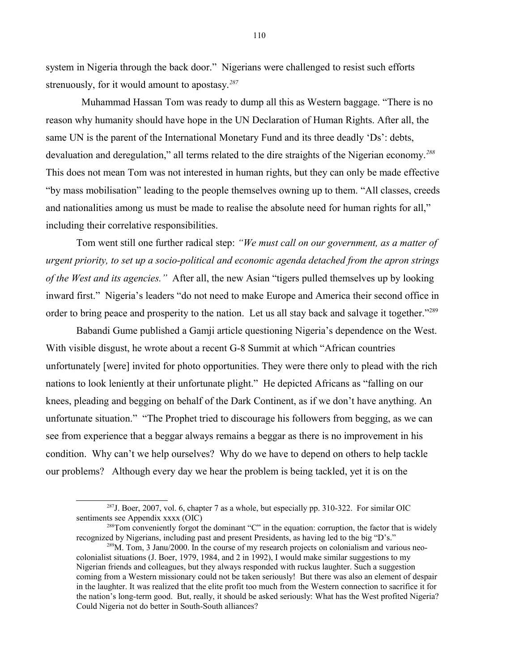system in Nigeria through the back door." Nigerians were challenged to resist such efforts strenuously, for it would amount to apostasy.*[287](#page-109-0)*

 Muhammad Hassan Tom was ready to dump all this as Western baggage. "There is no reason why humanity should have hope in the UN Declaration of Human Rights. After all, the same UN is the parent of the International Monetary Fund and its three deadly 'Ds': debts, devaluation and deregulation," all terms related to the dire straights of the Nigerian economy.*[288](#page-109-1)* This does not mean Tom was not interested in human rights, but they can only be made effective "by mass mobilisation" leading to the people themselves owning up to them. "All classes, creeds and nationalities among us must be made to realise the absolute need for human rights for all," including their correlative responsibilities.

Tom went still one further radical step: *"We must call on our government, as a matter of urgent priority, to set up a socio-political and economic agenda detached from the apron strings of the West and its agencies."* After all, the new Asian "tigers pulled themselves up by looking inward first." Nigeria's leaders "do not need to make Europe and America their second office in order to bring peace and prosperity to the nation. Let us all stay back and salvage it together."<sup>[289](#page-109-2)</sup>

Babandi Gume published a Gamji article questioning Nigeria's dependence on the West. With visible disgust, he wrote about a recent G-8 Summit at which "African countries unfortunately [were] invited for photo opportunities. They were there only to plead with the rich nations to look leniently at their unfortunate plight." He depicted Africans as "falling on our knees, pleading and begging on behalf of the Dark Continent, as if we don't have anything. An unfortunate situation." "The Prophet tried to discourage his followers from begging, as we can see from experience that a beggar always remains a beggar as there is no improvement in his condition. Why can't we help ourselves? Why do we have to depend on others to help tackle our problems? Although every day we hear the problem is being tackled, yet it is on the

<span id="page-109-0"></span><sup>287</sup>J. Boer, 2007, vol. 6, chapter 7 as a whole, but especially pp. 310-322. For similar OIC sentiments see Appendix xxxx (OIC)

<span id="page-109-1"></span><sup>&</sup>lt;sup>288</sup>Tom conveniently forgot the dominant "C" in the equation: corruption, the factor that is widely recognized by Nigerians, including past and present Presidents, as having led to the big "D's."

<span id="page-109-2"></span> $289M$ . Tom, 3 Janu/2000. In the course of my research projects on colonialism and various neocolonialist situations (J. Boer, 1979, 1984, and 2 in 1992), I would make similar suggestions to my Nigerian friends and colleagues, but they always responded with ruckus laughter. Such a suggestion coming from a Western missionary could not be taken seriously! But there was also an element of despair in the laughter. It was realized that the elite profit too much from the Western connection to sacrifice it for the nation's long-term good. But, really, it should be asked seriously: What has the West profited Nigeria? Could Nigeria not do better in South-South alliances?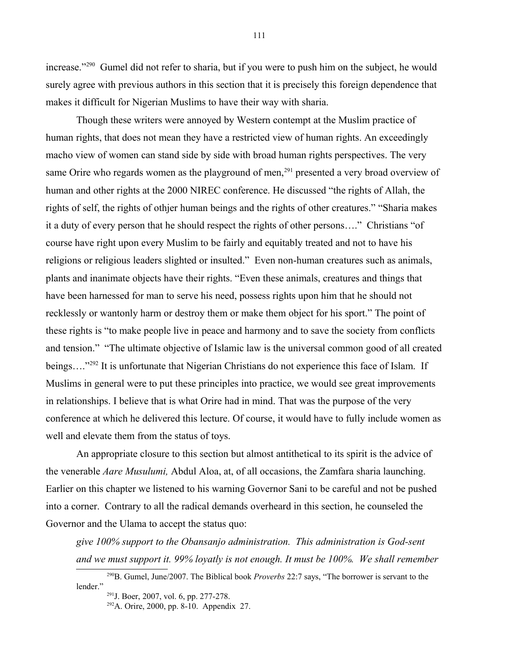increase."[290](#page-110-0) Gumel did not refer to sharia, but if you were to push him on the subject, he would surely agree with previous authors in this section that it is precisely this foreign dependence that makes it difficult for Nigerian Muslims to have their way with sharia.

Though these writers were annoyed by Western contempt at the Muslim practice of human rights, that does not mean they have a restricted view of human rights. An exceedingly macho view of women can stand side by side with broad human rights perspectives. The very same Orire who regards women as the playground of men,<sup>[291](#page-110-1)</sup> presented a very broad overview of human and other rights at the 2000 NIREC conference. He discussed "the rights of Allah, the rights of self, the rights of othjer human beings and the rights of other creatures." "Sharia makes it a duty of every person that he should respect the rights of other persons…." Christians "of course have right upon every Muslim to be fairly and equitably treated and not to have his religions or religious leaders slighted or insulted." Even non-human creatures such as animals, plants and inanimate objects have their rights. "Even these animals, creatures and things that have been harnessed for man to serve his need, possess rights upon him that he should not recklessly or wantonly harm or destroy them or make them object for his sport." The point of these rights is "to make people live in peace and harmony and to save the society from conflicts and tension." "The ultimate objective of Islamic law is the universal common good of all created beings...."<sup>[292](#page-110-2)</sup> It is unfortunate that Nigerian Christians do not experience this face of Islam. If Muslims in general were to put these principles into practice, we would see great improvements in relationships. I believe that is what Orire had in mind. That was the purpose of the very conference at which he delivered this lecture. Of course, it would have to fully include women as well and elevate them from the status of toys.

An appropriate closure to this section but almost antithetical to its spirit is the advice of the venerable *Aare Musulumi,* Abdul Aloa, at, of all occasions, the Zamfara sharia launching. Earlier on this chapter we listened to his warning Governor Sani to be careful and not be pushed into a corner. Contrary to all the radical demands overheard in this section, he counseled the Governor and the Ulama to accept the status quo:

*give 100% support to the Obansanjo administration. This administration is God-sent and we must support it. 99% loyatly is not enough. It must be 100%. We shall remember* 

111

<sup>290</sup>B. Gumel, June/2007. The Biblical book *Proverbs* 22:7 says, "The borrower is servant to the lender."

<span id="page-110-1"></span><span id="page-110-0"></span><sup>291</sup>J. Boer, 2007, vol. 6, pp. 277-278.

<span id="page-110-2"></span> $292$ A. Orire, 2000, pp. 8-10. Appendix 27.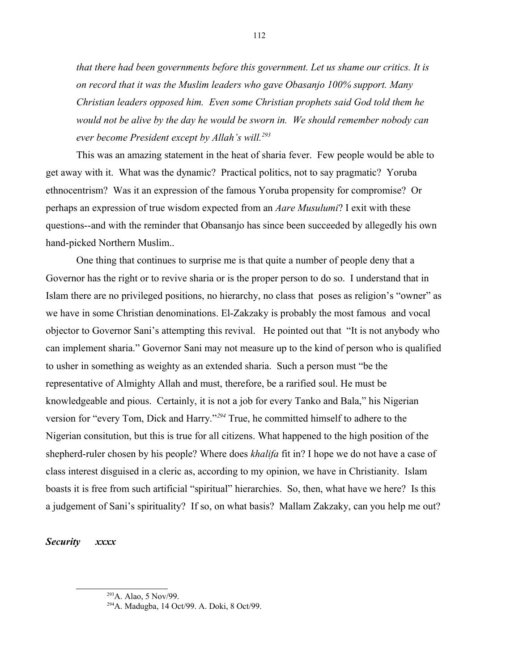*that there had been governments before this government. Let us shame our critics. It is on record that it was the Muslim leaders who gave Obasanjo 100% support. Many Christian leaders opposed him. Even some Christian prophets said God told them he would not be alive by the day he would be sworn in. We should remember nobody can ever become President except by Allah's will.[293](#page-111-0)*

This was an amazing statement in the heat of sharia fever. Few people would be able to get away with it. What was the dynamic? Practical politics, not to say pragmatic? Yoruba ethnocentrism? Was it an expression of the famous Yoruba propensity for compromise? Or perhaps an expression of true wisdom expected from an *Aare Musulumi*? I exit with these questions--and with the reminder that Obansanjo has since been succeeded by allegedly his own hand-picked Northern Muslim..

One thing that continues to surprise me is that quite a number of people deny that a Governor has the right or to revive sharia or is the proper person to do so. I understand that in Islam there are no privileged positions, no hierarchy, no class that poses as religion's "owner" as we have in some Christian denominations. El-Zakzaky is probably the most famous and vocal objector to Governor Sani's attempting this revival. He pointed out that "It is not anybody who can implement sharia." Governor Sani may not measure up to the kind of person who is qualified to usher in something as weighty as an extended sharia. Such a person must "be the representative of Almighty Allah and must, therefore, be a rarified soul. He must be knowledgeable and pious. Certainly, it is not a job for every Tanko and Bala," his Nigerian version for "every Tom, Dick and Harry."*[294](#page-111-1)* True, he committed himself to adhere to the Nigerian consitution, but this is true for all citizens. What happened to the high position of the shepherd-ruler chosen by his people? Where does *khalifa* fit in? I hope we do not have a case of class interest disguised in a cleric as, according to my opinion, we have in Christianity. Islam boasts it is free from such artificial "spiritual" hierarchies. So, then, what have we here? Is this a judgement of Sani's spirituality? If so, on what basis? Mallam Zakzaky, can you help me out?

*Security xxxx* 

<span id="page-111-0"></span><sup>293</sup>A. Alao, 5 Nov/99.

<span id="page-111-1"></span><sup>294</sup>A. Madugba, 14 Oct/99. A. Doki, 8 Oct/99.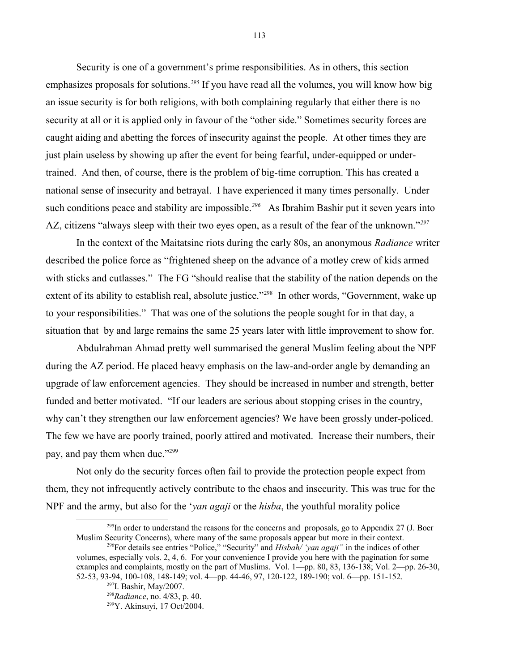Security is one of a government's prime responsibilities. As in others, this section emphasizes proposals for solutions.*[295](#page-112-0)* If you have read all the volumes, you will know how big an issue security is for both religions, with both complaining regularly that either there is no security at all or it is applied only in favour of the "other side." Sometimes security forces are caught aiding and abetting the forces of insecurity against the people. At other times they are just plain useless by showing up after the event for being fearful, under-equipped or undertrained. And then, of course, there is the problem of big-time corruption. This has created a national sense of insecurity and betrayal. I have experienced it many times personally. Under such conditions peace and stability are impossible.<sup>[296](#page-112-1)</sup> As Ibrahim Bashir put it seven years into AZ, citizens "always sleep with their two eyes open, as a result of the fear of the unknown."*[297](#page-112-2)*

In the context of the Maitatsine riots during the early 80s, an anonymous *Radiance* writer described the police force as "frightened sheep on the advance of a motley crew of kids armed with sticks and cutlasses." The FG "should realise that the stability of the nation depends on the extent of its ability to establish real, absolute justice."<sup>[298](#page-112-3)</sup> In other words, "Government, wake up to your responsibilities." That was one of the solutions the people sought for in that day, a situation that by and large remains the same 25 years later with little improvement to show for.

Abdulrahman Ahmad pretty well summarised the general Muslim feeling about the NPF during the AZ period. He placed heavy emphasis on the law-and-order angle by demanding an upgrade of law enforcement agencies. They should be increased in number and strength, better funded and better motivated. "If our leaders are serious about stopping crises in the country, why can't they strengthen our law enforcement agencies? We have been grossly under-policed. The few we have are poorly trained, poorly attired and motivated. Increase their numbers, their pay, and pay them when due."[299](#page-112-4)

Not only do the security forces often fail to provide the protection people expect from them, they not infrequently actively contribute to the chaos and insecurity. This was true for the NPF and the army, but also for the '*yan agaji* or the *hisba*, the youthful morality police

<span id="page-112-0"></span> $^{295}$ In order to understand the reasons for the concerns and proposals, go to Appendix 27 (J. Boer Muslim Security Concerns), where many of the same proposals appear but more in their context.

<span id="page-112-1"></span><sup>296</sup>For details see entries "Police," "Security" and *Hisbah/ 'yan agaji"* in the indices of other volumes, especially vols. 2, 4, 6. For your convenience I provide you here with the pagination for some examples and complaints, mostly on the part of Muslims. Vol. 1—pp. 80, 83, 136-138; Vol. 2—pp. 26-30, 52-53, 93-94, 100-108, 148-149; vol. 4—pp. 44-46, 97, 120-122, 189-190; vol. 6—pp. 151-152.

<span id="page-112-2"></span><sup>297</sup>I. Bashir, May/2007.

<span id="page-112-3"></span><sup>298</sup>*Radiance*, no. 4/83, p. 40.

<span id="page-112-4"></span><sup>299</sup>Y. Akinsuyi, 17 Oct/2004.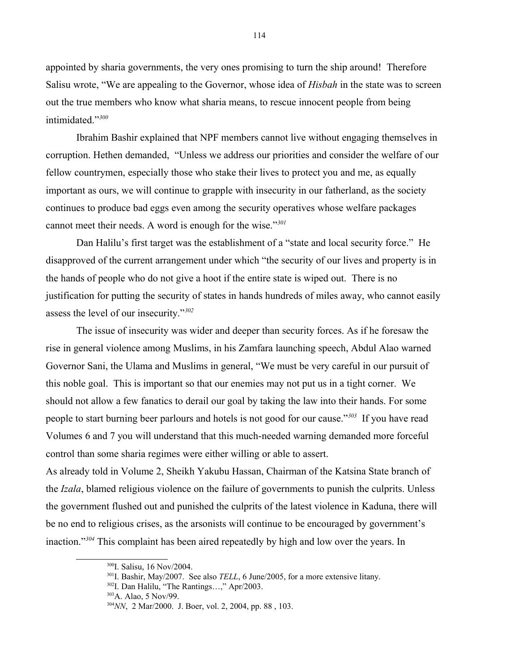appointed by sharia governments, the very ones promising to turn the ship around! Therefore Salisu wrote, "We are appealing to the Governor, whose idea of *Hisbah* in the state was to screen out the true members who know what sharia means, to rescue innocent people from being intimidated."*[300](#page-113-0)*

Ibrahim Bashir explained that NPF members cannot live without engaging themselves in corruption. Hethen demanded, "Unless we address our priorities and consider the welfare of our fellow countrymen, especially those who stake their lives to protect you and me, as equally important as ours, we will continue to grapple with insecurity in our fatherland, as the society continues to produce bad eggs even among the security operatives whose welfare packages cannot meet their needs. A word is enough for the wise."*[301](#page-113-1)*

Dan Halilu's first target was the establishment of a "state and local security force." He disapproved of the current arrangement under which "the security of our lives and property is in the hands of people who do not give a hoot if the entire state is wiped out. There is no justification for putting the security of states in hands hundreds of miles away, who cannot easily assess the level of our insecurity."*[302](#page-113-2)*

The issue of insecurity was wider and deeper than security forces. As if he foresaw the rise in general violence among Muslims, in his Zamfara launching speech, Abdul Alao warned Governor Sani, the Ulama and Muslims in general, "We must be very careful in our pursuit of this noble goal. This is important so that our enemies may not put us in a tight corner. We should not allow a few fanatics to derail our goal by taking the law into their hands. For some people to start burning beer parlours and hotels is not good for our cause."*[303](#page-113-3)* If you have read Volumes 6 and 7 you will understand that this much-needed warning demanded more forceful control than some sharia regimes were either willing or able to assert.

As already told in Volume 2, Sheikh Yakubu Hassan, Chairman of the Katsina State branch of the *Izala*, blamed religious violence on the failure of governments to punish the culprits. Unless the government flushed out and punished the culprits of the latest violence in Kaduna, there will be no end to religious crises, as the arsonists will continue to be encouraged by government's inaction."*[304](#page-113-4)* This complaint has been aired repeatedly by high and low over the years. In

<span id="page-113-0"></span><sup>300</sup>I. Salisu, 16 Nov/2004.

<span id="page-113-1"></span><sup>301</sup>I. Bashir, May/2007. See also *TELL*, 6 June/2005, for a more extensive litany.

<span id="page-113-2"></span><sup>302</sup>I. Dan Halilu, "The Rantings…," Apr/2003.

<span id="page-113-3"></span><sup>303</sup>A. Alao, 5 Nov/99.

<span id="page-113-4"></span><sup>304</sup>*NN*, 2 Mar/2000. J. Boer, vol. 2, 2004, pp. 88 , 103.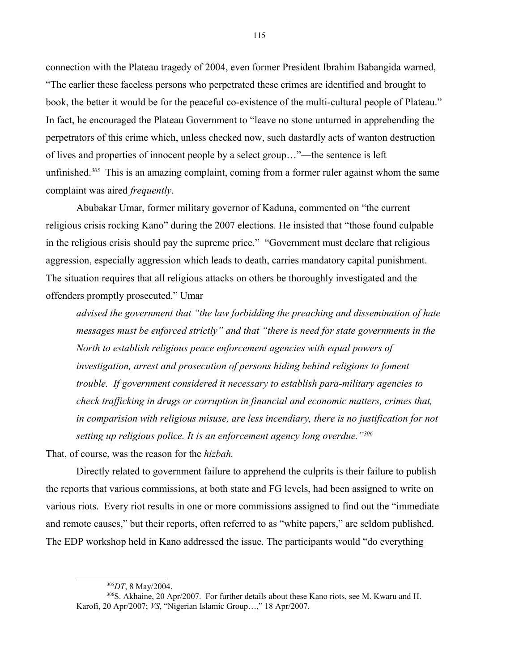connection with the Plateau tragedy of 2004, even former President Ibrahim Babangida warned, "The earlier these faceless persons who perpetrated these crimes are identified and brought to book, the better it would be for the peaceful co-existence of the multi-cultural people of Plateau." In fact, he encouraged the Plateau Government to "leave no stone unturned in apprehending the perpetrators of this crime which, unless checked now, such dastardly acts of wanton destruction of lives and properties of innocent people by a select group…"—the sentence is left unfinished.*[305](#page-114-0)* This is an amazing complaint, coming from a former ruler against whom the same complaint was aired *frequently*.

Abubakar Umar, former military governor of Kaduna, commented on "the current religious crisis rocking Kano" during the 2007 elections. He insisted that "those found culpable in the religious crisis should pay the supreme price." "Government must declare that religious aggression, especially aggression which leads to death, carries mandatory capital punishment. The situation requires that all religious attacks on others be thoroughly investigated and the offenders promptly prosecuted." Umar

*advised the government that "the law forbidding the preaching and dissemination of hate messages must be enforced strictly" and that "there is need for state governments in the North to establish religious peace enforcement agencies with equal powers of investigation, arrest and prosecution of persons hiding behind religions to foment trouble. If government considered it necessary to establish para-military agencies to check trafficking in drugs or corruption in financial and economic matters, crimes that, in comparision with religious misuse, are less incendiary, there is no justification for not setting up religious police. It is an enforcement agency long overdue."[306](#page-114-1)*

That, of course, was the reason for the *hizbah.* 

Directly related to government failure to apprehend the culprits is their failure to publish the reports that various commissions, at both state and FG levels, had been assigned to write on various riots. Every riot results in one or more commissions assigned to find out the "immediate and remote causes," but their reports, often referred to as "white papers," are seldom published. The EDP workshop held in Kano addressed the issue. The participants would "do everything

<span id="page-114-1"></span><span id="page-114-0"></span><sup>305</sup>*DT*, 8 May/2004.

<sup>&</sup>lt;sup>306</sup>S. Akhaine, 20 Apr/2007. For further details about these Kano riots, see M. Kwaru and H. Karofi, 20 Apr/2007; *VS*, "Nigerian Islamic Group…," 18 Apr/2007.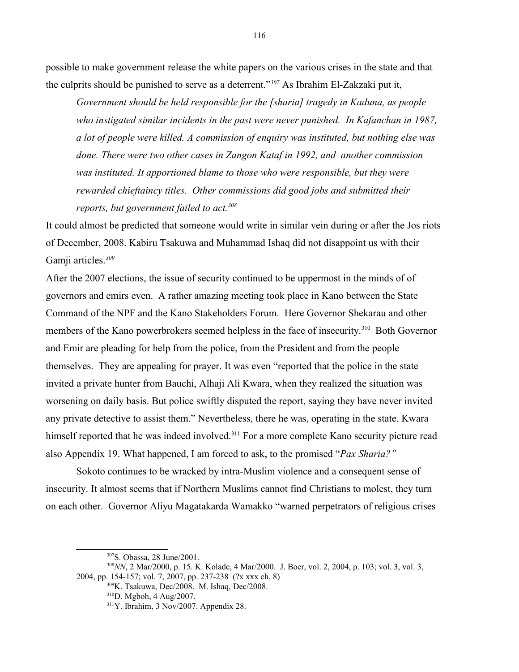possible to make government release the white papers on the various crises in the state and that the culprits should be punished to serve as a deterrent."*[307](#page-115-0)* As Ibrahim El-Zakzaki put it,

*Government should be held responsible for the [sharia] tragedy in Kaduna, as people*  who instigated similar incidents in the past were never punished. In Kafanchan in 1987, *a lot of people were killed. A commission of enquiry was instituted, but nothing else was done. There were two other cases in Zangon Kataf in 1992, and another commission was instituted. It apportioned blame to those who were responsible, but they were rewarded chieftaincy titles. Other commissions did good jobs and submitted their reports, but government failed to act.[308](#page-115-1)*

It could almost be predicted that someone would write in similar vein during or after the Jos riots of December, 2008. Kabiru Tsakuwa and Muhammad Ishaq did not disappoint us with their Gamji articles.*[309](#page-115-2)*

After the 2007 elections, the issue of security continued to be uppermost in the minds of of governors and emirs even. A rather amazing meeting took place in Kano between the State Command of the NPF and the Kano Stakeholders Forum. Here Governor Shekarau and other members of the Kano powerbrokers seemed helpless in the face of insecurity.<sup>[310](#page-115-3)</sup> Both Governor and Emir are pleading for help from the police, from the President and from the people themselves. They are appealing for prayer. It was even "reported that the police in the state invited a private hunter from Bauchi, Alhaji Ali Kwara, when they realized the situation was worsening on daily basis. But police swiftly disputed the report, saying they have never invited any private detective to assist them." Nevertheless, there he was, operating in the state. Kwara himself reported that he was indeed involved.<sup>[311](#page-115-4)</sup> For a more complete Kano security picture read also Appendix 19. What happened, I am forced to ask, to the promised "*Pax Sharia?"* 

Sokoto continues to be wracked by intra-Muslim violence and a consequent sense of insecurity. It almost seems that if Northern Muslims cannot find Christians to molest, they turn on each other. Governor Aliyu Magatakarda Wamakko "warned perpetrators of religious crises

<span id="page-115-1"></span><span id="page-115-0"></span><sup>307</sup>S. Obassa, 28 June/2001.

<sup>308</sup>*NN*, 2 Mar/2000, p. 15. K. Kolade, 4 Mar/2000. J. Boer, vol. 2, 2004, p. 103; vol. 3, vol. 3, 2004, pp. 154-157; vol. 7, 2007, pp. 237-238 (?x xxx ch. 8)

<sup>309</sup>K. Tsakuwa, Dec/2008. M. Ishaq, Dec/2008.

<span id="page-115-3"></span><span id="page-115-2"></span><sup>310</sup>D. Mgboh, 4 Aug/2007.

<span id="page-115-4"></span><sup>311</sup>Y. Ibrahim, 3 Nov/2007. Appendix 28.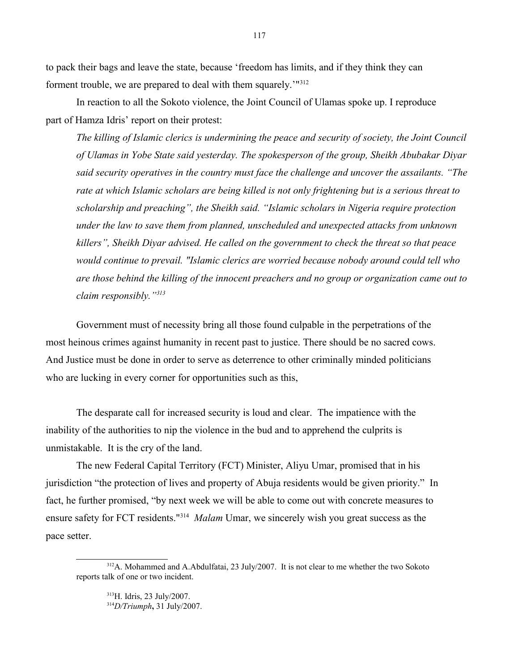to pack their bags and leave the state, because 'freedom has limits, and if they think they can forment trouble, we are prepared to deal with them squarely.'"<sup>[312](#page-116-0)</sup>

In reaction to all the Sokoto violence, the Joint Council of Ulamas spoke up. I reproduce part of Hamza Idris' report on their protest:

*The killing of Islamic clerics is undermining the peace and security of society, the Joint Council of Ulamas in Yobe State said yesterday. The spokesperson of the group, Sheikh Abubakar Diyar said security operatives in the country must face the challenge and uncover the assailants. "The rate at which Islamic scholars are being killed is not only frightening but is a serious threat to scholarship and preaching", the Sheikh said. "Islamic scholars in Nigeria require protection under the law to save them from planned, unscheduled and unexpected attacks from unknown killers", Sheikh Diyar advised. He called on the government to check the threat so that peace would continue to prevail. "Islamic clerics are worried because nobody around could tell who are those behind the killing of the innocent preachers and no group or organization came out to claim responsibly."[313](#page-116-1)*

Government must of necessity bring all those found culpable in the perpetrations of the most heinous crimes against humanity in recent past to justice. There should be no sacred cows. And Justice must be done in order to serve as deterrence to other criminally minded politicians who are lucking in every corner for opportunities such as this,

The desparate call for increased security is loud and clear. The impatience with the inability of the authorities to nip the violence in the bud and to apprehend the culprits is unmistakable. It is the cry of the land.

The new Federal Capital Territory (FCT) Minister, Aliyu Umar, promised that in his jurisdiction "the protection of lives and property of Abuja residents would be given priority." In fact, he further promised, "by next week we will be able to come out with concrete measures to ensure safety for FCT residents.<sup>"[314](#page-116-2)</sup> Malam Umar, we sincerely wish you great success as the pace setter.

<sup>&</sup>lt;sup>312</sup>A. Mohammed and A.Abdulfatai, 23 July/2007. It is not clear to me whether the two Sokoto reports talk of one or two incident.

<span id="page-116-2"></span><span id="page-116-1"></span><span id="page-116-0"></span><sup>313</sup>H. Idris, 23 July/2007. <sup>314</sup>*D/Triumph***,** 31 July/2007.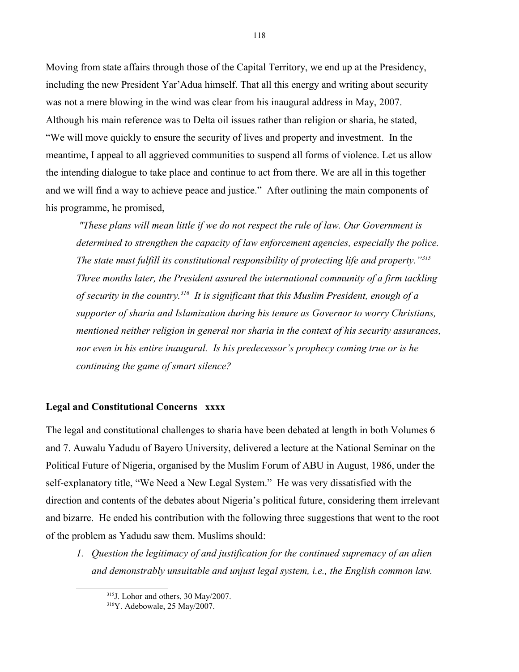Moving from state affairs through those of the Capital Territory, we end up at the Presidency, including the new President Yar'Adua himself. That all this energy and writing about security was not a mere blowing in the wind was clear from his inaugural address in May, 2007. Although his main reference was to Delta oil issues rather than religion or sharia, he stated, "We will move quickly to ensure the security of lives and property and investment. In the meantime, I appeal to all aggrieved communities to suspend all forms of violence. Let us allow the intending dialogue to take place and continue to act from there. We are all in this together and we will find a way to achieve peace and justice." After outlining the main components of his programme, he promised,

 *"These plans will mean little if we do not respect the rule of law. Our Government is determined to strengthen the capacity of law enforcement agencies, especially the police. The state must fulfill its constitutional responsibility of protecting life and property."[315](#page-117-0) Three months later, the President assured the international community of a firm tackling of security in the country.[316](#page-117-1) It is significant that this Muslim President, enough of a supporter of sharia and Islamization during his tenure as Governor to worry Christians, mentioned neither religion in general nor sharia in the context of his security assurances, nor even in his entire inaugural. Is his predecessor's prophecy coming true or is he continuing the game of smart silence?*

# **Legal and Constitutional Concerns xxxx**

The legal and constitutional challenges to sharia have been debated at length in both Volumes 6 and 7. Auwalu Yadudu of Bayero University, delivered a lecture at the National Seminar on the Political Future of Nigeria, organised by the Muslim Forum of ABU in August, 1986, under the self-explanatory title, "We Need a New Legal System." He was very dissatisfied with the direction and contents of the debates about Nigeria's political future, considering them irrelevant and bizarre. He ended his contribution with the following three suggestions that went to the root of the problem as Yadudu saw them. Muslims should:

*1. Question the legitimacy of and justification for the continued supremacy of an alien and demonstrably unsuitable and unjust legal system, i.e., the English common law.*

<span id="page-117-0"></span><sup>315</sup>J. Lohor and others, 30 May/2007.

<span id="page-117-1"></span><sup>316</sup>Y. Adebowale, 25 May/2007.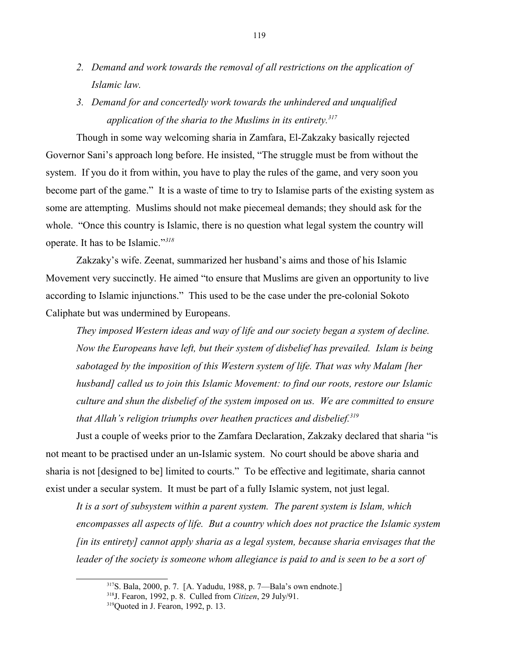- *2. Demand and work towards the removal of all restrictions on the application of Islamic law.*
- *3. Demand for and concertedly work towards the unhindered and unqualified application of the sharia to the Muslims in its entirety.[317](#page-118-0)*

Though in some way welcoming sharia in Zamfara, El-Zakzaky basically rejected Governor Sani's approach long before. He insisted, "The struggle must be from without the system. If you do it from within, you have to play the rules of the game, and very soon you become part of the game." It is a waste of time to try to Islamise parts of the existing system as some are attempting. Muslims should not make piecemeal demands; they should ask for the whole. "Once this country is Islamic, there is no question what legal system the country will operate. It has to be Islamic."*[318](#page-118-1)*

Zakzaky's wife. Zeenat, summarized her husband's aims and those of his Islamic Movement very succinctly. He aimed "to ensure that Muslims are given an opportunity to live according to Islamic injunctions." This used to be the case under the pre-colonial Sokoto Caliphate but was undermined by Europeans.

*They imposed Western ideas and way of life and our society began a system of decline. Now the Europeans have left, but their system of disbelief has prevailed. Islam is being sabotaged by the imposition of this Western system of life. That was why Malam [her husband] called us to join this Islamic Movement: to find our roots, restore our Islamic culture and shun the disbelief of the system imposed on us. We are committed to ensure that Allah's religion triumphs over heathen practices and disbelief.[319](#page-118-2)* 

Just a couple of weeks prior to the Zamfara Declaration, Zakzaky declared that sharia "is not meant to be practised under an un-Islamic system. No court should be above sharia and sharia is not [designed to be] limited to courts." To be effective and legitimate, sharia cannot exist under a secular system. It must be part of a fully Islamic system, not just legal.

*It is a sort of subsystem within a parent system. The parent system is Islam, which encompasses all aspects of life. But a country which does not practice the Islamic system [in its entirety] cannot apply sharia as a legal system, because sharia envisages that the leader of the society is someone whom allegiance is paid to and is seen to be a sort of* 

<span id="page-118-0"></span><sup>317</sup>S. Bala, 2000, p. 7. [A. Yadudu, 1988, p. 7—Bala's own endnote.]

<span id="page-118-1"></span><sup>318</sup>J. Fearon, 1992, p. 8. Culled from *Citizen*, 29 July/91.

<span id="page-118-2"></span><sup>&</sup>lt;sup>319</sup>Quoted in J. Fearon, 1992, p. 13.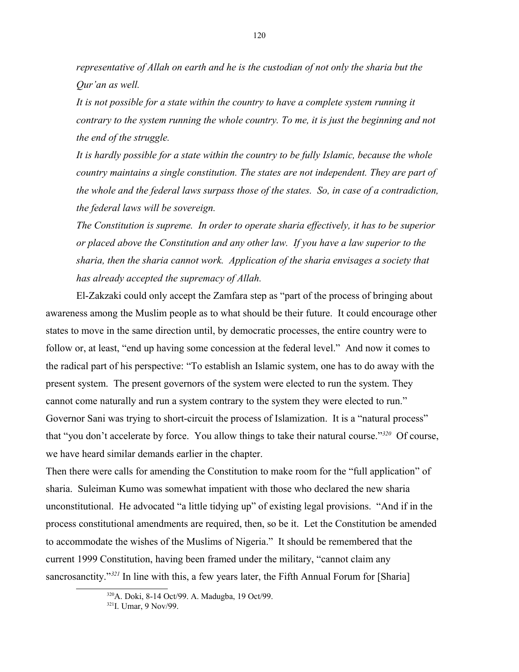*representative of Allah on earth and he is the custodian of not only the sharia but the Qur'an as well.*

It is not possible for a state within the country to have a complete system running it *contrary to the system running the whole country. To me, it is just the beginning and not the end of the struggle.*

*It is hardly possible for a state within the country to be fully Islamic, because the whole country maintains a single constitution. The states are not independent. They are part of the whole and the federal laws surpass those of the states. So, in case of a contradiction, the federal laws will be sovereign.*

*The Constitution is supreme. In order to operate sharia effectively, it has to be superior or placed above the Constitution and any other law. If you have a law superior to the sharia, then the sharia cannot work. Application of the sharia envisages a society that has already accepted the supremacy of Allah.*

El-Zakzaki could only accept the Zamfara step as "part of the process of bringing about awareness among the Muslim people as to what should be their future. It could encourage other states to move in the same direction until, by democratic processes, the entire country were to follow or, at least, "end up having some concession at the federal level." And now it comes to the radical part of his perspective: "To establish an Islamic system, one has to do away with the present system. The present governors of the system were elected to run the system. They cannot come naturally and run a system contrary to the system they were elected to run." Governor Sani was trying to short-circuit the process of Islamization. It is a "natural process" that "you don't accelerate by force. You allow things to take their natural course."*[320](#page-119-0)* Of course, we have heard similar demands earlier in the chapter.

Then there were calls for amending the Constitution to make room for the "full application" of sharia. Suleiman Kumo was somewhat impatient with those who declared the new sharia unconstitutional. He advocated "a little tidying up" of existing legal provisions. "And if in the process constitutional amendments are required, then, so be it. Let the Constitution be amended to accommodate the wishes of the Muslims of Nigeria." It should be remembered that the current 1999 Constitution, having been framed under the military, "cannot claim any sancrosanctity."*[321](#page-119-1)* In line with this, a few years later, the Fifth Annual Forum for [Sharia]

<span id="page-119-0"></span><sup>320</sup>A. Doki, 8-14 Oct/99. A. Madugba, 19 Oct/99.

<span id="page-119-1"></span><sup>&</sup>lt;sup>321</sup>I. Umar, 9 Nov/99.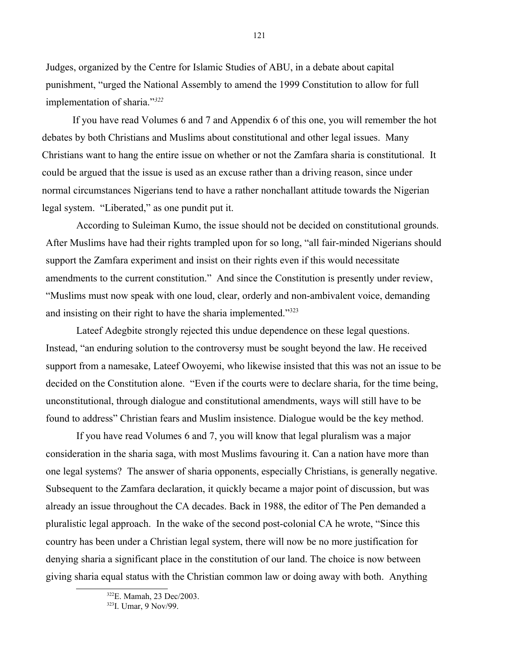Judges, organized by the Centre for Islamic Studies of ABU, in a debate about capital punishment, "urged the National Assembly to amend the 1999 Constitution to allow for full implementation of sharia."*[322](#page-120-0)*

If you have read Volumes 6 and 7 and Appendix 6 of this one, you will remember the hot debates by both Christians and Muslims about constitutional and other legal issues. Many Christians want to hang the entire issue on whether or not the Zamfara sharia is constitutional. It could be argued that the issue is used as an excuse rather than a driving reason, since under normal circumstances Nigerians tend to have a rather nonchallant attitude towards the Nigerian legal system. "Liberated," as one pundit put it.

According to Suleiman Kumo, the issue should not be decided on constitutional grounds. After Muslims have had their rights trampled upon for so long, "all fair-minded Nigerians should support the Zamfara experiment and insist on their rights even if this would necessitate amendments to the current constitution." And since the Constitution is presently under review, "Muslims must now speak with one loud, clear, orderly and non-ambivalent voice, demanding and insisting on their right to have the sharia implemented." $323$ 

Lateef Adegbite strongly rejected this undue dependence on these legal questions. Instead, "an enduring solution to the controversy must be sought beyond the law. He received support from a namesake, Lateef Owoyemi, who likewise insisted that this was not an issue to be decided on the Constitution alone. "Even if the courts were to declare sharia, for the time being, unconstitutional, through dialogue and constitutional amendments, ways will still have to be found to address" Christian fears and Muslim insistence. Dialogue would be the key method.

If you have read Volumes 6 and 7, you will know that legal pluralism was a major consideration in the sharia saga, with most Muslims favouring it. Can a nation have more than one legal systems? The answer of sharia opponents, especially Christians, is generally negative. Subsequent to the Zamfara declaration, it quickly became a major point of discussion, but was already an issue throughout the CA decades. Back in 1988, the editor of The Pen demanded a pluralistic legal approach. In the wake of the second post-colonial CA he wrote, "Since this country has been under a Christian legal system, there will now be no more justification for denying sharia a significant place in the constitution of our land. The choice is now between giving sharia equal status with the Christian common law or doing away with both. Anything

<span id="page-120-0"></span><sup>322</sup>E. Mamah, 23 Dec/2003.

<span id="page-120-1"></span><sup>323</sup>I. Umar, 9 Nov/99.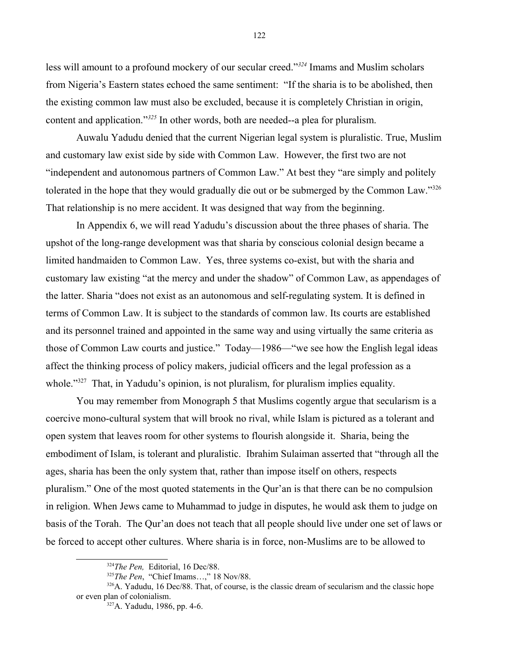less will amount to a profound mockery of our secular creed."*[324](#page-121-0)* Imams and Muslim scholars from Nigeria's Eastern states echoed the same sentiment: "If the sharia is to be abolished, then the existing common law must also be excluded, because it is completely Christian in origin, content and application."*[325](#page-121-1)* In other words, both are needed--a plea for pluralism.

Auwalu Yadudu denied that the current Nigerian legal system is pluralistic. True, Muslim and customary law exist side by side with Common Law. However, the first two are not "independent and autonomous partners of Common Law." At best they "are simply and politely tolerated in the hope that they would gradually die out or be submerged by the Common Law."[326](#page-121-2) That relationship is no mere accident. It was designed that way from the beginning.

In Appendix 6, we will read Yadudu's discussion about the three phases of sharia. The upshot of the long-range development was that sharia by conscious colonial design became a limited handmaiden to Common Law. Yes, three systems co-exist, but with the sharia and customary law existing "at the mercy and under the shadow" of Common Law, as appendages of the latter. Sharia "does not exist as an autonomous and self-regulating system. It is defined in terms of Common Law. It is subject to the standards of common law. Its courts are established and its personnel trained and appointed in the same way and using virtually the same criteria as those of Common Law courts and justice." Today—1986—"we see how the English legal ideas affect the thinking process of policy makers, judicial officers and the legal profession as a whole."<sup>[327](#page-121-3)</sup> That, in Yadudu's opinion, is not pluralism, for pluralism implies equality.

You may remember from Monograph 5 that Muslims cogently argue that secularism is a coercive mono-cultural system that will brook no rival, while Islam is pictured as a tolerant and open system that leaves room for other systems to flourish alongside it. Sharia, being the embodiment of Islam, is tolerant and pluralistic. Ibrahim Sulaiman asserted that "through all the ages, sharia has been the only system that, rather than impose itself on others, respects pluralism." One of the most quoted statements in the Qur'an is that there can be no compulsion in religion. When Jews came to Muhammad to judge in disputes, he would ask them to judge on basis of the Torah. The Qur'an does not teach that all people should live under one set of laws or be forced to accept other cultures. Where sharia is in force, non-Muslims are to be allowed to

<span id="page-121-0"></span><sup>324</sup>*The Pen,* Editorial, 16 Dec/88.

<span id="page-121-2"></span><span id="page-121-1"></span><sup>&</sup>lt;sup>325</sup>The Pen, "Chief Imams...," 18 Nov/88.

 $326\text{A}$ . Yadudu, 16 Dec/88. That, of course, is the classic dream of secularism and the classic hope or even plan of colonialism.

<span id="page-121-3"></span><sup>327</sup>A. Yadudu, 1986, pp. 4-6.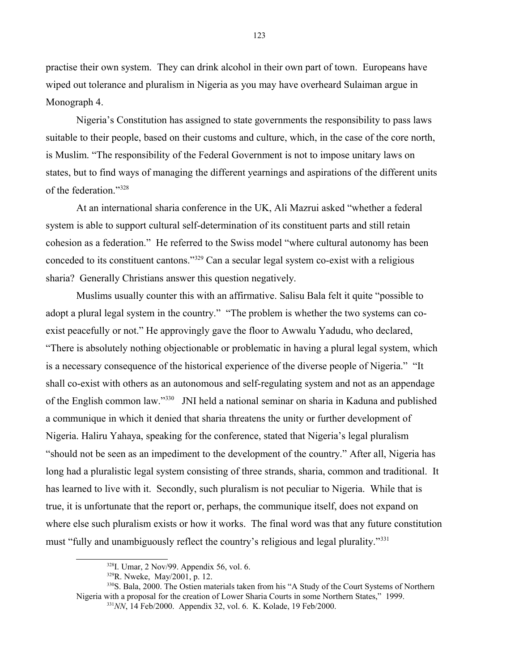practise their own system. They can drink alcohol in their own part of town. Europeans have wiped out tolerance and pluralism in Nigeria as you may have overheard Sulaiman argue in Monograph 4.

Nigeria's Constitution has assigned to state governments the responsibility to pass laws suitable to their people, based on their customs and culture, which, in the case of the core north, is Muslim. "The responsibility of the Federal Government is not to impose unitary laws on states, but to find ways of managing the different yearnings and aspirations of the different units of the federation."[328](#page-122-0)

At an international sharia conference in the UK, Ali Mazrui asked "whether a federal system is able to support cultural self-determination of its constituent parts and still retain cohesion as a federation." He referred to the Swiss model "where cultural autonomy has been conceded to its constituent cantons."[329](#page-122-1) Can a secular legal system co-exist with a religious sharia? Generally Christians answer this question negatively.

Muslims usually counter this with an affirmative. Salisu Bala felt it quite "possible to adopt a plural legal system in the country." "The problem is whether the two systems can coexist peacefully or not." He approvingly gave the floor to Awwalu Yadudu, who declared, "There is absolutely nothing objectionable or problematic in having a plural legal system, which is a necessary consequence of the historical experience of the diverse people of Nigeria." "It shall co-exist with others as an autonomous and self-regulating system and not as an appendage of the English common law."[330](#page-122-2) JNI held a national seminar on sharia in Kaduna and published a communique in which it denied that sharia threatens the unity or further development of Nigeria. Haliru Yahaya, speaking for the conference, stated that Nigeria's legal pluralism "should not be seen as an impediment to the development of the country." After all, Nigeria has long had a pluralistic legal system consisting of three strands, sharia, common and traditional. It has learned to live with it. Secondly, such pluralism is not peculiar to Nigeria. While that is true, it is unfortunate that the report or, perhaps, the communique itself, does not expand on where else such pluralism exists or how it works. The final word was that any future constitution must "fully and unambiguously reflect the country's religious and legal plurality."[331](#page-122-3)

<span id="page-122-0"></span> $328$ I. Umar, 2 Nov/99. Appendix 56, vol. 6.

<span id="page-122-2"></span><span id="page-122-1"></span><sup>329</sup>R. Nweke, May/2001, p. 12.

<sup>330</sup>S. Bala, 2000. The Ostien materials taken from his "A Study of the Court Systems of Northern Nigeria with a proposal for the creation of Lower Sharia Courts in some Northern States," 1999.

<span id="page-122-3"></span><sup>331</sup>*NN*, 14 Feb/2000. Appendix 32, vol. 6. K. Kolade, 19 Feb/2000.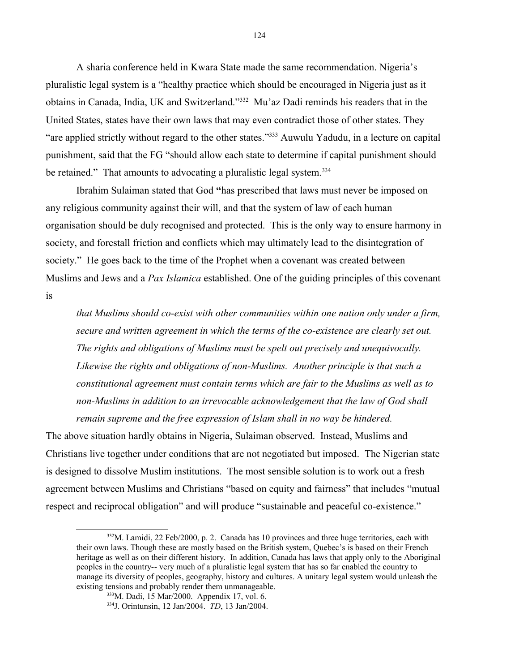A sharia conference held in Kwara State made the same recommendation. Nigeria's pluralistic legal system is a "healthy practice which should be encouraged in Nigeria just as it obtains in Canada, India, UK and Switzerland."[332](#page-123-0) Mu'az Dadi reminds his readers that in the United States, states have their own laws that may even contradict those of other states. They "are applied strictly without regard to the other states."[333](#page-123-1) Auwulu Yadudu, in a lecture on capital punishment, said that the FG "should allow each state to determine if capital punishment should be retained." That amounts to advocating a pluralistic legal system.<sup>[334](#page-123-2)</sup>

Ibrahim Sulaiman stated that God **"**has prescribed that laws must never be imposed on any religious community against their will, and that the system of law of each human organisation should be duly recognised and protected. This is the only way to ensure harmony in society, and forestall friction and conflicts which may ultimately lead to the disintegration of society." He goes back to the time of the Prophet when a covenant was created between Muslims and Jews and a *Pax Islamica* established. One of the guiding principles of this covenant

is

*that Muslims should co-exist with other communities within one nation only under a firm, secure and written agreement in which the terms of the co-existence are clearly set out. The rights and obligations of Muslims must be spelt out precisely and unequivocally. Likewise the rights and obligations of non-Muslims. Another principle is that such a constitutional agreement must contain terms which are fair to the Muslims as well as to non-Muslims in addition to an irrevocable acknowledgement that the law of God shall remain supreme and the free expression of Islam shall in no way be hindered.*

The above situation hardly obtains in Nigeria, Sulaiman observed. Instead, Muslims and Christians live together under conditions that are not negotiated but imposed. The Nigerian state is designed to dissolve Muslim institutions. The most sensible solution is to work out a fresh agreement between Muslims and Christians "based on equity and fairness" that includes "mutual respect and reciprocal obligation" and will produce "sustainable and peaceful co-existence."

<span id="page-123-0"></span> $332$ M. Lamidi, 22 Feb/2000, p. 2. Canada has 10 provinces and three huge territories, each with their own laws. Though these are mostly based on the British system, Quebec's is based on their French heritage as well as on their different history. In addition, Canada has laws that apply only to the Aboriginal peoples in the country-- very much of a pluralistic legal system that has so far enabled the country to manage its diversity of peoples, geography, history and cultures. A unitary legal system would unleash the existing tensions and probably render them unmanageable.

<span id="page-123-1"></span><sup>333</sup>M. Dadi, 15 Mar/2000. Appendix 17, vol. 6.

<span id="page-123-2"></span><sup>334</sup>J. Orintunsin, 12 Jan/2004. *TD*, 13 Jan/2004.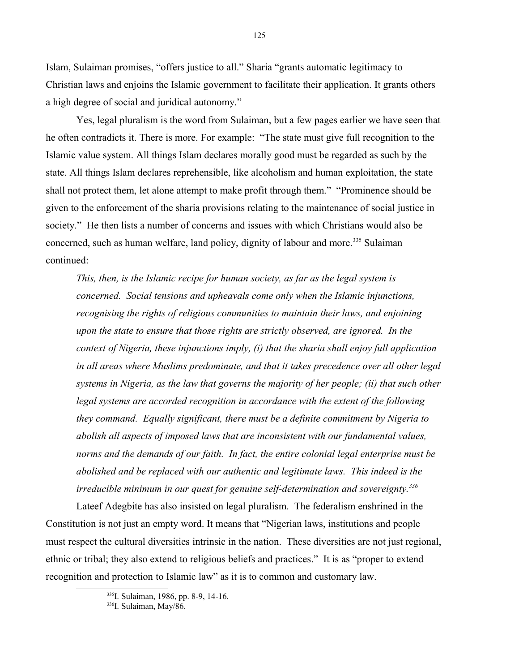Islam, Sulaiman promises, "offers justice to all." Sharia "grants automatic legitimacy to Christian laws and enjoins the Islamic government to facilitate their application. It grants others a high degree of social and juridical autonomy."

Yes, legal pluralism is the word from Sulaiman, but a few pages earlier we have seen that he often contradicts it. There is more. For example: "The state must give full recognition to the Islamic value system. All things Islam declares morally good must be regarded as such by the state. All things Islam declares reprehensible, like alcoholism and human exploitation, the state shall not protect them, let alone attempt to make profit through them." "Prominence should be given to the enforcement of the sharia provisions relating to the maintenance of social justice in society." He then lists a number of concerns and issues with which Christians would also be concerned, such as human welfare, land policy, dignity of labour and more.<sup>[335](#page-124-0)</sup> Sulaiman continued:

*This, then, is the Islamic recipe for human society, as far as the legal system is concerned. Social tensions and upheavals come only when the Islamic injunctions, recognising the rights of religious communities to maintain their laws, and enjoining upon the state to ensure that those rights are strictly observed, are ignored. In the context of Nigeria, these injunctions imply, (i) that the sharia shall enjoy full application in all areas where Muslims predominate, and that it takes precedence over all other legal systems in Nigeria, as the law that governs the majority of her people; (ii) that such other* legal systems are accorded recognition in accordance with the extent of the following *they command. Equally significant, there must be a definite commitment by Nigeria to abolish all aspects of imposed laws that are inconsistent with our fundamental values, norms and the demands of our faith. In fact, the entire colonial legal enterprise must be abolished and be replaced with our authentic and legitimate laws. This indeed is the irreducible minimum in our quest for genuine self-determination and sovereignty.[336](#page-124-1)*

Lateef Adegbite has also insisted on legal pluralism. The federalism enshrined in the Constitution is not just an empty word. It means that "Nigerian laws, institutions and people must respect the cultural diversities intrinsic in the nation. These diversities are not just regional, ethnic or tribal; they also extend to religious beliefs and practices." It is as "proper to extend recognition and protection to Islamic law" as it is to common and customary law.

<span id="page-124-0"></span><sup>335</sup>I. Sulaiman, 1986, pp. 8-9, 14-16.

<span id="page-124-1"></span><sup>336</sup>I. Sulaiman, May/86.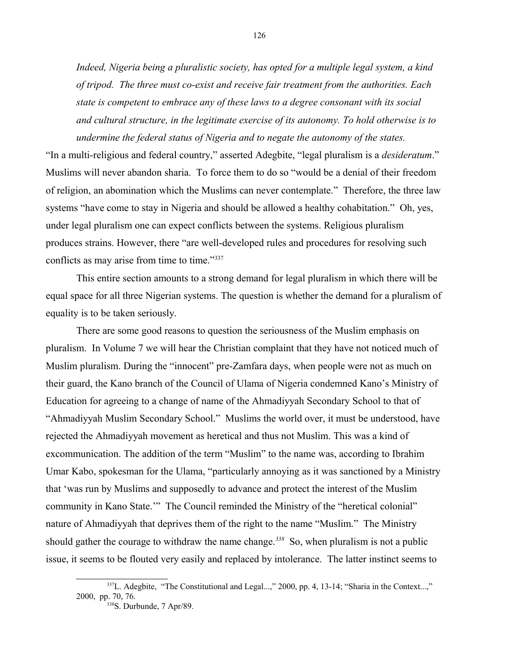*Indeed, Nigeria being a pluralistic society, has opted for a multiple legal system, a kind of tripod. The three must co-exist and receive fair treatment from the authorities. Each state is competent to embrace any of these laws to a degree consonant with its social and cultural structure, in the legitimate exercise of its autonomy. To hold otherwise is to undermine the federal status of Nigeria and to negate the autonomy of the states.*

"In a multi-religious and federal country," asserted Adegbite, "legal pluralism is a *desideratum*." Muslims will never abandon sharia. To force them to do so "would be a denial of their freedom of religion, an abomination which the Muslims can never contemplate." Therefore, the three law systems "have come to stay in Nigeria and should be allowed a healthy cohabitation." Oh, yes, under legal pluralism one can expect conflicts between the systems. Religious pluralism produces strains. However, there "are well-developed rules and procedures for resolving such conflicts as may arise from time to time."<sup>[337](#page-125-0)</sup>

This entire section amounts to a strong demand for legal pluralism in which there will be equal space for all three Nigerian systems. The question is whether the demand for a pluralism of equality is to be taken seriously.

There are some good reasons to question the seriousness of the Muslim emphasis on pluralism. In Volume 7 we will hear the Christian complaint that they have not noticed much of Muslim pluralism. During the "innocent" pre-Zamfara days, when people were not as much on their guard, the Kano branch of the Council of Ulama of Nigeria condemned Kano's Ministry of Education for agreeing to a change of name of the Ahmadiyyah Secondary School to that of "Ahmadiyyah Muslim Secondary School." Muslims the world over, it must be understood, have rejected the Ahmadiyyah movement as heretical and thus not Muslim. This was a kind of excommunication. The addition of the term "Muslim" to the name was, according to Ibrahim Umar Kabo, spokesman for the Ulama, "particularly annoying as it was sanctioned by a Ministry that 'was run by Muslims and supposedly to advance and protect the interest of the Muslim community in Kano State.'" The Council reminded the Ministry of the "heretical colonial" nature of Ahmadiyyah that deprives them of the right to the name "Muslim." The Ministry should gather the courage to withdraw the name change.*[338](#page-125-1)* So, when pluralism is not a public issue, it seems to be flouted very easily and replaced by intolerance. The latter instinct seems to

<sup>&</sup>lt;sup>337</sup>L. Adegbite, "The Constitutional and Legal...," 2000, pp. 4, 13-14; "Sharia in the Context...," 2000, pp. 70, 76.

<span id="page-125-1"></span><span id="page-125-0"></span><sup>338</sup>S. Durbunde, 7 Apr/89.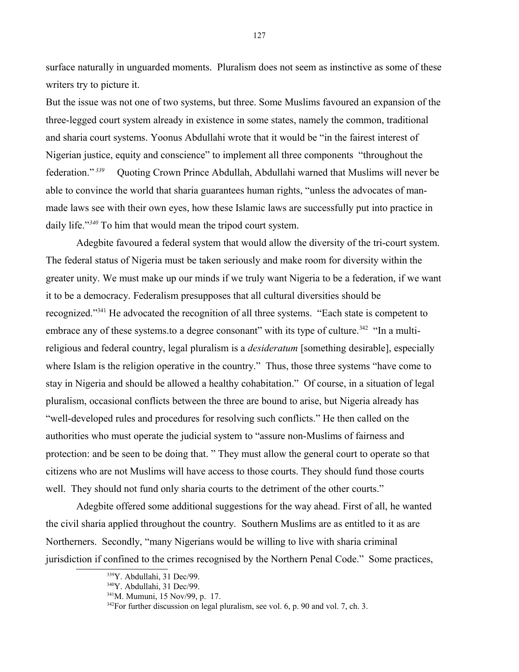surface naturally in unguarded moments. Pluralism does not seem as instinctive as some of these writers try to picture it.

But the issue was not one of two systems, but three. Some Muslims favoured an expansion of the three-legged court system already in existence in some states, namely the common, traditional and sharia court systems. Yoonus Abdullahi wrote that it would be "in the fairest interest of Nigerian justice, equity and conscience" to implement all three components "throughout the federation." *[339](#page-126-0)* Quoting Crown Prince Abdullah, Abdullahi warned that Muslims will never be able to convince the world that sharia guarantees human rights, "unless the advocates of manmade laws see with their own eyes, how these Islamic laws are successfully put into practice in daily life."*[340](#page-126-1)* To him that would mean the tripod court system.

Adegbite favoured a federal system that would allow the diversity of the tri-court system. The federal status of Nigeria must be taken seriously and make room for diversity within the greater unity. We must make up our minds if we truly want Nigeria to be a federation, if we want it to be a democracy. Federalism presupposes that all cultural diversities should be recognized."[341](#page-126-2) He advocated the recognition of all three systems. "Each state is competent to embrace any of these systems.to a degree consonant" with its type of culture.<sup>[342](#page-126-3)</sup> "In a multireligious and federal country, legal pluralism is a *desideratum* [something desirable], especially where Islam is the religion operative in the country." Thus, those three systems "have come to stay in Nigeria and should be allowed a healthy cohabitation." Of course, in a situation of legal pluralism, occasional conflicts between the three are bound to arise, but Nigeria already has "well-developed rules and procedures for resolving such conflicts." He then called on the authorities who must operate the judicial system to "assure non-Muslims of fairness and protection: and be seen to be doing that. " They must allow the general court to operate so that citizens who are not Muslims will have access to those courts. They should fund those courts well. They should not fund only sharia courts to the detriment of the other courts."

Adegbite offered some additional suggestions for the way ahead. First of all, he wanted the civil sharia applied throughout the country. Southern Muslims are as entitled to it as are Northerners. Secondly, "many Nigerians would be willing to live with sharia criminal jurisdiction if confined to the crimes recognised by the Northern Penal Code." Some practices,

<span id="page-126-0"></span><sup>339</sup>Y. Abdullahi, 31 Dec/99.

<span id="page-126-1"></span><sup>340</sup>Y. Abdullahi, 31 Dec/99.

<span id="page-126-2"></span><sup>341</sup>M. Mumuni, 15 Nov/99, p. 17.

<span id="page-126-3"></span> $342$ For further discussion on legal pluralism, see vol. 6, p. 90 and vol. 7, ch. 3.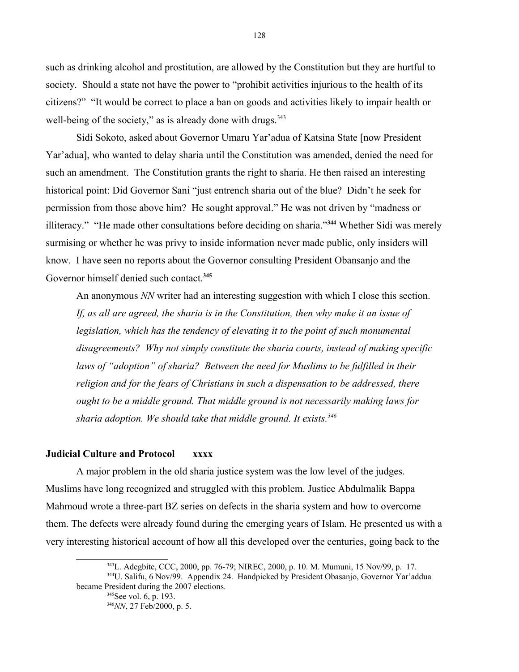such as drinking alcohol and prostitution, are allowed by the Constitution but they are hurtful to society. Should a state not have the power to "prohibit activities injurious to the health of its citizens?" "It would be correct to place a ban on goods and activities likely to impair health or well-being of the society," as is already done with drugs.<sup>[343](#page-127-0)</sup>

Sidi Sokoto, asked about Governor Umaru Yar'adua of Katsina State [now President Yar'adua], who wanted to delay sharia until the Constitution was amended, denied the need for such an amendment. The Constitution grants the right to sharia. He then raised an interesting historical point: Did Governor Sani "just entrench sharia out of the blue? Didn't he seek for permission from those above him? He sought approval." He was not driven by "madness or illiteracy." "He made other consultations before deciding on sharia."**[344](#page-127-1)** Whether Sidi was merely surmising or whether he was privy to inside information never made public, only insiders will know. I have seen no reports about the Governor consulting President Obansanjo and the Governor himself denied such contact.**[345](#page-127-2)**

An anonymous *NN* writer had an interesting suggestion with which I close this section. *If, as all are agreed, the sharia is in the Constitution, then why make it an issue of legislation, which has the tendency of elevating it to the point of such monumental disagreements? Why not simply constitute the sharia courts, instead of making specific*  laws of "adoption" of sharia? Between the need for Muslims to be fulfilled in their religion and for the fears of Christians in such a dispensation to be addressed, there *ought to be a middle ground. That middle ground is not necessarily making laws for sharia adoption. We should take that middle ground. It exists.[346](#page-127-3)*

# **Judicial Culture and Protocol xxxx**

A major problem in the old sharia justice system was the low level of the judges. Muslims have long recognized and struggled with this problem. Justice Abdulmalik Bappa Mahmoud wrote a three-part BZ series on defects in the sharia system and how to overcome them. The defects were already found during the emerging years of Islam. He presented us with a very interesting historical account of how all this developed over the centuries, going back to the

<span id="page-127-0"></span><sup>343</sup>L. Adegbite, CCC, 2000, pp. 76-79; NIREC, 2000, p. 10. M. Mumuni, 15 Nov/99, p. 17. <sup>344</sup>U. Salifu, 6 Nov/99. Appendix 24. Handpicked by President Obasanjo, Governor Yar'addua became President during the 2007 elections.

<span id="page-127-3"></span><span id="page-127-2"></span><span id="page-127-1"></span><sup>346</sup>*NN*, 27 Feb/2000, p. 5.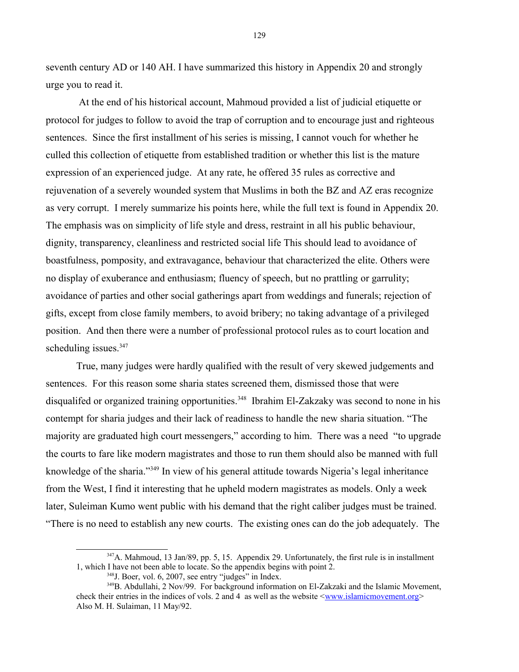seventh century AD or 140 AH. I have summarized this history in Appendix 20 and strongly urge you to read it.

 At the end of his historical account, Mahmoud provided a list of judicial etiquette or protocol for judges to follow to avoid the trap of corruption and to encourage just and righteous sentences. Since the first installment of his series is missing, I cannot vouch for whether he culled this collection of etiquette from established tradition or whether this list is the mature expression of an experienced judge. At any rate, he offered 35 rules as corrective and rejuvenation of a severely wounded system that Muslims in both the BZ and AZ eras recognize as very corrupt. I merely summarize his points here, while the full text is found in Appendix 20. The emphasis was on simplicity of life style and dress, restraint in all his public behaviour, dignity, transparency, cleanliness and restricted social life This should lead to avoidance of boastfulness, pomposity, and extravagance, behaviour that characterized the elite. Others were no display of exuberance and enthusiasm; fluency of speech, but no prattling or garrulity; avoidance of parties and other social gatherings apart from weddings and funerals; rejection of gifts, except from close family members, to avoid bribery; no taking advantage of a privileged position. And then there were a number of professional protocol rules as to court location and scheduling issues.<sup>[347](#page-128-0)</sup>

True, many judges were hardly qualified with the result of very skewed judgements and sentences. For this reason some sharia states screened them, dismissed those that were disqualifed or organized training opportunities.<sup>[348](#page-128-1)</sup> Ibrahim El-Zakzaky was second to none in his contempt for sharia judges and their lack of readiness to handle the new sharia situation. "The majority are graduated high court messengers," according to him. There was a need "to upgrade the courts to fare like modern magistrates and those to run them should also be manned with full knowledge of the sharia."<sup>[349](#page-128-2)</sup> In view of his general attitude towards Nigeria's legal inheritance from the West, I find it interesting that he upheld modern magistrates as models. Only a week later, Suleiman Kumo went public with his demand that the right caliber judges must be trained. "There is no need to establish any new courts. The existing ones can do the job adequately. The

129

<sup>&</sup>lt;sup>347</sup>A. Mahmoud, 13 Jan/89, pp. 5, 15. Appendix 29. Unfortunately, the first rule is in installment 1, which I have not been able to locate. So the appendix begins with point 2.

<span id="page-128-2"></span><span id="page-128-1"></span><span id="page-128-0"></span> $348$ J. Boer, vol. 6, 2007, see entry "judges" in Index.

<sup>&</sup>lt;sup>349</sup>B. Abdullahi, 2 Nov/99. For background information on El-Zakzaki and the Islamic Movement, check their entries in the indices of vols. 2 and 4 as well as the website  $\leq$ www.islamicmovement.org> Also M. H. Sulaiman, 11 May/92.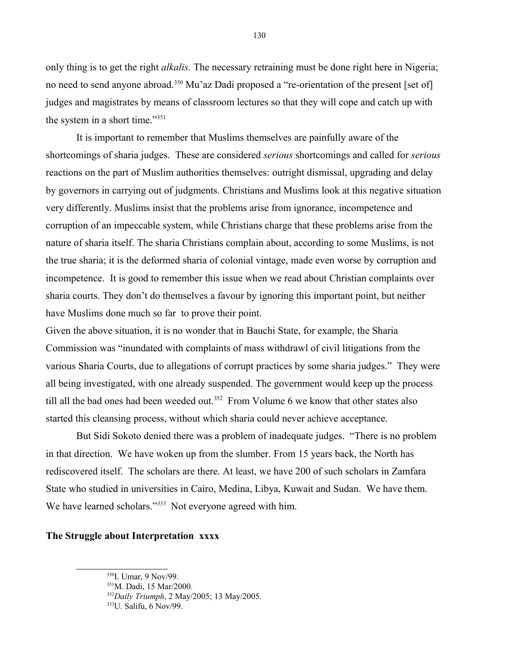only thing is to get the right *alkalis.* The necessary retraining must be done right here in Nigeria; no need to send anyone abroad.<sup>[350](#page-129-0)</sup> Mu'az Dadi proposed a "re-orientation of the present [set of] judges and magistrates by means of classroom lectures so that they will cope and catch up with the system in a short time."[351](#page-129-1)

It is important to remember that Muslims themselves are painfully aware of the shortcomings of sharia judges. These are considered *serious* shortcomings and called for *serious* reactions on the part of Muslim authorities themselves: outright dismissal, upgrading and delay by governors in carrying out of judgments. Christians and Muslims look at this negative situation very differently. Muslims insist that the problems arise from ignorance, incompetence and corruption of an impeccable system, while Christians charge that these problems arise from the nature of sharia itself. The sharia Christians complain about, according to some Muslims, is not the true sharia; it is the deformed sharia of colonial vintage, made even worse by corruption and incompetence.It is good to remember this issue when we read about Christian complaints over sharia courts. They don't do themselves a favour by ignoring this important point, but neither have Muslims done much so far to prove their point.

Given the above situation, it is no wonder that in Bauchi State, for example, the Sharia Commission was "inundated with complaints of mass withdrawl of civil litigations from the various Sharia Courts, due to allegations of corrupt practices by some sharia judges." They were all being investigated, with one already suspended. The government would keep up the process till all the bad ones had been weeded out.<sup>[352](#page-129-2)</sup> From Volume 6 we know that other states also started this cleansing process, without which sharia could never achieve acceptance.

But Sidi Sokoto denied there was a problem of inadequate judges. "There is no problem in that direction. We have woken up from the slumber. From 15 years back, the North has rediscovered itself. The scholars are there. At least, we have 200 of such scholars in Zamfara State who studied in universities in Cairo, Medina, Libya, Kuwait and Sudan. We have them. We have learned scholars."*[353](#page-129-3)* Not everyone agreed with him.

#### **The Struggle about Interpretation xxxx**

<span id="page-129-0"></span><sup>&</sup>lt;sup>350</sup>I. Umar, 9 Nov/99.

<span id="page-129-1"></span><sup>351</sup>M. Dadi, 15 Mar/2000.

<span id="page-129-2"></span><sup>352</sup>*Daily Triumph*, 2 May/2005; 13 May/2005.

<span id="page-129-3"></span><sup>353</sup>U. Salifu, 6 Nov/99.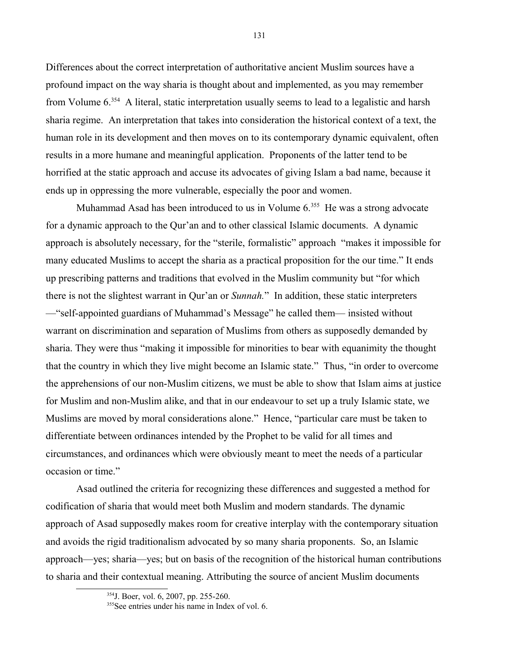Differences about the correct interpretation of authoritative ancient Muslim sources have a profound impact on the way sharia is thought about and implemented, as you may remember from Volume 6.[354](#page-130-0) A literal, static interpretation usually seems to lead to a legalistic and harsh sharia regime. An interpretation that takes into consideration the historical context of a text, the human role in its development and then moves on to its contemporary dynamic equivalent, often results in a more humane and meaningful application. Proponents of the latter tend to be horrified at the static approach and accuse its advocates of giving Islam a bad name, because it ends up in oppressing the more vulnerable, especially the poor and women.

Muhammad Asad has been introduced to us in Volume  $6.355$  $6.355$  He was a strong advocate for a dynamic approach to the Qur'an and to other classical Islamic documents. A dynamic approach is absolutely necessary, for the "sterile, formalistic" approach "makes it impossible for many educated Muslims to accept the sharia as a practical proposition for the our time." It ends up prescribing patterns and traditions that evolved in the Muslim community but "for which there is not the slightest warrant in Qur'an or *Sunnah.*" In addition, these static interpreters —"self-appointed guardians of Muhammad's Message" he called them— insisted without warrant on discrimination and separation of Muslims from others as supposedly demanded by sharia. They were thus "making it impossible for minorities to bear with equanimity the thought that the country in which they live might become an Islamic state." Thus, "in order to overcome the apprehensions of our non-Muslim citizens, we must be able to show that Islam aims at justice for Muslim and non-Muslim alike, and that in our endeavour to set up a truly Islamic state, we Muslims are moved by moral considerations alone." Hence, "particular care must be taken to differentiate between ordinances intended by the Prophet to be valid for all times and circumstances, and ordinances which were obviously meant to meet the needs of a particular occasion or time."

Asad outlined the criteria for recognizing these differences and suggested a method for codification of sharia that would meet both Muslim and modern standards. The dynamic approach of Asad supposedly makes room for creative interplay with the contemporary situation and avoids the rigid traditionalism advocated by so many sharia proponents. So, an Islamic approach—yes; sharia—yes; but on basis of the recognition of the historical human contributions to sharia and their contextual meaning. Attributing the source of ancient Muslim documents

<span id="page-130-0"></span><sup>354</sup>J. Boer, vol. 6, 2007, pp. 255-260.

<span id="page-130-1"></span><sup>&</sup>lt;sup>355</sup>See entries under his name in Index of vol. 6.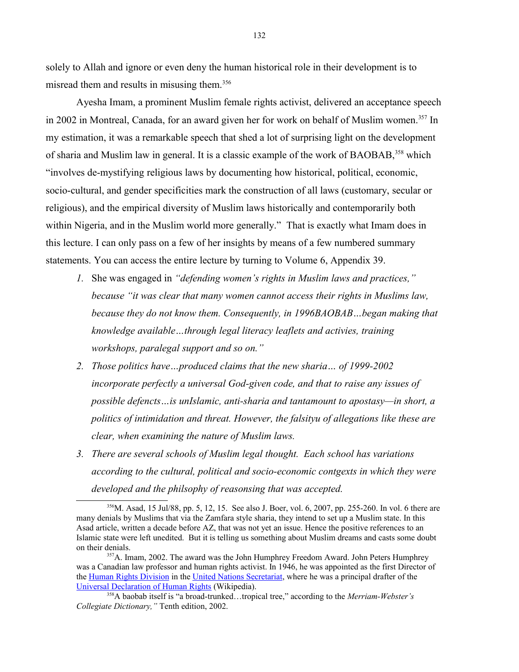solely to Allah and ignore or even deny the human historical role in their development is to misread them and results in misusing them.<sup>[356](#page-131-0)</sup>

Ayesha Imam, a prominent Muslim female rights activist, delivered an acceptance speech in 2002 in Montreal, Canada, for an award given her for work on behalf of Muslim women.<sup>[357](#page-131-1)</sup> In my estimation, it was a remarkable speech that shed a lot of surprising light on the development of sharia and Muslim law in general. It is a classic example of the work of BAOBAB,<sup>[358](#page-131-2)</sup> which "involves de-mystifying religious laws by documenting how historical, political, economic, socio-cultural, and gender specificities mark the construction of all laws (customary, secular or religious), and the empirical diversity of Muslim laws historically and contemporarily both within Nigeria, and in the Muslim world more generally." That is exactly what Imam does in this lecture. I can only pass on a few of her insights by means of a few numbered summary statements. You can access the entire lecture by turning to Volume 6, Appendix 39.

- *1.* She was engaged in *"defending women's rights in Muslim laws and practices," because "it was clear that many women cannot access their rights in Muslims law, because they do not know them. Consequently, in 1996BAOBAB…began making that knowledge available…through legal literacy leaflets and activies, training workshops, paralegal support and so on."*
- *2. Those politics have…produced claims that the new sharia… of 1999-2002 incorporate perfectly a universal God-given code, and that to raise any issues of possible defencts…is unIslamic, anti-sharia and tantamount to apostasy—in short, a politics of intimidation and threat. However, the falsityu of allegations like these are clear, when examining the nature of Muslim laws.*
- *3. There are several schools of Muslim legal thought. Each school has variations according to the cultural, political and socio-economic contgexts in which they were developed and the philsophy of reasonsing that was accepted.*

<span id="page-131-0"></span><sup>356</sup>M. Asad, 15 Jul/88, pp. 5, 12, 15. See also J. Boer, vol. 6, 2007, pp. 255-260. In vol. 6 there are many denials by Muslims that via the Zamfara style sharia, they intend to set up a Muslim state. In this Asad article, written a decade before AZ, that was not yet an issue. Hence the positive references to an Islamic state were left unedited. But it is telling us something about Muslim dreams and casts some doubt on their denials.

<span id="page-131-1"></span><sup>&</sup>lt;sup>357</sup>A. Imam, 2002. The award was the John Humphrey Freedom Award. John Peters Humphrey was a Canadian law professor and human rights activist. In 1946, he was appointed as the first Director of the [Human Rights Division](file:///w/index.php%3Ftitle=United_Nations_Division_of_Human_Rights&action=edit&redlink=1) in the [United Nations Secretariat,](file:///wiki/United_Nations_Secretariat) where he was a principal drafter of the [Universal Declaration of Human Rights](file:///wiki/Universal_Declaration_of_Human_Rights) (Wikipedia).

<span id="page-131-2"></span><sup>358</sup>A baobab itself is "a broad-trunked…tropical tree," according to the *Merriam-Webster's Collegiate Dictionary,"* Tenth edition, 2002.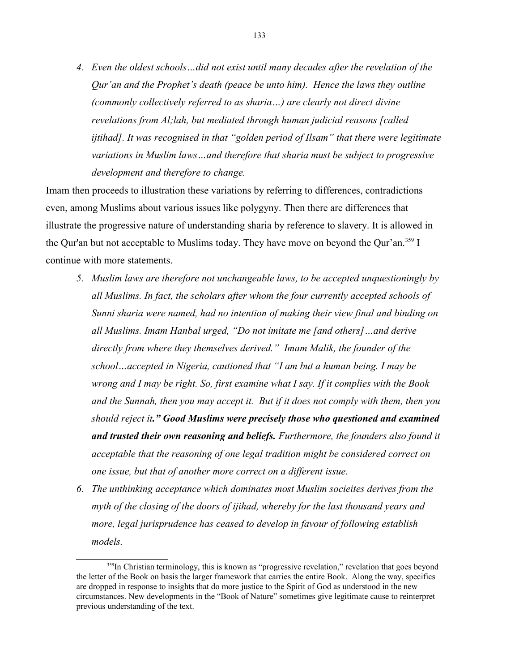*4. Even the oldest schools…did not exist until many decades after the revelation of the Qur'an and the Prophet's death (peace be unto him). Hence the laws they outline (commonly collectively referred to as sharia…) are clearly not direct divine revelations from Al;lah, but mediated through human judicial reasons [called ijtihad]. It was recognised in that "golden period of Ilsam" that there were legitimate variations in Muslim laws…and therefore that sharia must be subject to progressive development and therefore to change.*

Imam then proceeds to illustration these variations by referring to differences, contradictions even, among Muslims about various issues like polygyny. Then there are differences that illustrate the progressive nature of understanding sharia by reference to slavery. It is allowed in the Qur'an but not acceptable to Muslims today. They have move on beyond the Qur'an.<sup>[359](#page-132-0)</sup> I continue with more statements.

- *5. Muslim laws are therefore not unchangeable laws, to be accepted unquestioningly by all Muslims. In fact, the scholars after whom the four currently accepted schools of Sunni sharia were named, had no intention of making their view final and binding on all Muslims. Imam Hanbal urged, "Do not imitate me [and others]…and derive directly from where they themselves derived." Imam Malik, the founder of the school…accepted in Nigeria, cautioned that "I am but a human being. I may be wrong and I may be right. So, first examine what I say. If it complies with the Book and the Sunnah, then you may accept it. But if it does not comply with them, then you should reject it." Good Muslims were precisely those who questioned and examined and trusted their own reasoning and beliefs. Furthermore, the founders also found it acceptable that the reasoning of one legal tradition might be considered correct on one issue, but that of another more correct on a different issue.*
- *6. The unthinking acceptance which dominates most Muslim socieites derives from the myth of the closing of the doors of ijihad, whereby for the last thousand years and more, legal jurisprudence has ceased to develop in favour of following establish models.*

<span id="page-132-0"></span><sup>&</sup>lt;sup>359</sup>In Christian terminology, this is known as "progressive revelation," revelation that goes beyond the letter of the Book on basis the larger framework that carries the entire Book. Along the way, specifics are dropped in response to insights that do more justice to the Spirit of God as understood in the new circumstances. New developments in the "Book of Nature" sometimes give legitimate cause to reinterpret previous understanding of the text.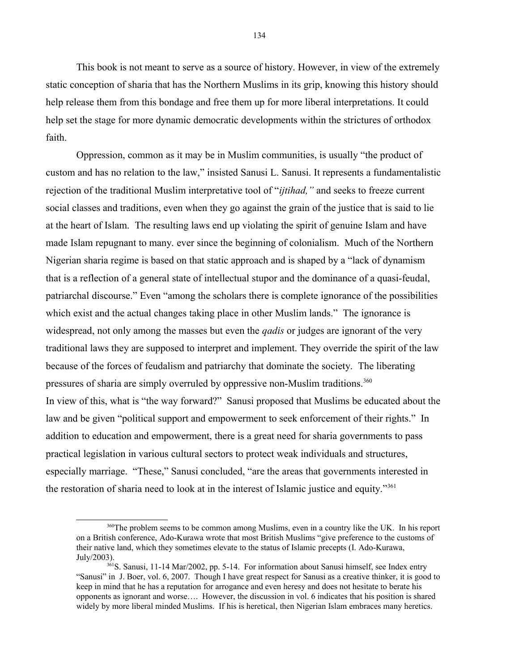This book is not meant to serve as a source of history. However, in view of the extremely static conception of sharia that has the Northern Muslims in its grip, knowing this history should help release them from this bondage and free them up for more liberal interpretations. It could help set the stage for more dynamic democratic developments within the strictures of orthodox faith.

Oppression, common as it may be in Muslim communities, is usually "the product of custom and has no relation to the law," insisted Sanusi L. Sanusi. It represents a fundamentalistic rejection of the traditional Muslim interpretative tool of "*ijtihad,"* and seeks to freeze current social classes and traditions, even when they go against the grain of the justice that is said to lie at the heart of Islam. The resulting laws end up violating the spirit of genuine Islam and have made Islam repugnant to many. ever since the beginning of colonialism. Much of the Northern Nigerian sharia regime is based on that static approach and is shaped by a "lack of dynamism that is a reflection of a general state of intellectual stupor and the dominance of a quasi-feudal, patriarchal discourse." Even "among the scholars there is complete ignorance of the possibilities which exist and the actual changes taking place in other Muslim lands." The ignorance is widespread, not only among the masses but even the *qadis* or judges are ignorant of the very traditional laws they are supposed to interpret and implement. They override the spirit of the law because of the forces of feudalism and patriarchy that dominate the society. The liberating pressures of sharia are simply overruled by oppressive non-Muslim traditions.<sup>[360](#page-133-0)</sup> In view of this, what is "the way forward?" Sanusi proposed that Muslims be educated about the law and be given "political support and empowerment to seek enforcement of their rights." In addition to education and empowerment, there is a great need for sharia governments to pass practical legislation in various cultural sectors to protect weak individuals and structures, especially marriage. "These," Sanusi concluded, "are the areas that governments interested in the restoration of sharia need to look at in the interest of Islamic justice and equity."<sup>[361](#page-133-1)</sup>

<span id="page-133-0"></span><sup>&</sup>lt;sup>360</sup>The problem seems to be common among Muslims, even in a country like the UK. In his report on a British conference, Ado-Kurawa wrote that most British Muslims "give preference to the customs of their native land, which they sometimes elevate to the status of Islamic precepts (I. Ado-Kurawa, July/2003).

<span id="page-133-1"></span><sup>&</sup>lt;sup>361</sup>S. Sanusi, 11-14 Mar/2002, pp. 5-14. For information about Sanusi himself, see Index entry "Sanusi" in J. Boer, vol. 6, 2007. Though I have great respect for Sanusi as a creative thinker, it is good to keep in mind that he has a reputation for arrogance and even heresy and does not hesitate to berate his opponents as ignorant and worse…. However, the discussion in vol. 6 indicates that his position is shared widely by more liberal minded Muslims. If his is heretical, then Nigerian Islam embraces many heretics.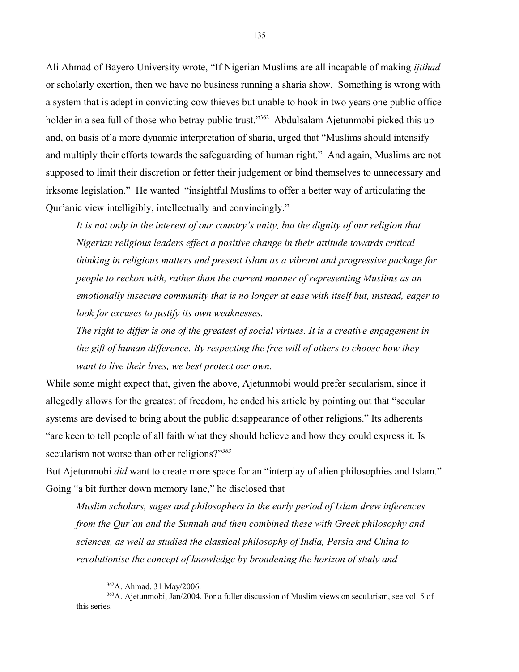Ali Ahmad of Bayero University wrote, "If Nigerian Muslims are all incapable of making *ijtihad* or scholarly exertion, then we have no business running a sharia show. Something is wrong with a system that is adept in convicting cow thieves but unable to hook in two years one public office holder in a sea full of those who betray public trust."<sup>[362](#page-134-0)</sup> Abdulsalam Ajetunmobi picked this up and, on basis of a more dynamic interpretation of sharia, urged that "Muslims should intensify and multiply their efforts towards the safeguarding of human right." And again, Muslims are not supposed to limit their discretion or fetter their judgement or bind themselves to unnecessary and irksome legislation." He wanted "insightful Muslims to offer a better way of articulating the Qur'anic view intelligibly, intellectually and convincingly."

*It is not only in the interest of our country's unity, but the dignity of our religion that Nigerian religious leaders effect a positive change in their attitude towards critical thinking in religious matters and present Islam as a vibrant and progressive package for people to reckon with, rather than the current manner of representing Muslims as an emotionally insecure community that is no longer at ease with itself but, instead, eager to look for excuses to justify its own weaknesses.* 

*The right to differ is one of the greatest of social virtues. It is a creative engagement in the gift of human difference. By respecting the free will of others to choose how they want to live their lives, we best protect our own.*

While some might expect that, given the above, Ajetunmobi would prefer secularism, since it allegedly allows for the greatest of freedom, he ended his article by pointing out that "secular systems are devised to bring about the public disappearance of other religions." Its adherents "are keen to tell people of all faith what they should believe and how they could express it. Is secularism not worse than other religions?"*[363](#page-134-1)*

But Ajetunmobi *did* want to create more space for an "interplay of alien philosophies and Islam." Going "a bit further down memory lane," he disclosed that

*Muslim scholars, sages and philosophers in the early period of Islam drew inferences from the Qur'an and the Sunnah and then combined these with Greek philosophy and sciences, as well as studied the classical philosophy of India, Persia and China to revolutionise the concept of knowledge by broadening the horizon of study and* 

<span id="page-134-1"></span><span id="page-134-0"></span><sup>362</sup>A. Ahmad, 31 May/2006.

<sup>363</sup>A. Ajetunmobi, Jan/2004. For a fuller discussion of Muslim views on secularism, see vol. 5 of this series.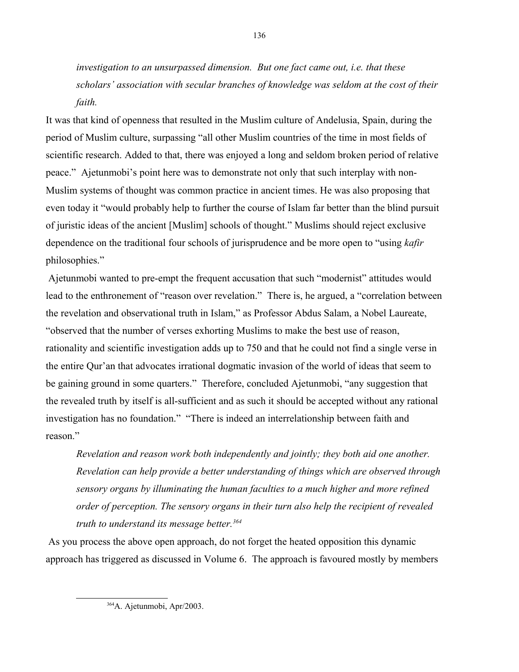*investigation to an unsurpassed dimension. But one fact came out, i.e. that these scholars' association with secular branches of knowledge was seldom at the cost of their faith.*

It was that kind of openness that resulted in the Muslim culture of Andelusia, Spain, during the period of Muslim culture, surpassing "all other Muslim countries of the time in most fields of scientific research. Added to that, there was enjoyed a long and seldom broken period of relative peace." Ajetunmobi's point here was to demonstrate not only that such interplay with non-Muslim systems of thought was common practice in ancient times. He was also proposing that even today it "would probably help to further the course of Islam far better than the blind pursuit of juristic ideas of the ancient [Muslim] schools of thought." Muslims should reject exclusive dependence on the traditional four schools of jurisprudence and be more open to "using *kafir* philosophies."

 Ajetunmobi wanted to pre-empt the frequent accusation that such "modernist" attitudes would lead to the enthronement of "reason over revelation." There is, he argued, a "correlation between the revelation and observational truth in Islam," as Professor Abdus Salam, a Nobel Laureate, "observed that the number of verses exhorting Muslims to make the best use of reason, rationality and scientific investigation adds up to 750 and that he could not find a single verse in the entire Qur'an that advocates irrational dogmatic invasion of the world of ideas that seem to be gaining ground in some quarters." Therefore, concluded Ajetunmobi, "any suggestion that the revealed truth by itself is all-sufficient and as such it should be accepted without any rational investigation has no foundation." "There is indeed an interrelationship between faith and reason."

*Revelation and reason work both independently and jointly; they both aid one another. Revelation can help provide a better understanding of things which are observed through sensory organs by illuminating the human faculties to a much higher and more refined order of perception. The sensory organs in their turn also help the recipient of revealed truth to understand its message better.[364](#page-135-0)* 

 As you process the above open approach, do not forget the heated opposition this dynamic approach has triggered as discussed in Volume 6. The approach is favoured mostly by members

<span id="page-135-0"></span><sup>364</sup>A. Ajetunmobi, Apr/2003.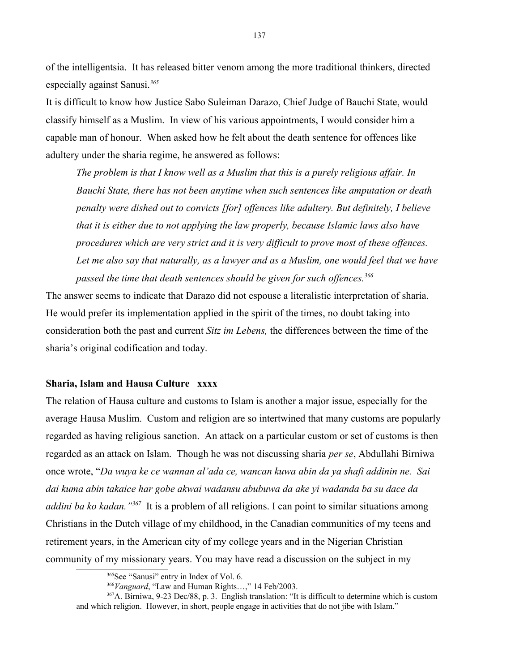of the intelligentsia. It has released bitter venom among the more traditional thinkers, directed especially against Sanusi.*[365](#page-136-0)*

It is difficult to know how Justice Sabo Suleiman Darazo, Chief Judge of Bauchi State, would classify himself as a Muslim. In view of his various appointments, I would consider him a capable man of honour. When asked how he felt about the death sentence for offences like adultery under the sharia regime, he answered as follows:

*The problem is that I know well as a Muslim that this is a purely religious affair. In Bauchi State, there has not been anytime when such sentences like amputation or death penalty were dished out to convicts [for] offences like adultery. But definitely, I believe that it is either due to not applying the law properly, because Islamic laws also have procedures which are very strict and it is very difficult to prove most of these offences.*  Let me also say that naturally, as a lawyer and as a Muslim, one would feel that we have *passed the time that death sentences should be given for such offences.[366](#page-136-1)*

The answer seems to indicate that Darazo did not espouse a literalistic interpretation of sharia. He would prefer its implementation applied in the spirit of the times, no doubt taking into consideration both the past and current *Sitz im Lebens,* the differences between the time of the sharia's original codification and today.

## **Sharia, Islam and Hausa Culture xxxx**

The relation of Hausa culture and customs to Islam is another a major issue, especially for the average Hausa Muslim. Custom and religion are so intertwined that many customs are popularly regarded as having religious sanction. An attack on a particular custom or set of customs is then regarded as an attack on Islam. Though he was not discussing sharia *per se*, Abdullahi Birniwa once wrote, "*Da wuya ke ce wannan al'ada ce, wancan kuwa abin da ya shafi addinin ne. Sai dai kuma abin takaice har gobe akwai wadansu abubuwa da ake yi wadanda ba su dace da*  addini ba ko kadan. "<sup>[367](#page-136-2)</sup> It is a problem of all religions. I can point to similar situations among Christians in the Dutch village of my childhood, in the Canadian communities of my teens and retirement years, in the American city of my college years and in the Nigerian Christian community of my missionary years. You may have read a discussion on the subject in my

<span id="page-136-0"></span><sup>&</sup>lt;sup>365</sup>See "Sanusi" entry in Index of Vol. 6.

<span id="page-136-2"></span><span id="page-136-1"></span><sup>366</sup>*Vanguard*, "Law and Human Rights…," 14 Feb/2003.

<sup>367</sup>A. Birniwa, 9-23 Dec/88, p. 3. English translation: "It is difficult to determine which is custom and which religion. However, in short, people engage in activities that do not jibe with Islam."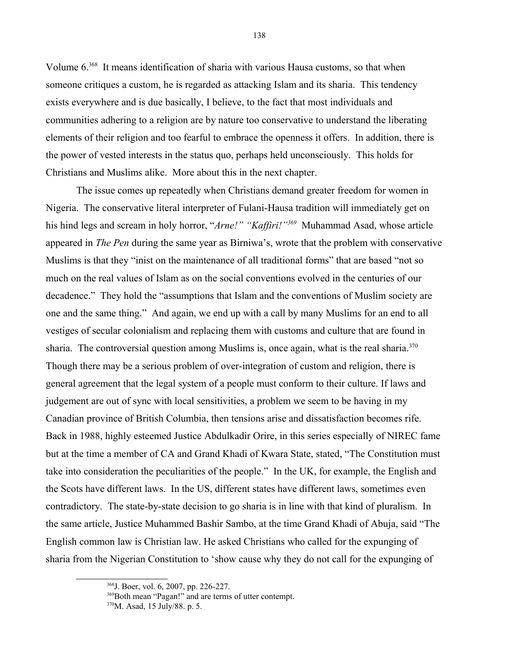Volume 6.[368](#page-137-0) It means identification of sharia with various Hausa customs, so that when someone critiques a custom, he is regarded as attacking Islam and its sharia. This tendency exists everywhere and is due basically, I believe, to the fact that most individuals and communities adhering to a religion are by nature too conservative to understand the liberating elements of their religion and too fearful to embrace the openness it offers. In addition, there is the power of vested interests in the status quo, perhaps held unconsciously. This holds for Christians and Muslims alike. More about this in the next chapter.

The issue comes up repeatedly when Christians demand greater freedom for women in Nigeria. The conservative literal interpreter of Fulani-Hausa tradition will immediately get on his hind legs and scream in holy horror, "*Arne!" "Kaffiri!"[369](#page-137-1)* Muhammad Asad, whose article appeared in *The Pen* during the same year as Birniwa's, wrote that the problem with conservative Muslims is that they "inist on the maintenance of all traditional forms" that are based "not so much on the real values of Islam as on the social conventions evolved in the centuries of our decadence." They hold the "assumptions that Islam and the conventions of Muslim society are one and the same thing." And again, we end up with a call by many Muslims for an end to all vestiges of secular colonialism and replacing them with customs and culture that are found in sharia. The controversial question among Muslims is, once again, what is the real sharia.<sup>[370](#page-137-2)</sup> Though there may be a serious problem of over-integration of custom and religion, there is general agreement that the legal system of a people must conform to their culture. If laws and judgement are out of sync with local sensitivities, a problem we seem to be having in my Canadian province of British Columbia, then tensions arise and dissatisfaction becomes rife. Back in 1988, highly esteemed Justice Abdulkadir Orire, in this series especially of NIREC fame but at the time a member of CA and Grand Khadi of Kwara State, stated, "The Constitution must take into consideration the peculiarities of the people." In the UK, for example, the English and the Scots have different laws. In the US, different states have different laws, sometimes even contradictory. The state-by-state decision to go sharia is in line with that kind of pluralism. In the same article, Justice Muhammed Bashir Sambo, at the time Grand Khadi of Abuja, said "The English common law is Christian law. He asked Christians who called for the expunging of sharia from the Nigerian Constitution to 'show cause why they do not call for the expunging of

<span id="page-137-0"></span><sup>368</sup>J. Boer, vol. 6, 2007, pp. 226-227.

<span id="page-137-1"></span><sup>369</sup>Both mean "Pagan!" and are terms of utter contempt.

<span id="page-137-2"></span><sup>370</sup>M. Asad, 15 July/88. p. 5.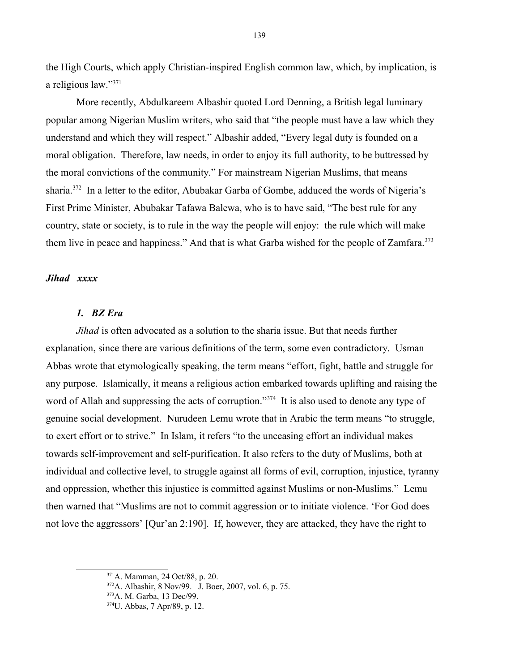the High Courts, which apply Christian-inspired English common law, which, by implication, is a religious law."[371](#page-138-0)

More recently, Abdulkareem Albashir quoted Lord Denning, a British legal luminary popular among Nigerian Muslim writers, who said that "the people must have a law which they understand and which they will respect." Albashir added, "Every legal duty is founded on a moral obligation. Therefore, law needs, in order to enjoy its full authority, to be buttressed by the moral convictions of the community." For mainstream Nigerian Muslims, that means sharia.[372](#page-138-1) In a letter to the editor, Abubakar Garba of Gombe, adduced the words of Nigeria's First Prime Minister, Abubakar Tafawa Balewa, who is to have said, "The best rule for any country, state or society, is to rule in the way the people will enjoy: the rule which will make them live in peace and happiness." And that is what Garba wished for the people of Zamfara.<sup>[373](#page-138-2)</sup>

# *Jihad xxxx*

# *1. BZ Era*

*Jihad* is often advocated as a solution to the sharia issue. But that needs further explanation, since there are various definitions of the term, some even contradictory. Usman Abbas wrote that etymologically speaking, the term means "effort, fight, battle and struggle for any purpose. Islamically, it means a religious action embarked towards uplifting and raising the word of Allah and suppressing the acts of corruption."<sup>[374](#page-138-3)</sup> It is also used to denote any type of genuine social development. Nurudeen Lemu wrote that in Arabic the term means "to struggle, to exert effort or to strive." In Islam, it refers "to the unceasing effort an individual makes towards self-improvement and self-purification. It also refers to the duty of Muslims, both at individual and collective level, to struggle against all forms of evil, corruption, injustice, tyranny and oppression, whether this injustice is committed against Muslims or non-Muslims." Lemu then warned that "Muslims are not to commit aggression or to initiate violence. 'For God does not love the aggressors' [Qur'an 2:190]. If, however, they are attacked, they have the right to

<span id="page-138-0"></span><sup>371</sup>A. Mamman, 24 Oct/88, p. 20.

<span id="page-138-1"></span> $372$ A. Albashir, 8 Nov/99. J. Boer, 2007, vol. 6, p. 75.

<span id="page-138-2"></span><sup>373</sup>A. M. Garba, 13 Dec/99.

<span id="page-138-3"></span><sup>374</sup>U. Abbas, 7 Apr/89, p. 12.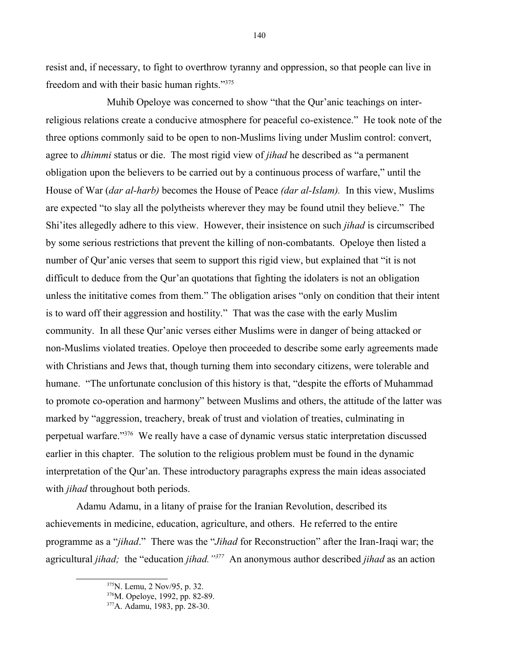resist and, if necessary, to fight to overthrow tyranny and oppression, so that people can live in freedom and with their basic human rights."[375](#page-139-0)

Muhib Opeloye was concerned to show "that the Qur'anic teachings on interreligious relations create a conducive atmosphere for peaceful co-existence." He took note of the three options commonly said to be open to non-Muslims living under Muslim control: convert, agree to *dhimmi* status or die. The most rigid view of *jihad* he described as "a permanent obligation upon the believers to be carried out by a continuous process of warfare," until the House of War (*dar al-harb)* becomes the House of Peace *(dar al-Islam).* In this view, Muslims are expected "to slay all the polytheists wherever they may be found utnil they believe." The Shi'ites allegedly adhere to this view. However, their insistence on such *jihad* is circumscribed by some serious restrictions that prevent the killing of non-combatants. Opeloye then listed a number of Qur'anic verses that seem to support this rigid view, but explained that "it is not difficult to deduce from the Qur'an quotations that fighting the idolaters is not an obligation unless the inititative comes from them." The obligation arises "only on condition that their intent is to ward off their aggression and hostility." That was the case with the early Muslim community. In all these Qur'anic verses either Muslims were in danger of being attacked or non-Muslims violated treaties. Opeloye then proceeded to describe some early agreements made with Christians and Jews that, though turning them into secondary citizens, were tolerable and humane. "The unfortunate conclusion of this history is that, "despite the efforts of Muhammad to promote co-operation and harmony" between Muslims and others, the attitude of the latter was marked by "aggression, treachery, break of trust and violation of treaties, culminating in perpetual warfare."[376](#page-139-1) We really have a case of dynamic versus static interpretation discussed earlier in this chapter. The solution to the religious problem must be found in the dynamic interpretation of the Qur'an. These introductory paragraphs express the main ideas associated with *jihad* throughout both periods.

Adamu Adamu, in a litany of praise for the Iranian Revolution, described its achievements in medicine, education, agriculture, and others. He referred to the entire programme as a "*jihad*." There was the "*Jihad* for Reconstruction" after the Iran-Iraqi war; the agricultural *jihad;* the "education *jihad."[377](#page-139-2)* An anonymous author described *jihad* as an action

140

<span id="page-139-0"></span><sup>375</sup>N. Lemu, 2 Nov/95, p. 32.

<span id="page-139-1"></span><sup>376</sup>M. Opeloye, 1992, pp. 82-89.

<span id="page-139-2"></span><sup>377</sup>A. Adamu, 1983, pp. 28-30.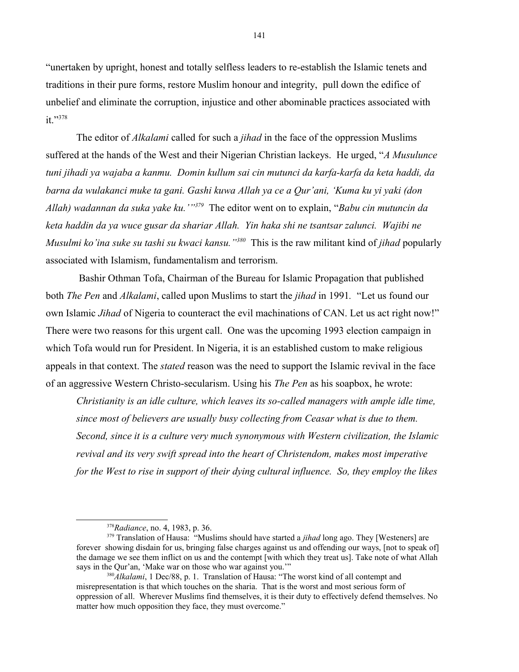"unertaken by upright, honest and totally selfless leaders to re-establish the Islamic tenets and traditions in their pure forms, restore Muslim honour and integrity, pull down the edifice of unbelief and eliminate the corruption, injustice and other abominable practices associated with it."[378](#page-140-0)

The editor of *Alkalami* called for such a *jihad* in the face of the oppression Muslims suffered at the hands of the West and their Nigerian Christian lackeys. He urged, "*A Musulunce tuni jihadi ya wajaba a kanmu. Domin kullum sai cin mutunci da karfa-karfa da keta haddi, da barna da wulakanci muke ta gani. Gashi kuwa Allah ya ce a Qur'ani, 'Kuma ku yi yaki (don Allah) wadannan da suka yake ku.'"[379](#page-140-1)* The editor went on to explain, "*Babu cin mutuncin da keta haddin da ya wuce gusar da shariar Allah. Yin haka shi ne tsantsar zalunci. Wajibi ne Musulmi ko'ina suke su tashi su kwaci kansu."[380](#page-140-2)* This is the raw militant kind of *jihad* popularly associated with Islamism, fundamentalism and terrorism.

 Bashir Othman Tofa, Chairman of the Bureau for Islamic Propagation that published both *The Pen* and *Alkalami*, called upon Muslims to start the *jihad* in 1991*.* "Let us found our own Islamic *Jihad* of Nigeria to counteract the evil machinations of CAN. Let us act right now!" There were two reasons for this urgent call. One was the upcoming 1993 election campaign in which Tofa would run for President. In Nigeria, it is an established custom to make religious appeals in that context. The *stated* reason was the need to support the Islamic revival in the face of an aggressive Western Christo-secularism. Using his *The Pen* as his soapbox, he wrote:

*Christianity is an idle culture, which leaves its so-called managers with ample idle time, since most of believers are usually busy collecting from Ceasar what is due to them. Second, since it is a culture very much synonymous with Western civilization, the Islamic revival and its very swift spread into the heart of Christendom, makes most imperative for the West to rise in support of their dying cultural influence. So, they employ the likes* 

<span id="page-140-1"></span><span id="page-140-0"></span><sup>378</sup>*Radiance*, no. 4, 1983, p. 36.

<sup>&</sup>lt;sup>379</sup> Translation of Hausa: "Muslims should have started a *jihad* long ago. They [Westeners] are forever showing disdain for us, bringing false charges against us and offending our ways, [not to speak of] the damage we see them inflict on us and the contempt [with which they treat us]. Take note of what Allah says in the Qur'an, 'Make war on those who war against you.'"

<span id="page-140-2"></span><sup>380</sup>*Alkalami*, 1 Dec/88, p. 1. Translation of Hausa: "The worst kind of all contempt and misrepresentation is that which touches on the sharia. That is the worst and most serious form of oppression of all. Wherever Muslims find themselves, it is their duty to effectively defend themselves. No matter how much opposition they face, they must overcome."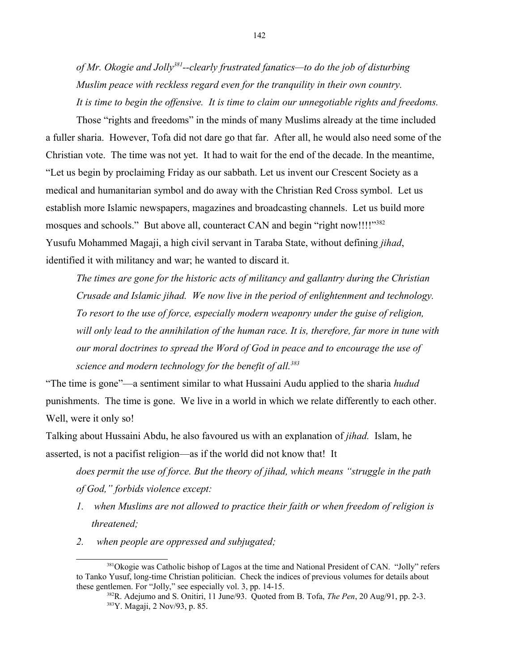*of Mr. Okogie and Jolly[381](#page-141-0)--clearly frustrated fanatics—to do the job of disturbing Muslim peace with reckless regard even for the tranquility in their own country. It is time to begin the offensive. It is time to claim our unnegotiable rights and freedoms.*

Those "rights and freedoms" in the minds of many Muslims already at the time included a fuller sharia. However, Tofa did not dare go that far. After all, he would also need some of the Christian vote. The time was not yet. It had to wait for the end of the decade. In the meantime, "Let us begin by proclaiming Friday as our sabbath. Let us invent our Crescent Society as a medical and humanitarian symbol and do away with the Christian Red Cross symbol. Let us establish more Islamic newspapers, magazines and broadcasting channels. Let us build more mosques and schools." But above all, counteract CAN and begin "right now!!!!"<sup>[382](#page-141-1)</sup> Yusufu Mohammed Magaji, a high civil servant in Taraba State, without defining *jihad*, identified it with militancy and war; he wanted to discard it.

*The times are gone for the historic acts of militancy and gallantry during the Christian Crusade and Islamic jihad. We now live in the period of enlightenment and technology. To resort to the use of force, especially modern weaponry under the guise of religion, will only lead to the annihilation of the human race. It is, therefore, far more in tune with our moral doctrines to spread the Word of God in peace and to encourage the use of science and modern technology for the benefit of all.[383](#page-141-2)*

"The time is gone"—a sentiment similar to what Hussaini Audu applied to the sharia *hudud* punishments. The time is gone. We live in a world in which we relate differently to each other. Well, were it only so!

Talking about Hussaini Abdu, he also favoured us with an explanation of *jihad.* Islam, he asserted, is not a pacifist religion—as if the world did not know that! It

*does permit the use of force. But the theory of jihad, which means "struggle in the path of God," forbids violence except:* 

- *1. when Muslims are not allowed to practice their faith or when freedom of religion is threatened;*
- *2. when people are oppressed and subjugated;*

<sup>&</sup>lt;sup>381</sup>Okogie was Catholic bishop of Lagos at the time and National President of CAN. "Jolly" refers to Tanko Yusuf, long-time Christian politician. Check the indices of previous volumes for details about these gentlemen. For "Jolly," see especially vol. 3, pp. 14-15.

<span id="page-141-2"></span><span id="page-141-1"></span><span id="page-141-0"></span><sup>382</sup>R. Adejumo and S. Onitiri, 11 June/93. Quoted from B. Tofa, *The Pen*, 20 Aug/91, pp. 2-3. <sup>383</sup>Y. Magaji, 2 Nov/93, p. 85.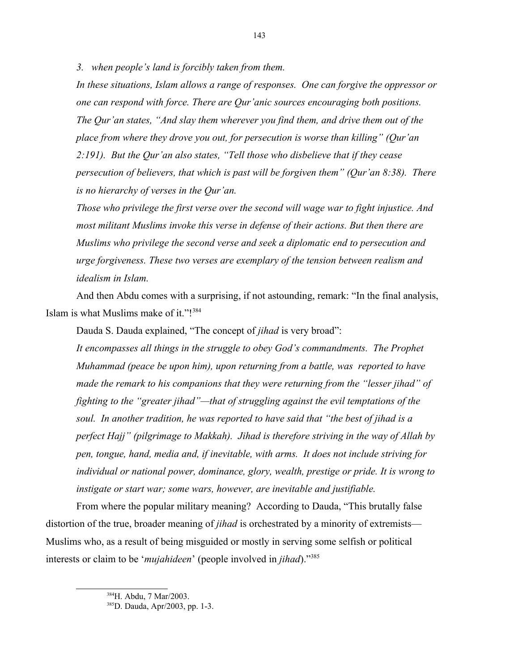*3. when people's land is forcibly taken from them.*

*In these situations, Islam allows a range of responses. One can forgive the oppressor or one can respond with force. There are Qur'anic sources encouraging both positions. The Qur'an states, "And slay them wherever you find them, and drive them out of the place from where they drove you out, for persecution is worse than killing" (Qur'an 2:191). But the Qur'an also states, "Tell those who disbelieve that if they cease persecution of believers, that which is past will be forgiven them" (Qur'an 8:38). There is no hierarchy of verses in the Qur'an.*

*Those who privilege the first verse over the second will wage war to fight injustice. And most militant Muslims invoke this verse in defense of their actions. But then there are Muslims who privilege the second verse and seek a diplomatic end to persecution and urge forgiveness. These two verses are exemplary of the tension between realism and idealism in Islam.*

And then Abdu comes with a surprising, if not astounding, remark: "In the final analysis, Islam is what Muslims make of it."![384](#page-142-0)

Dauda S. Dauda explained, "The concept of *jihad* is very broad":

*It encompasses all things in the struggle to obey God's commandments. The Prophet Muhammad (peace be upon him), upon returning from a battle, was reported to have made the remark to his companions that they were returning from the "lesser jihad" of fighting to the "greater jihad"—that of struggling against the evil temptations of the soul. In another tradition, he was reported to have said that "the best of jihad is a perfect Hajj" (pilgrimage to Makkah). Jihad is therefore striving in the way of Allah by pen, tongue, hand, media and, if inevitable, with arms. It does not include striving for individual or national power, dominance, glory, wealth, prestige or pride. It is wrong to instigate or start war; some wars, however, are inevitable and justifiable.*

From where the popular military meaning? According to Dauda, "This brutally false distortion of the true, broader meaning of *jihad* is orchestrated by a minority of extremists— Muslims who, as a result of being misguided or mostly in serving some selfish or political interests or claim to be '*mujahideen*' (people involved in *jihad*)."[385](#page-142-1) 

<span id="page-142-0"></span><sup>384</sup>H. Abdu, 7 Mar/2003.

<span id="page-142-1"></span><sup>385</sup>D. Dauda, Apr/2003, pp. 1-3.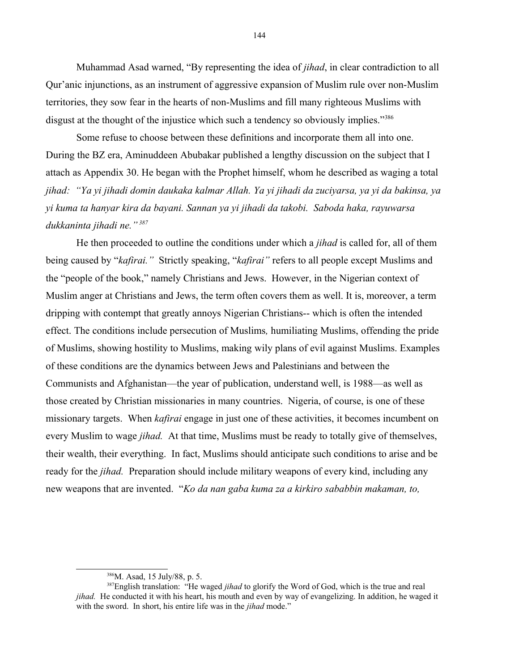Muhammad Asad warned, "By representing the idea of *jihad*, in clear contradiction to all Qur'anic injunctions, as an instrument of aggressive expansion of Muslim rule over non-Muslim territories, they sow fear in the hearts of non-Muslims and fill many righteous Muslims with disgust at the thought of the injustice which such a tendency so obviously implies."[386](#page-143-0)

Some refuse to choose between these definitions and incorporate them all into one. During the BZ era, Aminuddeen Abubakar published a lengthy discussion on the subject that I attach as Appendix 30. He began with the Prophet himself, whom he described as waging a total *jihad: "Ya yi jihadi domin daukaka kalmar Allah. Ya yi jihadi da zuciyarsa, ya yi da bakinsa, ya yi kuma ta hanyar kira da bayani. Sannan ya yi jihadi da takobi. Saboda haka, rayuwarsa dukkaninta jihadi ne." [387](#page-143-1)*

He then proceeded to outline the conditions under which a *jihad* is called for, all of them being caused by "*kafirai."* Strictly speaking, "*kafirai"* refers to all people except Muslims and the "people of the book," namely Christians and Jews. However, in the Nigerian context of Muslim anger at Christians and Jews, the term often covers them as well. It is, moreover, a term dripping with contempt that greatly annoys Nigerian Christians-- which is often the intended effect. The conditions include persecution of Muslims*,* humiliating Muslims, offending the pride of Muslims, showing hostility to Muslims, making wily plans of evil against Muslims. Examples of these conditions are the dynamics between Jews and Palestinians and between the Communists and Afghanistan—the year of publication, understand well, is 1988—as well as those created by Christian missionaries in many countries. Nigeria, of course, is one of these missionary targets. When *kafirai* engage in just one of these activities, it becomes incumbent on every Muslim to wage *jihad.* At that time, Muslims must be ready to totally give of themselves, their wealth, their everything. In fact, Muslims should anticipate such conditions to arise and be ready for the *jihad.* Preparation should include military weapons of every kind, including any new weapons that are invented. "*Ko da nan gaba kuma za a kirkiro sababbin makaman, to,* 

<span id="page-143-1"></span><span id="page-143-0"></span> $386$ M. Asad, 15 July/88, p. 5.

<sup>387</sup>English translation: "He waged *jihad* to glorify the Word of God, which is the true and real *jihad.* He conducted it with his heart, his mouth and even by way of evangelizing. In addition, he waged it with the sword. In short, his entire life was in the *jihad* mode."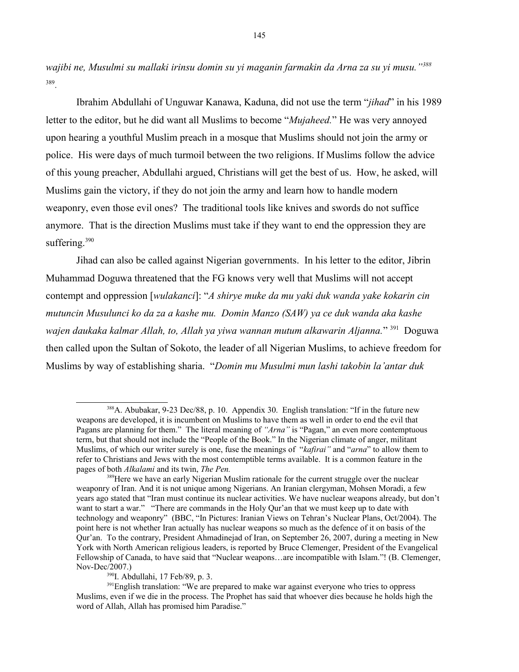*wajibi ne, Musulmi su mallaki irinsu domin su yi maganin farmakin da Arna za su yi musu."[388](#page-144-0)* [389](#page-144-1) .

Ibrahim Abdullahi of Unguwar Kanawa, Kaduna, did not use the term "*jihad*" in his 1989 letter to the editor, but he did want all Muslims to become "*Mujaheed.*" He was very annoyed upon hearing a youthful Muslim preach in a mosque that Muslims should not join the army or police. His were days of much turmoil between the two religions. If Muslims follow the advice of this young preacher, Abdullahi argued, Christians will get the best of us. How, he asked, will Muslims gain the victory, if they do not join the army and learn how to handle modern weaponry, even those evil ones? The traditional tools like knives and swords do not suffice anymore. That is the direction Muslims must take if they want to end the oppression they are suffering.<sup>[390](#page-144-2)</sup>

Jihad can also be called against Nigerian governments. In his letter to the editor, Jibrin Muhammad Doguwa threatened that the FG knows very well that Muslims will not accept contempt and oppression [*wulakanci*]: "*A shirye muke da mu yaki duk wanda yake kokarin cin mutuncin Musulunci ko da za a kashe mu. Domin Manzo (SAW) ya ce duk wanda aka kashe wajen daukaka kalmar Allah, to, Allah ya yiwa wannan mutum alkawarin Aljanna.*" [391](#page-144-3) Doguwa then called upon the Sultan of Sokoto, the leader of all Nigerian Muslims, to achieve freedom for Muslims by way of establishing sharia. "*Domin mu Musulmi mun lashi takobin la'antar duk* 

<span id="page-144-0"></span><sup>388</sup>A. Abubakar, 9-23 Dec/88, p. 10. Appendix 30. English translation: "If in the future new weapons are developed, it is incumbent on Muslims to have them as well in order to end the evil that Pagans are planning for them." The literal meaning of *"Arna"* is "Pagan," an even more contemptuous term, but that should not include the "People of the Book." In the Nigerian climate of anger, militant Muslims, of which our writer surely is one, fuse the meanings of "*kafirai"* and "*arna*" to allow them to refer to Christians and Jews with the most contemptible terms available. It is a common feature in the pages of both *Alkalami* and its twin, *The Pen.* 

<span id="page-144-1"></span><sup>&</sup>lt;sup>389</sup>Here we have an early Nigerian Muslim rationale for the current struggle over the nuclear weaponry of Iran. And it is not unique among Nigerians. An Iranian clergyman, Mohsen Moradi, a few years ago stated that "Iran must continue its nuclear activities. We have nuclear weapons already, but don't want to start a war." "There are commands in the Holy Qur'an that we must keep up to date with technology and weaponry" (BBC, "In Pictures: Iranian Views on Tehran's Nuclear Plans, Oct/2004). The point here is not whether Iran actually has nuclear weapons so much as the defence of it on basis of the Qur'an. To the contrary, President Ahmadinejad of Iran, on September 26, 2007, during a meeting in New York with North American religious leaders, is reported by Bruce Clemenger, President of the Evangelical Fellowship of Canada, to have said that "Nuclear weapons…are incompatible with Islam."! (B. Clemenger, Nov-Dec/2007.)

<span id="page-144-3"></span><span id="page-144-2"></span><sup>390</sup>I. Abdullahi, 17 Feb/89, p. 3.

<sup>&</sup>lt;sup>391</sup>English translation: "We are prepared to make war against everyone who tries to oppress Muslims, even if we die in the process. The Prophet has said that whoever dies because he holds high the word of Allah, Allah has promised him Paradise."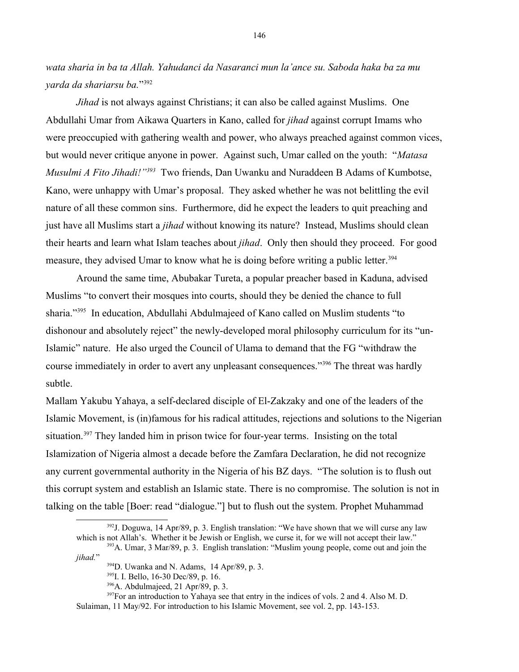*wata sharia in ba ta Allah. Yahudanci da Nasaranci mun la'ance su. Saboda haka ba za mu yarda da shariarsu ba.*" [392](#page-145-0)

*Jihad* is not always against Christians; it can also be called against Muslims. One Abdullahi Umar from Aikawa Quarters in Kano, called for *jihad* against corrupt Imams who were preoccupied with gathering wealth and power, who always preached against common vices, but would never critique anyone in power. Against such, Umar called on the youth: "*Matasa Musulmi A Fito Jihadi!*<sup>"[393](#page-145-1)</sup> Two friends, Dan Uwanku and Nuraddeen B Adams of Kumbotse, Kano, were unhappy with Umar's proposal. They asked whether he was not belittling the evil nature of all these common sins. Furthermore, did he expect the leaders to quit preaching and just have all Muslims start a *jihad* without knowing its nature? Instead, Muslims should clean their hearts and learn what Islam teaches about *jihad*. Only then should they proceed. For good measure, they advised Umar to know what he is doing before writing a public letter.<sup>[394](#page-145-2)</sup>

Around the same time, Abubakar Tureta, a popular preacher based in Kaduna, advised Muslims "to convert their mosques into courts, should they be denied the chance to full sharia."[395](#page-145-3) In education, Abdullahi Abdulmajeed of Kano called on Muslim students "to dishonour and absolutely reject" the newly-developed moral philosophy curriculum for its "un-Islamic" nature. He also urged the Council of Ulama to demand that the FG "withdraw the course immediately in order to avert any unpleasant consequences."[396](#page-145-4) The threat was hardly subtle.

Mallam Yakubu Yahaya, a self-declared disciple of El-Zakzaky and one of the leaders of the Islamic Movement, is (in)famous for his radical attitudes, rejections and solutions to the Nigerian situation.<sup>[397](#page-145-5)</sup> They landed him in prison twice for four-year terms. Insisting on the total Islamization of Nigeria almost a decade before the Zamfara Declaration, he did not recognize any current governmental authority in the Nigeria of his BZ days. "The solution is to flush out this corrupt system and establish an Islamic state. There is no compromise. The solution is not in talking on the table [Boer: read "dialogue."] but to flush out the system. Prophet Muhammad

<sup>397</sup>For an introduction to Yahaya see that entry in the indices of vols. 2 and 4. Also M. D. Sulaiman, 11 May/92. For introduction to his Islamic Movement, see vol. 2, pp. 143-153.

<span id="page-145-0"></span> $392$ J. Doguwa, 14 Apr/89, p. 3. English translation: "We have shown that we will curse any law which is not Allah's. Whether it be Jewish or English, we curse it, for we will not accept their law."

<sup>393</sup>A. Umar, 3 Mar/89, p. 3. English translation: "Muslim young people, come out and join the *jihad.*"

<span id="page-145-2"></span><span id="page-145-1"></span><sup>&</sup>lt;sup>394</sup>D. Uwanka and N. Adams, 14 Apr/89, p. 3.

<span id="page-145-3"></span><sup>395</sup>I. I. Bello, 16-30 Dec/89, p. 16.

<span id="page-145-5"></span><span id="page-145-4"></span><sup>396</sup>A. Abdulmajeed, 21 Apr/89, p. 3.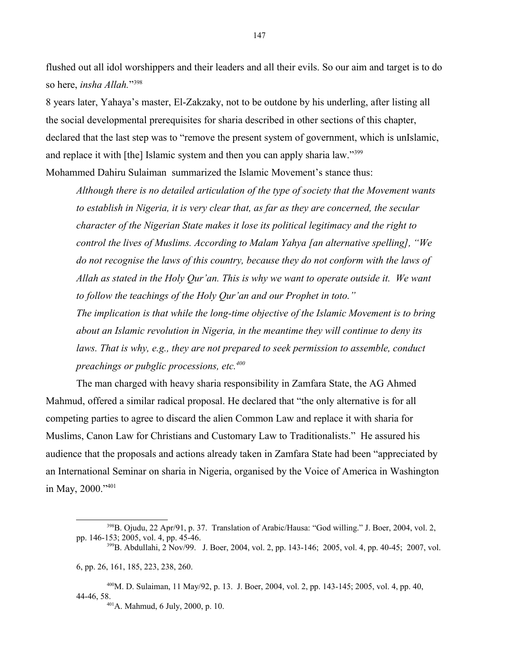flushed out all idol worshippers and their leaders and all their evils. So our aim and target is to do so here, *insha Allah.*" [398](#page-146-0)

8 years later, Yahaya's master, El-Zakzaky, not to be outdone by his underling, after listing all the social developmental prerequisites for sharia described in other sections of this chapter, declared that the last step was to "remove the present system of government, which is unIslamic, and replace it with [the] Islamic system and then you can apply sharia law."<sup>[399](#page-146-1)</sup>

Mohammed Dahiru Sulaiman summarized the Islamic Movement's stance thus:

*Although there is no detailed articulation of the type of society that the Movement wants to establish in Nigeria, it is very clear that, as far as they are concerned, the secular character of the Nigerian State makes it lose its political legitimacy and the right to control the lives of Muslims. According to Malam Yahya [an alternative spelling], "We do not recognise the laws of this country, because they do not conform with the laws of Allah as stated in the Holy Qur'an. This is why we want to operate outside it. We want to follow the teachings of the Holy Qur'an and our Prophet in toto."*

*The implication is that while the long-time objective of the Islamic Movement is to bring about an Islamic revolution in Nigeria, in the meantime they will continue to deny its laws. That is why, e.g., they are not prepared to seek permission to assemble, conduct preachings or pubglic processions, etc.[400](#page-146-2)* 

The man charged with heavy sharia responsibility in Zamfara State, the AG Ahmed Mahmud, offered a similar radical proposal. He declared that "the only alternative is for all competing parties to agree to discard the alien Common Law and replace it with sharia for Muslims, Canon Law for Christians and Customary Law to Traditionalists." He assured his audience that the proposals and actions already taken in Zamfara State had been "appreciated by an International Seminar on sharia in Nigeria, organised by the Voice of America in Washington in May, 2000."<sup>[401](#page-146-3)</sup>

6, pp. 26, 161, 185, 223, 238, 260.

<sup>400</sup>M. D. Sulaiman, 11 May/92, p. 13. J. Boer, 2004, vol. 2, pp. 143-145; 2005, vol. 4, pp. 40, 44-46, 58.

<span id="page-146-3"></span><span id="page-146-2"></span><sup>401</sup>A. Mahmud, 6 July, 2000, p. 10.

<span id="page-146-0"></span><sup>398</sup>B. Ojudu, 22 Apr/91, p. 37. Translation of Arabic/Hausa: "God willing." J. Boer, 2004, vol. 2, pp. 146-153; 2005, vol. 4, pp. 45-46.

<span id="page-146-1"></span><sup>399</sup>B. Abdullahi, 2 Nov/99. J. Boer, 2004, vol. 2, pp. 143-146; 2005, vol. 4, pp. 40-45; 2007, vol.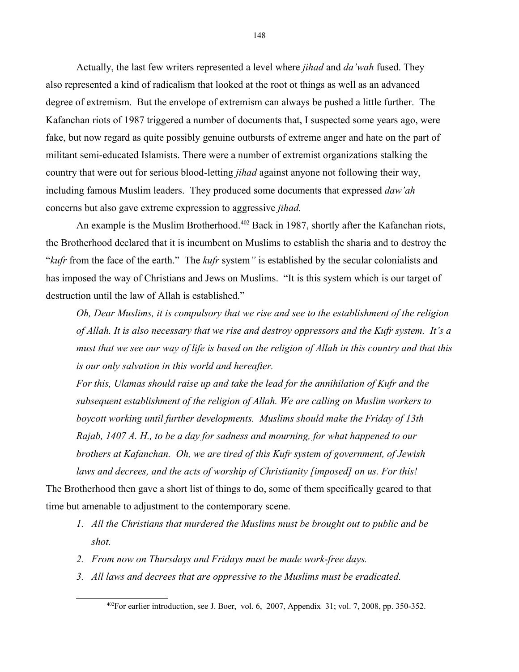Actually, the last few writers represented a level where *jihad* and *da'wah* fused. They also represented a kind of radicalism that looked at the root ot things as well as an advanced degree of extremism. But the envelope of extremism can always be pushed a little further. The Kafanchan riots of 1987 triggered a number of documents that, I suspected some years ago, were fake, but now regard as quite possibly genuine outbursts of extreme anger and hate on the part of militant semi-educated Islamists. There were a number of extremist organizations stalking the country that were out for serious blood-letting *jihad* against anyone not following their way, including famous Muslim leaders. They produced some documents that expressed *daw'ah*  concerns but also gave extreme expression to aggressive *jihad.*

An example is the Muslim Brotherhood.<sup>[402](#page-147-0)</sup> Back in 1987, shortly after the Kafanchan riots, the Brotherhood declared that it is incumbent on Muslims to establish the sharia and to destroy the "*kufr* from the face of the earth." The *kufr* system*"* is established by the secular colonialists and has imposed the way of Christians and Jews on Muslims. "It is this system which is our target of destruction until the law of Allah is established."

*Oh, Dear Muslims, it is compulsory that we rise and see to the establishment of the religion of Allah. It is also necessary that we rise and destroy oppressors and the Kufr system. It's a must that we see our way of life is based on the religion of Allah in this country and that this is our only salvation in this world and hereafter.*

*For this, Ulamas should raise up and take the lead for the annihilation of Kufr and the subsequent establishment of the religion of Allah. We are calling on Muslim workers to boycott working until further developments. Muslims should make the Friday of 13th Rajab, 1407 A. H., to be a day for sadness and mourning, for what happened to our brothers at Kafanchan. Oh, we are tired of this Kufr system of government, of Jewish laws and decrees, and the acts of worship of Christianity [imposed] on us. For this!*

The Brotherhood then gave a short list of things to do, some of them specifically geared to that time but amenable to adjustment to the contemporary scene.

- *1. All the Christians that murdered the Muslims must be brought out to public and be shot.*
- *2. From now on Thursdays and Fridays must be made work-free days.*
- *3. All laws and decrees that are oppressive to the Muslims must be eradicated.*

<span id="page-147-0"></span><sup>402</sup>For earlier introduction, see J. Boer, vol. 6, 2007, Appendix 31; vol. 7, 2008, pp. 350-352.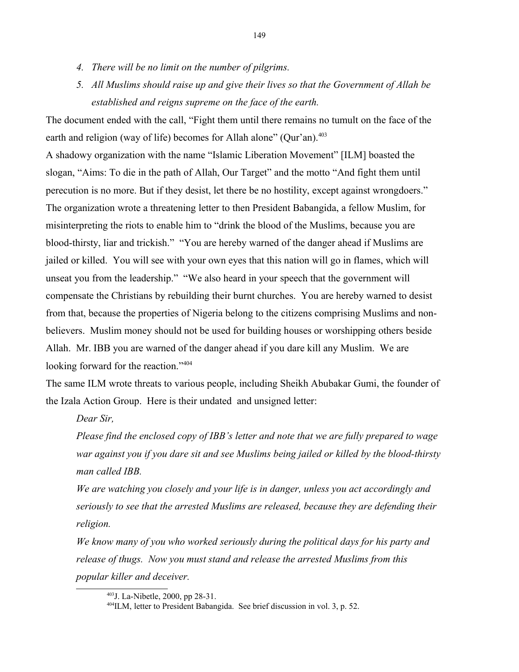- *4. There will be no limit on the number of pilgrims.*
- *5. All Muslims should raise up and give their lives so that the Government of Allah be established and reigns supreme on the face of the earth.*

The document ended with the call, "Fight them until there remains no tumult on the face of the earth and religion (way of life) becomes for Allah alone" (Qur'an).<sup>[403](#page-148-0)</sup>

A shadowy organization with the name "Islamic Liberation Movement" [ILM] boasted the slogan, "Aims: To die in the path of Allah, Our Target" and the motto "And fight them until perecution is no more. But if they desist, let there be no hostility, except against wrongdoers." The organization wrote a threatening letter to then President Babangida, a fellow Muslim, for misinterpreting the riots to enable him to "drink the blood of the Muslims, because you are blood-thirsty, liar and trickish." "You are hereby warned of the danger ahead if Muslims are jailed or killed. You will see with your own eyes that this nation will go in flames, which will unseat you from the leadership." "We also heard in your speech that the government will compensate the Christians by rebuilding their burnt churches. You are hereby warned to desist from that, because the properties of Nigeria belong to the citizens comprising Muslims and nonbelievers. Muslim money should not be used for building houses or worshipping others beside Allah. Mr. IBB you are warned of the danger ahead if you dare kill any Muslim. We are looking forward for the reaction."<sup>[404](#page-148-1)</sup>

The same ILM wrote threats to various people, including Sheikh Abubakar Gumi, the founder of the Izala Action Group. Here is their undated and unsigned letter:

*Dear Sir,*

*Please find the enclosed copy of IBB's letter and note that we are fully prepared to wage war against you if you dare sit and see Muslims being jailed or killed by the blood-thirsty man called IBB.* 

*We are watching you closely and your life is in danger, unless you act accordingly and seriously to see that the arrested Muslims are released, because they are defending their religion.* 

*We know many of you who worked seriously during the political days for his party and release of thugs. Now you must stand and release the arrested Muslims from this popular killer and deceiver.* 

<span id="page-148-0"></span><sup>403</sup>J. La-Nibetle, 2000, pp 28-31.

<span id="page-148-1"></span><sup>404</sup>ILM, letter to President Babangida. See brief discussion in vol. 3, p. 52.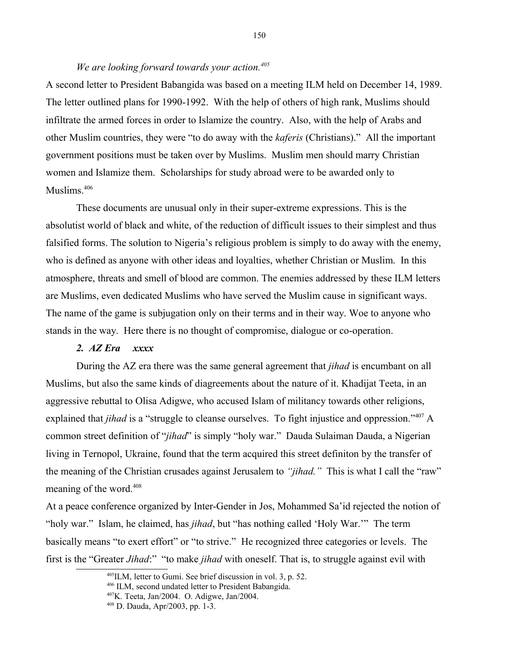# *We are looking forward towards your action.[405](#page-149-0)*

A second letter to President Babangida was based on a meeting ILM held on December 14, 1989. The letter outlined plans for 1990-1992. With the help of others of high rank, Muslims should infiltrate the armed forces in order to Islamize the country. Also, with the help of Arabs and other Muslim countries, they were "to do away with the *kaferis* (Christians)." All the important government positions must be taken over by Muslims. Muslim men should marry Christian women and Islamize them. Scholarships for study abroad were to be awarded only to Muslims.[406](#page-149-1) 

These documents are unusual only in their super-extreme expressions. This is the absolutist world of black and white, of the reduction of difficult issues to their simplest and thus falsified forms. The solution to Nigeria's religious problem is simply to do away with the enemy, who is defined as anyone with other ideas and loyalties, whether Christian or Muslim. In this atmosphere, threats and smell of blood are common. The enemies addressed by these ILM letters are Muslims, even dedicated Muslims who have served the Muslim cause in significant ways. The name of the game is subjugation only on their terms and in their way. Woe to anyone who stands in the way. Here there is no thought of compromise, dialogue or co-operation.

# *2. AZ Era xxxx*

During the AZ era there was the same general agreement that *jihad* is encumbant on all Muslims, but also the same kinds of diagreements about the nature of it. Khadijat Teeta, in an aggressive rebuttal to Olisa Adigwe, who accused Islam of militancy towards other religions, explained that *jihad* is a "struggle to cleanse ourselves. To fight injustice and oppression."<sup>[407](#page-149-2)</sup> A common street definition of "*jihad*" is simply "holy war." Dauda Sulaiman Dauda, a Nigerian living in Ternopol, Ukraine, found that the term acquired this street definiton by the transfer of the meaning of the Christian crusades against Jerusalem to *"jihad."* This is what I call the "raw" meaning of the word.<sup>[408](#page-149-3)</sup>

At a peace conference organized by Inter-Gender in Jos, Mohammed Sa'id rejected the notion of "holy war." Islam, he claimed, has *jihad*, but "has nothing called 'Holy War.'" The term basically means "to exert effort" or "to strive." He recognized three categories or levels. The first is the "Greater *Jihad*:" "to make *jihad* with oneself. That is, to struggle against evil with

<span id="page-149-0"></span> $^{405}$ ILM, letter to Gumi. See brief discussion in vol. 3, p. 52.

<span id="page-149-1"></span><sup>406</sup> ILM, second undated letter to President Babangida.

<span id="page-149-2"></span><sup>407</sup>K. Teeta, Jan/2004. O. Adigwe, Jan/2004.

<span id="page-149-3"></span><sup>408</sup> D. Dauda, Apr/2003, pp. 1-3.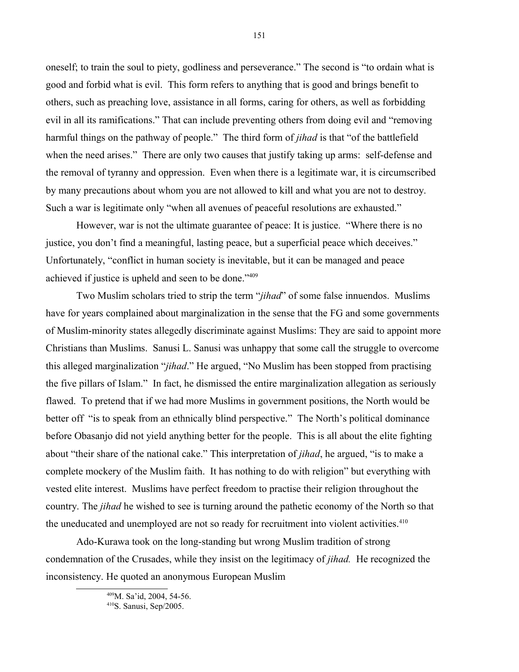oneself; to train the soul to piety, godliness and perseverance." The second is "to ordain what is good and forbid what is evil. This form refers to anything that is good and brings benefit to others, such as preaching love, assistance in all forms, caring for others, as well as forbidding evil in all its ramifications." That can include preventing others from doing evil and "removing harmful things on the pathway of people." The third form of *jihad* is that "of the battlefield when the need arises." There are only two causes that justify taking up arms: self-defense and the removal of tyranny and oppression. Even when there is a legitimate war, it is circumscribed by many precautions about whom you are not allowed to kill and what you are not to destroy. Such a war is legitimate only "when all avenues of peaceful resolutions are exhausted."

However, war is not the ultimate guarantee of peace: It is justice. "Where there is no justice, you don't find a meaningful, lasting peace, but a superficial peace which deceives." Unfortunately, "conflict in human society is inevitable, but it can be managed and peace achieved if justice is upheld and seen to be done."[409](#page-150-0)

Two Muslim scholars tried to strip the term "*jihad*" of some false innuendos. Muslims have for years complained about marginalization in the sense that the FG and some governments of Muslim-minority states allegedly discriminate against Muslims: They are said to appoint more Christians than Muslims. Sanusi L. Sanusi was unhappy that some call the struggle to overcome this alleged marginalization "*jihad*." He argued, "No Muslim has been stopped from practising the five pillars of Islam." In fact, he dismissed the entire marginalization allegation as seriously flawed. To pretend that if we had more Muslims in government positions, the North would be better off "is to speak from an ethnically blind perspective." The North's political dominance before Obasanjo did not yield anything better for the people. This is all about the elite fighting about "their share of the national cake." This interpretation of *jihad*, he argued, "is to make a complete mockery of the Muslim faith. It has nothing to do with religion" but everything with vested elite interest. Muslims have perfect freedom to practise their religion throughout the country. The *jihad* he wished to see is turning around the pathetic economy of the North so that the uneducated and unemployed are not so ready for recruitment into violent activities.<sup>[410](#page-150-1)</sup>

Ado-Kurawa took on the long-standing but wrong Muslim tradition of strong condemnation of the Crusades, while they insist on the legitimacy of *jihad.* He recognized the inconsistency. He quoted an anonymous European Muslim

<span id="page-150-0"></span><sup>409</sup>M. Sa'id, 2004, 54-56.

<span id="page-150-1"></span><sup>410</sup>S. Sanusi, Sep/2005.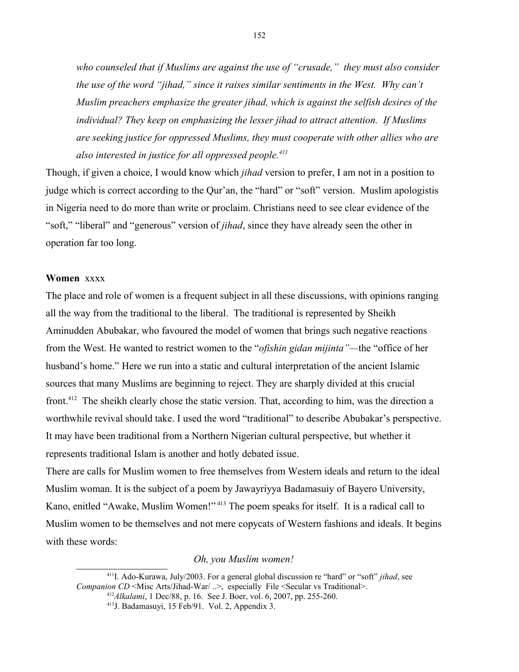*who counseled that if Muslims are against the use of "crusade," they must also consider the use of the word "jihad," since it raises similar sentiments in the West. Why can't Muslim preachers emphasize the greater jihad, which is against the selfish desires of the individual? They keep on emphasizing the lesser jihad to attract attention. If Muslims are seeking justice for oppressed Muslims, they must cooperate with other allies who are also interested in justice for all oppressed people.[411](#page-151-0)*

Though, if given a choice, I would know which *jihad* version to prefer, I am not in a position to judge which is correct according to the Qur'an, the "hard" or "soft" version. Muslim apologistis in Nigeria need to do more than write or proclaim. Christians need to see clear evidence of the "soft," "liberal" and "generous" version of *jihad*, since they have already seen the other in operation far too long.

#### **Women** xxxx

The place and role of women is a frequent subject in all these discussions, with opinions ranging all the way from the traditional to the liberal. The traditional is represented by Sheikh Aminudden Abubakar, who favoured the model of women that brings such negative reactions from the West. He wanted to restrict women to the "*ofishin gidan mijinta"—*the "office of her husband's home." Here we run into a static and cultural interpretation of the ancient Islamic sources that many Muslims are beginning to reject. They are sharply divided at this crucial front.[412](#page-151-1) The sheikh clearly chose the static version. That, according to him, was the direction a worthwhile revival should take. I used the word "traditional" to describe Abubakar's perspective. It may have been traditional from a Northern Nigerian cultural perspective, but whether it represents traditional Islam is another and hotly debated issue.

There are calls for Muslim women to free themselves from Western ideals and return to the ideal Muslim woman. It is the subject of a poem by Jawayriyya Badamasuiy of Bayero University, Kano, enitled "Awake, Muslim Women!"<sup>[413](#page-151-2)</sup> The poem speaks for itself. It is a radical call to Muslim women to be themselves and not mere copycats of Western fashions and ideals. It begins with these words:

*Oh, you Muslim women!*

<sup>411</sup>I. Ado-Kurawa, July/2003. For a general global discussion re "hard" or "soft" *jihad*, see *Companion CD* <Misc Arts/Jihad-War/ ..>, especially File <Secular vs Traditional>. <sup>412</sup>*Alkalami*, 1 Dec/88, p. 16. See J. Boer, vol. 6, 2007, pp. 255-260.

<span id="page-151-2"></span><span id="page-151-1"></span><span id="page-151-0"></span><sup>413</sup>J. Badamasuyi, 15 Feb/91. Vol. 2, Appendix 3.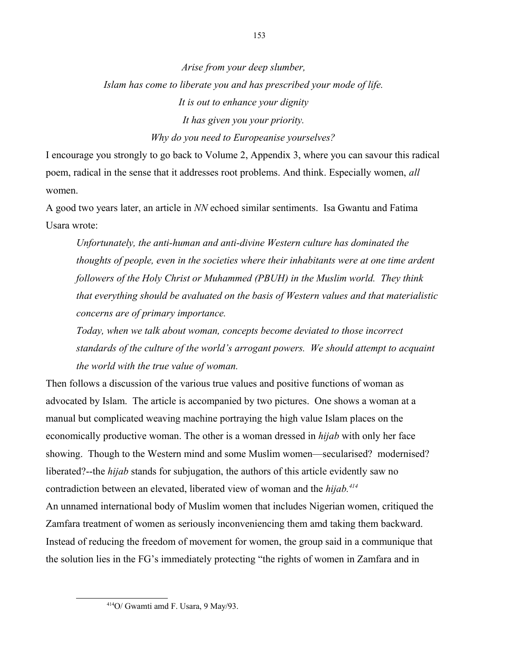*Arise from your deep slumber, Islam has come to liberate you and has prescribed your mode of life. It is out to enhance your dignity It has given you your priority. Why do you need to Europeanise yourselves?*

I encourage you strongly to go back to Volume 2, Appendix 3, where you can savour this radical poem, radical in the sense that it addresses root problems. And think. Especially women, *all* women.

A good two years later, an article in *NN* echoed similar sentiments. Isa Gwantu and Fatima Usara wrote:

*Unfortunately, the anti-human and anti-divine Western culture has dominated the thoughts of people, even in the societies where their inhabitants were at one time ardent followers of the Holy Christ or Muhammed (PBUH) in the Muslim world. They think that everything should be avaluated on the basis of Western values and that materialistic concerns are of primary importance.* 

*Today, when we talk about woman, concepts become deviated to those incorrect standards of the culture of the world's arrogant powers. We should attempt to acquaint the world with the true value of woman.*

Then follows a discussion of the various true values and positive functions of woman as advocated by Islam. The article is accompanied by two pictures. One shows a woman at a manual but complicated weaving machine portraying the high value Islam places on the economically productive woman. The other is a woman dressed in *hijab* with only her face showing. Though to the Western mind and some Muslim women—secularised? modernised? liberated?--the *hijab* stands for subjugation, the authors of this article evidently saw no contradiction between an elevated, liberated view of woman and the *hijab.[414](#page-152-0)*

An unnamed international body of Muslim women that includes Nigerian women, critiqued the Zamfara treatment of women as seriously inconveniencing them amd taking them backward. Instead of reducing the freedom of movement for women, the group said in a communique that the solution lies in the FG's immediately protecting "the rights of women in Zamfara and in

<span id="page-152-0"></span><sup>414</sup>O/ Gwamti amd F. Usara, 9 May/93.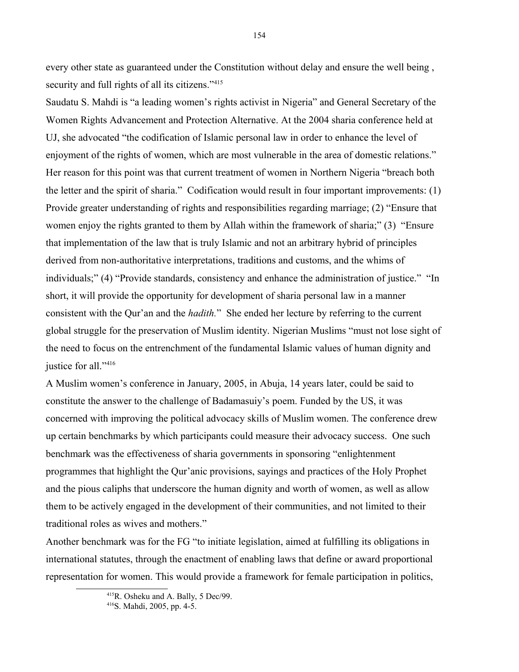every other state as guaranteed under the Constitution without delay and ensure the well being , security and full rights of all its citizens."<sup>[415](#page-153-0)</sup>

Saudatu S. Mahdi is "a leading women's rights activist in Nigeria" and General Secretary of the Women Rights Advancement and Protection Alternative. At the 2004 sharia conference held at UJ, she advocated "the codification of Islamic personal law in order to enhance the level of enjoyment of the rights of women, which are most vulnerable in the area of domestic relations." Her reason for this point was that current treatment of women in Northern Nigeria "breach both the letter and the spirit of sharia." Codification would result in four important improvements: (1) Provide greater understanding of rights and responsibilities regarding marriage; (2) "Ensure that women enjoy the rights granted to them by Allah within the framework of sharia;" (3) "Ensure that implementation of the law that is truly Islamic and not an arbitrary hybrid of principles derived from non-authoritative interpretations, traditions and customs, and the whims of individuals;" (4) "Provide standards, consistency and enhance the administration of justice." "In short, it will provide the opportunity for development of sharia personal law in a manner consistent with the Qur'an and the *hadith.*" She ended her lecture by referring to the current global struggle for the preservation of Muslim identity. Nigerian Muslims "must not lose sight of the need to focus on the entrenchment of the fundamental Islamic values of human dignity and justice for all."<sup>[416](#page-153-1)</sup>

A Muslim women's conference in January, 2005, in Abuja, 14 years later, could be said to constitute the answer to the challenge of Badamasuiy's poem. Funded by the US, it was concerned with improving the political advocacy skills of Muslim women. The conference drew up certain benchmarks by which participants could measure their advocacy success. One such benchmark was the effectiveness of sharia governments in sponsoring "enlightenment programmes that highlight the Qur'anic provisions, sayings and practices of the Holy Prophet and the pious caliphs that underscore the human dignity and worth of women, as well as allow them to be actively engaged in the development of their communities, and not limited to their traditional roles as wives and mothers."

Another benchmark was for the FG "to initiate legislation, aimed at fulfilling its obligations in international statutes, through the enactment of enabling laws that define or award proportional representation for women. This would provide a framework for female participation in politics,

<span id="page-153-0"></span><sup>415</sup>R. Osheku and A. Bally, 5 Dec/99.

<span id="page-153-1"></span><sup>416</sup>S. Mahdi, 2005, pp. 4-5.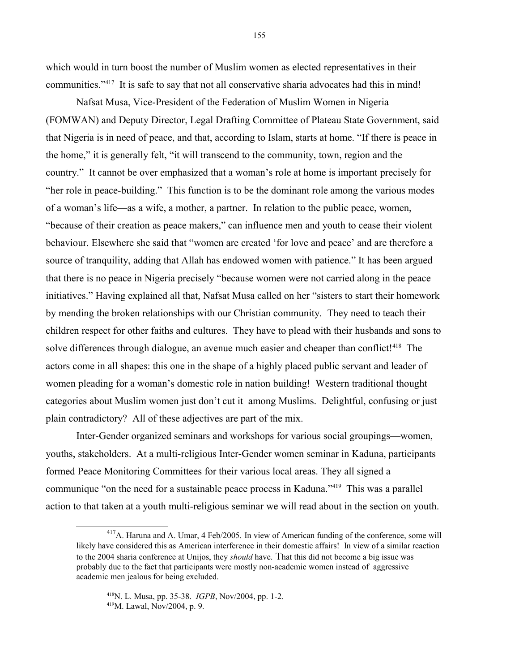which would in turn boost the number of Muslim women as elected representatives in their communities."[417](#page-154-0) It is safe to say that not all conservative sharia advocates had this in mind!

Nafsat Musa, Vice-President of the Federation of Muslim Women in Nigeria (FOMWAN) and Deputy Director, Legal Drafting Committee of Plateau State Government, said that Nigeria is in need of peace, and that, according to Islam, starts at home. "If there is peace in the home," it is generally felt, "it will transcend to the community, town, region and the country." It cannot be over emphasized that a woman's role at home is important precisely for "her role in peace-building." This function is to be the dominant role among the various modes of a woman's life—as a wife, a mother, a partner. In relation to the public peace, women, "because of their creation as peace makers," can influence men and youth to cease their violent behaviour. Elsewhere she said that "women are created 'for love and peace' and are therefore a source of tranquility, adding that Allah has endowed women with patience." It has been argued that there is no peace in Nigeria precisely "because women were not carried along in the peace initiatives." Having explained all that, Nafsat Musa called on her "sisters to start their homework by mending the broken relationships with our Christian community. They need to teach their children respect for other faiths and cultures. They have to plead with their husbands and sons to solve differences through dialogue, an avenue much easier and cheaper than conflict!<sup>[418](#page-154-1)</sup> The actors come in all shapes: this one in the shape of a highly placed public servant and leader of women pleading for a woman's domestic role in nation building! Western traditional thought categories about Muslim women just don't cut it among Muslims. Delightful, confusing or just plain contradictory? All of these adjectives are part of the mix.

Inter-Gender organized seminars and workshops for various social groupings—women, youths, stakeholders. At a multi-religious Inter-Gender women seminar in Kaduna, participants formed Peace Monitoring Committees for their various local areas. They all signed a communique "on the need for a sustainable peace process in Kaduna."<sup>[419](#page-154-2)</sup> This was a parallel action to that taken at a youth multi-religious seminar we will read about in the section on youth.

155

<span id="page-154-0"></span><sup>417</sup>A. Haruna and A. Umar, 4 Feb/2005. In view of American funding of the conference, some will likely have considered this as American interference in their domestic affairs! In view of a similar reaction to the 2004 sharia conference at Unijos, they *should* have. That this did not become a big issue was probably due to the fact that participants were mostly non-academic women instead of aggressive academic men jealous for being excluded.

<span id="page-154-2"></span><span id="page-154-1"></span><sup>418</sup>N. L. Musa, pp. 35-38. *IGPB*, Nov/2004, pp. 1-2. <sup>419</sup>M. Lawal, Nov/2004, p. 9.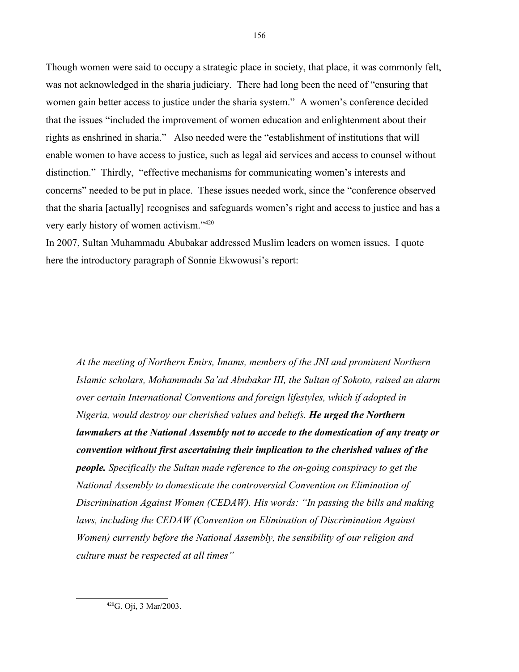Though women were said to occupy a strategic place in society, that place, it was commonly felt, was not acknowledged in the sharia judiciary. There had long been the need of "ensuring that women gain better access to justice under the sharia system." A women's conference decided that the issues "included the improvement of women education and enlightenment about their rights as enshrined in sharia." Also needed were the "establishment of institutions that will enable women to have access to justice, such as legal aid services and access to counsel without distinction." Thirdly, "effective mechanisms for communicating women's interests and concerns" needed to be put in place. These issues needed work, since the "conference observed that the sharia [actually] recognises and safeguards women's right and access to justice and has a very early history of women activism."[420](#page-155-0)

In 2007, Sultan Muhammadu Abubakar addressed Muslim leaders on women issues. I quote here the introductory paragraph of Sonnie Ekwowusi's report:

*At the meeting of Northern Emirs, Imams, members of the JNI and prominent Northern Islamic scholars, Mohammadu Sa'ad Abubakar III, the Sultan of Sokoto, raised an alarm over certain International Conventions and foreign lifestyles, which if adopted in Nigeria, would destroy our cherished values and beliefs. He urged the Northern lawmakers at the National Assembly not to accede to the domestication of any treaty or convention without first ascertaining their implication to the cherished values of the people. Specifically the Sultan made reference to the on-going conspiracy to get the National Assembly to domesticate the controversial Convention on Elimination of Discrimination Against Women (CEDAW). His words: "In passing the bills and making*  laws, including the CEDAW (Convention on Elimination of Discrimination Against *Women) currently before the National Assembly, the sensibility of our religion and culture must be respected at all times"*

<span id="page-155-0"></span><sup>420</sup>G. Oji, 3 Mar/2003.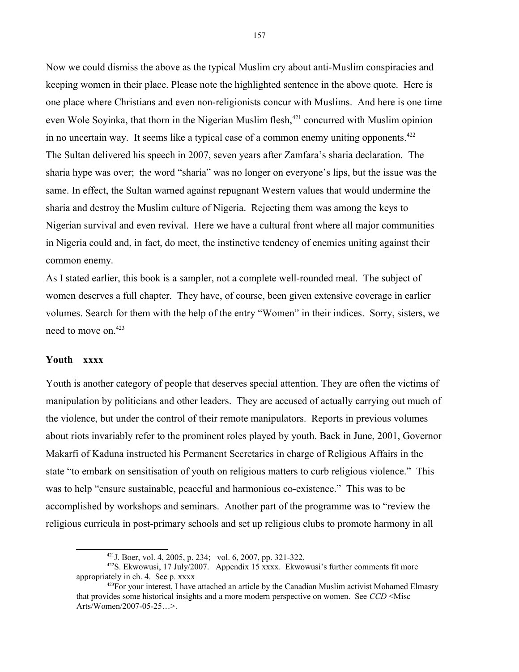Now we could dismiss the above as the typical Muslim cry about anti-Muslim conspiracies and keeping women in their place. Please note the highlighted sentence in the above quote. Here is one place where Christians and even non-religionists concur with Muslims. And here is one time even Wole Soyinka, that thorn in the Nigerian Muslim flesh,<sup>[421](#page-156-0)</sup> concurred with Muslim opinion in no uncertain way. It seems like a typical case of a common enemy uniting opponents. $422$ The Sultan delivered his speech in 2007, seven years after Zamfara's sharia declaration. The sharia hype was over; the word "sharia" was no longer on everyone's lips, but the issue was the same. In effect, the Sultan warned against repugnant Western values that would undermine the sharia and destroy the Muslim culture of Nigeria. Rejecting them was among the keys to Nigerian survival and even revival. Here we have a cultural front where all major communities in Nigeria could and, in fact, do meet, the instinctive tendency of enemies uniting against their common enemy.

As I stated earlier, this book is a sampler, not a complete well-rounded meal. The subject of women deserves a full chapter. They have, of course, been given extensive coverage in earlier volumes. Search for them with the help of the entry "Women" in their indices. Sorry, sisters, we need to move on.[423](#page-156-2)

### **Youth xxxx**

Youth is another category of people that deserves special attention. They are often the victims of manipulation by politicians and other leaders. They are accused of actually carrying out much of the violence, but under the control of their remote manipulators. Reports in previous volumes about riots invariably refer to the prominent roles played by youth. Back in June, 2001, Governor Makarfi of Kaduna instructed his Permanent Secretaries in charge of Religious Affairs in the state "to embark on sensitisation of youth on religious matters to curb religious violence." This was to help "ensure sustainable, peaceful and harmonious co-existence." This was to be accomplished by workshops and seminars. Another part of the programme was to "review the religious curricula in post-primary schools and set up religious clubs to promote harmony in all

<span id="page-156-2"></span><span id="page-156-1"></span><span id="page-156-0"></span><sup>421</sup>J. Boer, vol. 4, 2005, p. 234; vol. 6, 2007, pp. 321-322.

<sup>422</sup>S. Ekwowusi, 17 July/2007. Appendix 15 xxxx. Ekwowusi's further comments fit more appropriately in ch. 4. See p. xxxx

 $423$  For your interest, I have attached an article by the Canadian Muslim activist Mohamed Elmasry that provides some historical insights and a more modern perspective on women. See *CCD* <Misc Arts/Women/2007-05-25…>.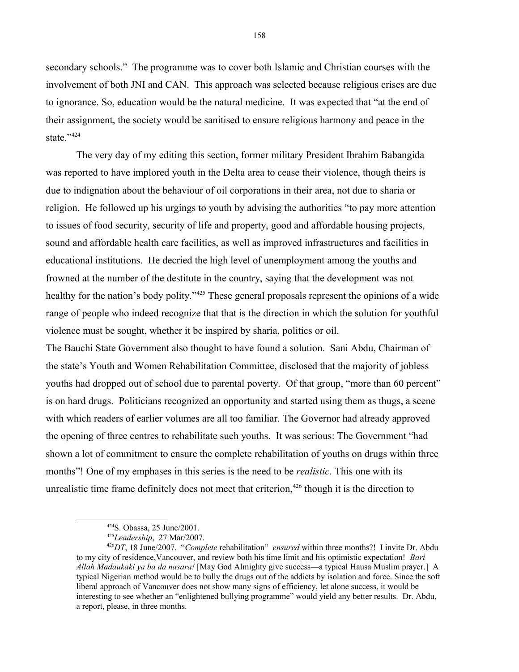secondary schools." The programme was to cover both Islamic and Christian courses with the involvement of both JNI and CAN. This approach was selected because religious crises are due to ignorance. So, education would be the natural medicine. It was expected that "at the end of their assignment, the society would be sanitised to ensure religious harmony and peace in the state."<sup>[424](#page-157-0)</sup>

The very day of my editing this section, former military President Ibrahim Babangida was reported to have implored youth in the Delta area to cease their violence, though theirs is due to indignation about the behaviour of oil corporations in their area, not due to sharia or religion. He followed up his urgings to youth by advising the authorities "to pay more attention to issues of food security, security of life and property, good and affordable housing projects, sound and affordable health care facilities, as well as improved infrastructures and facilities in educational institutions. He decried the high level of unemployment among the youths and frowned at the number of the destitute in the country, saying that the development was not healthy for the nation's body polity."<sup>[425](#page-157-1)</sup> These general proposals represent the opinions of a wide range of people who indeed recognize that that is the direction in which the solution for youthful violence must be sought, whether it be inspired by sharia, politics or oil.

The Bauchi State Government also thought to have found a solution. Sani Abdu, Chairman of the state's Youth and Women Rehabilitation Committee, disclosed that the majority of jobless youths had dropped out of school due to parental poverty. Of that group, "more than 60 percent" is on hard drugs. Politicians recognized an opportunity and started using them as thugs, a scene with which readers of earlier volumes are all too familiar. The Governor had already approved the opening of three centres to rehabilitate such youths. It was serious: The Government "had shown a lot of commitment to ensure the complete rehabilitation of youths on drugs within three months"! One of my emphases in this series is the need to be *realistic.* This one with its unrealistic time frame definitely does not meet that criterion,  $426$  though it is the direction to

<span id="page-157-0"></span><sup>424</sup>S. Obassa, 25 June/2001.

<span id="page-157-2"></span><span id="page-157-1"></span><sup>425</sup>*Leadership*, 27 Mar/2007.

<sup>426</sup>*DT*, 18 June/2007. "*Complete* rehabilitation" *ensured* within three months?! I invite Dr. Abdu to my city of residence,Vancouver, and review both his time limit and his optimistic expectation! *Bari Allah Madaukaki ya ba da nasara!* [May God Almighty give success—a typical Hausa Muslim prayer.] A typical Nigerian method would be to bully the drugs out of the addicts by isolation and force. Since the soft liberal approach of Vancouver does not show many signs of efficiency, let alone success, it would be interesting to see whether an "enlightened bullying programme" would yield any better results. Dr. Abdu, a report, please, in three months.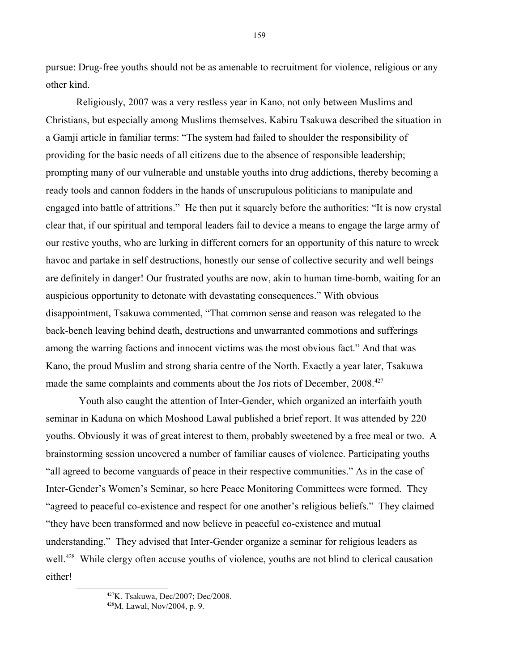pursue: Drug-free youths should not be as amenable to recruitment for violence, religious or any other kind.

Religiously, 2007 was a very restless year in Kano, not only between Muslims and Christians, but especially among Muslims themselves. Kabiru Tsakuwa described the situation in a Gamji article in familiar terms: "The system had failed to shoulder the responsibility of providing for the basic needs of all citizens due to the absence of responsible leadership; prompting many of our vulnerable and unstable youths into drug addictions, thereby becoming a ready tools and cannon fodders in the hands of unscrupulous politicians to manipulate and engaged into battle of attritions." He then put it squarely before the authorities: "It is now crystal clear that, if our spiritual and temporal leaders fail to device a means to engage the large army of our restive youths, who are lurking in different corners for an opportunity of this nature to wreck havoc and partake in self destructions, honestly our sense of collective security and well beings are definitely in danger! Our frustrated youths are now, akin to human time-bomb, waiting for an auspicious opportunity to detonate with devastating consequences." With obvious disappointment, Tsakuwa commented, "That common sense and reason was relegated to the back-bench leaving behind death, destructions and unwarranted commotions and sufferings among the warring factions and innocent victims was the most obvious fact." And that was Kano, the proud Muslim and strong sharia centre of the North. Exactly a year later, Tsakuwa made the same complaints and comments about the Jos riots of December, 2008.<sup>[427](#page-158-0)</sup>

 Youth also caught the attention of Inter-Gender, which organized an interfaith youth seminar in Kaduna on which Moshood Lawal published a brief report. It was attended by 220 youths. Obviously it was of great interest to them, probably sweetened by a free meal or two. A brainstorming session uncovered a number of familiar causes of violence. Participating youths "all agreed to become vanguards of peace in their respective communities." As in the case of Inter-Gender's Women's Seminar, so here Peace Monitoring Committees were formed. They "agreed to peaceful co-existence and respect for one another's religious beliefs." They claimed "they have been transformed and now believe in peaceful co-existence and mutual understanding." They advised that Inter-Gender organize a seminar for religious leaders as well.<sup>[428](#page-158-1)</sup> While clergy often accuse youths of violence, youths are not blind to clerical causation either!

159

<span id="page-158-0"></span><sup>427</sup>K. Tsakuwa, Dec/2007; Dec/2008.

<span id="page-158-1"></span><sup>428</sup>M. Lawal, Nov/2004, p. 9.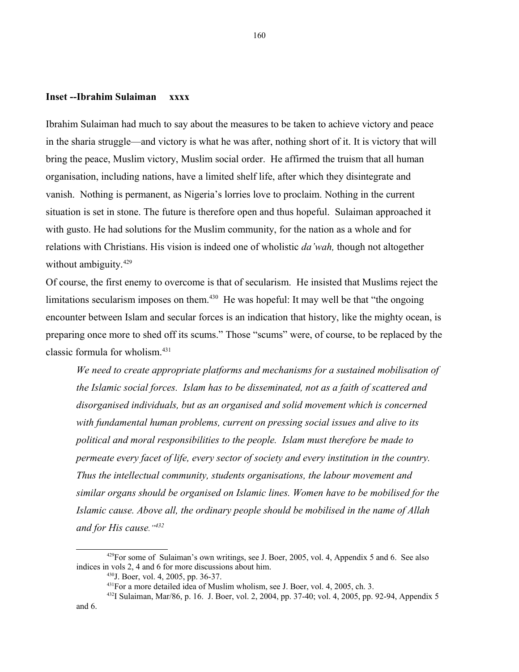## **Inset --Ibrahim Sulaiman xxxx**

Ibrahim Sulaiman had much to say about the measures to be taken to achieve victory and peace in the sharia struggle—and victory is what he was after, nothing short of it. It is victory that will bring the peace, Muslim victory, Muslim social order. He affirmed the truism that all human organisation, including nations, have a limited shelf life, after which they disintegrate and vanish. Nothing is permanent, as Nigeria's lorries love to proclaim. Nothing in the current situation is set in stone. The future is therefore open and thus hopeful. Sulaiman approached it with gusto. He had solutions for the Muslim community, for the nation as a whole and for relations with Christians. His vision is indeed one of wholistic *da'wah,* though not altogether without ambiguity.<sup>[429](#page-159-0)</sup>

Of course, the first enemy to overcome is that of secularism. He insisted that Muslims reject the limitations secularism imposes on them.<sup>[430](#page-159-1)</sup> He was hopeful: It may well be that "the ongoing" encounter between Islam and secular forces is an indication that history, like the mighty ocean, is preparing once more to shed off its scums." Those "scums" were, of course, to be replaced by the classic formula for wholism.[431](#page-159-2)

*We need to create appropriate platforms and mechanisms for a sustained mobilisation of the Islamic social forces. Islam has to be disseminated, not as a faith of scattered and disorganised individuals, but as an organised and solid movement which is concerned with fundamental human problems, current on pressing social issues and alive to its political and moral responsibilities to the people. Islam must therefore be made to permeate every facet of life, every sector of society and every institution in the country. Thus the intellectual community, students organisations, the labour movement and similar organs should be organised on Islamic lines. Women have to be mobilised for the Islamic cause. Above all, the ordinary people should be mobilised in the name of Allah and for His cause."[432](#page-159-3)*

 $429$ For some of Sulaiman's own writings, see J. Boer, 2005, vol. 4, Appendix 5 and 6. See also indices in vols 2, 4 and 6 for more discussions about him.

<span id="page-159-1"></span><span id="page-159-0"></span><sup>430</sup>J. Boer, vol. 4, 2005, pp. 36-37.

<span id="page-159-3"></span><span id="page-159-2"></span><sup>&</sup>lt;sup>431</sup>For a more detailed idea of Muslim wholism, see J. Boer, vol. 4, 2005, ch. 3.

<sup>432</sup>I Sulaiman, Mar/86, p. 16. J. Boer, vol. 2, 2004, pp. 37-40; vol. 4, 2005, pp. 92-94, Appendix 5 and 6.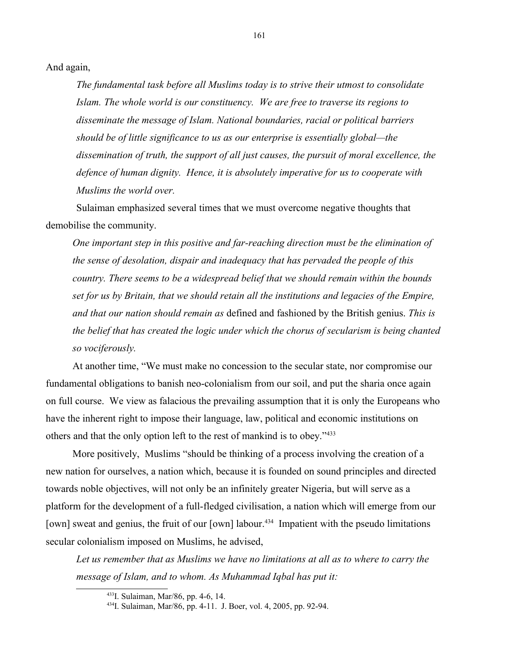And again,

*The fundamental task before all Muslims today is to strive their utmost to consolidate Islam. The whole world is our constituency. We are free to traverse its regions to disseminate the message of Islam. National boundaries, racial or political barriers should be of little significance to us as our enterprise is essentially global—the dissemination of truth, the support of all just causes, the pursuit of moral excellence, the defence of human dignity. Hence, it is absolutely imperative for us to cooperate with Muslims the world over.*

Sulaiman emphasized several times that we must overcome negative thoughts that demobilise the community.

*One important step in this positive and far-reaching direction must be the elimination of the sense of desolation, dispair and inadequacy that has pervaded the people of this country. There seems to be a widespread belief that we should remain within the bounds set for us by Britain, that we should retain all the institutions and legacies of the Empire, and that our nation should remain as* defined and fashioned by the British genius. *This is the belief that has created the logic under which the chorus of secularism is being chanted so vociferously.*

At another time, "We must make no concession to the secular state, nor compromise our fundamental obligations to banish neo-colonialism from our soil, and put the sharia once again on full course. We view as falacious the prevailing assumption that it is only the Europeans who have the inherent right to impose their language, law, political and economic institutions on others and that the only option left to the rest of mankind is to obey."[433](#page-160-0)

More positively, Muslims "should be thinking of a process involving the creation of a new nation for ourselves, a nation which, because it is founded on sound principles and directed towards noble objectives, will not only be an infinitely greater Nigeria, but will serve as a platform for the development of a full-fledged civilisation, a nation which will emerge from our [own] sweat and genius, the fruit of our [own] labour.<sup>[434](#page-160-1)</sup> Impatient with the pseudo limitations secular colonialism imposed on Muslims, he advised,

*Let us remember that as Muslims we have no limitations at all as to where to carry the message of Islam, and to whom. As Muhammad Iqbal has put it:*

<span id="page-160-0"></span><sup>433</sup>I. Sulaiman, Mar/86, pp. 4-6, 14.

<span id="page-160-1"></span><sup>434</sup>I. Sulaiman, Mar/86, pp. 4-11. J. Boer, vol. 4, 2005, pp. 92-94.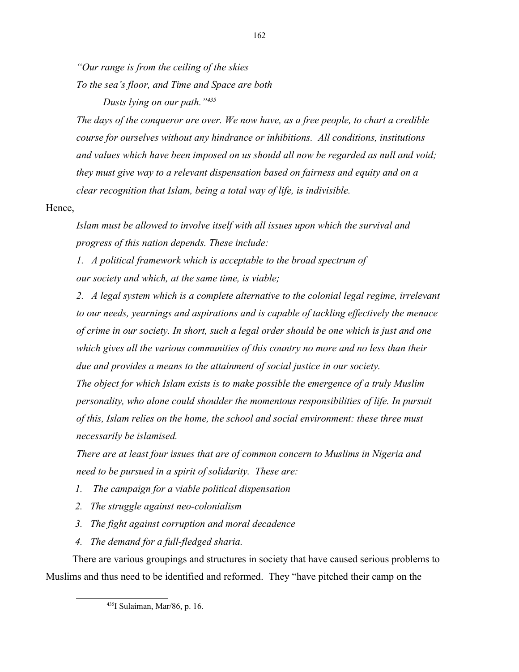*"Our range is from the ceiling of the skies*

*To the sea's floor, and Time and Space are both*

*Dusts lying on our path."[435](#page-161-0)*

*The days of the conqueror are over. We now have, as a free people, to chart a credible course for ourselves without any hindrance or inhibitions. All conditions, institutions and values which have been imposed on us should all now be regarded as null and void; they must give way to a relevant dispensation based on fairness and equity and on a clear recognition that Islam, being a total way of life, is indivisible.* 

# Hence,

*Islam must be allowed to involve itself with all issues upon which the survival and progress of this nation depends. These include:*

*1. A political framework which is acceptable to the broad spectrum of our society and which, at the same time, is viable;*

*2. A legal system which is a complete alternative to the colonial legal regime, irrelevant to our needs, yearnings and aspirations and is capable of tackling effectively the menace of crime in our society. In short, such a legal order should be one which is just and one which gives all the various communities of this country no more and no less than their due and provides a means to the attainment of social justice in our society.*

*The object for which Islam exists is to make possible the emergence of a truly Muslim personality, who alone could shoulder the momentous responsibilities of life. In pursuit of this, Islam relies on the home, the school and social environment: these three must necessarily be islamised.*

*There are at least four issues that are of common concern to Muslims in Nigeria and need to be pursued in a spirit of solidarity. These are:*

- *1. The campaign for a viable political dispensation*
- *2. The struggle against neo-colonialism*
- *3. The fight against corruption and moral decadence*
- *4. The demand for a full-fledged sharia.*

There are various groupings and structures in society that have caused serious problems to Muslims and thus need to be identified and reformed. They "have pitched their camp on the

<span id="page-161-0"></span><sup>435</sup>I Sulaiman, Mar/86, p. 16.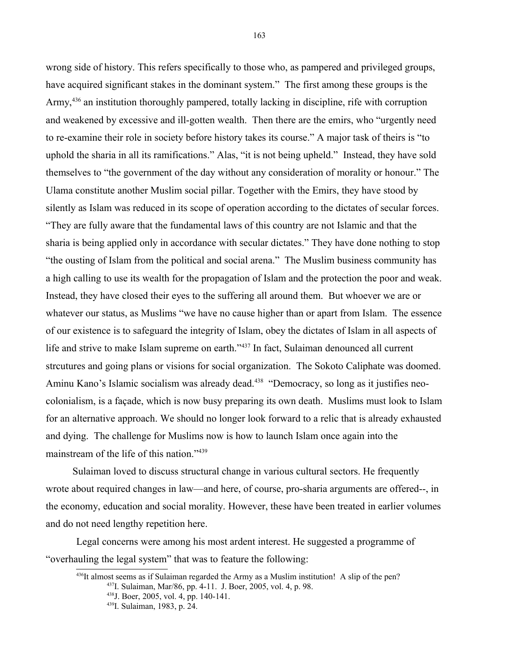wrong side of history. This refers specifically to those who, as pampered and privileged groups, have acquired significant stakes in the dominant system." The first among these groups is the Army,<sup>[436](#page-162-0)</sup> an institution thoroughly pampered, totally lacking in discipline, rife with corruption and weakened by excessive and ill-gotten wealth. Then there are the emirs, who "urgently need to re-examine their role in society before history takes its course." A major task of theirs is "to uphold the sharia in all its ramifications." Alas, "it is not being upheld." Instead, they have sold themselves to "the government of the day without any consideration of morality or honour." The Ulama constitute another Muslim social pillar. Together with the Emirs, they have stood by silently as Islam was reduced in its scope of operation according to the dictates of secular forces. "They are fully aware that the fundamental laws of this country are not Islamic and that the sharia is being applied only in accordance with secular dictates." They have done nothing to stop "the ousting of Islam from the political and social arena." The Muslim business community has a high calling to use its wealth for the propagation of Islam and the protection the poor and weak. Instead, they have closed their eyes to the suffering all around them. But whoever we are or whatever our status, as Muslims "we have no cause higher than or apart from Islam. The essence of our existence is to safeguard the integrity of Islam, obey the dictates of Islam in all aspects of life and strive to make Islam supreme on earth."<sup>[437](#page-162-1)</sup> In fact, Sulaiman denounced all current strcutures and going plans or visions for social organization. The Sokoto Caliphate was doomed. Aminu Kano's Islamic socialism was already dead.<sup>[438](#page-162-2)</sup> "Democracy, so long as it justifies neocolonialism, is a façade, which is now busy preparing its own death. Muslims must look to Islam for an alternative approach. We should no longer look forward to a relic that is already exhausted and dying. The challenge for Muslims now is how to launch Islam once again into the mainstream of the life of this nation."<sup>[439](#page-162-3)</sup>

Sulaiman loved to discuss structural change in various cultural sectors. He frequently wrote about required changes in law—and here, of course, pro-sharia arguments are offered--, in the economy, education and social morality. However, these have been treated in earlier volumes and do not need lengthy repetition here.

Legal concerns were among his most ardent interest. He suggested a programme of "overhauling the legal system" that was to feature the following:

<span id="page-162-0"></span> $436$ It almost seems as if Sulaiman regarded the Army as a Muslim institution! A slip of the pen? <sup>437</sup>I. Sulaiman, Mar/86, pp. 4-11. J. Boer, 2005, vol. 4, p. 98.

<span id="page-162-2"></span><span id="page-162-1"></span><sup>438</sup>J. Boer, 2005, vol. 4, pp. 140-141.

<sup>439</sup>I. Sulaiman, 1983, p. 24.

<span id="page-162-3"></span>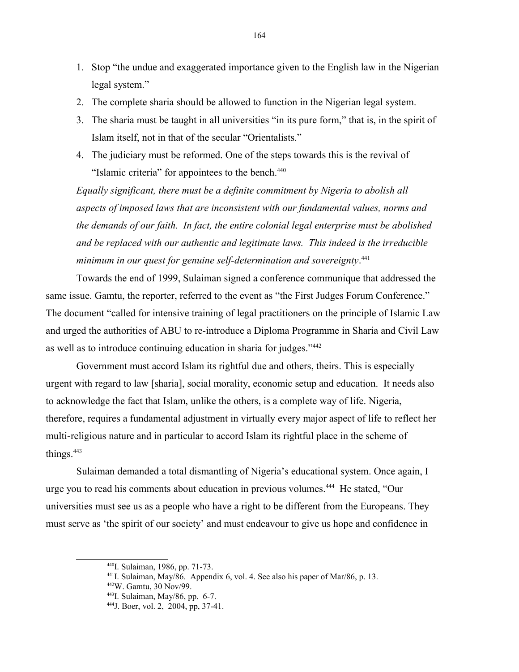- 1. Stop "the undue and exaggerated importance given to the English law in the Nigerian legal system."
- 2. The complete sharia should be allowed to function in the Nigerian legal system.
- 3. The sharia must be taught in all universities "in its pure form," that is, in the spirit of Islam itself, not in that of the secular "Orientalists."
- 4. The judiciary must be reformed. One of the steps towards this is the revival of "Islamic criteria" for appointees to the bench.<sup>[440](#page-163-0)</sup>

*Equally significant, there must be a definite commitment by Nigeria to abolish all aspects of imposed laws that are inconsistent with our fundamental values, norms and the demands of our faith. In fact, the entire colonial legal enterprise must be abolished and be replaced with our authentic and legitimate laws. This indeed is the irreducible minimum in our quest for genuine self-determination and sovereignty*. [441](#page-163-1)

Towards the end of 1999, Sulaiman signed a conference communique that addressed the same issue. Gamtu, the reporter, referred to the event as "the First Judges Forum Conference." The document "called for intensive training of legal practitioners on the principle of Islamic Law and urged the authorities of ABU to re-introduce a Diploma Programme in Sharia and Civil Law as well as to introduce continuing education in sharia for judges."[442](#page-163-2)

Government must accord Islam its rightful due and others, theirs. This is especially urgent with regard to law [sharia], social morality, economic setup and education. It needs also to acknowledge the fact that Islam, unlike the others, is a complete way of life. Nigeria, therefore, requires a fundamental adjustment in virtually every major aspect of life to reflect her multi-religious nature and in particular to accord Islam its rightful place in the scheme of things.<sup>[443](#page-163-3)</sup>

Sulaiman demanded a total dismantling of Nigeria's educational system. Once again, I urge you to read his comments about education in previous volumes.[444](#page-163-4) He stated, "Our universities must see us as a people who have a right to be different from the Europeans. They must serve as 'the spirit of our society' and must endeavour to give us hope and confidence in

<span id="page-163-2"></span><sup>442</sup>W. Gamtu, 30 Nov/99.

<span id="page-163-0"></span><sup>440</sup>I. Sulaiman, 1986, pp. 71-73.

<span id="page-163-1"></span> $^{441}$ I. Sulaiman, May/86. Appendix 6, vol. 4. See also his paper of Mar/86, p. 13.

<span id="page-163-3"></span><sup>443</sup>I. Sulaiman, May/86, pp. 6-7.

<span id="page-163-4"></span><sup>444</sup>J. Boer, vol. 2, 2004, pp, 37-41.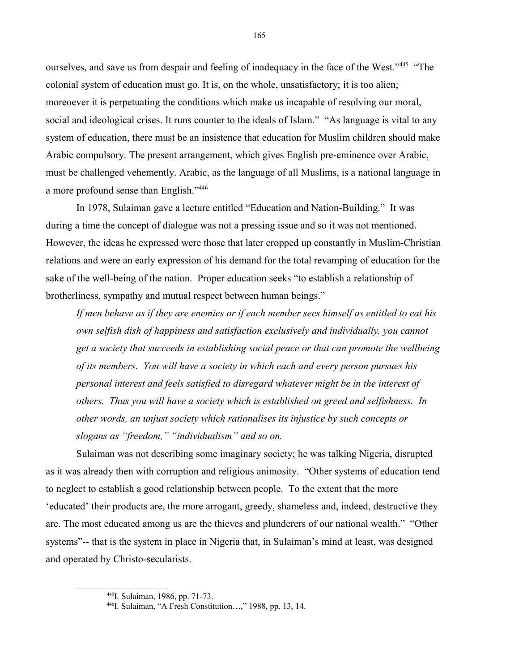ourselves, and save us from despair and feeling of inadequacy in the face of the West."[445](#page-164-0) "The colonial system of education must go. It is, on the whole, unsatisfactory; it is too alien; moreoever it is perpetuating the conditions which make us incapable of resolving our moral, social and ideological crises. It runs counter to the ideals of Islam." "As language is vital to any system of education, there must be an insistence that education for Muslim children should make Arabic compulsory. The present arrangement, which gives English pre-eminence over Arabic, must be challenged vehemently. Arabic, as the language of all Muslims, is a national language in a more profound sense than English."[446](#page-164-1)

In 1978, Sulaiman gave a lecture entitled "Education and Nation-Building." It was during a time the concept of dialogue was not a pressing issue and so it was not mentioned. However, the ideas he expressed were those that later cropped up constantly in Muslim-Christian relations and were an early expression of his demand for the total revamping of education for the sake of the well-being of the nation. Proper education seeks "to establish a relationship of brotherliness, sympathy and mutual respect between human beings."

*If men behave as if they are enemies or if each member sees himself as entitled to eat his own selfish dish of happiness and satisfaction exclusively and individually, you cannot get a society that succeeds in establishing social peace or that can promote the wellbeing of its members. You will have a society in which each and every person pursues his personal interest and feels satisfied to disregard whatever might be in the interest of others. Thus you will have a society which is established on greed and selfishness. In other words, an unjust society which rationalises its injustice by such concepts or slogans as "freedom," "individualism" and so on.* 

Sulaiman was not describing some imaginary society; he was talking Nigeria, disrupted as it was already then with corruption and religious animosity. "Other systems of education tend to neglect to establish a good relationship between people. To the extent that the more 'educated' their products are, the more arrogant, greedy, shameless and, indeed, destructive they are. The most educated among us are the thieves and plunderers of our national wealth." "Other systems"-- that is the system in place in Nigeria that, in Sulaiman's mind at least, was designed and operated by Christo-secularists.

<span id="page-164-0"></span><sup>445</sup>I. Sulaiman, 1986, pp. 71-73.

<span id="page-164-1"></span><sup>446</sup>I. Sulaiman, "A Fresh Constitution…," 1988, pp. 13, 14.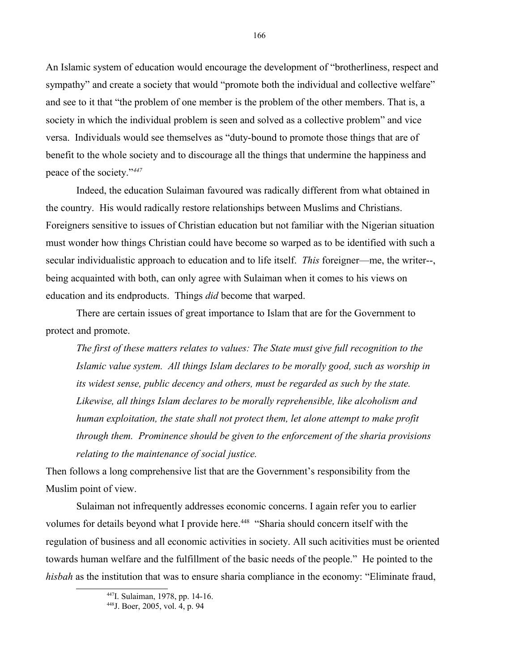An Islamic system of education would encourage the development of "brotherliness, respect and sympathy" and create a society that would "promote both the individual and collective welfare" and see to it that "the problem of one member is the problem of the other members. That is, a society in which the individual problem is seen and solved as a collective problem" and vice versa. Individuals would see themselves as "duty-bound to promote those things that are of benefit to the whole society and to discourage all the things that undermine the happiness and peace of the society."*[447](#page-165-0)*

Indeed, the education Sulaiman favoured was radically different from what obtained in the country. His would radically restore relationships between Muslims and Christians. Foreigners sensitive to issues of Christian education but not familiar with the Nigerian situation must wonder how things Christian could have become so warped as to be identified with such a secular individualistic approach to education and to life itself. *This* foreigner—me, the writer--, being acquainted with both, can only agree with Sulaiman when it comes to his views on education and its endproducts. Things *did* become that warped.

There are certain issues of great importance to Islam that are for the Government to protect and promote.

*The first of these matters relates to values: The State must give full recognition to the Islamic value system. All things Islam declares to be morally good, such as worship in its widest sense, public decency and others, must be regarded as such by the state. Likewise, all things Islam declares to be morally reprehensible, like alcoholism and human exploitation, the state shall not protect them, let alone attempt to make profit through them. Prominence should be given to the enforcement of the sharia provisions relating to the maintenance of social justice.*

Then follows a long comprehensive list that are the Government's responsibility from the Muslim point of view.

Sulaiman not infrequently addresses economic concerns. I again refer you to earlier volumes for details beyond what I provide here.<sup>[448](#page-165-1)</sup> "Sharia should concern itself with the regulation of business and all economic activities in society. All such acitivities must be oriented towards human welfare and the fulfillment of the basic needs of the people." He pointed to the *hisbah* as the institution that was to ensure sharia compliance in the economy: "Eliminate fraud,

<span id="page-165-0"></span><sup>447</sup>I. Sulaiman, 1978, pp. 14-16.

<span id="page-165-1"></span><sup>448</sup>J. Boer, 2005, vol. 4, p. 94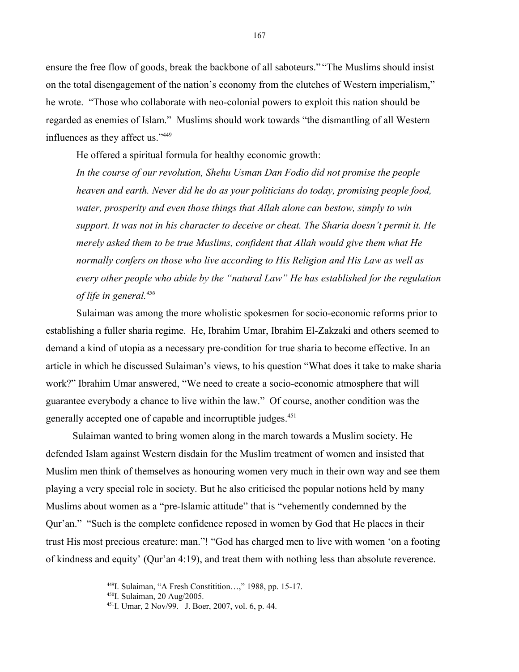ensure the free flow of goods, break the backbone of all saboteurs." "The Muslims should insist on the total disengagement of the nation's economy from the clutches of Western imperialism," he wrote. "Those who collaborate with neo-colonial powers to exploit this nation should be regarded as enemies of Islam." Muslims should work towards "the dismantling of all Western influences as they affect us."[449](#page-166-0)

He offered a spiritual formula for healthy economic growth:

*In the course of our revolution, Shehu Usman Dan Fodio did not promise the people heaven and earth. Never did he do as your politicians do today, promising people food, water, prosperity and even those things that Allah alone can bestow, simply to win support. It was not in his character to deceive or cheat. The Sharia doesn't permit it. He merely asked them to be true Muslims, confident that Allah would give them what He normally confers on those who live according to His Religion and His Law as well as every other people who abide by the "natural Law" He has established for the regulation of life in general.[450](#page-166-1)*

Sulaiman was among the more wholistic spokesmen for socio-economic reforms prior to establishing a fuller sharia regime. He, Ibrahim Umar, Ibrahim El-Zakzaki and others seemed to demand a kind of utopia as a necessary pre-condition for true sharia to become effective. In an article in which he discussed Sulaiman's views, to his question "What does it take to make sharia work?" Ibrahim Umar answered, "We need to create a socio-economic atmosphere that will guarantee everybody a chance to live within the law." Of course, another condition was the generally accepted one of capable and incorruptible judges.<sup>[451](#page-166-2)</sup>

Sulaiman wanted to bring women along in the march towards a Muslim society. He defended Islam against Western disdain for the Muslim treatment of women and insisted that Muslim men think of themselves as honouring women very much in their own way and see them playing a very special role in society. But he also criticised the popular notions held by many Muslims about women as a "pre-Islamic attitude" that is "vehemently condemned by the Qur'an." "Such is the complete confidence reposed in women by God that He places in their trust His most precious creature: man."! "God has charged men to live with women 'on a footing of kindness and equity' (Qur'an 4:19), and treat them with nothing less than absolute reverence.

<span id="page-166-0"></span><sup>449</sup>I. Sulaiman, "A Fresh Constitition…," 1988, pp. 15-17.

<span id="page-166-1"></span><sup>450</sup>I. Sulaiman, 20 Aug/2005.

<span id="page-166-2"></span><sup>451</sup>I. Umar, 2 Nov/99. J. Boer, 2007, vol. 6, p. 44.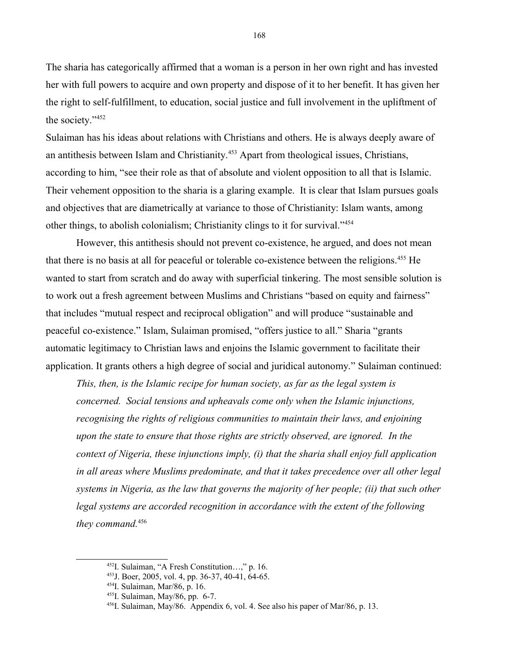The sharia has categorically affirmed that a woman is a person in her own right and has invested her with full powers to acquire and own property and dispose of it to her benefit. It has given her the right to self-fulfillment, to education, social justice and full involvement in the upliftment of the society."<sup>[452](#page-167-0)</sup>

Sulaiman has his ideas about relations with Christians and others. He is always deeply aware of an antithesis between Islam and Christianity.<sup>[453](#page-167-1)</sup> Apart from theological issues, Christians, according to him, "see their role as that of absolute and violent opposition to all that is Islamic. Their vehement opposition to the sharia is a glaring example. It is clear that Islam pursues goals and objectives that are diametrically at variance to those of Christianity: Islam wants, among other things, to abolish colonialism; Christianity clings to it for survival."<sup>[454](#page-167-2)</sup>

However, this antithesis should not prevent co-existence, he argued, and does not mean that there is no basis at all for peaceful or tolerable co-existence between the religions.<sup>[455](#page-167-3)</sup> He wanted to start from scratch and do away with superficial tinkering. The most sensible solution is to work out a fresh agreement between Muslims and Christians "based on equity and fairness" that includes "mutual respect and reciprocal obligation" and will produce "sustainable and peaceful co-existence." Islam, Sulaiman promised, "offers justice to all." Sharia "grants automatic legitimacy to Christian laws and enjoins the Islamic government to facilitate their application. It grants others a high degree of social and juridical autonomy." Sulaiman continued:

*This, then, is the Islamic recipe for human society, as far as the legal system is concerned. Social tensions and upheavals come only when the Islamic injunctions, recognising the rights of religious communities to maintain their laws, and enjoining upon the state to ensure that those rights are strictly observed, are ignored. In the context of Nigeria, these injunctions imply, (i) that the sharia shall enjoy full application in all areas where Muslims predominate, and that it takes precedence over all other legal systems in Nigeria, as the law that governs the majority of her people; (ii) that such other legal systems are accorded recognition in accordance with the extent of the following they command.*[456](#page-167-4)

<span id="page-167-0"></span><sup>452</sup>I. Sulaiman, "A Fresh Constitution…," p. 16.

<span id="page-167-1"></span><sup>453</sup>J. Boer, 2005, vol. 4, pp. 36-37, 40-41, 64-65.

<span id="page-167-2"></span><sup>454</sup>I. Sulaiman, Mar/86, p. 16.

<span id="page-167-3"></span><sup>455</sup>I. Sulaiman, May/86, pp. 6-7.

<span id="page-167-4"></span><sup>456</sup>I. Sulaiman, May/86. Appendix 6, vol. 4. See also his paper of Mar/86, p. 13.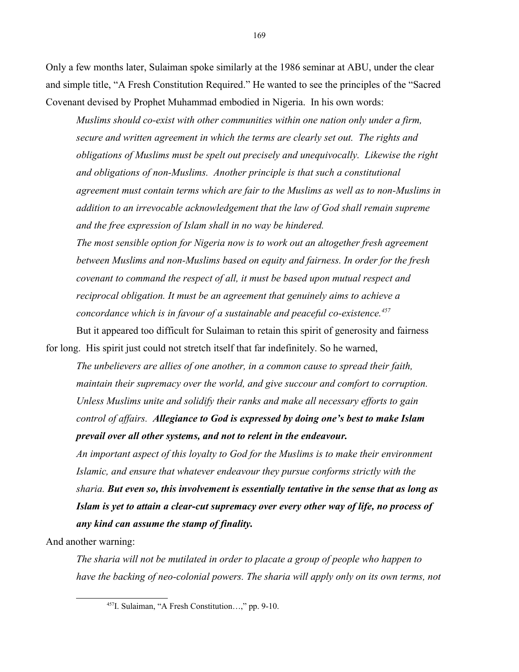Only a few months later, Sulaiman spoke similarly at the 1986 seminar at ABU, under the clear and simple title, "A Fresh Constitution Required." He wanted to see the principles of the "Sacred Covenant devised by Prophet Muhammad embodied in Nigeria. In his own words:

*Muslims should co-exist with other communities within one nation only under a firm, secure and written agreement in which the terms are clearly set out. The rights and obligations of Muslims must be spelt out precisely and unequivocally. Likewise the right and obligations of non-Muslims. Another principle is that such a constitutional agreement must contain terms which are fair to the Muslims as well as to non-Muslims in addition to an irrevocable acknowledgement that the law of God shall remain supreme and the free expression of Islam shall in no way be hindered.*

*The most sensible option for Nigeria now is to work out an altogether fresh agreement between Muslims and non-Muslims based on equity and fairness. In order for the fresh covenant to command the respect of all, it must be based upon mutual respect and reciprocal obligation. It must be an agreement that genuinely aims to achieve a concordance which is in favour of a sustainable and peaceful co-existence.[457](#page-168-0)*

But it appeared too difficult for Sulaiman to retain this spirit of generosity and fairness for long. His spirit just could not stretch itself that far indefinitely. So he warned,

*The unbelievers are allies of one another, in a common cause to spread their faith, maintain their supremacy over the world, and give succour and comfort to corruption. Unless Muslims unite and solidify their ranks and make all necessary efforts to gain control of affairs. Allegiance to God is expressed by doing one's best to make Islam prevail over all other systems, and not to relent in the endeavour.*

*An important aspect of this loyalty to God for the Muslims is to make their environment Islamic, and ensure that whatever endeavour they pursue conforms strictly with the sharia. But even so, this involvement is essentially tentative in the sense that as long as Islam is yet to attain a clear-cut supremacy over every other way of life, no process of any kind can assume the stamp of finality.*

And another warning:

*The sharia will not be mutilated in order to placate a group of people who happen to have the backing of neo-colonial powers. The sharia will apply only on its own terms, not*

<span id="page-168-0"></span><sup>457</sup>I. Sulaiman, "A Fresh Constitution…," pp. 9-10.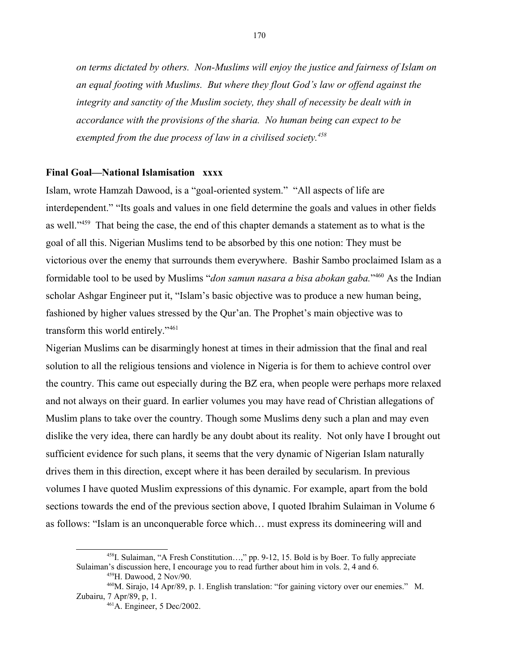*on terms dictated by others. Non-Muslims will enjoy the justice and fairness of Islam on an equal footing with Muslims. But where they flout God's law or offend against the*  integrity and sanctity of the Muslim society, they shall of necessity be dealt with in *accordance with the provisions of the sharia. No human being can expect to be exempted from the due process of law in a civilised society.[458](#page-169-0)*

## **Final Goal—National Islamisation xxxx**

Islam, wrote Hamzah Dawood, is a "goal-oriented system." "All aspects of life are interdependent." "Its goals and values in one field determine the goals and values in other fields as well."<sup>[459](#page-169-1)</sup> That being the case, the end of this chapter demands a statement as to what is the goal of all this. Nigerian Muslims tend to be absorbed by this one notion: They must be victorious over the enemy that surrounds them everywhere. Bashir Sambo proclaimed Islam as a formidable tool to be used by Muslims "*don samun nasara a bisa abokan gaba.*" [460](#page-169-2) As the Indian scholar Ashgar Engineer put it, "Islam's basic objective was to produce a new human being, fashioned by higher values stressed by the Qur'an. The Prophet's main objective was to transform this world entirely."[461](#page-169-3)

Nigerian Muslims can be disarmingly honest at times in their admission that the final and real solution to all the religious tensions and violence in Nigeria is for them to achieve control over the country. This came out especially during the BZ era, when people were perhaps more relaxed and not always on their guard. In earlier volumes you may have read of Christian allegations of Muslim plans to take over the country. Though some Muslims deny such a plan and may even dislike the very idea, there can hardly be any doubt about its reality. Not only have I brought out sufficient evidence for such plans, it seems that the very dynamic of Nigerian Islam naturally drives them in this direction, except where it has been derailed by secularism. In previous volumes I have quoted Muslim expressions of this dynamic. For example, apart from the bold sections towards the end of the previous section above, I quoted Ibrahim Sulaiman in Volume 6 as follows: "Islam is an unconquerable force which… must express its domineering will and

<sup>458</sup>I. Sulaiman, "A Fresh Constitution…," pp. 9-12, 15. Bold is by Boer. To fully appreciate Sulaiman's discussion here, I encourage you to read further about him in vols. 2, 4 and 6.

<span id="page-169-2"></span><span id="page-169-1"></span><span id="page-169-0"></span><sup>459</sup>H. Dawood, 2 Nov/90.

<sup>&</sup>lt;sup>460</sup>M. Sirajo, 14 Apr/89, p. 1. English translation: "for gaining victory over our enemies." M. Zubairu, 7 Apr/89, p, 1.

<span id="page-169-3"></span><sup>461</sup>A. Engineer, 5 Dec/2002.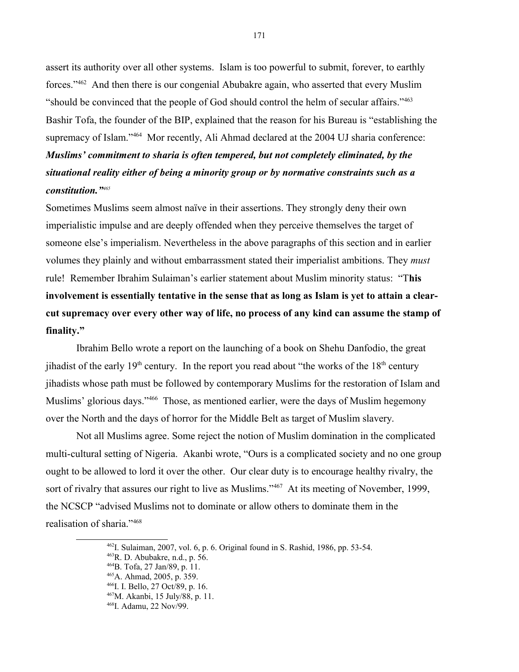assert its authority over all other systems. Islam is too powerful to submit, forever, to earthly forces."[462](#page-170-0) And then there is our congenial Abubakre again, who asserted that every Muslim "should be convinced that the people of God should control the helm of secular affairs."<sup>[463](#page-170-1)</sup> Bashir Tofa, the founder of the BIP, explained that the reason for his Bureau is "establishing the supremacy of Islam."<sup>[464](#page-170-2)</sup> Mor recently, Ali Ahmad declared at the 2004 UJ sharia conference: *Muslims' commitment to sharia is often tempered, but not completely eliminated, by the situational reality either of being a minority group or by normative constraints such as a constitution."[465](#page-170-3)*

Sometimes Muslims seem almost naïve in their assertions. They strongly deny their own imperialistic impulse and are deeply offended when they perceive themselves the target of someone else's imperialism. Nevertheless in the above paragraphs of this section and in earlier volumes they plainly and without embarrassment stated their imperialist ambitions. They *must* rule! Remember Ibrahim Sulaiman's earlier statement about Muslim minority status: "T**his involvement is essentially tentative in the sense that as long as Islam is yet to attain a clearcut supremacy over every other way of life, no process of any kind can assume the stamp of finality."**

Ibrahim Bello wrote a report on the launching of a book on Shehu Danfodio, the great jihadist of the early  $19<sup>th</sup>$  century. In the report you read about "the works of the  $18<sup>th</sup>$  century jihadists whose path must be followed by contemporary Muslims for the restoration of Islam and Muslims' glorious days."<sup>[466](#page-170-4)</sup> Those, as mentioned earlier, were the days of Muslim hegemony over the North and the days of horror for the Middle Belt as target of Muslim slavery.

Not all Muslims agree. Some reject the notion of Muslim domination in the complicated multi-cultural setting of Nigeria. Akanbi wrote, "Ours is a complicated society and no one group ought to be allowed to lord it over the other. Our clear duty is to encourage healthy rivalry, the sort of rivalry that assures our right to live as Muslims."<sup>[467](#page-170-5)</sup> At its meeting of November, 1999, the NCSCP "advised Muslims not to dominate or allow others to dominate them in the realisation of sharia."[468](#page-170-6)

<span id="page-170-0"></span><sup>462</sup>I. Sulaiman, 2007, vol. 6, p. 6. Original found in S. Rashid, 1986, pp. 53-54.

<span id="page-170-1"></span><sup>463</sup>R. D. Abubakre, n.d., p. 56.

<span id="page-170-2"></span><sup>464</sup>B. Tofa, 27 Jan/89, p. 11.

<span id="page-170-3"></span><sup>465</sup>A. Ahmad, 2005, p. 359.

<span id="page-170-4"></span><sup>466</sup>I. I. Bello, 27 Oct/89, p. 16.

<span id="page-170-5"></span><sup>467</sup>M. Akanbi, 15 July/88, p. 11.

<span id="page-170-6"></span><sup>468</sup>I. Adamu, 22 Nov/99.